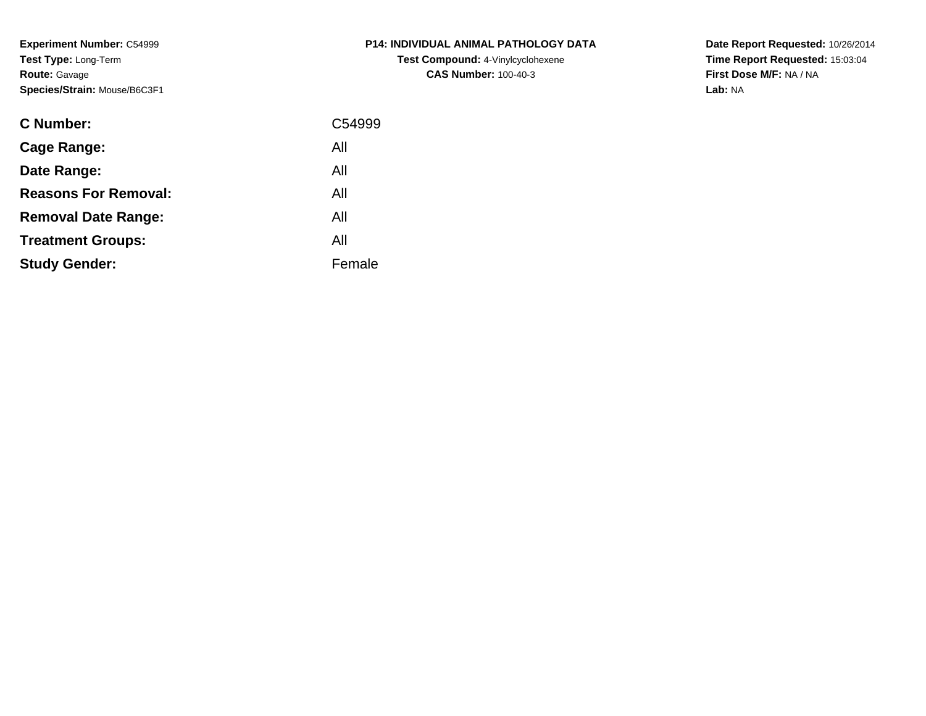**Experiment Number:** C54999**Test Type:** Long-Term**Route:** Gavage**Species/Strain:** Mouse/B6C3F1

| <b>C Number:</b>            | C54999 |
|-----------------------------|--------|
| <b>Cage Range:</b>          | All    |
| Date Range:                 | All    |
| <b>Reasons For Removal:</b> | All    |
| <b>Removal Date Range:</b>  | All    |
| <b>Treatment Groups:</b>    | All    |
| <b>Study Gender:</b>        | Female |
|                             |        |

# **P14: INDIVIDUAL ANIMAL PATHOLOGY DATATest Compound:** 4-Vinylcyclohexene**CAS Number:** 100-40-3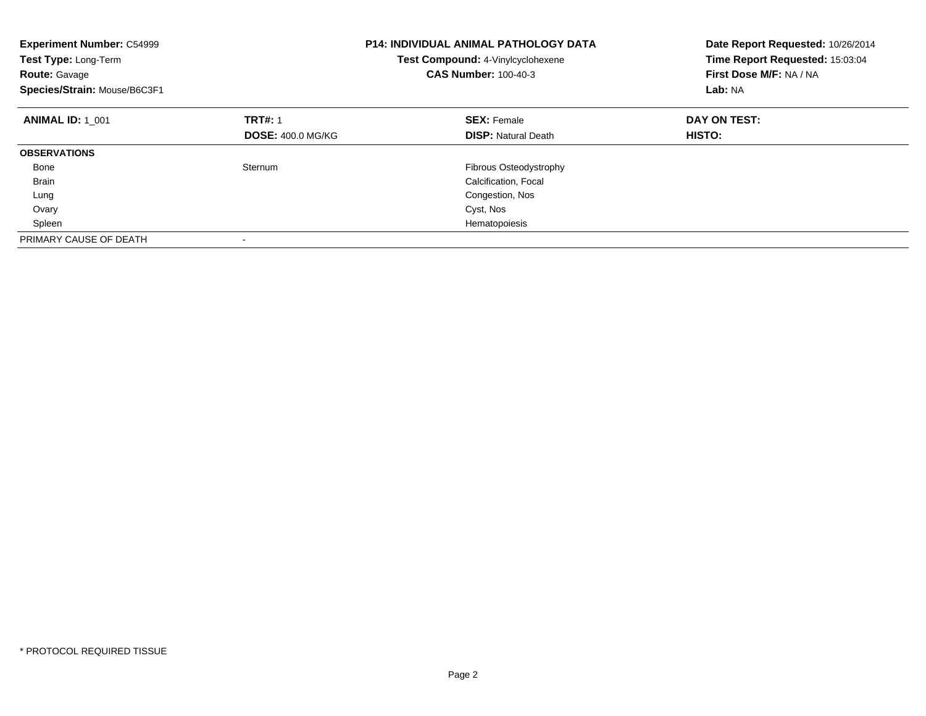| <b>Experiment Number: C54999</b><br><b>Test Type: Long-Term</b><br><b>Route: Gavage</b><br>Species/Strain: Mouse/B6C3F1 |                          | <b>P14: INDIVIDUAL ANIMAL PATHOLOGY DATA</b><br>Test Compound: 4-Vinylcyclohexene<br><b>CAS Number: 100-40-3</b> | Date Report Requested: 10/26/2014<br>Time Report Requested: 15:03:04<br>First Dose M/F: NA / NA<br>Lab: NA |
|-------------------------------------------------------------------------------------------------------------------------|--------------------------|------------------------------------------------------------------------------------------------------------------|------------------------------------------------------------------------------------------------------------|
| <b>ANIMAL ID: 1 001</b>                                                                                                 | <b>TRT#: 1</b>           | <b>SEX: Female</b>                                                                                               | DAY ON TEST:                                                                                               |
|                                                                                                                         | <b>DOSE: 400.0 MG/KG</b> | <b>DISP:</b> Natural Death                                                                                       | HISTO:                                                                                                     |
| <b>OBSERVATIONS</b>                                                                                                     |                          |                                                                                                                  |                                                                                                            |
| Bone                                                                                                                    | Sternum                  | Fibrous Osteodystrophy                                                                                           |                                                                                                            |
| <b>Brain</b>                                                                                                            |                          | Calcification, Focal                                                                                             |                                                                                                            |
| Lung                                                                                                                    |                          | Congestion, Nos                                                                                                  |                                                                                                            |
| Ovary                                                                                                                   |                          | Cyst, Nos                                                                                                        |                                                                                                            |
| Spleen                                                                                                                  |                          | Hematopoiesis                                                                                                    |                                                                                                            |
| PRIMARY CAUSE OF DEATH                                                                                                  |                          |                                                                                                                  |                                                                                                            |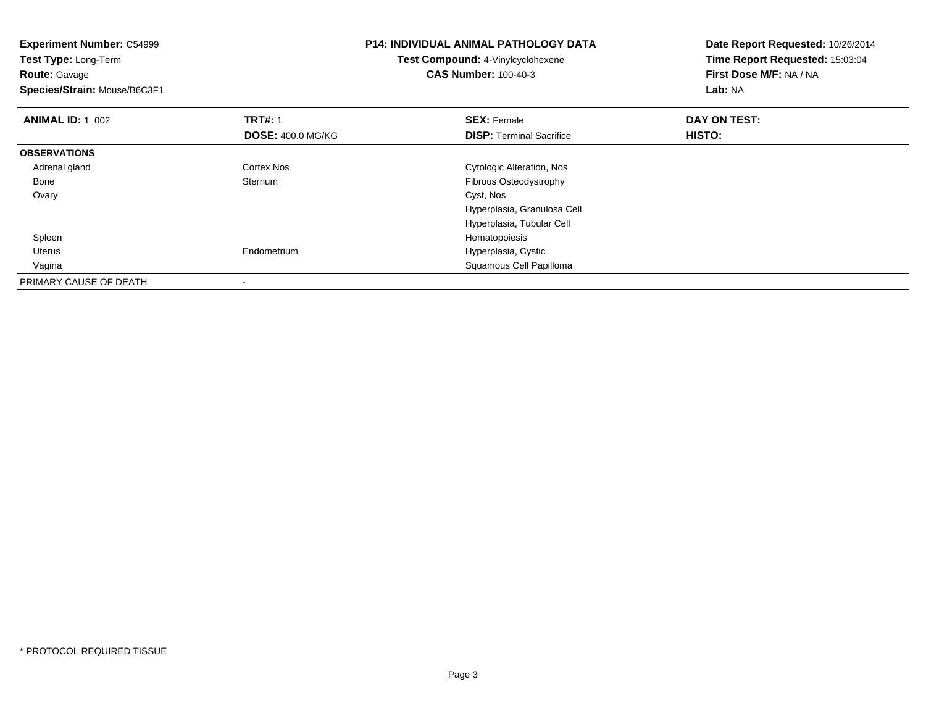| <b>Experiment Number: C54999</b><br>Test Type: Long-Term<br><b>Route: Gavage</b><br>Species/Strain: Mouse/B6C3F1 |                          | <b>P14: INDIVIDUAL ANIMAL PATHOLOGY DATA</b><br>Test Compound: 4-Vinylcyclohexene<br><b>CAS Number: 100-40-3</b> | Date Report Requested: 10/26/2014<br>Time Report Requested: 15:03:04<br>First Dose M/F: NA / NA<br>Lab: NA |
|------------------------------------------------------------------------------------------------------------------|--------------------------|------------------------------------------------------------------------------------------------------------------|------------------------------------------------------------------------------------------------------------|
| <b>ANIMAL ID: 1_002</b>                                                                                          | <b>TRT#: 1</b>           | <b>SEX: Female</b>                                                                                               | DAY ON TEST:                                                                                               |
|                                                                                                                  | <b>DOSE: 400.0 MG/KG</b> | <b>DISP:</b> Terminal Sacrifice                                                                                  | HISTO:                                                                                                     |
| <b>OBSERVATIONS</b>                                                                                              |                          |                                                                                                                  |                                                                                                            |
| Adrenal gland                                                                                                    | Cortex Nos               | Cytologic Alteration, Nos                                                                                        |                                                                                                            |
| Bone                                                                                                             | Sternum                  | Fibrous Osteodystrophy                                                                                           |                                                                                                            |
| Ovary                                                                                                            |                          | Cyst, Nos                                                                                                        |                                                                                                            |
|                                                                                                                  |                          | Hyperplasia, Granulosa Cell                                                                                      |                                                                                                            |
|                                                                                                                  |                          | Hyperplasia, Tubular Cell                                                                                        |                                                                                                            |
| Spleen                                                                                                           |                          | Hematopoiesis                                                                                                    |                                                                                                            |
| Uterus                                                                                                           | Endometrium              | Hyperplasia, Cystic                                                                                              |                                                                                                            |
| Vagina                                                                                                           |                          | Squamous Cell Papilloma                                                                                          |                                                                                                            |
| PRIMARY CAUSE OF DEATH                                                                                           |                          |                                                                                                                  |                                                                                                            |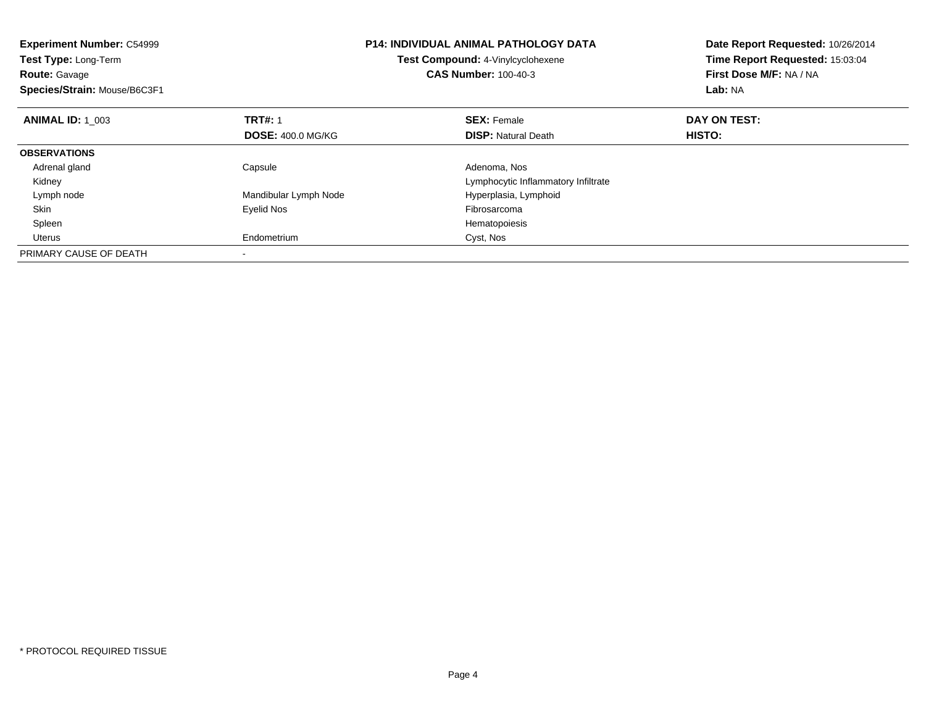| <b>Experiment Number: C54999</b><br>Test Type: Long-Term<br><b>Route: Gavage</b><br>Species/Strain: Mouse/B6C3F1 |                          | <b>P14: INDIVIDUAL ANIMAL PATHOLOGY DATA</b><br>Test Compound: 4-Vinylcyclohexene<br><b>CAS Number: 100-40-3</b> | Date Report Requested: 10/26/2014<br>Time Report Requested: 15:03:04<br>First Dose M/F: NA / NA<br>Lab: NA |
|------------------------------------------------------------------------------------------------------------------|--------------------------|------------------------------------------------------------------------------------------------------------------|------------------------------------------------------------------------------------------------------------|
| <b>ANIMAL ID: 1 003</b>                                                                                          | <b>TRT#: 1</b>           | <b>SEX: Female</b>                                                                                               | DAY ON TEST:                                                                                               |
|                                                                                                                  | <b>DOSE: 400.0 MG/KG</b> | <b>DISP:</b> Natural Death                                                                                       | <b>HISTO:</b>                                                                                              |
| <b>OBSERVATIONS</b>                                                                                              |                          |                                                                                                                  |                                                                                                            |
| Adrenal gland                                                                                                    | Capsule                  | Adenoma, Nos                                                                                                     |                                                                                                            |
| Kidney                                                                                                           |                          | Lymphocytic Inflammatory Infiltrate                                                                              |                                                                                                            |
| Lymph node                                                                                                       | Mandibular Lymph Node    | Hyperplasia, Lymphoid                                                                                            |                                                                                                            |
| Skin                                                                                                             | Eyelid Nos               | Fibrosarcoma                                                                                                     |                                                                                                            |
| Spleen                                                                                                           |                          | Hematopoiesis                                                                                                    |                                                                                                            |
| Uterus                                                                                                           | Endometrium              | Cyst, Nos                                                                                                        |                                                                                                            |
| PRIMARY CAUSE OF DEATH                                                                                           |                          |                                                                                                                  |                                                                                                            |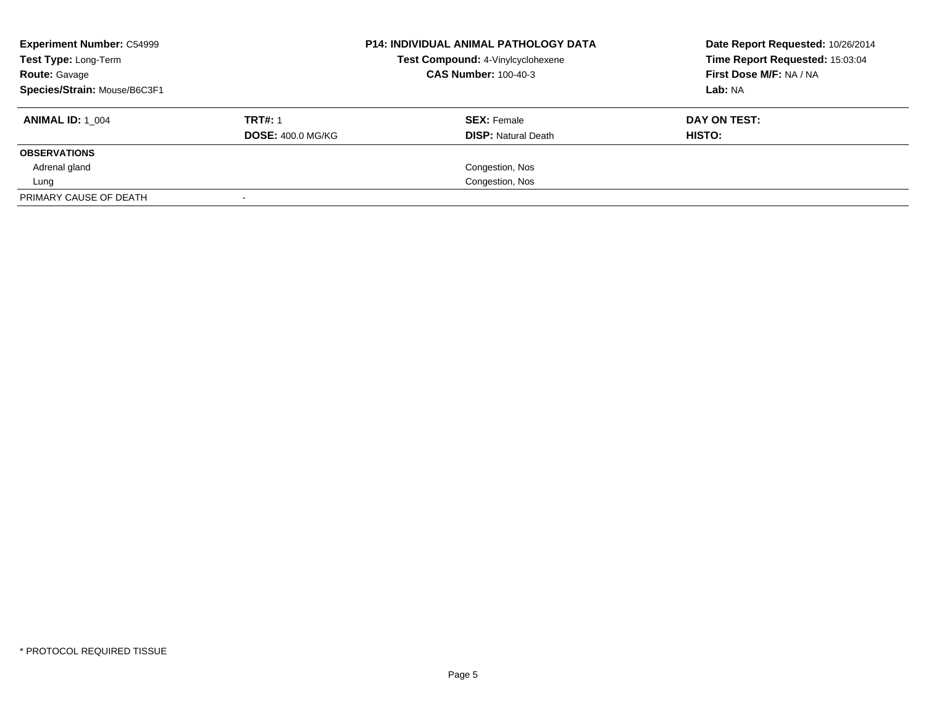| <b>Experiment Number: C54999</b><br>Test Type: Long-Term<br><b>Route: Gavage</b> |                          | <b>P14: INDIVIDUAL ANIMAL PATHOLOGY DATA</b><br>Test Compound: 4-Vinylcyclohexene<br><b>CAS Number: 100-40-3</b> | Date Report Requested: 10/26/2014<br>Time Report Requested: 15:03:04<br>First Dose M/F: NA / NA |
|----------------------------------------------------------------------------------|--------------------------|------------------------------------------------------------------------------------------------------------------|-------------------------------------------------------------------------------------------------|
| Species/Strain: Mouse/B6C3F1                                                     |                          |                                                                                                                  | Lab: NA                                                                                         |
| <b>ANIMAL ID: 1 004</b>                                                          | <b>TRT#: 1</b>           | <b>SEX: Female</b>                                                                                               | DAY ON TEST:                                                                                    |
|                                                                                  | <b>DOSE: 400.0 MG/KG</b> | <b>DISP:</b> Natural Death                                                                                       | HISTO:                                                                                          |
| <b>OBSERVATIONS</b>                                                              |                          |                                                                                                                  |                                                                                                 |
| Adrenal gland                                                                    |                          | Congestion, Nos                                                                                                  |                                                                                                 |
| Lung                                                                             |                          | Congestion, Nos                                                                                                  |                                                                                                 |
| PRIMARY CAUSE OF DEATH                                                           |                          |                                                                                                                  |                                                                                                 |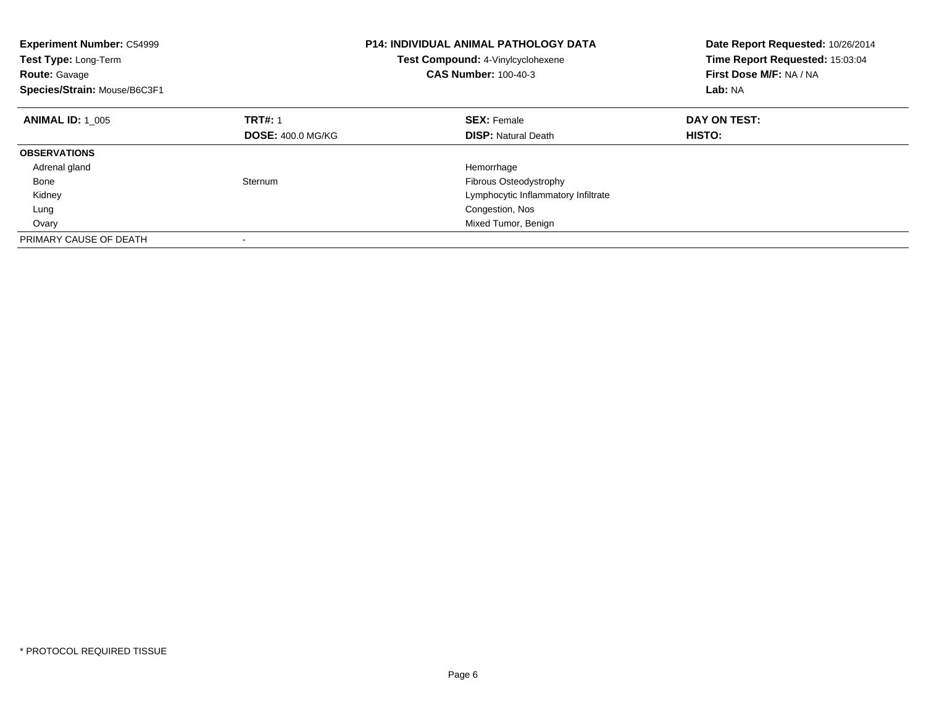| <b>Experiment Number: C54999</b><br><b>Test Type: Long-Term</b><br><b>Route: Gavage</b><br>Species/Strain: Mouse/B6C3F1 |                          | <b>P14: INDIVIDUAL ANIMAL PATHOLOGY DATA</b><br><b>Test Compound: 4-Vinylcyclohexene</b><br><b>CAS Number: 100-40-3</b> | Date Report Requested: 10/26/2014<br>Time Report Requested: 15:03:04<br>First Dose M/F: NA / NA<br>Lab: NA |
|-------------------------------------------------------------------------------------------------------------------------|--------------------------|-------------------------------------------------------------------------------------------------------------------------|------------------------------------------------------------------------------------------------------------|
| <b>ANIMAL ID: 1 005</b>                                                                                                 | <b>TRT#: 1</b>           | <b>SEX: Female</b>                                                                                                      | DAY ON TEST:                                                                                               |
|                                                                                                                         | <b>DOSE: 400.0 MG/KG</b> | <b>DISP:</b> Natural Death                                                                                              | HISTO:                                                                                                     |
| <b>OBSERVATIONS</b>                                                                                                     |                          |                                                                                                                         |                                                                                                            |
| Adrenal gland                                                                                                           |                          | Hemorrhage                                                                                                              |                                                                                                            |
| Bone                                                                                                                    | Sternum                  | <b>Fibrous Osteodystrophy</b>                                                                                           |                                                                                                            |
| Kidney                                                                                                                  |                          | Lymphocytic Inflammatory Infiltrate                                                                                     |                                                                                                            |
| Lung                                                                                                                    |                          | Congestion, Nos                                                                                                         |                                                                                                            |
| Ovary                                                                                                                   |                          | Mixed Tumor, Benign                                                                                                     |                                                                                                            |
| PRIMARY CAUSE OF DEATH                                                                                                  |                          |                                                                                                                         |                                                                                                            |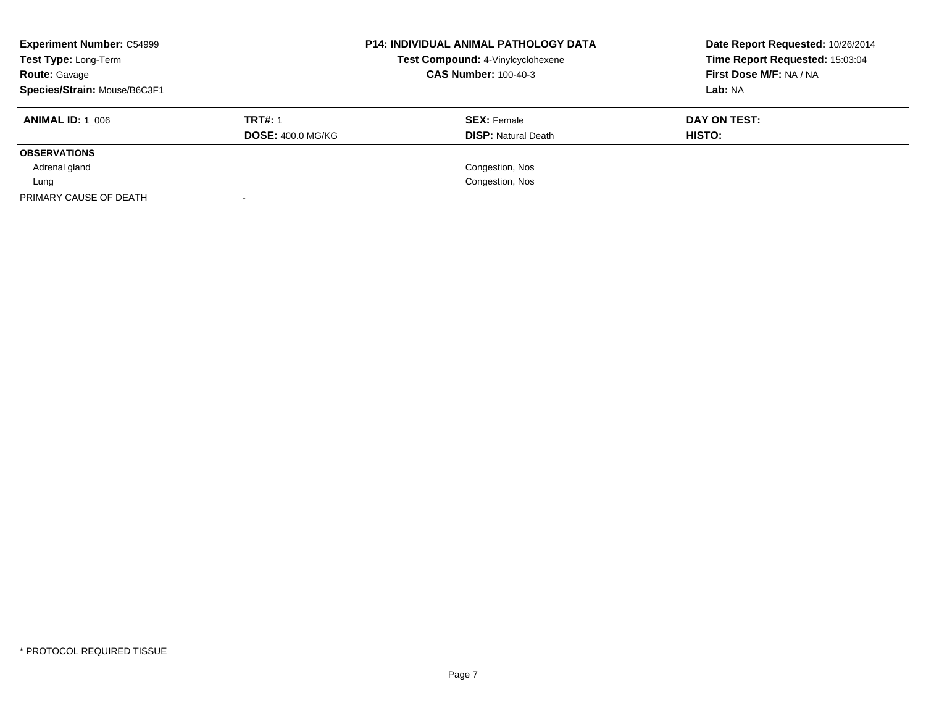| <b>Experiment Number: C54999</b><br>Test Type: Long-Term<br><b>Route: Gavage</b><br>Species/Strain: Mouse/B6C3F1 |                                            | <b>P14: INDIVIDUAL ANIMAL PATHOLOGY DATA</b><br>Test Compound: 4-Vinylcyclohexene<br><b>CAS Number: 100-40-3</b> | Date Report Requested: 10/26/2014<br>Time Report Requested: 15:03:04<br>First Dose M/F: NA / NA<br>Lab: NA |
|------------------------------------------------------------------------------------------------------------------|--------------------------------------------|------------------------------------------------------------------------------------------------------------------|------------------------------------------------------------------------------------------------------------|
| <b>ANIMAL ID: 1 006</b>                                                                                          | <b>TRT#: 1</b><br><b>DOSE: 400.0 MG/KG</b> | <b>SEX: Female</b><br><b>DISP:</b> Natural Death                                                                 | DAY ON TEST:<br>HISTO:                                                                                     |
| <b>OBSERVATIONS</b>                                                                                              |                                            |                                                                                                                  |                                                                                                            |
| Adrenal gland                                                                                                    |                                            | Congestion, Nos                                                                                                  |                                                                                                            |
| Lung                                                                                                             |                                            | Congestion, Nos                                                                                                  |                                                                                                            |
| PRIMARY CAUSE OF DEATH                                                                                           |                                            |                                                                                                                  |                                                                                                            |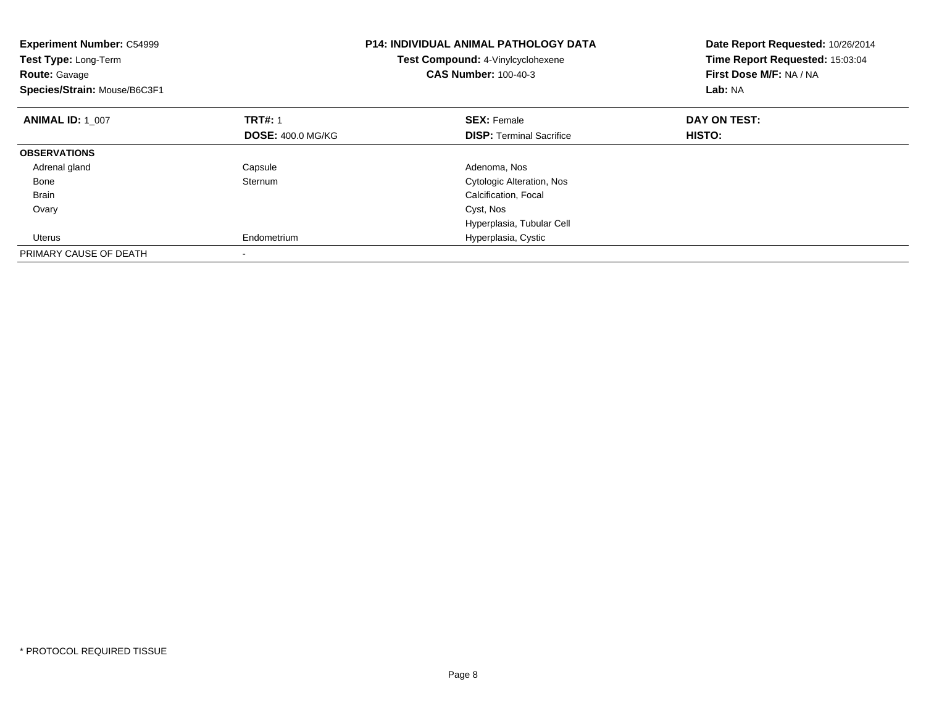| <b>Experiment Number: C54999</b><br>Test Type: Long-Term<br><b>Route: Gavage</b><br>Species/Strain: Mouse/B6C3F1 |                          | <b>P14: INDIVIDUAL ANIMAL PATHOLOGY DATA</b><br>Test Compound: 4-Vinylcyclohexene<br><b>CAS Number: 100-40-3</b> | Date Report Requested: 10/26/2014<br>Time Report Requested: 15:03:04<br>First Dose M/F: NA / NA<br>Lab: NA |
|------------------------------------------------------------------------------------------------------------------|--------------------------|------------------------------------------------------------------------------------------------------------------|------------------------------------------------------------------------------------------------------------|
| <b>ANIMAL ID: 1 007</b>                                                                                          | <b>TRT#: 1</b>           | <b>SEX: Female</b>                                                                                               | DAY ON TEST:                                                                                               |
|                                                                                                                  | <b>DOSE: 400.0 MG/KG</b> | <b>DISP:</b> Terminal Sacrifice                                                                                  | <b>HISTO:</b>                                                                                              |
| <b>OBSERVATIONS</b>                                                                                              |                          |                                                                                                                  |                                                                                                            |
| Adrenal gland                                                                                                    | Capsule                  | Adenoma, Nos                                                                                                     |                                                                                                            |
| Bone                                                                                                             | Sternum                  | <b>Cytologic Alteration, Nos</b>                                                                                 |                                                                                                            |
| <b>Brain</b>                                                                                                     |                          | Calcification, Focal                                                                                             |                                                                                                            |
| Ovary                                                                                                            |                          | Cyst, Nos                                                                                                        |                                                                                                            |
|                                                                                                                  |                          | Hyperplasia, Tubular Cell                                                                                        |                                                                                                            |
| Uterus                                                                                                           | Endometrium              | Hyperplasia, Cystic                                                                                              |                                                                                                            |
| PRIMARY CAUSE OF DEATH                                                                                           |                          |                                                                                                                  |                                                                                                            |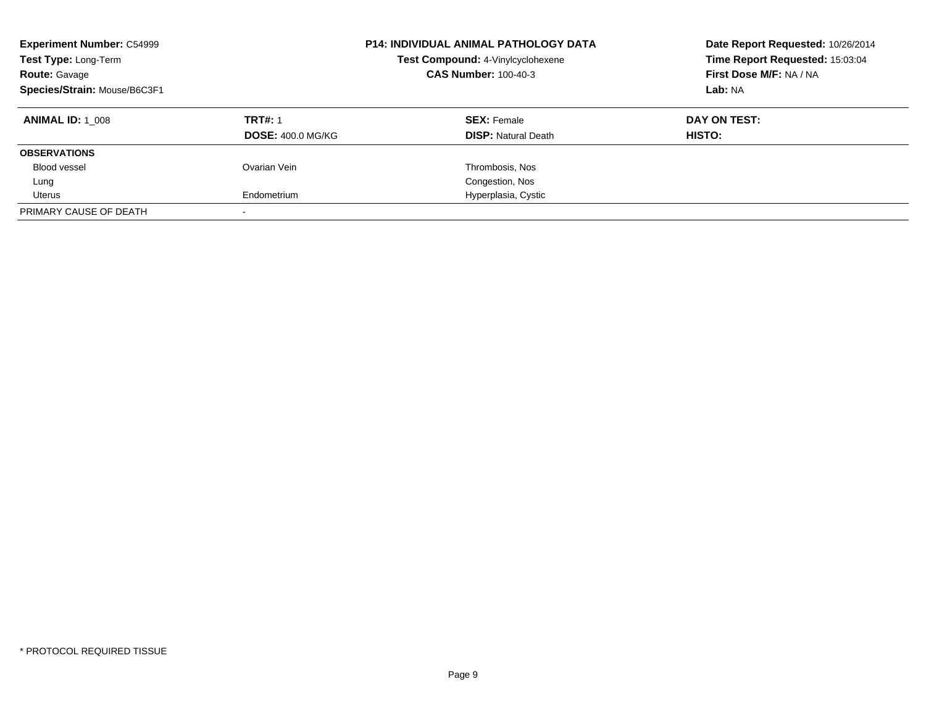| <b>Experiment Number: C54999</b><br>Test Type: Long-Term<br><b>Route: Gavage</b><br>Species/Strain: Mouse/B6C3F1 |                          | <b>P14: INDIVIDUAL ANIMAL PATHOLOGY DATA</b><br>Test Compound: 4-Vinylcyclohexene<br><b>CAS Number: 100-40-3</b> | Date Report Requested: 10/26/2014<br>Time Report Requested: 15:03:04<br>First Dose M/F: NA / NA<br>Lab: NA |
|------------------------------------------------------------------------------------------------------------------|--------------------------|------------------------------------------------------------------------------------------------------------------|------------------------------------------------------------------------------------------------------------|
| <b>ANIMAL ID:</b> 1 008                                                                                          | <b>TRT#: 1</b>           | <b>SEX: Female</b>                                                                                               | DAY ON TEST:                                                                                               |
|                                                                                                                  | <b>DOSE: 400.0 MG/KG</b> | <b>DISP:</b> Natural Death                                                                                       | <b>HISTO:</b>                                                                                              |
| <b>OBSERVATIONS</b>                                                                                              |                          |                                                                                                                  |                                                                                                            |
| Blood vessel                                                                                                     | Ovarian Vein             | Thrombosis, Nos                                                                                                  |                                                                                                            |
| Lung                                                                                                             |                          | Congestion, Nos                                                                                                  |                                                                                                            |
| Uterus                                                                                                           | Endometrium              | Hyperplasia, Cystic                                                                                              |                                                                                                            |
| PRIMARY CAUSE OF DEATH                                                                                           |                          |                                                                                                                  |                                                                                                            |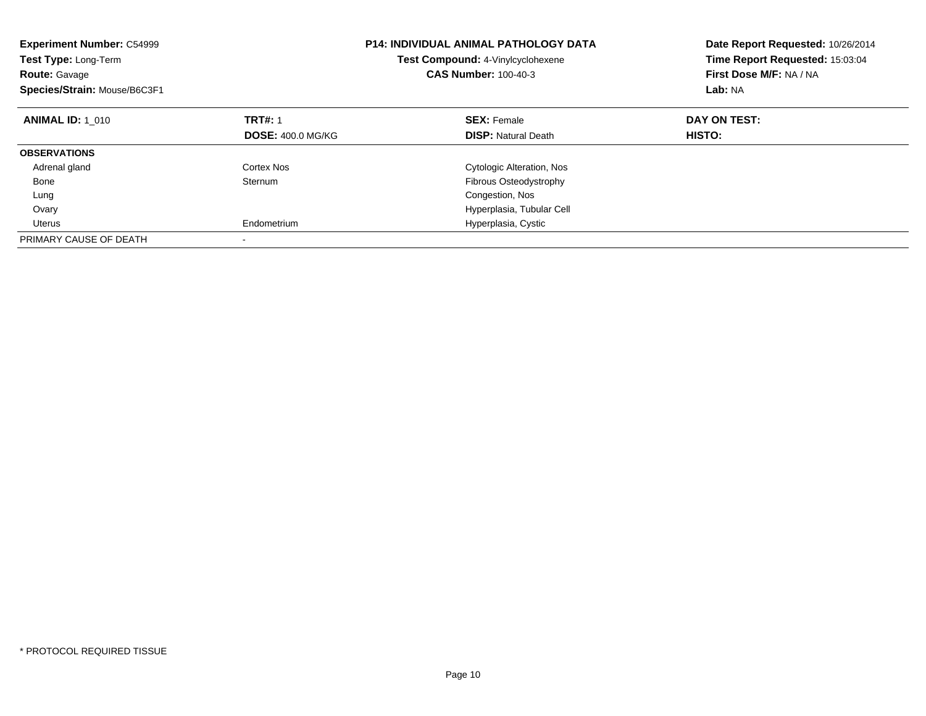| <b>Experiment Number: C54999</b><br>Test Type: Long-Term<br><b>Route: Gavage</b><br>Species/Strain: Mouse/B6C3F1 |                          | <b>P14: INDIVIDUAL ANIMAL PATHOLOGY DATA</b><br>Test Compound: 4-Vinylcyclohexene<br><b>CAS Number: 100-40-3</b> | Date Report Requested: 10/26/2014<br>Time Report Requested: 15:03:04<br>First Dose M/F: NA / NA<br>Lab: NA |
|------------------------------------------------------------------------------------------------------------------|--------------------------|------------------------------------------------------------------------------------------------------------------|------------------------------------------------------------------------------------------------------------|
| <b>ANIMAL ID: 1 010</b>                                                                                          | <b>TRT#: 1</b>           | <b>SEX: Female</b>                                                                                               | DAY ON TEST:                                                                                               |
|                                                                                                                  | <b>DOSE: 400.0 MG/KG</b> | <b>DISP:</b> Natural Death                                                                                       | HISTO:                                                                                                     |
| <b>OBSERVATIONS</b>                                                                                              |                          |                                                                                                                  |                                                                                                            |
| Adrenal gland                                                                                                    | Cortex Nos               | Cytologic Alteration, Nos                                                                                        |                                                                                                            |
| Bone                                                                                                             | Sternum                  | Fibrous Osteodystrophy                                                                                           |                                                                                                            |
| Lung                                                                                                             |                          | Congestion, Nos                                                                                                  |                                                                                                            |
| Ovary                                                                                                            |                          | Hyperplasia, Tubular Cell                                                                                        |                                                                                                            |
| Uterus                                                                                                           | Endometrium              | Hyperplasia, Cystic                                                                                              |                                                                                                            |
| PRIMARY CAUSE OF DEATH                                                                                           |                          |                                                                                                                  |                                                                                                            |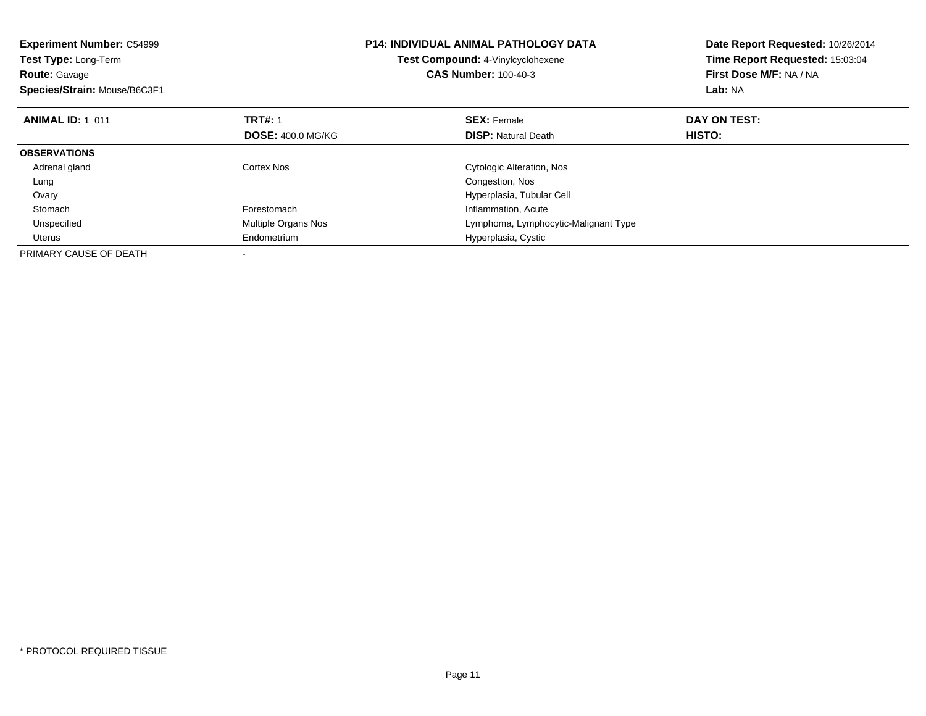| <b>Experiment Number: C54999</b><br><b>Test Type: Long-Term</b><br><b>Route: Gavage</b><br>Species/Strain: Mouse/B6C3F1 |                          | <b>P14: INDIVIDUAL ANIMAL PATHOLOGY DATA</b><br>Test Compound: 4-Vinylcyclohexene<br><b>CAS Number: 100-40-3</b> | Date Report Requested: 10/26/2014<br>Time Report Requested: 15:03:04<br>First Dose M/F: NA / NA<br>Lab: NA |
|-------------------------------------------------------------------------------------------------------------------------|--------------------------|------------------------------------------------------------------------------------------------------------------|------------------------------------------------------------------------------------------------------------|
| <b>ANIMAL ID: 1 011</b>                                                                                                 | <b>TRT#: 1</b>           | <b>SEX: Female</b>                                                                                               | DAY ON TEST:                                                                                               |
|                                                                                                                         | <b>DOSE: 400.0 MG/KG</b> | <b>DISP: Natural Death</b>                                                                                       | <b>HISTO:</b>                                                                                              |
| <b>OBSERVATIONS</b>                                                                                                     |                          |                                                                                                                  |                                                                                                            |
| Adrenal gland                                                                                                           | Cortex Nos               | Cytologic Alteration, Nos                                                                                        |                                                                                                            |
| Lung                                                                                                                    |                          | Congestion, Nos                                                                                                  |                                                                                                            |
| Ovary                                                                                                                   |                          | Hyperplasia, Tubular Cell                                                                                        |                                                                                                            |
| Stomach                                                                                                                 | Forestomach              | Inflammation, Acute                                                                                              |                                                                                                            |
| Unspecified                                                                                                             | Multiple Organs Nos      | Lymphoma, Lymphocytic-Malignant Type                                                                             |                                                                                                            |
| Uterus                                                                                                                  | Endometrium              | Hyperplasia, Cystic                                                                                              |                                                                                                            |
| PRIMARY CAUSE OF DEATH                                                                                                  |                          |                                                                                                                  |                                                                                                            |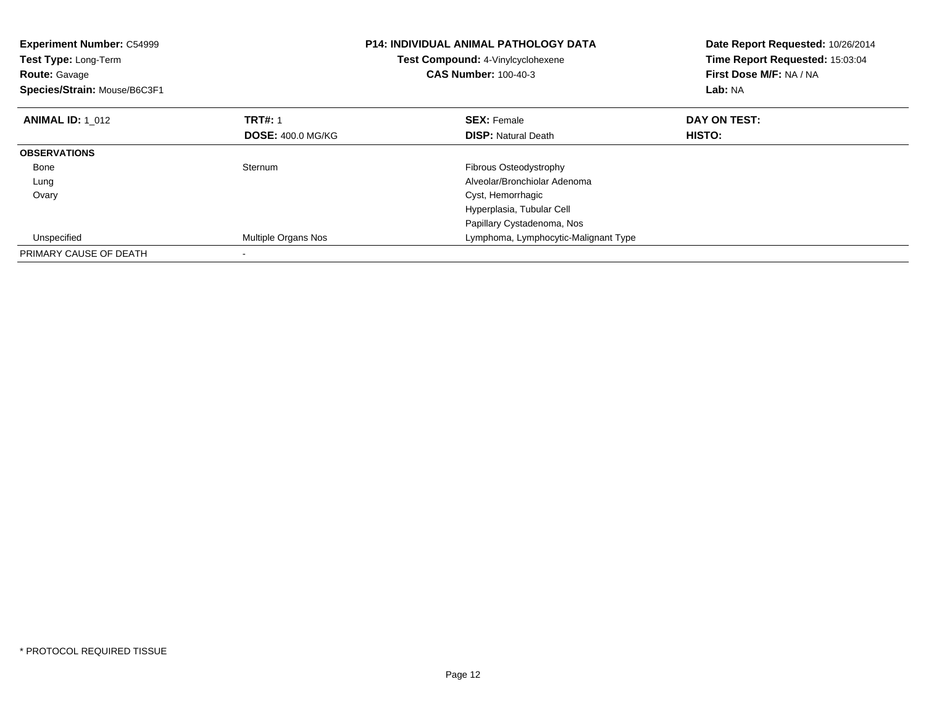| <b>Experiment Number: C54999</b><br>Test Type: Long-Term<br><b>Route: Gavage</b><br>Species/Strain: Mouse/B6C3F1 |                            | <b>P14: INDIVIDUAL ANIMAL PATHOLOGY DATA</b><br>Test Compound: 4-Vinylcyclohexene<br><b>CAS Number: 100-40-3</b> | Date Report Requested: 10/26/2014<br>Time Report Requested: 15:03:04<br>First Dose M/F: NA / NA<br>Lab: NA |
|------------------------------------------------------------------------------------------------------------------|----------------------------|------------------------------------------------------------------------------------------------------------------|------------------------------------------------------------------------------------------------------------|
| <b>ANIMAL ID: 1 012</b>                                                                                          | <b>TRT#: 1</b>             | <b>SEX: Female</b>                                                                                               | DAY ON TEST:                                                                                               |
|                                                                                                                  | <b>DOSE: 400.0 MG/KG</b>   | <b>DISP:</b> Natural Death                                                                                       | HISTO:                                                                                                     |
| <b>OBSERVATIONS</b>                                                                                              |                            |                                                                                                                  |                                                                                                            |
| Bone                                                                                                             | Sternum                    | Fibrous Osteodystrophy                                                                                           |                                                                                                            |
| Lung                                                                                                             |                            | Alveolar/Bronchiolar Adenoma                                                                                     |                                                                                                            |
| Ovary                                                                                                            |                            | Cyst, Hemorrhagic                                                                                                |                                                                                                            |
|                                                                                                                  |                            | Hyperplasia, Tubular Cell                                                                                        |                                                                                                            |
|                                                                                                                  |                            | Papillary Cystadenoma, Nos                                                                                       |                                                                                                            |
| Unspecified                                                                                                      | <b>Multiple Organs Nos</b> | Lymphoma, Lymphocytic-Malignant Type                                                                             |                                                                                                            |
| PRIMARY CAUSE OF DEATH                                                                                           |                            |                                                                                                                  |                                                                                                            |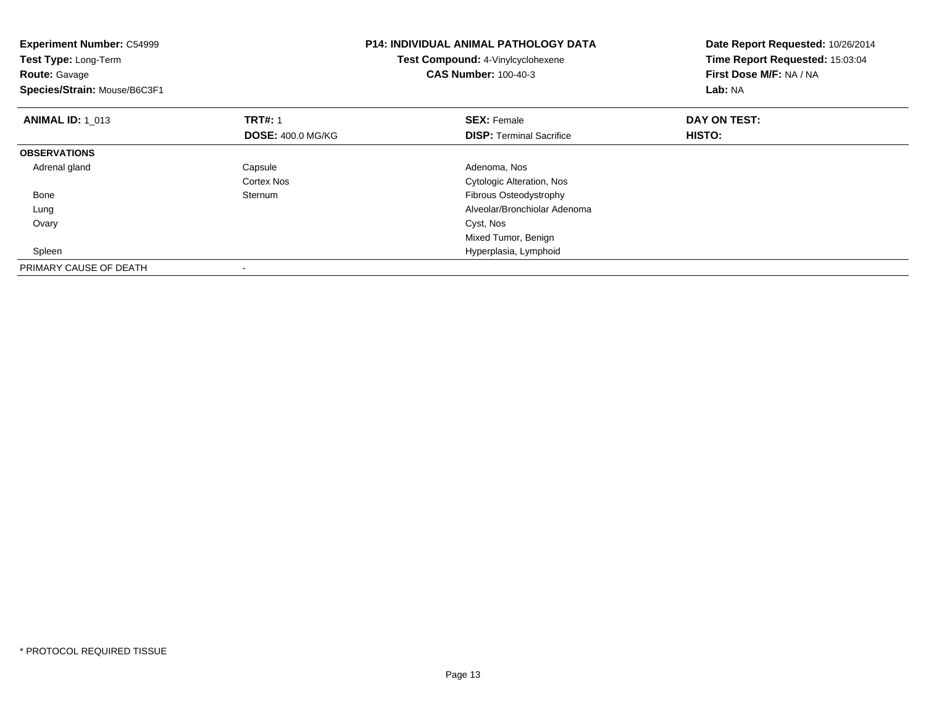| <b>Experiment Number: C54999</b><br>Test Type: Long-Term<br><b>Route: Gavage</b><br>Species/Strain: Mouse/B6C3F1 |                          | <b>P14: INDIVIDUAL ANIMAL PATHOLOGY DATA</b><br>Test Compound: 4-Vinylcyclohexene<br><b>CAS Number: 100-40-3</b> | Date Report Requested: 10/26/2014<br>Time Report Requested: 15:03:04<br>First Dose M/F: NA / NA<br>Lab: NA |
|------------------------------------------------------------------------------------------------------------------|--------------------------|------------------------------------------------------------------------------------------------------------------|------------------------------------------------------------------------------------------------------------|
| <b>ANIMAL ID: 1 013</b>                                                                                          | <b>TRT#:</b> 1           | <b>SEX: Female</b>                                                                                               | DAY ON TEST:                                                                                               |
|                                                                                                                  | <b>DOSE: 400.0 MG/KG</b> | <b>DISP:</b> Terminal Sacrifice                                                                                  | HISTO:                                                                                                     |
| <b>OBSERVATIONS</b>                                                                                              |                          |                                                                                                                  |                                                                                                            |
| Adrenal gland                                                                                                    | Capsule                  | Adenoma, Nos                                                                                                     |                                                                                                            |
|                                                                                                                  | Cortex Nos               | <b>Cytologic Alteration, Nos</b>                                                                                 |                                                                                                            |
| Bone                                                                                                             | Sternum                  | Fibrous Osteodystrophy                                                                                           |                                                                                                            |
| Lung                                                                                                             |                          | Alveolar/Bronchiolar Adenoma                                                                                     |                                                                                                            |
| Ovary                                                                                                            |                          | Cyst, Nos                                                                                                        |                                                                                                            |
|                                                                                                                  |                          | Mixed Tumor, Benign                                                                                              |                                                                                                            |
| Spleen                                                                                                           |                          | Hyperplasia, Lymphoid                                                                                            |                                                                                                            |
| PRIMARY CAUSE OF DEATH                                                                                           |                          |                                                                                                                  |                                                                                                            |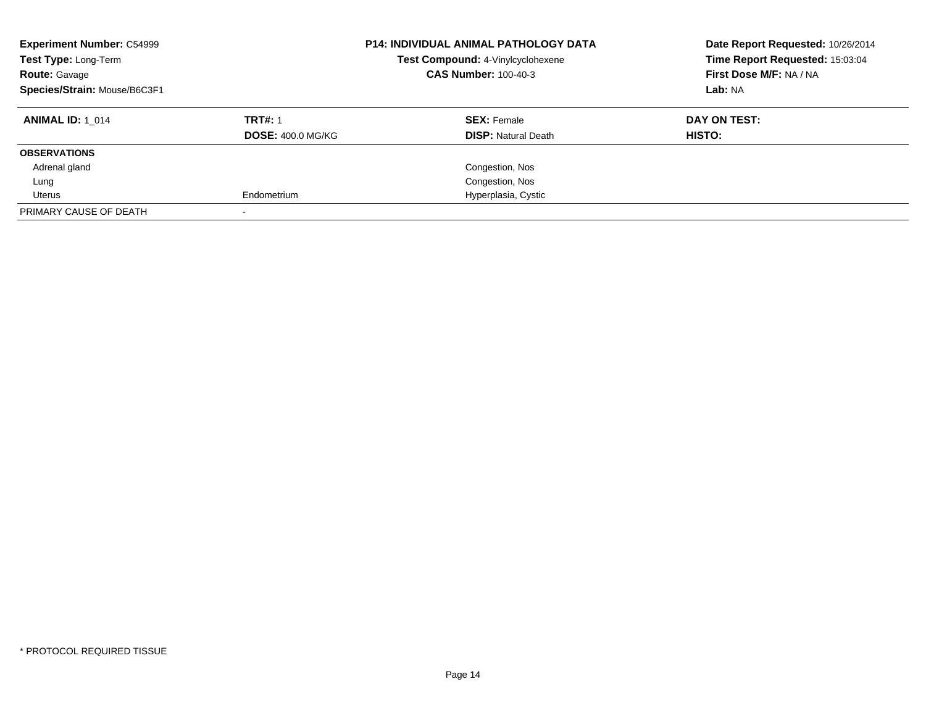| <b>Experiment Number: C54999</b><br><b>P14: INDIVIDUAL ANIMAL PATHOLOGY DATA</b><br>Test Compound: 4-Vinylcyclohexene<br>Test Type: Long-Term<br><b>CAS Number: 100-40-3</b><br><b>Route: Gavage</b><br>Species/Strain: Mouse/B6C3F1 |                          |                            | Date Report Requested: 10/26/2014<br>Time Report Requested: 15:03:04<br>First Dose M/F: NA / NA<br>Lab: NA |
|--------------------------------------------------------------------------------------------------------------------------------------------------------------------------------------------------------------------------------------|--------------------------|----------------------------|------------------------------------------------------------------------------------------------------------|
| <b>ANIMAL ID: 1 014</b>                                                                                                                                                                                                              | <b>TRT#: 1</b>           | <b>SEX: Female</b>         | DAY ON TEST:                                                                                               |
|                                                                                                                                                                                                                                      | <b>DOSE: 400.0 MG/KG</b> | <b>DISP:</b> Natural Death | HISTO:                                                                                                     |
| <b>OBSERVATIONS</b>                                                                                                                                                                                                                  |                          |                            |                                                                                                            |
| Adrenal gland                                                                                                                                                                                                                        |                          | Congestion, Nos            |                                                                                                            |
| Lung                                                                                                                                                                                                                                 |                          | Congestion, Nos            |                                                                                                            |
| Uterus                                                                                                                                                                                                                               | Endometrium              | Hyperplasia, Cystic        |                                                                                                            |
| PRIMARY CAUSE OF DEATH                                                                                                                                                                                                               |                          |                            |                                                                                                            |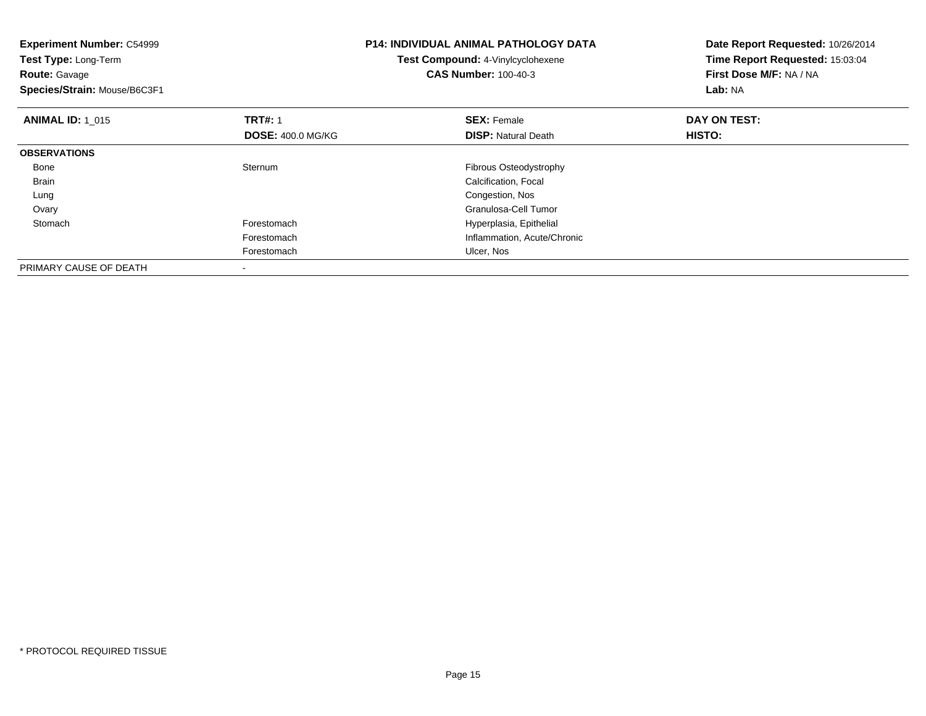| <b>Experiment Number: C54999</b><br>Test Type: Long-Term<br><b>Route: Gavage</b><br>Species/Strain: Mouse/B6C3F1 |                          | <b>P14: INDIVIDUAL ANIMAL PATHOLOGY DATA</b><br>Test Compound: 4-Vinylcyclohexene<br><b>CAS Number: 100-40-3</b> | Date Report Requested: 10/26/2014<br>Time Report Requested: 15:03:04<br>First Dose M/F: NA / NA<br>Lab: NA |
|------------------------------------------------------------------------------------------------------------------|--------------------------|------------------------------------------------------------------------------------------------------------------|------------------------------------------------------------------------------------------------------------|
| <b>ANIMAL ID: 1 015</b>                                                                                          | <b>TRT#: 1</b>           | <b>SEX: Female</b>                                                                                               | DAY ON TEST:                                                                                               |
|                                                                                                                  | <b>DOSE: 400.0 MG/KG</b> | <b>DISP: Natural Death</b>                                                                                       | HISTO:                                                                                                     |
| <b>OBSERVATIONS</b>                                                                                              |                          |                                                                                                                  |                                                                                                            |
| Bone                                                                                                             | Sternum                  | Fibrous Osteodystrophy                                                                                           |                                                                                                            |
| Brain                                                                                                            |                          | Calcification, Focal                                                                                             |                                                                                                            |
| Lung                                                                                                             |                          | Congestion, Nos                                                                                                  |                                                                                                            |
| Ovary                                                                                                            |                          | Granulosa-Cell Tumor                                                                                             |                                                                                                            |
| Stomach                                                                                                          | Forestomach              | Hyperplasia, Epithelial                                                                                          |                                                                                                            |
|                                                                                                                  | Forestomach              | Inflammation, Acute/Chronic                                                                                      |                                                                                                            |
|                                                                                                                  | Forestomach              | Ulcer, Nos                                                                                                       |                                                                                                            |
| PRIMARY CAUSE OF DEATH                                                                                           |                          |                                                                                                                  |                                                                                                            |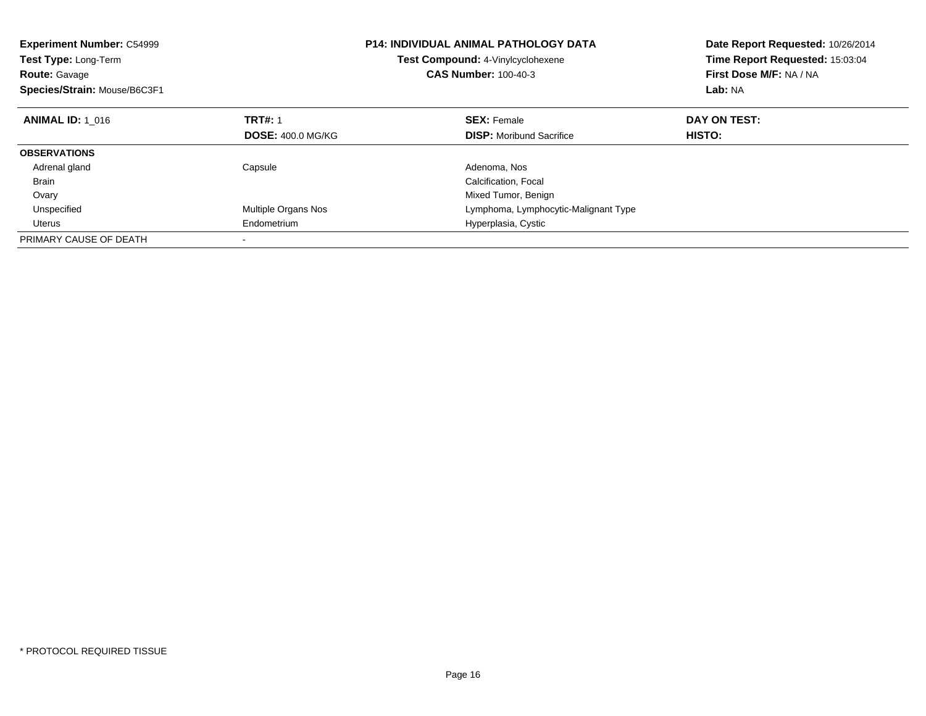| <b>Experiment Number: C54999</b><br>Test Type: Long-Term<br><b>Route: Gavage</b><br>Species/Strain: Mouse/B6C3F1 |                          | <b>P14: INDIVIDUAL ANIMAL PATHOLOGY DATA</b><br>Test Compound: 4-Vinylcyclohexene<br><b>CAS Number: 100-40-3</b> | Date Report Requested: 10/26/2014<br>Time Report Requested: 15:03:04<br>First Dose M/F: NA / NA<br>Lab: NA |
|------------------------------------------------------------------------------------------------------------------|--------------------------|------------------------------------------------------------------------------------------------------------------|------------------------------------------------------------------------------------------------------------|
| <b>ANIMAL ID: 1 016</b>                                                                                          | <b>TRT#: 1</b>           | <b>SEX: Female</b>                                                                                               | DAY ON TEST:                                                                                               |
|                                                                                                                  | <b>DOSE: 400.0 MG/KG</b> | <b>DISP:</b> Moribund Sacrifice                                                                                  | HISTO:                                                                                                     |
| <b>OBSERVATIONS</b>                                                                                              |                          |                                                                                                                  |                                                                                                            |
| Adrenal gland                                                                                                    | Capsule                  | Adenoma, Nos                                                                                                     |                                                                                                            |
| <b>Brain</b>                                                                                                     |                          | Calcification, Focal                                                                                             |                                                                                                            |
| Ovary                                                                                                            |                          | Mixed Tumor, Benign                                                                                              |                                                                                                            |
| Unspecified                                                                                                      | Multiple Organs Nos      | Lymphoma, Lymphocytic-Malignant Type                                                                             |                                                                                                            |
| Uterus                                                                                                           | Endometrium              | Hyperplasia, Cystic                                                                                              |                                                                                                            |
| PRIMARY CAUSE OF DEATH                                                                                           |                          |                                                                                                                  |                                                                                                            |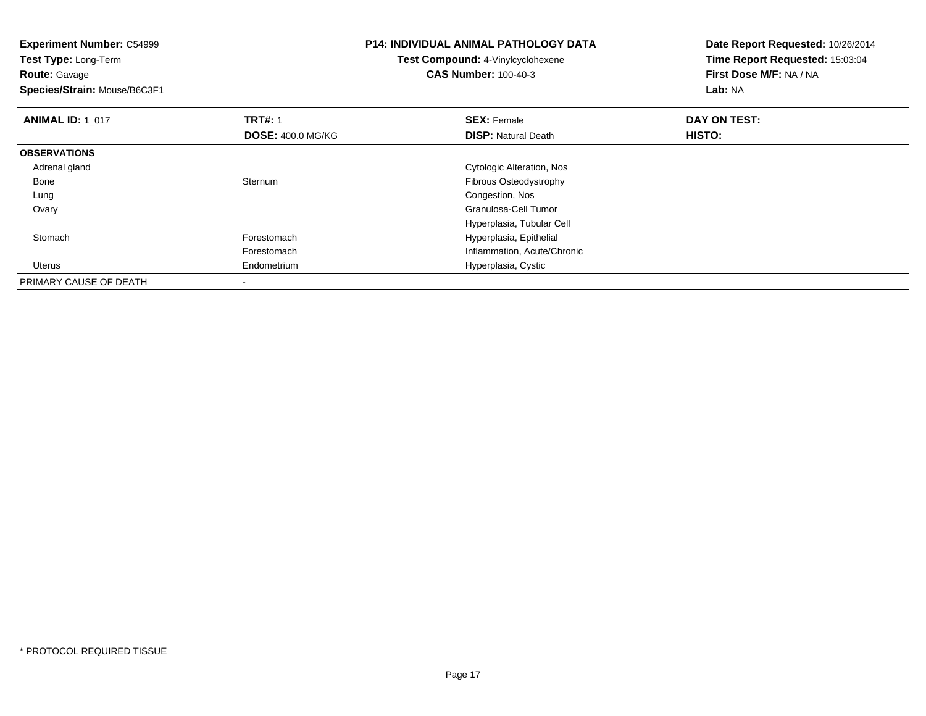| <b>Experiment Number: C54999</b><br>Test Type: Long-Term<br><b>Route: Gavage</b><br>Species/Strain: Mouse/B6C3F1 |                          | <b>P14: INDIVIDUAL ANIMAL PATHOLOGY DATA</b><br>Test Compound: 4-Vinylcyclohexene<br><b>CAS Number: 100-40-3</b> | Date Report Requested: 10/26/2014<br>Time Report Requested: 15:03:04<br>First Dose M/F: NA / NA<br>Lab: NA |
|------------------------------------------------------------------------------------------------------------------|--------------------------|------------------------------------------------------------------------------------------------------------------|------------------------------------------------------------------------------------------------------------|
| <b>ANIMAL ID: 1 017</b>                                                                                          | <b>TRT#: 1</b>           | <b>SEX: Female</b>                                                                                               | DAY ON TEST:                                                                                               |
|                                                                                                                  | <b>DOSE: 400.0 MG/KG</b> | <b>DISP: Natural Death</b>                                                                                       | HISTO:                                                                                                     |
| <b>OBSERVATIONS</b>                                                                                              |                          |                                                                                                                  |                                                                                                            |
| Adrenal gland                                                                                                    |                          | Cytologic Alteration, Nos                                                                                        |                                                                                                            |
| Bone                                                                                                             | Sternum                  | Fibrous Osteodystrophy                                                                                           |                                                                                                            |
| Lung                                                                                                             |                          | Congestion, Nos                                                                                                  |                                                                                                            |
| Ovary                                                                                                            |                          | Granulosa-Cell Tumor                                                                                             |                                                                                                            |
|                                                                                                                  |                          | Hyperplasia, Tubular Cell                                                                                        |                                                                                                            |
| Stomach                                                                                                          | Forestomach              | Hyperplasia, Epithelial                                                                                          |                                                                                                            |
|                                                                                                                  | Forestomach              | Inflammation, Acute/Chronic                                                                                      |                                                                                                            |
| Uterus                                                                                                           | Endometrium              | Hyperplasia, Cystic                                                                                              |                                                                                                            |
| PRIMARY CAUSE OF DEATH                                                                                           |                          |                                                                                                                  |                                                                                                            |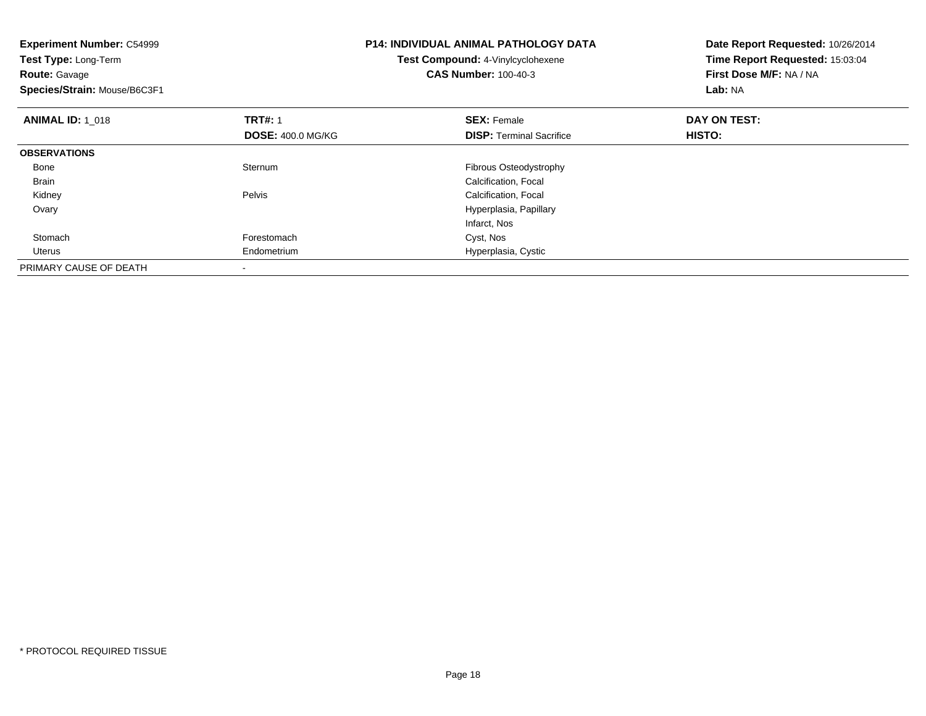| <b>Experiment Number: C54999</b><br>Test Type: Long-Term<br><b>Route: Gavage</b><br>Species/Strain: Mouse/B6C3F1 |                                            | <b>P14: INDIVIDUAL ANIMAL PATHOLOGY DATA</b><br>Test Compound: 4-Vinylcyclohexene<br><b>CAS Number: 100-40-3</b> | Date Report Requested: 10/26/2014<br>Time Report Requested: 15:03:04<br>First Dose M/F: NA / NA<br>Lab: NA |
|------------------------------------------------------------------------------------------------------------------|--------------------------------------------|------------------------------------------------------------------------------------------------------------------|------------------------------------------------------------------------------------------------------------|
| <b>ANIMAL ID: 1_018</b>                                                                                          | <b>TRT#: 1</b><br><b>DOSE: 400.0 MG/KG</b> | <b>SEX: Female</b><br><b>DISP:</b> Terminal Sacrifice                                                            | DAY ON TEST:<br>HISTO:                                                                                     |
| <b>OBSERVATIONS</b>                                                                                              |                                            |                                                                                                                  |                                                                                                            |
| Bone                                                                                                             | Sternum                                    | Fibrous Osteodystrophy                                                                                           |                                                                                                            |
| Brain                                                                                                            |                                            | Calcification, Focal                                                                                             |                                                                                                            |
| Kidney                                                                                                           | Pelvis                                     | Calcification, Focal                                                                                             |                                                                                                            |
| Ovary                                                                                                            |                                            | Hyperplasia, Papillary                                                                                           |                                                                                                            |
|                                                                                                                  |                                            | Infarct, Nos                                                                                                     |                                                                                                            |
| Stomach                                                                                                          | Forestomach                                | Cyst, Nos                                                                                                        |                                                                                                            |
| Uterus                                                                                                           | Endometrium                                | Hyperplasia, Cystic                                                                                              |                                                                                                            |
| PRIMARY CAUSE OF DEATH                                                                                           |                                            |                                                                                                                  |                                                                                                            |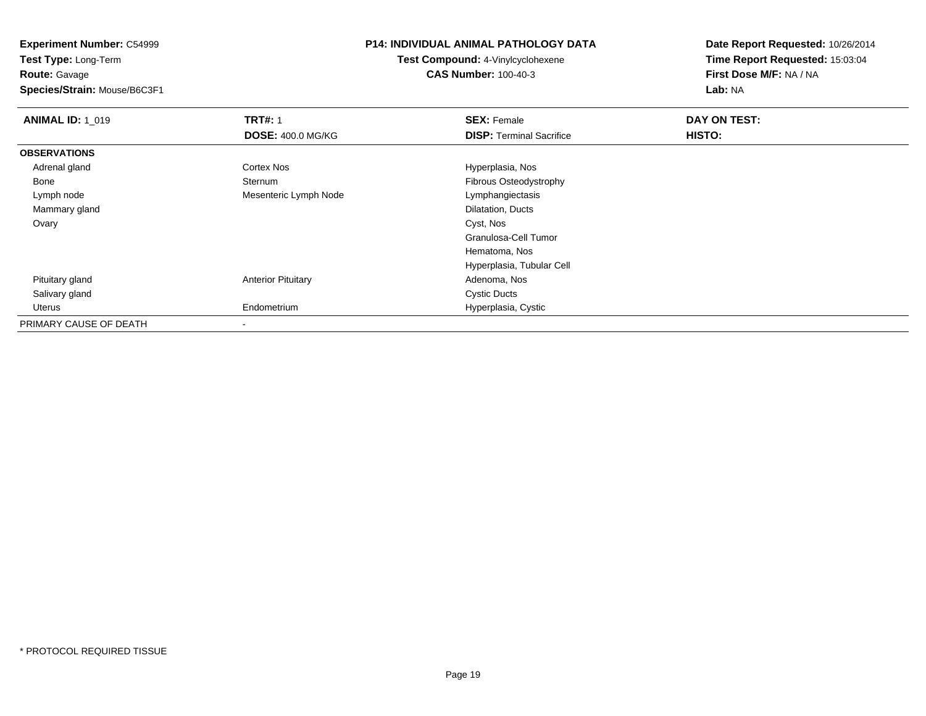**Experiment Number:** C54999**Test Type:** Long-Term

**Route:** Gavage

**Species/Strain:** Mouse/B6C3F1

### **P14: INDIVIDUAL ANIMAL PATHOLOGY DATA**

**Test Compound:** 4-Vinylcyclohexene**CAS Number:** 100-40-3

| <b>ANIMAL ID: 1 019</b> | <b>TRT#: 1</b>            | <b>SEX: Female</b>              | DAY ON TEST: |  |
|-------------------------|---------------------------|---------------------------------|--------------|--|
|                         | <b>DOSE: 400.0 MG/KG</b>  | <b>DISP: Terminal Sacrifice</b> | HISTO:       |  |
| <b>OBSERVATIONS</b>     |                           |                                 |              |  |
| Adrenal gland           | Cortex Nos                | Hyperplasia, Nos                |              |  |
| Bone                    | Sternum                   | Fibrous Osteodystrophy          |              |  |
| Lymph node              | Mesenteric Lymph Node     | Lymphangiectasis                |              |  |
| Mammary gland           |                           | Dilatation, Ducts               |              |  |
| Ovary                   |                           | Cyst, Nos                       |              |  |
|                         |                           | Granulosa-Cell Tumor            |              |  |
|                         |                           | Hematoma, Nos                   |              |  |
|                         |                           | Hyperplasia, Tubular Cell       |              |  |
| Pituitary gland         | <b>Anterior Pituitary</b> | Adenoma, Nos                    |              |  |
| Salivary gland          |                           | <b>Cystic Ducts</b>             |              |  |
| Uterus                  | Endometrium               | Hyperplasia, Cystic             |              |  |
| PRIMARY CAUSE OF DEATH  |                           |                                 |              |  |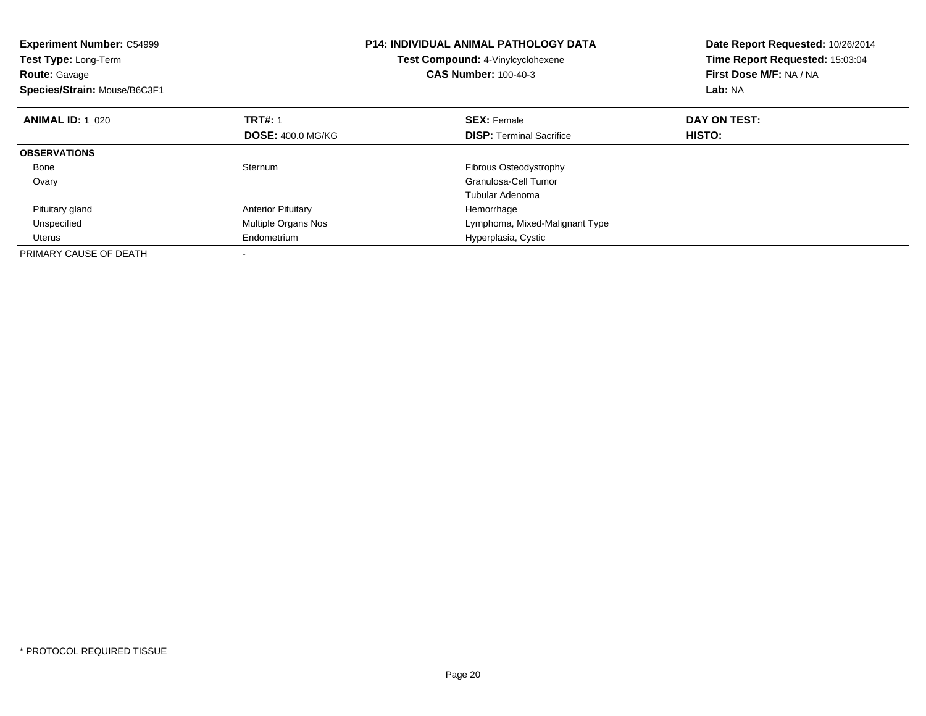| <b>Experiment Number: C54999</b><br>Test Type: Long-Term<br><b>Route: Gavage</b><br>Species/Strain: Mouse/B6C3F1 |                           | <b>P14: INDIVIDUAL ANIMAL PATHOLOGY DATA</b><br>Test Compound: 4-Vinylcyclohexene<br><b>CAS Number: 100-40-3</b> | Date Report Requested: 10/26/2014<br>Time Report Requested: 15:03:04<br>First Dose M/F: NA / NA<br>Lab: NA |
|------------------------------------------------------------------------------------------------------------------|---------------------------|------------------------------------------------------------------------------------------------------------------|------------------------------------------------------------------------------------------------------------|
| <b>ANIMAL ID: 1 020</b>                                                                                          | <b>TRT#: 1</b>            | <b>SEX: Female</b>                                                                                               | DAY ON TEST:                                                                                               |
|                                                                                                                  | <b>DOSE: 400.0 MG/KG</b>  | <b>DISP:</b> Terminal Sacrifice                                                                                  | <b>HISTO:</b>                                                                                              |
| <b>OBSERVATIONS</b>                                                                                              |                           |                                                                                                                  |                                                                                                            |
| Bone                                                                                                             | Sternum                   | <b>Fibrous Osteodystrophy</b>                                                                                    |                                                                                                            |
| Ovary                                                                                                            |                           | Granulosa-Cell Tumor                                                                                             |                                                                                                            |
|                                                                                                                  |                           | Tubular Adenoma                                                                                                  |                                                                                                            |
| Pituitary gland                                                                                                  | <b>Anterior Pituitary</b> | Hemorrhage                                                                                                       |                                                                                                            |
| Unspecified                                                                                                      | Multiple Organs Nos       | Lymphoma, Mixed-Malignant Type                                                                                   |                                                                                                            |
| Uterus                                                                                                           | Endometrium               | Hyperplasia, Cystic                                                                                              |                                                                                                            |
| PRIMARY CAUSE OF DEATH                                                                                           |                           |                                                                                                                  |                                                                                                            |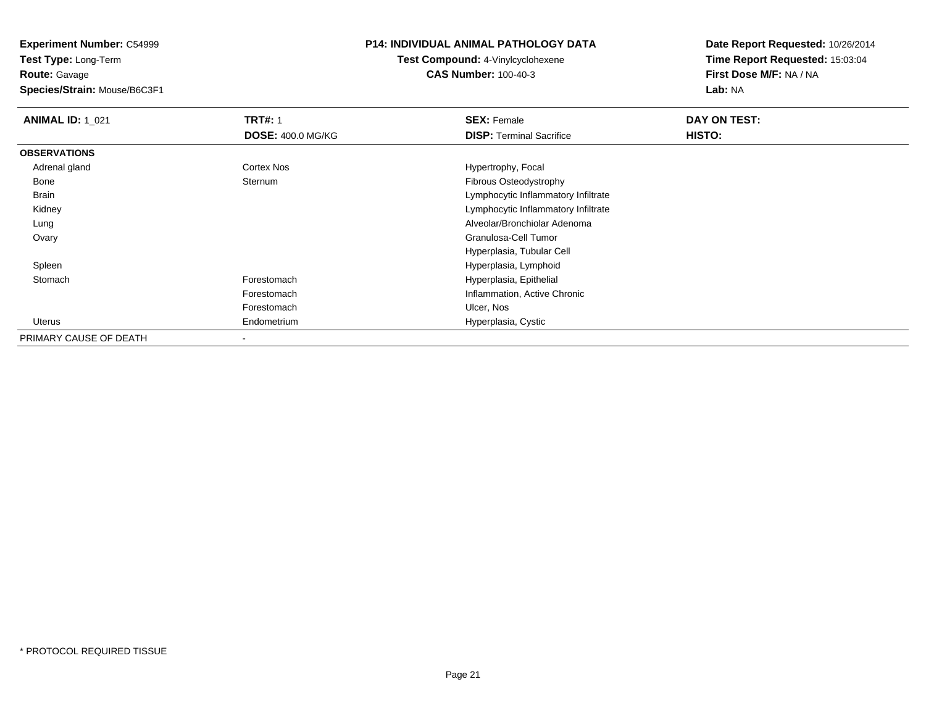**Experiment Number:** C54999**Test Type:** Long-Term

**Route:** Gavage

**Species/Strain:** Mouse/B6C3F1

### **P14: INDIVIDUAL ANIMAL PATHOLOGY DATA**

## **Test Compound:** 4-Vinylcyclohexene**CAS Number:** 100-40-3

| <b>ANIMAL ID: 1 021</b> | <b>TRT#: 1</b>           | <b>SEX: Female</b>                  | DAY ON TEST: |  |
|-------------------------|--------------------------|-------------------------------------|--------------|--|
|                         | <b>DOSE: 400.0 MG/KG</b> | <b>DISP: Terminal Sacrifice</b>     | HISTO:       |  |
| <b>OBSERVATIONS</b>     |                          |                                     |              |  |
| Adrenal gland           | <b>Cortex Nos</b>        | Hypertrophy, Focal                  |              |  |
| Bone                    | Sternum                  | Fibrous Osteodystrophy              |              |  |
| Brain                   |                          | Lymphocytic Inflammatory Infiltrate |              |  |
| Kidney                  |                          | Lymphocytic Inflammatory Infiltrate |              |  |
| Lung                    |                          | Alveolar/Bronchiolar Adenoma        |              |  |
| Ovary                   |                          | Granulosa-Cell Tumor                |              |  |
|                         |                          | Hyperplasia, Tubular Cell           |              |  |
| Spleen                  |                          | Hyperplasia, Lymphoid               |              |  |
| Stomach                 | Forestomach              | Hyperplasia, Epithelial             |              |  |
|                         | Forestomach              | Inflammation, Active Chronic        |              |  |
|                         | Forestomach              | Ulcer, Nos                          |              |  |
| Uterus                  | Endometrium              | Hyperplasia, Cystic                 |              |  |
| PRIMARY CAUSE OF DEATH  |                          |                                     |              |  |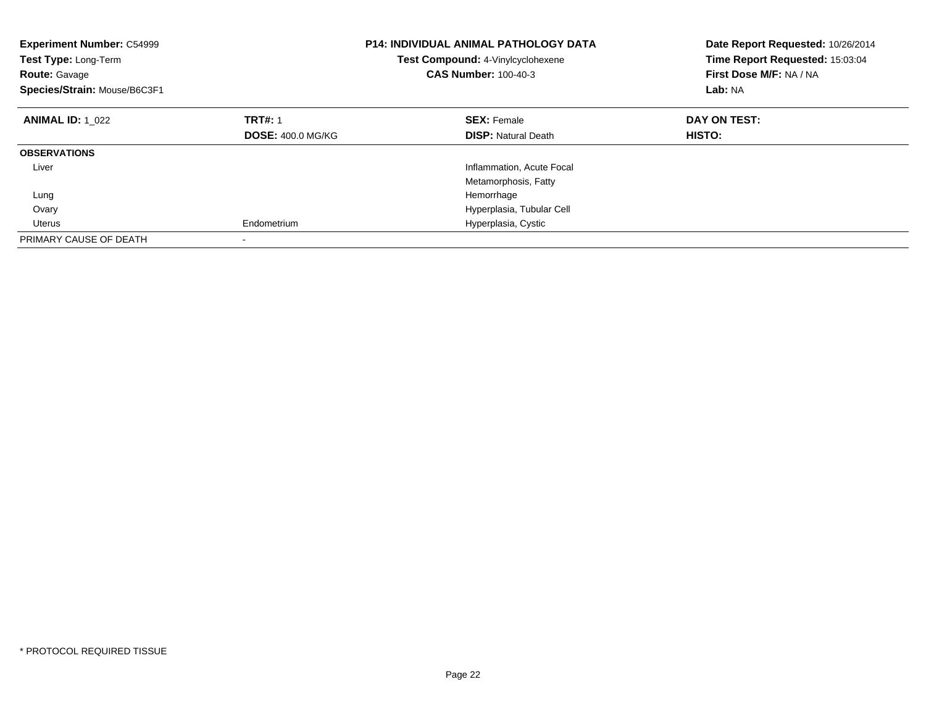| <b>Experiment Number: C54999</b><br>Test Type: Long-Term<br><b>Route: Gavage</b><br>Species/Strain: Mouse/B6C3F1 |                          | <b>P14: INDIVIDUAL ANIMAL PATHOLOGY DATA</b><br>Test Compound: 4-Vinylcyclohexene<br><b>CAS Number: 100-40-3</b> | Date Report Requested: 10/26/2014<br>Time Report Requested: 15:03:04<br>First Dose M/F: NA / NA<br>Lab: NA |
|------------------------------------------------------------------------------------------------------------------|--------------------------|------------------------------------------------------------------------------------------------------------------|------------------------------------------------------------------------------------------------------------|
| <b>ANIMAL ID: 1 022</b>                                                                                          | <b>TRT#: 1</b>           | <b>SEX: Female</b>                                                                                               | DAY ON TEST:                                                                                               |
|                                                                                                                  | <b>DOSE: 400.0 MG/KG</b> | <b>DISP:</b> Natural Death                                                                                       | <b>HISTO:</b>                                                                                              |
| <b>OBSERVATIONS</b>                                                                                              |                          |                                                                                                                  |                                                                                                            |
| Liver                                                                                                            |                          | Inflammation, Acute Focal                                                                                        |                                                                                                            |
|                                                                                                                  |                          | Metamorphosis, Fatty                                                                                             |                                                                                                            |
| Lung                                                                                                             |                          | Hemorrhage                                                                                                       |                                                                                                            |
| Ovary                                                                                                            |                          | Hyperplasia, Tubular Cell                                                                                        |                                                                                                            |
| Uterus                                                                                                           | Endometrium              | Hyperplasia, Cystic                                                                                              |                                                                                                            |
| PRIMARY CAUSE OF DEATH                                                                                           |                          |                                                                                                                  |                                                                                                            |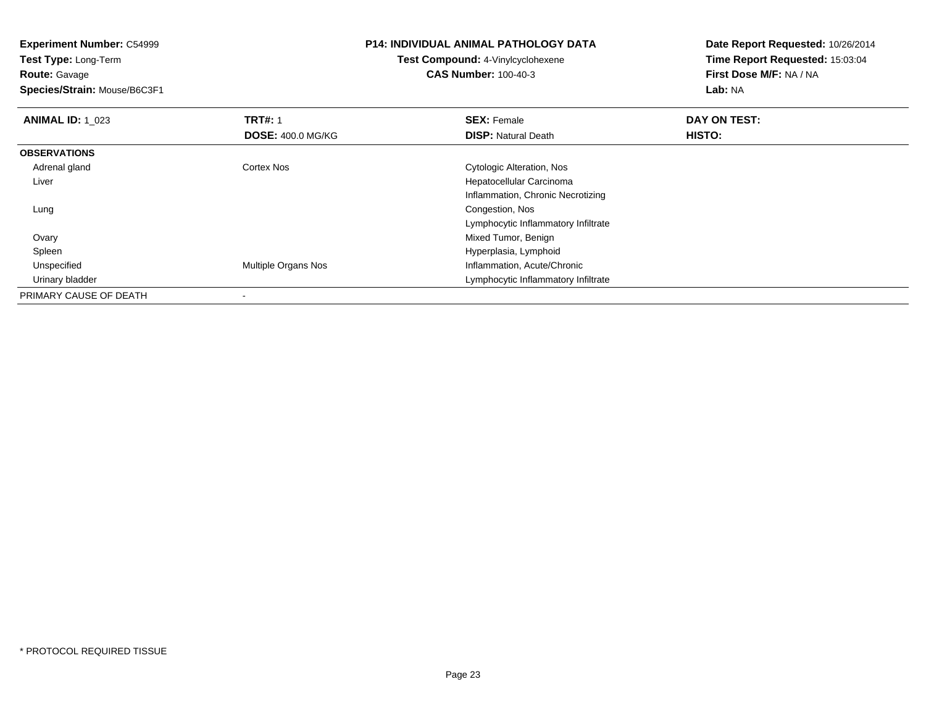**Experiment Number:** C54999**Test Type:** Long-Term**Route:** Gavage **Species/Strain:** Mouse/B6C3F1**P14: INDIVIDUAL ANIMAL PATHOLOGY DATATest Compound:** 4-Vinylcyclohexene**CAS Number:** 100-40-3**Date Report Requested:** 10/26/2014**Time Report Requested:** 15:03:04**First Dose M/F:** NA / NA**Lab:** NA**ANIMAL ID: 1 023 TRT#:** 1 **SEX:** Female **DAY ON TEST: DOSE:** 400.0 MG/KG**DISP:** Natural Death **HISTO: OBSERVATIONS** Adrenal gland Cortex Nos Cytologic Alteration, Nos Liver Hepatocellular Carcinoma Inflammation, Chronic Necrotizing Lung Congestion, Nos Lymphocytic Inflammatory Infiltrate**Ovary**  Mixed Tumor, Benign Hyperplasia, Lymphoid Spleen UnspecifiedMultiple Organs Nos **Inflammation**, Acute/Chronic Urinary bladder Lymphocytic Inflammatory InfiltratePRIMARY CAUSE OF DEATH

-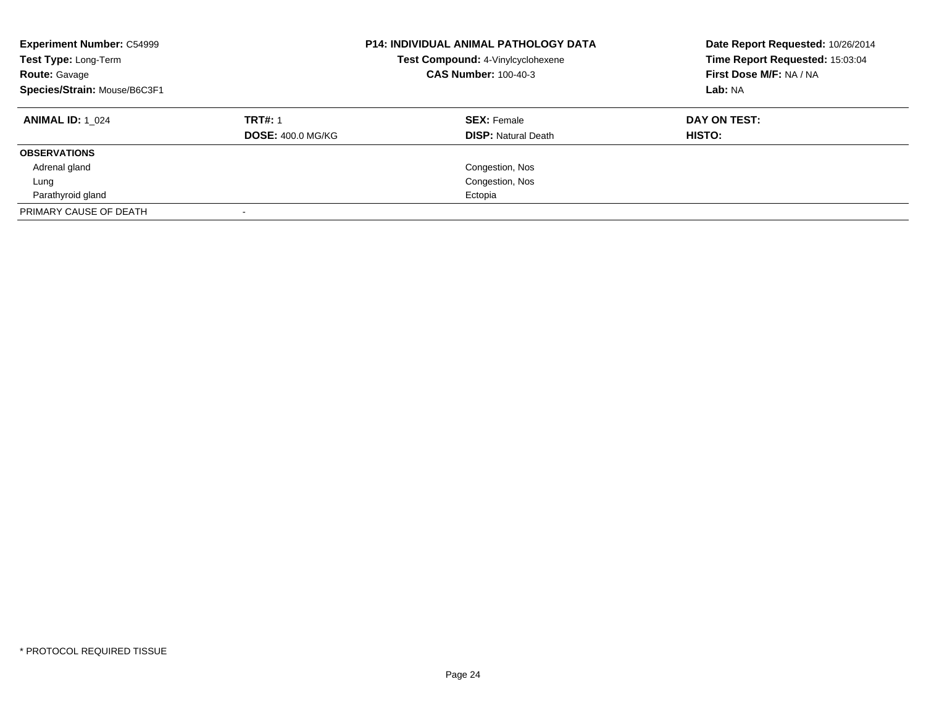| <b>Experiment Number: C54999</b><br>Test Type: Long-Term<br><b>Route: Gavage</b><br>Species/Strain: Mouse/B6C3F1 | <b>P14: INDIVIDUAL ANIMAL PATHOLOGY DATA</b><br>Test Compound: 4-Vinylcyclohexene<br><b>CAS Number: 100-40-3</b> |                            | Date Report Requested: 10/26/2014<br>Time Report Requested: 15:03:04<br>First Dose M/F: NA / NA<br>Lab: NA |  |
|------------------------------------------------------------------------------------------------------------------|------------------------------------------------------------------------------------------------------------------|----------------------------|------------------------------------------------------------------------------------------------------------|--|
| <b>ANIMAL ID:</b> 1 024                                                                                          | <b>TRT#: 1</b>                                                                                                   | <b>SEX: Female</b>         | DAY ON TEST:                                                                                               |  |
|                                                                                                                  | <b>DOSE: 400.0 MG/KG</b>                                                                                         | <b>DISP:</b> Natural Death | <b>HISTO:</b>                                                                                              |  |
| <b>OBSERVATIONS</b>                                                                                              |                                                                                                                  |                            |                                                                                                            |  |
| Adrenal gland                                                                                                    |                                                                                                                  | Congestion, Nos            |                                                                                                            |  |
| Lung                                                                                                             |                                                                                                                  | Congestion, Nos            |                                                                                                            |  |
| Parathyroid gland                                                                                                |                                                                                                                  | Ectopia                    |                                                                                                            |  |
| PRIMARY CAUSE OF DEATH                                                                                           |                                                                                                                  |                            |                                                                                                            |  |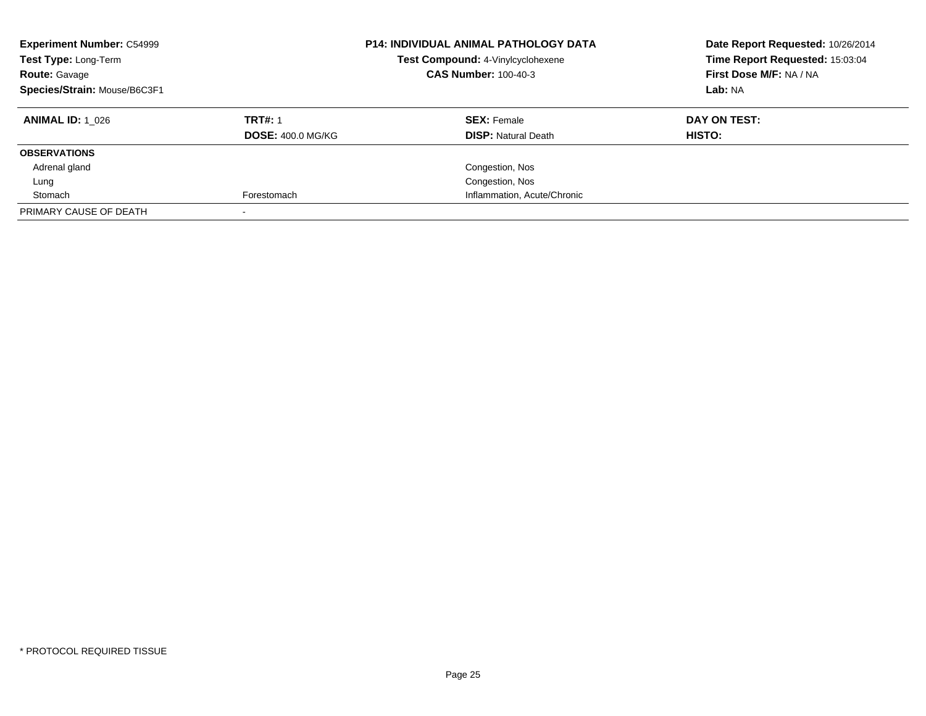| <b>Experiment Number: C54999</b><br>Test Type: Long-Term<br><b>Route: Gavage</b><br>Species/Strain: Mouse/B6C3F1 |                          | <b>P14: INDIVIDUAL ANIMAL PATHOLOGY DATA</b><br>Test Compound: 4-Vinylcyclohexene<br><b>CAS Number: 100-40-3</b> | Date Report Requested: 10/26/2014<br>Time Report Requested: 15:03:04<br>First Dose M/F: NA / NA<br>Lab: NA |
|------------------------------------------------------------------------------------------------------------------|--------------------------|------------------------------------------------------------------------------------------------------------------|------------------------------------------------------------------------------------------------------------|
| <b>ANIMAL ID:</b> 1 026                                                                                          | <b>TRT#: 1</b>           | <b>SEX: Female</b>                                                                                               | DAY ON TEST:                                                                                               |
|                                                                                                                  | <b>DOSE: 400.0 MG/KG</b> | <b>DISP:</b> Natural Death                                                                                       | HISTO:                                                                                                     |
| <b>OBSERVATIONS</b>                                                                                              |                          |                                                                                                                  |                                                                                                            |
| Adrenal gland                                                                                                    |                          | Congestion, Nos                                                                                                  |                                                                                                            |
| Lung                                                                                                             |                          | Congestion, Nos                                                                                                  |                                                                                                            |
| Stomach                                                                                                          | Forestomach              | Inflammation, Acute/Chronic                                                                                      |                                                                                                            |
| PRIMARY CAUSE OF DEATH                                                                                           |                          |                                                                                                                  |                                                                                                            |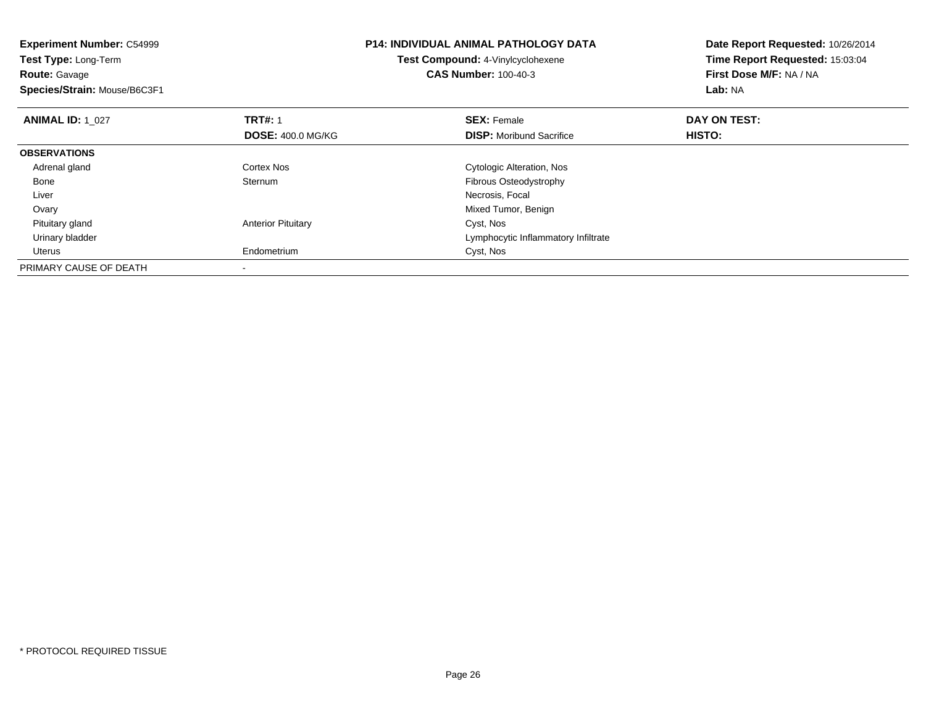| <b>Experiment Number: C54999</b><br><b>Test Type: Long-Term</b><br><b>Route: Gavage</b><br>Species/Strain: Mouse/B6C3F1 |                           | <b>P14: INDIVIDUAL ANIMAL PATHOLOGY DATA</b><br>Test Compound: 4-Vinylcyclohexene<br><b>CAS Number: 100-40-3</b> | Date Report Requested: 10/26/2014<br>Time Report Requested: 15:03:04<br>First Dose M/F: NA / NA<br>Lab: NA |
|-------------------------------------------------------------------------------------------------------------------------|---------------------------|------------------------------------------------------------------------------------------------------------------|------------------------------------------------------------------------------------------------------------|
| <b>ANIMAL ID: 1_027</b>                                                                                                 | <b>TRT#: 1</b>            | <b>SEX: Female</b>                                                                                               | DAY ON TEST:                                                                                               |
|                                                                                                                         | <b>DOSE: 400.0 MG/KG</b>  | <b>DISP:</b> Moribund Sacrifice                                                                                  | HISTO:                                                                                                     |
| <b>OBSERVATIONS</b>                                                                                                     |                           |                                                                                                                  |                                                                                                            |
| Adrenal gland                                                                                                           | Cortex Nos                | Cytologic Alteration, Nos                                                                                        |                                                                                                            |
| Bone                                                                                                                    | Sternum                   | Fibrous Osteodystrophy                                                                                           |                                                                                                            |
| Liver                                                                                                                   |                           | Necrosis, Focal                                                                                                  |                                                                                                            |
| Ovary                                                                                                                   |                           | Mixed Tumor, Benign                                                                                              |                                                                                                            |
| Pituitary gland                                                                                                         | <b>Anterior Pituitary</b> | Cyst, Nos                                                                                                        |                                                                                                            |
| Urinary bladder                                                                                                         |                           | Lymphocytic Inflammatory Infiltrate                                                                              |                                                                                                            |
| Uterus                                                                                                                  | Endometrium               | Cyst, Nos                                                                                                        |                                                                                                            |
| PRIMARY CAUSE OF DEATH                                                                                                  |                           |                                                                                                                  |                                                                                                            |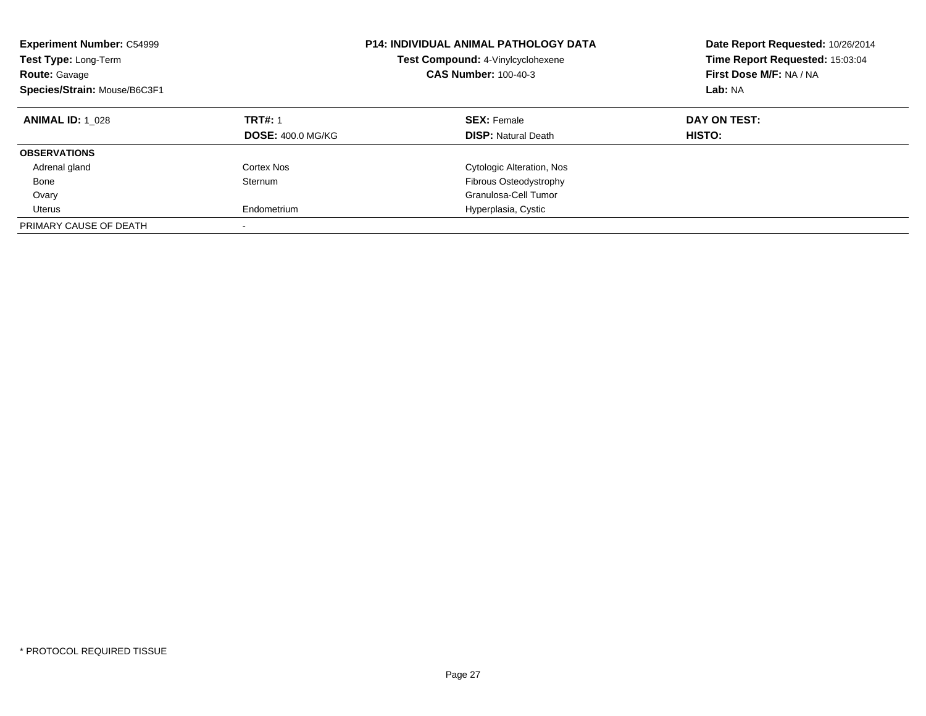| <b>Experiment Number: C54999</b><br>Test Type: Long-Term<br><b>Route: Gavage</b><br>Species/Strain: Mouse/B6C3F1 |                          | <b>P14: INDIVIDUAL ANIMAL PATHOLOGY DATA</b><br>Test Compound: 4-Vinylcyclohexene<br><b>CAS Number: 100-40-3</b> | Date Report Requested: 10/26/2014<br>Time Report Requested: 15:03:04<br>First Dose M/F: NA / NA<br>Lab: NA |
|------------------------------------------------------------------------------------------------------------------|--------------------------|------------------------------------------------------------------------------------------------------------------|------------------------------------------------------------------------------------------------------------|
| <b>ANIMAL ID: 1 028</b>                                                                                          | <b>TRT#: 1</b>           | <b>SEX: Female</b>                                                                                               | DAY ON TEST:                                                                                               |
|                                                                                                                  | <b>DOSE: 400.0 MG/KG</b> | <b>DISP:</b> Natural Death                                                                                       | HISTO:                                                                                                     |
| <b>OBSERVATIONS</b>                                                                                              |                          |                                                                                                                  |                                                                                                            |
| Adrenal gland                                                                                                    | Cortex Nos               | Cytologic Alteration, Nos                                                                                        |                                                                                                            |
| Bone                                                                                                             | Sternum                  | <b>Fibrous Osteodystrophy</b>                                                                                    |                                                                                                            |
| Ovary                                                                                                            |                          | Granulosa-Cell Tumor                                                                                             |                                                                                                            |
| Uterus                                                                                                           | Endometrium              | Hyperplasia, Cystic                                                                                              |                                                                                                            |
| PRIMARY CAUSE OF DEATH                                                                                           |                          |                                                                                                                  |                                                                                                            |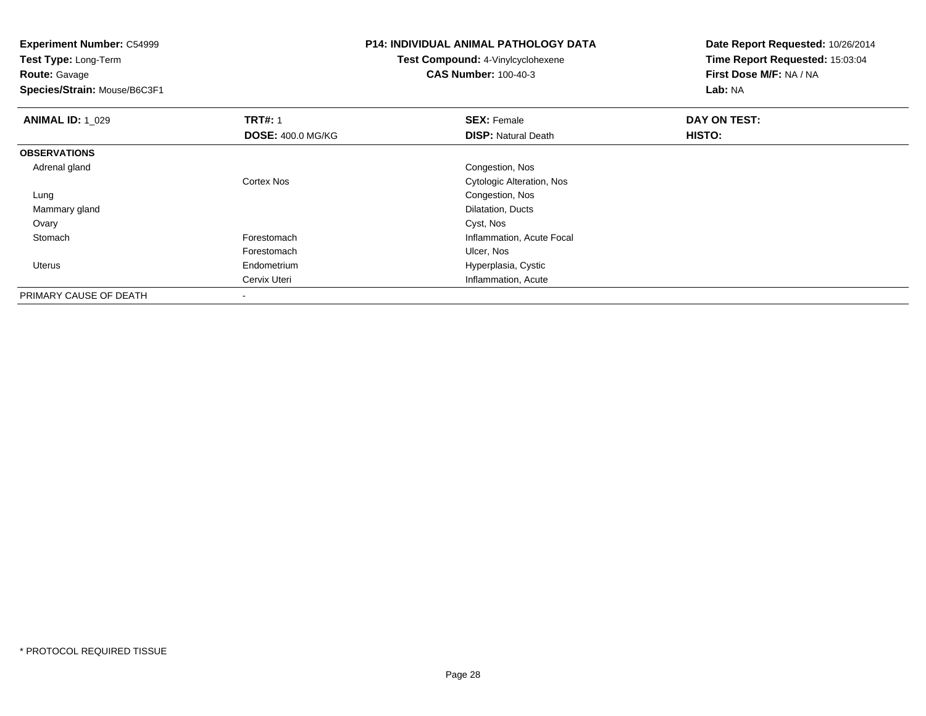**Experiment Number:** C54999**Test Type:** Long-Term**Route:** Gavage **Species/Strain:** Mouse/B6C3F1**P14: INDIVIDUAL ANIMAL PATHOLOGY DATATest Compound:** 4-Vinylcyclohexene**CAS Number:** 100-40-3**Date Report Requested:** 10/26/2014**Time Report Requested:** 15:03:04**First Dose M/F:** NA / NA**Lab:** NA**ANIMAL ID: 1\_029 TRT#:** 1 **SEX:** Female **DAY ON TEST: DOSE:** 400.0 MG/KG**DISP:** Natural Death **HISTO: OBSERVATIONS** Adrenal gland Congestion, Nos Cortex Nos Cytologic Alteration, Nos Lung Congestion, Nos Mammary glandDilatation, Ducts<br>Cyst, Nos Ovaryy and the control of the control of the control of the control of the control of the control of the control of the control of the control of the control of the control of the control of the control of the control of the co StomachForestomach **Inflammation**, Acute Focal Forestomach Ulcer, Nos Uterus Endometrium Hyperplasia, Cystic Cervix Uteri Inflammation, AcutePRIMARY CAUSE OF DEATH-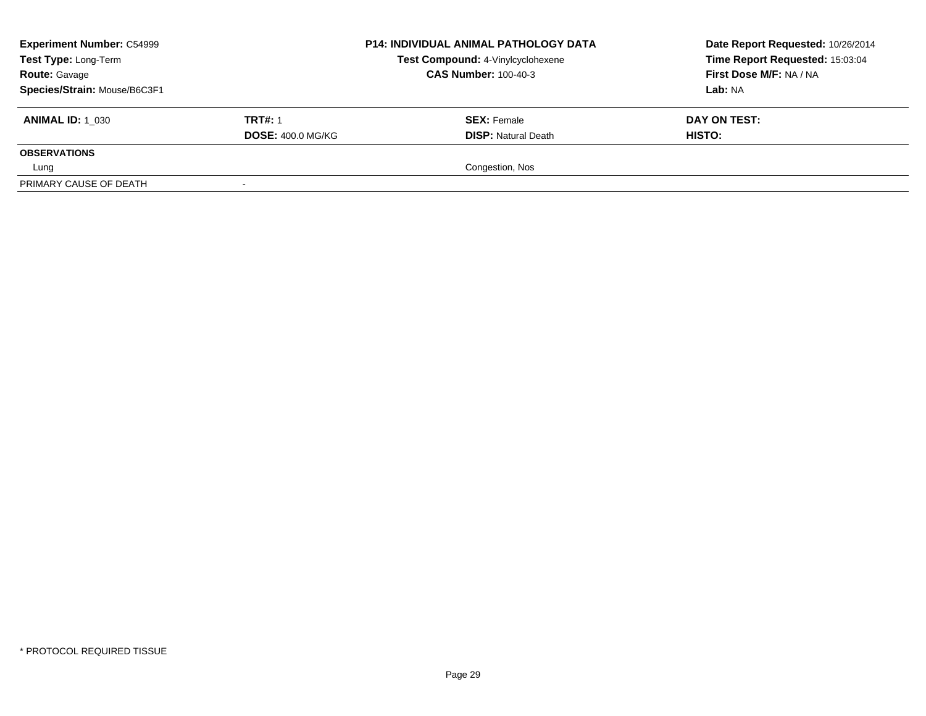| <b>Experiment Number: C54999</b><br>Test Type: Long-Term<br><b>Route: Gavage</b><br>Species/Strain: Mouse/B6C3F1 |                                            | <b>P14: INDIVIDUAL ANIMAL PATHOLOGY DATA</b><br>Test Compound: 4-Vinylcyclohexene<br><b>CAS Number: 100-40-3</b> | Date Report Requested: 10/26/2014<br>Time Report Requested: 15:03:04<br>First Dose M/F: NA / NA<br>Lab: NA |
|------------------------------------------------------------------------------------------------------------------|--------------------------------------------|------------------------------------------------------------------------------------------------------------------|------------------------------------------------------------------------------------------------------------|
| <b>ANIMAL ID: 1 030</b>                                                                                          | <b>TRT#: 1</b><br><b>DOSE: 400.0 MG/KG</b> | <b>SEX: Female</b><br><b>DISP:</b> Natural Death                                                                 | DAY ON TEST:<br><b>HISTO:</b>                                                                              |
| <b>OBSERVATIONS</b><br>Lung                                                                                      |                                            | Congestion, Nos                                                                                                  |                                                                                                            |
| PRIMARY CAUSE OF DEATH                                                                                           | $\sim$                                     |                                                                                                                  |                                                                                                            |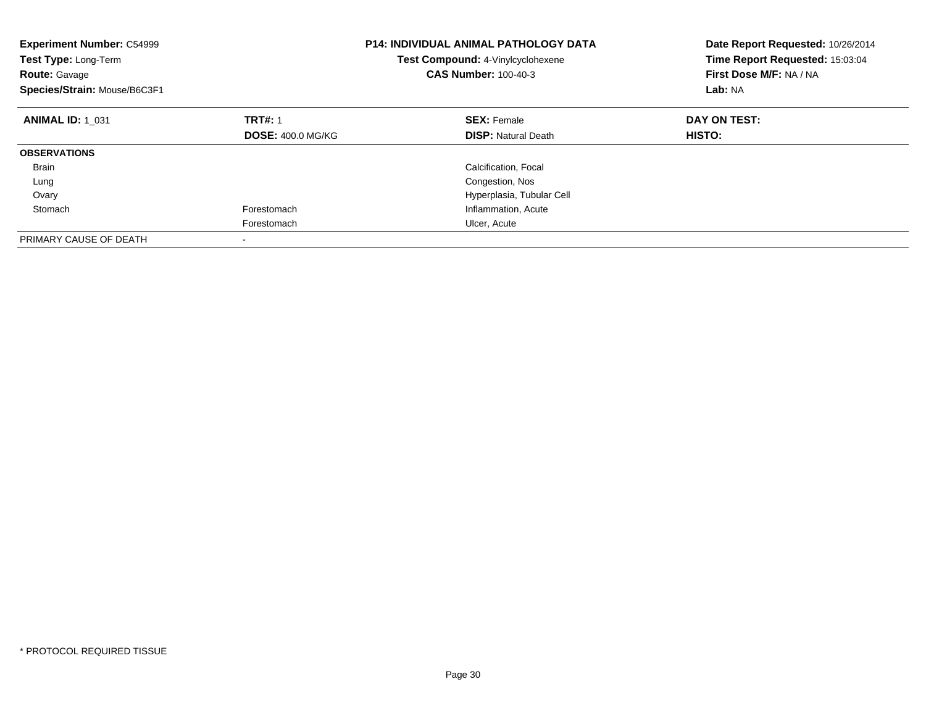| <b>Experiment Number: C54999</b><br><b>Test Type: Long-Term</b><br><b>Route: Gavage</b><br>Species/Strain: Mouse/B6C3F1 |                          | <b>P14: INDIVIDUAL ANIMAL PATHOLOGY DATA</b><br><b>Test Compound: 4-Vinylcyclohexene</b><br><b>CAS Number: 100-40-3</b> | Date Report Requested: 10/26/2014<br>Time Report Requested: 15:03:04<br>First Dose M/F: NA / NA<br>Lab: NA |
|-------------------------------------------------------------------------------------------------------------------------|--------------------------|-------------------------------------------------------------------------------------------------------------------------|------------------------------------------------------------------------------------------------------------|
| <b>ANIMAL ID: 1 031</b>                                                                                                 | <b>TRT#: 1</b>           | <b>SEX: Female</b>                                                                                                      | DAY ON TEST:                                                                                               |
|                                                                                                                         | <b>DOSE: 400.0 MG/KG</b> | <b>DISP:</b> Natural Death                                                                                              | HISTO:                                                                                                     |
| <b>OBSERVATIONS</b>                                                                                                     |                          |                                                                                                                         |                                                                                                            |
| <b>Brain</b>                                                                                                            |                          | Calcification, Focal                                                                                                    |                                                                                                            |
| Lung                                                                                                                    |                          | Congestion, Nos                                                                                                         |                                                                                                            |
| Ovary                                                                                                                   |                          | Hyperplasia, Tubular Cell                                                                                               |                                                                                                            |
| Stomach                                                                                                                 | Forestomach              | Inflammation, Acute                                                                                                     |                                                                                                            |
|                                                                                                                         | Forestomach              | Ulcer, Acute                                                                                                            |                                                                                                            |
| PRIMARY CAUSE OF DEATH                                                                                                  |                          |                                                                                                                         |                                                                                                            |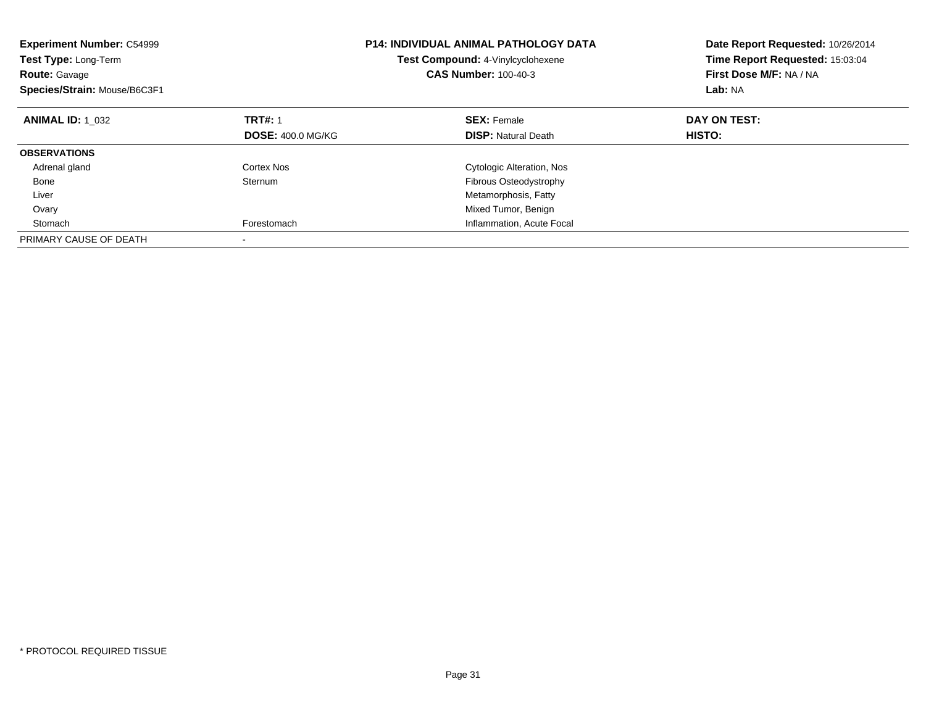| <b>Experiment Number: C54999</b><br><b>Test Type: Long-Term</b><br><b>Route: Gavage</b><br>Species/Strain: Mouse/B6C3F1 | <b>P14: INDIVIDUAL ANIMAL PATHOLOGY DATA</b><br>Test Compound: 4-Vinylcyclohexene<br><b>CAS Number: 100-40-3</b> |                                                  | Date Report Requested: 10/26/2014<br>Time Report Requested: 15:03:04<br>First Dose M/F: NA / NA<br>Lab: NA |
|-------------------------------------------------------------------------------------------------------------------------|------------------------------------------------------------------------------------------------------------------|--------------------------------------------------|------------------------------------------------------------------------------------------------------------|
| <b>ANIMAL ID: 1 032</b>                                                                                                 | <b>TRT#: 1</b><br><b>DOSE: 400.0 MG/KG</b>                                                                       | <b>SEX: Female</b><br><b>DISP:</b> Natural Death | DAY ON TEST:<br>HISTO:                                                                                     |
|                                                                                                                         |                                                                                                                  |                                                  |                                                                                                            |
| <b>OBSERVATIONS</b>                                                                                                     |                                                                                                                  |                                                  |                                                                                                            |
| Adrenal gland                                                                                                           | Cortex Nos                                                                                                       | Cytologic Alteration, Nos                        |                                                                                                            |
| Bone                                                                                                                    | Sternum                                                                                                          | Fibrous Osteodystrophy                           |                                                                                                            |
| Liver                                                                                                                   |                                                                                                                  | Metamorphosis, Fatty                             |                                                                                                            |
| Ovary                                                                                                                   |                                                                                                                  | Mixed Tumor, Benign                              |                                                                                                            |
| Stomach                                                                                                                 | Forestomach                                                                                                      | Inflammation, Acute Focal                        |                                                                                                            |
| PRIMARY CAUSE OF DEATH                                                                                                  |                                                                                                                  |                                                  |                                                                                                            |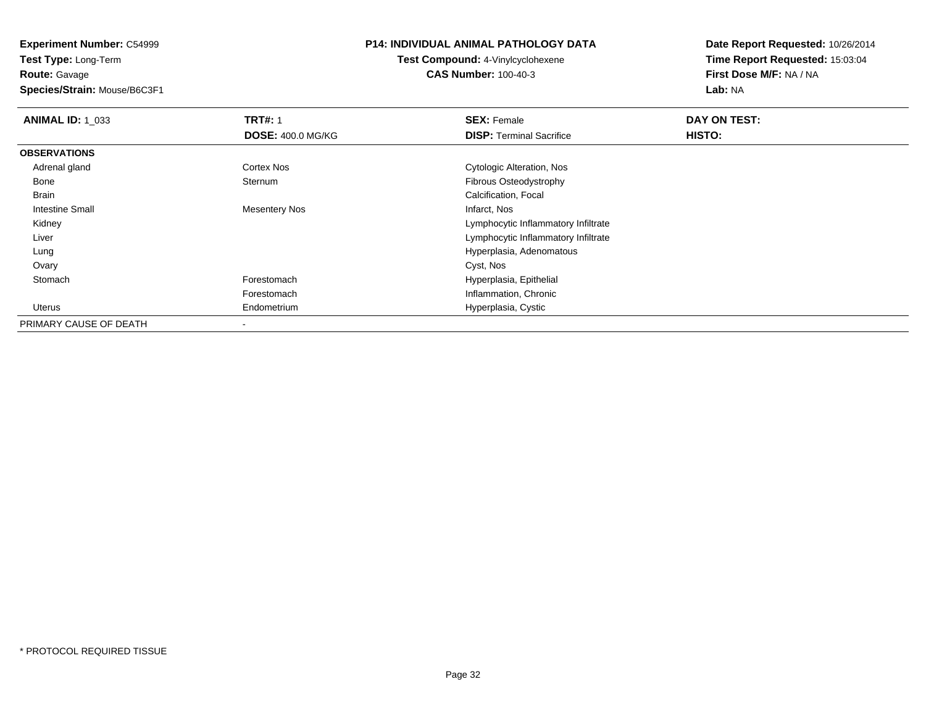**Experiment Number:** C54999**Test Type:** Long-Term

**Route:** Gavage

**Species/Strain:** Mouse/B6C3F1

#### **P14: INDIVIDUAL ANIMAL PATHOLOGY DATA**

**Test Compound:** 4-Vinylcyclohexene**CAS Number:** 100-40-3

| <b>ANIMAL ID: 1_033</b> | <b>TRT#: 1</b>           | <b>SEX: Female</b>                  | DAY ON TEST: |  |
|-------------------------|--------------------------|-------------------------------------|--------------|--|
|                         | <b>DOSE: 400.0 MG/KG</b> | <b>DISP:</b> Terminal Sacrifice     | HISTO:       |  |
| <b>OBSERVATIONS</b>     |                          |                                     |              |  |
| Adrenal gland           | Cortex Nos               | Cytologic Alteration, Nos           |              |  |
| Bone                    | Sternum                  | Fibrous Osteodystrophy              |              |  |
| Brain                   |                          | Calcification, Focal                |              |  |
| Intestine Small         | <b>Mesentery Nos</b>     | Infarct, Nos                        |              |  |
| Kidney                  |                          | Lymphocytic Inflammatory Infiltrate |              |  |
| Liver                   |                          | Lymphocytic Inflammatory Infiltrate |              |  |
| Lung                    |                          | Hyperplasia, Adenomatous            |              |  |
| Ovary                   |                          | Cyst, Nos                           |              |  |
| Stomach                 | Forestomach              | Hyperplasia, Epithelial             |              |  |
|                         | Forestomach              | Inflammation, Chronic               |              |  |
| Uterus                  | Endometrium              | Hyperplasia, Cystic                 |              |  |
| PRIMARY CAUSE OF DEATH  |                          |                                     |              |  |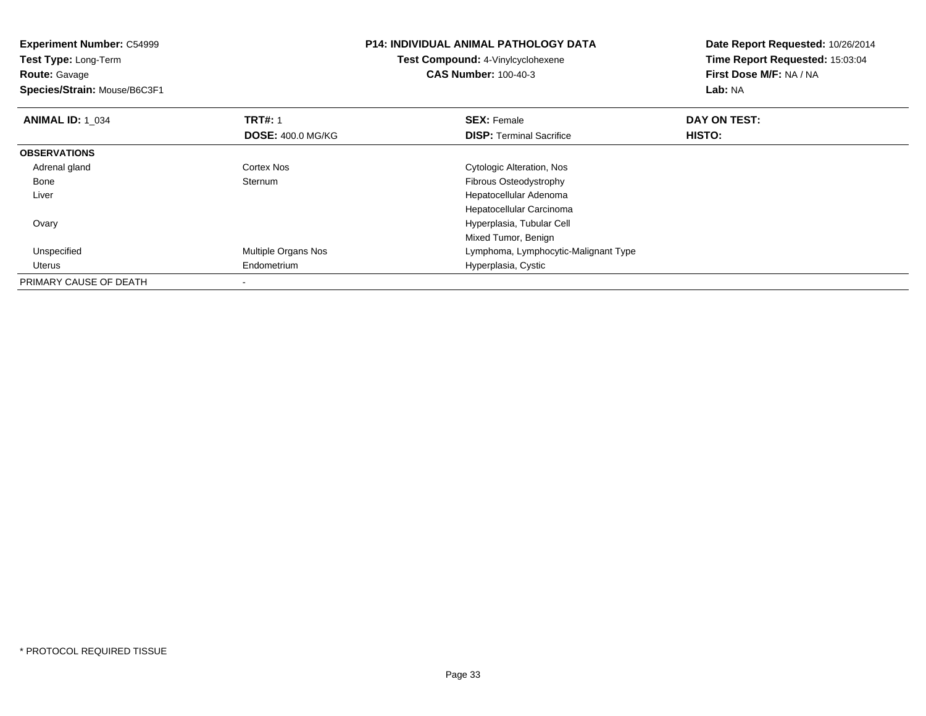| <b>Experiment Number: C54999</b><br>Test Type: Long-Term<br><b>Route: Gavage</b><br>Species/Strain: Mouse/B6C3F1 |                          | <b>P14: INDIVIDUAL ANIMAL PATHOLOGY DATA</b><br>Test Compound: 4-Vinylcyclohexene<br><b>CAS Number: 100-40-3</b> | Date Report Requested: 10/26/2014<br>Time Report Requested: 15:03:04<br>First Dose M/F: NA / NA<br>Lab: NA |
|------------------------------------------------------------------------------------------------------------------|--------------------------|------------------------------------------------------------------------------------------------------------------|------------------------------------------------------------------------------------------------------------|
| <b>ANIMAL ID: 1 034</b>                                                                                          | <b>TRT#: 1</b>           | <b>SEX: Female</b>                                                                                               | DAY ON TEST:                                                                                               |
|                                                                                                                  | <b>DOSE: 400.0 MG/KG</b> | <b>DISP: Terminal Sacrifice</b>                                                                                  | HISTO:                                                                                                     |
| <b>OBSERVATIONS</b>                                                                                              |                          |                                                                                                                  |                                                                                                            |
| Adrenal gland                                                                                                    | <b>Cortex Nos</b>        | Cytologic Alteration, Nos                                                                                        |                                                                                                            |
| Bone                                                                                                             | Sternum                  | Fibrous Osteodystrophy                                                                                           |                                                                                                            |
| Liver                                                                                                            |                          | Hepatocellular Adenoma                                                                                           |                                                                                                            |
|                                                                                                                  |                          | Hepatocellular Carcinoma                                                                                         |                                                                                                            |
| Ovary                                                                                                            |                          | Hyperplasia, Tubular Cell                                                                                        |                                                                                                            |
|                                                                                                                  |                          | Mixed Tumor, Benign                                                                                              |                                                                                                            |
| Unspecified                                                                                                      | Multiple Organs Nos      | Lymphoma, Lymphocytic-Malignant Type                                                                             |                                                                                                            |
| Uterus                                                                                                           | Endometrium              | Hyperplasia, Cystic                                                                                              |                                                                                                            |
| PRIMARY CAUSE OF DEATH                                                                                           | $\overline{\phantom{a}}$ |                                                                                                                  |                                                                                                            |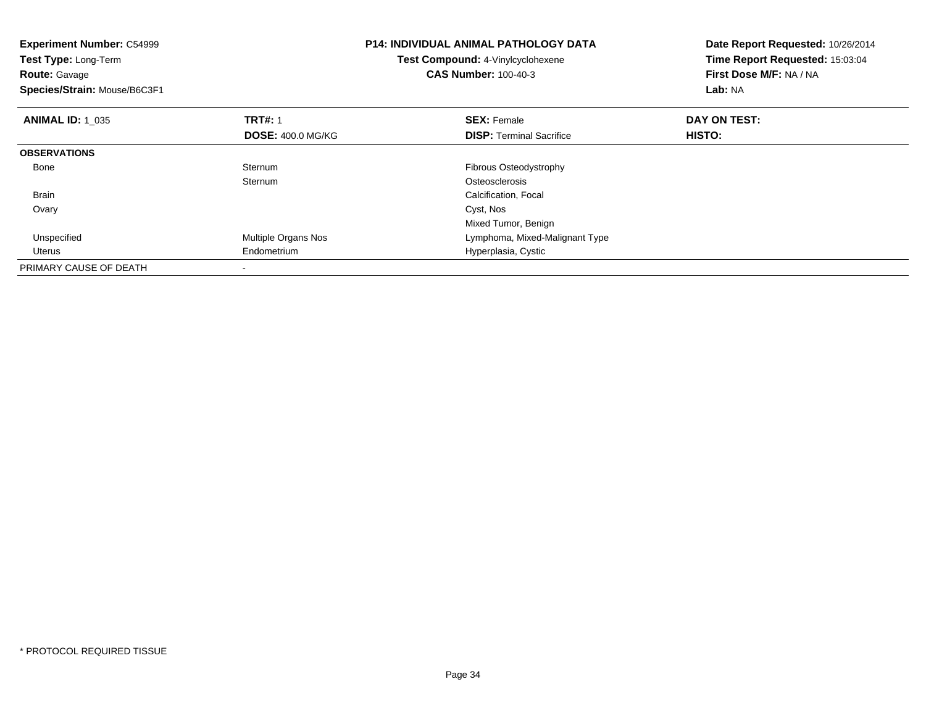| <b>Experiment Number: C54999</b><br>Test Type: Long-Term<br><b>Route: Gavage</b><br>Species/Strain: Mouse/B6C3F1 |                          | <b>P14: INDIVIDUAL ANIMAL PATHOLOGY DATA</b><br>Test Compound: 4-Vinylcyclohexene<br><b>CAS Number: 100-40-3</b> | Date Report Requested: 10/26/2014<br>Time Report Requested: 15:03:04<br>First Dose M/F: NA / NA<br>Lab: NA |
|------------------------------------------------------------------------------------------------------------------|--------------------------|------------------------------------------------------------------------------------------------------------------|------------------------------------------------------------------------------------------------------------|
| <b>ANIMAL ID: 1 035</b>                                                                                          | <b>TRT#: 1</b>           | <b>SEX: Female</b>                                                                                               | DAY ON TEST:                                                                                               |
|                                                                                                                  | <b>DOSE: 400.0 MG/KG</b> | <b>DISP:</b> Terminal Sacrifice                                                                                  | HISTO:                                                                                                     |
| <b>OBSERVATIONS</b>                                                                                              |                          |                                                                                                                  |                                                                                                            |
| Bone                                                                                                             | Sternum                  | Fibrous Osteodystrophy                                                                                           |                                                                                                            |
|                                                                                                                  | Sternum                  | Osteosclerosis                                                                                                   |                                                                                                            |
| Brain                                                                                                            |                          | Calcification, Focal                                                                                             |                                                                                                            |
| Ovary                                                                                                            |                          | Cyst, Nos                                                                                                        |                                                                                                            |
|                                                                                                                  |                          | Mixed Tumor, Benign                                                                                              |                                                                                                            |
| Unspecified                                                                                                      | Multiple Organs Nos      | Lymphoma, Mixed-Malignant Type                                                                                   |                                                                                                            |
| Uterus                                                                                                           | Endometrium              | Hyperplasia, Cystic                                                                                              |                                                                                                            |
| PRIMARY CAUSE OF DEATH                                                                                           |                          |                                                                                                                  |                                                                                                            |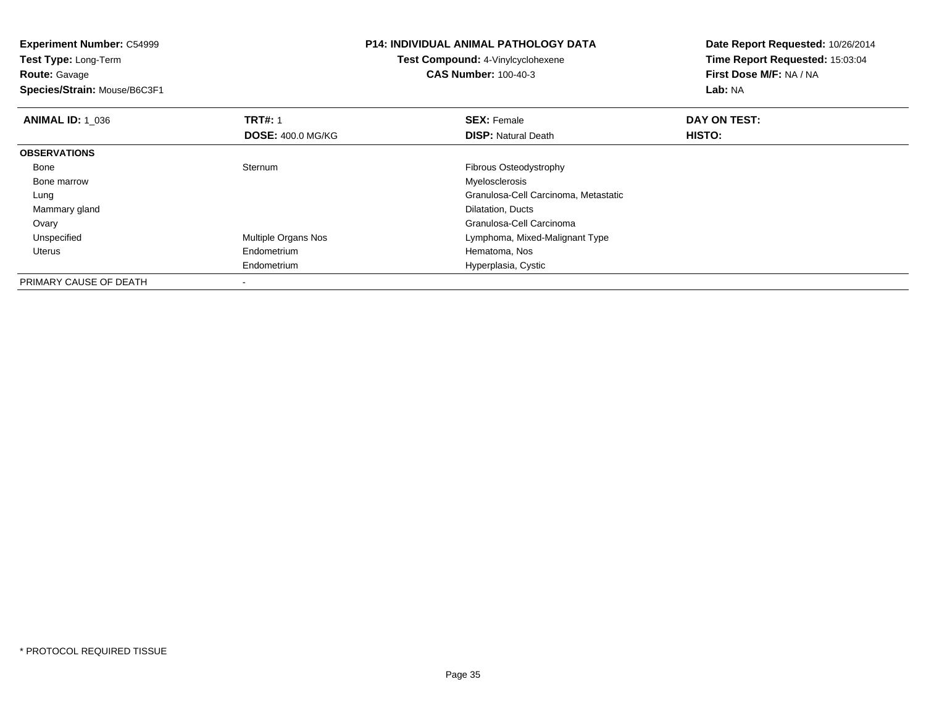**Experiment Number:** C54999**Test Type:** Long-Term**Route:** Gavage **Species/Strain:** Mouse/B6C3F1**P14: INDIVIDUAL ANIMAL PATHOLOGY DATATest Compound:** 4-Vinylcyclohexene**CAS Number:** 100-40-3**Date Report Requested:** 10/26/2014**Time Report Requested:** 15:03:04**First Dose M/F:** NA / NA**Lab:** NA**ANIMAL ID: 1\_036 6 DAY ON TEST:** 1 **SEX:** Female **SEX: Female DAY ON TEST: DOSE:** 400.0 MG/KG**DISP:** Natural Death **HISTO: OBSERVATIONS** Bone Sternum Fibrous Osteodystrophy Bone marroww when the contract of the contract of the contract of the contract of the contract of the contract of the contract of the contract of the contract of the contract of the contract of the contract of the contract of the con Lung Granulosa-Cell Carcinoma, Metastatic Mammary gland Dilatation, Ducts Ovary Granulosa-Cell Carcinomad **Example 20 Multiple Organs Nos** Communist Communist Cymphoma, Mixed-Malignant Type Unspecified Uterus Endometrium Hematoma, Nos Endometrium Hyperplasia, Cystic PRIMARY CAUSE OF DEATH

-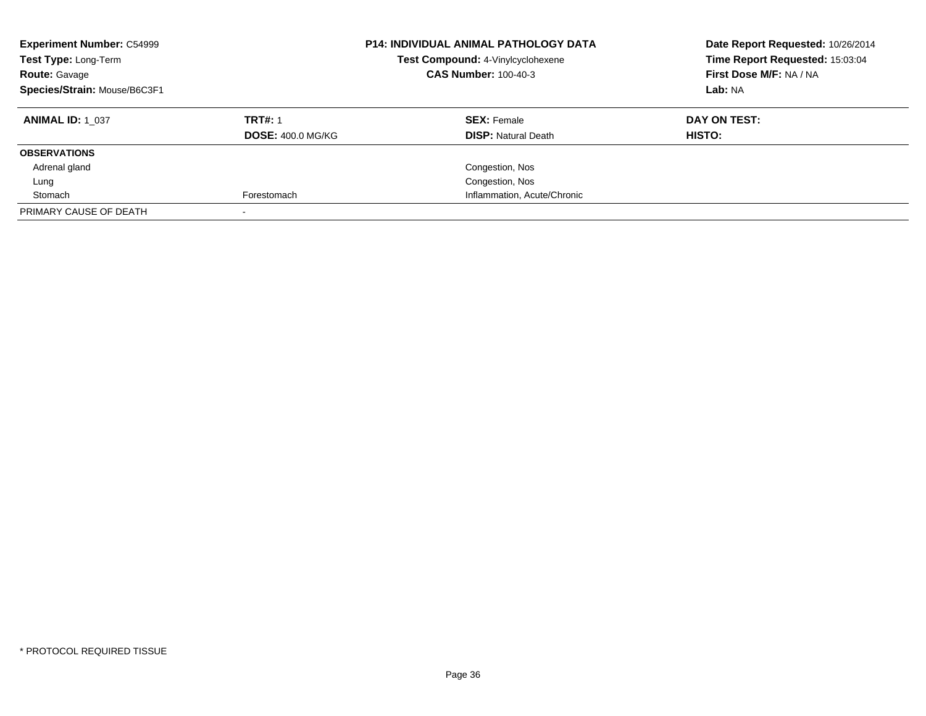| <b>Experiment Number: C54999</b><br>Test Type: Long-Term<br><b>Route: Gavage</b><br>Species/Strain: Mouse/B6C3F1 |                          | <b>P14: INDIVIDUAL ANIMAL PATHOLOGY DATA</b><br>Test Compound: 4-Vinylcyclohexene<br><b>CAS Number: 100-40-3</b> | Date Report Requested: 10/26/2014<br>Time Report Requested: 15:03:04<br>First Dose M/F: NA / NA<br>Lab: NA |
|------------------------------------------------------------------------------------------------------------------|--------------------------|------------------------------------------------------------------------------------------------------------------|------------------------------------------------------------------------------------------------------------|
| <b>ANIMAL ID: 1 037</b>                                                                                          | <b>TRT#: 1</b>           | <b>SEX: Female</b>                                                                                               | DAY ON TEST:                                                                                               |
|                                                                                                                  | <b>DOSE: 400.0 MG/KG</b> | <b>DISP:</b> Natural Death                                                                                       | HISTO:                                                                                                     |
| <b>OBSERVATIONS</b>                                                                                              |                          |                                                                                                                  |                                                                                                            |
| Adrenal gland                                                                                                    |                          | Congestion, Nos                                                                                                  |                                                                                                            |
| Lung                                                                                                             |                          | Congestion, Nos                                                                                                  |                                                                                                            |
| Stomach                                                                                                          | Forestomach              | Inflammation, Acute/Chronic                                                                                      |                                                                                                            |
| PRIMARY CAUSE OF DEATH                                                                                           |                          |                                                                                                                  |                                                                                                            |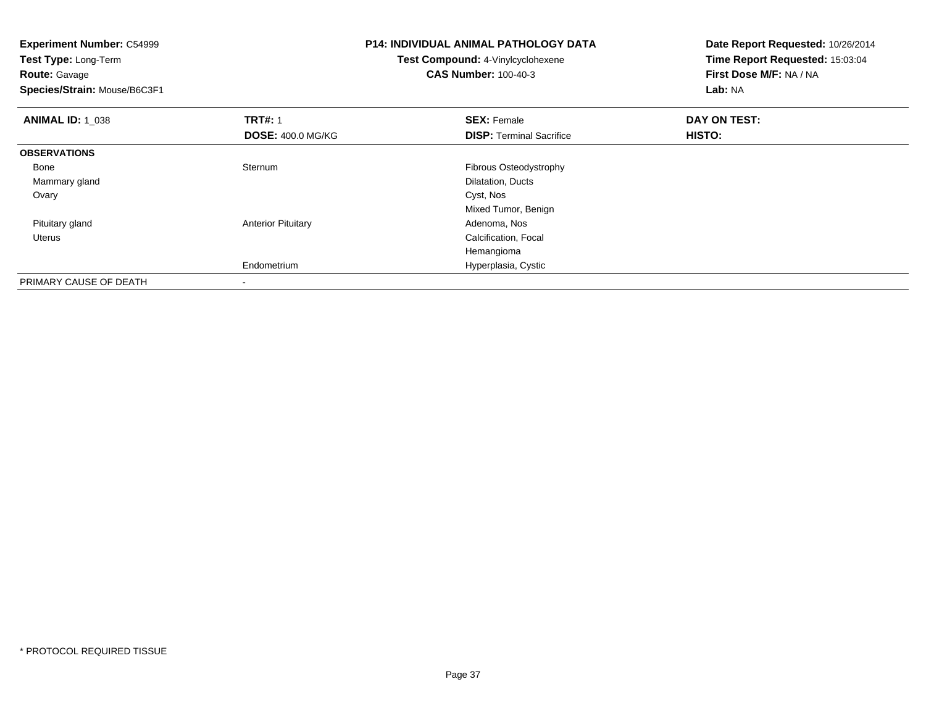| <b>Experiment Number: C54999</b><br>Test Type: Long-Term<br><b>Route: Gavage</b> |                           | <b>P14: INDIVIDUAL ANIMAL PATHOLOGY DATA</b><br>Test Compound: 4-Vinylcyclohexene<br><b>CAS Number: 100-40-3</b> | Date Report Requested: 10/26/2014<br>Time Report Requested: 15:03:04<br>First Dose M/F: NA / NA |
|----------------------------------------------------------------------------------|---------------------------|------------------------------------------------------------------------------------------------------------------|-------------------------------------------------------------------------------------------------|
| Species/Strain: Mouse/B6C3F1                                                     |                           |                                                                                                                  | Lab: NA                                                                                         |
| <b>ANIMAL ID: 1 038</b>                                                          | <b>TRT#: 1</b>            | <b>SEX: Female</b>                                                                                               | DAY ON TEST:                                                                                    |
|                                                                                  | <b>DOSE: 400.0 MG/KG</b>  | <b>DISP:</b> Terminal Sacrifice                                                                                  | <b>HISTO:</b>                                                                                   |
| <b>OBSERVATIONS</b>                                                              |                           |                                                                                                                  |                                                                                                 |
| Bone                                                                             | Sternum                   | Fibrous Osteodystrophy                                                                                           |                                                                                                 |
| Mammary gland                                                                    |                           | Dilatation, Ducts                                                                                                |                                                                                                 |
| Ovary                                                                            |                           | Cyst, Nos                                                                                                        |                                                                                                 |
|                                                                                  |                           | Mixed Tumor, Benign                                                                                              |                                                                                                 |
| Pituitary gland                                                                  | <b>Anterior Pituitary</b> | Adenoma, Nos                                                                                                     |                                                                                                 |
| Uterus                                                                           |                           | Calcification, Focal                                                                                             |                                                                                                 |
|                                                                                  |                           | Hemangioma                                                                                                       |                                                                                                 |
|                                                                                  | Endometrium               | Hyperplasia, Cystic                                                                                              |                                                                                                 |
| PRIMARY CAUSE OF DEATH                                                           |                           |                                                                                                                  |                                                                                                 |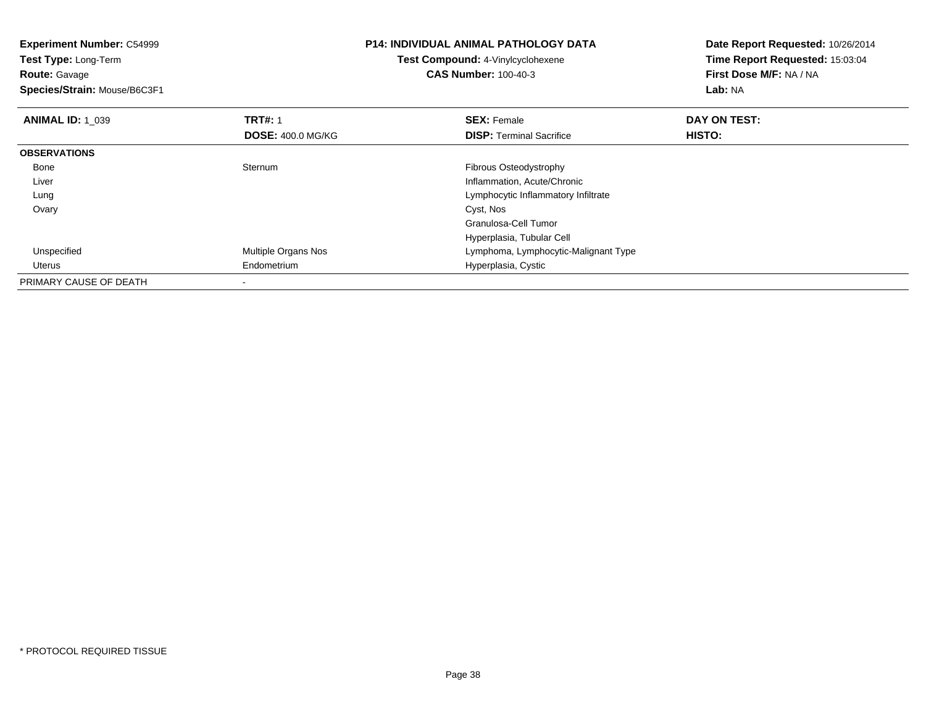| <b>Experiment Number: C54999</b><br>Test Type: Long-Term<br><b>Route: Gavage</b><br>Species/Strain: Mouse/B6C3F1 |                          | <b>P14: INDIVIDUAL ANIMAL PATHOLOGY DATA</b><br><b>Test Compound: 4-Vinylcyclohexene</b><br><b>CAS Number: 100-40-3</b> | Date Report Requested: 10/26/2014<br>Time Report Requested: 15:03:04<br>First Dose M/F: NA / NA<br>Lab: NA |
|------------------------------------------------------------------------------------------------------------------|--------------------------|-------------------------------------------------------------------------------------------------------------------------|------------------------------------------------------------------------------------------------------------|
| <b>ANIMAL ID: 1_039</b>                                                                                          | <b>TRT#: 1</b>           | <b>SEX: Female</b>                                                                                                      | DAY ON TEST:                                                                                               |
|                                                                                                                  | <b>DOSE: 400.0 MG/KG</b> | <b>DISP:</b> Terminal Sacrifice                                                                                         | HISTO:                                                                                                     |
| <b>OBSERVATIONS</b>                                                                                              |                          |                                                                                                                         |                                                                                                            |
| Bone                                                                                                             | Sternum                  | Fibrous Osteodystrophy                                                                                                  |                                                                                                            |
| Liver                                                                                                            |                          | Inflammation, Acute/Chronic                                                                                             |                                                                                                            |
| Lung                                                                                                             |                          | Lymphocytic Inflammatory Infiltrate                                                                                     |                                                                                                            |
| Ovary                                                                                                            |                          | Cyst, Nos                                                                                                               |                                                                                                            |
|                                                                                                                  |                          | Granulosa-Cell Tumor                                                                                                    |                                                                                                            |
|                                                                                                                  |                          | Hyperplasia, Tubular Cell                                                                                               |                                                                                                            |
| Unspecified                                                                                                      | Multiple Organs Nos      | Lymphoma, Lymphocytic-Malignant Type                                                                                    |                                                                                                            |
| Uterus                                                                                                           | Endometrium              | Hyperplasia, Cystic                                                                                                     |                                                                                                            |
| PRIMARY CAUSE OF DEATH                                                                                           |                          |                                                                                                                         |                                                                                                            |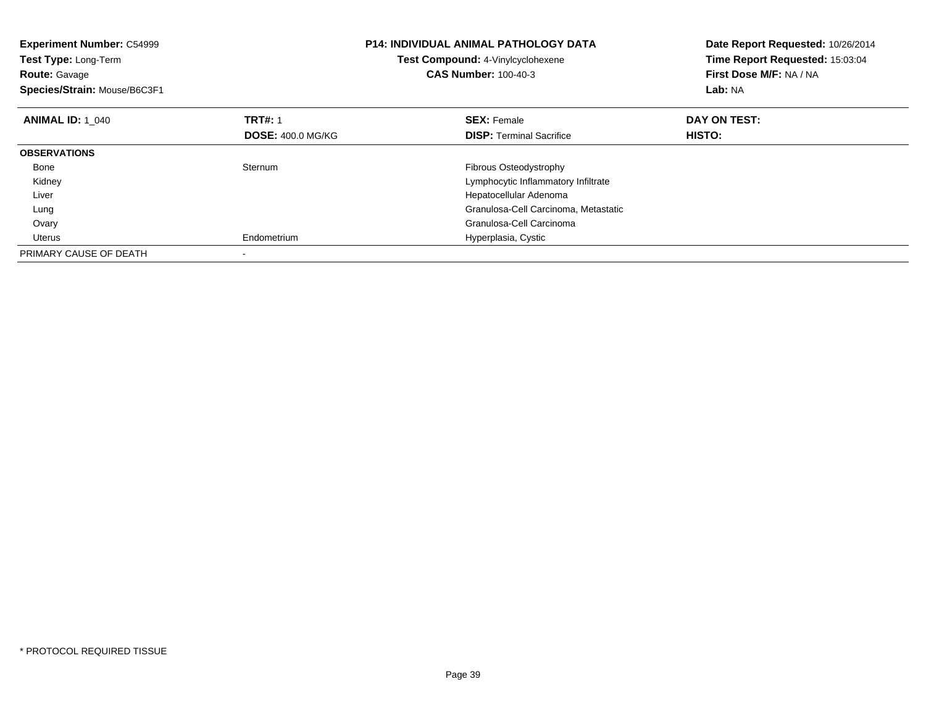| <b>Experiment Number: C54999</b><br>Test Type: Long-Term<br><b>Route: Gavage</b><br>Species/Strain: Mouse/B6C3F1 |                          | <b>P14: INDIVIDUAL ANIMAL PATHOLOGY DATA</b><br>Test Compound: 4-Vinylcyclohexene<br><b>CAS Number: 100-40-3</b> | Date Report Requested: 10/26/2014<br>Time Report Requested: 15:03:04<br>First Dose M/F: NA / NA<br>Lab: NA |
|------------------------------------------------------------------------------------------------------------------|--------------------------|------------------------------------------------------------------------------------------------------------------|------------------------------------------------------------------------------------------------------------|
| <b>ANIMAL ID: 1 040</b>                                                                                          | <b>TRT#: 1</b>           | <b>SEX: Female</b>                                                                                               | DAY ON TEST:                                                                                               |
|                                                                                                                  | <b>DOSE: 400.0 MG/KG</b> | <b>DISP:</b> Terminal Sacrifice                                                                                  | <b>HISTO:</b>                                                                                              |
| <b>OBSERVATIONS</b>                                                                                              |                          |                                                                                                                  |                                                                                                            |
| Bone                                                                                                             | Sternum                  | Fibrous Osteodystrophy                                                                                           |                                                                                                            |
| Kidney                                                                                                           |                          | Lymphocytic Inflammatory Infiltrate                                                                              |                                                                                                            |
| Liver                                                                                                            |                          | Hepatocellular Adenoma                                                                                           |                                                                                                            |
| Lung                                                                                                             |                          | Granulosa-Cell Carcinoma, Metastatic                                                                             |                                                                                                            |
| Ovary                                                                                                            |                          | Granulosa-Cell Carcinoma                                                                                         |                                                                                                            |
| Uterus                                                                                                           | Endometrium              | Hyperplasia, Cystic                                                                                              |                                                                                                            |
| PRIMARY CAUSE OF DEATH                                                                                           |                          |                                                                                                                  |                                                                                                            |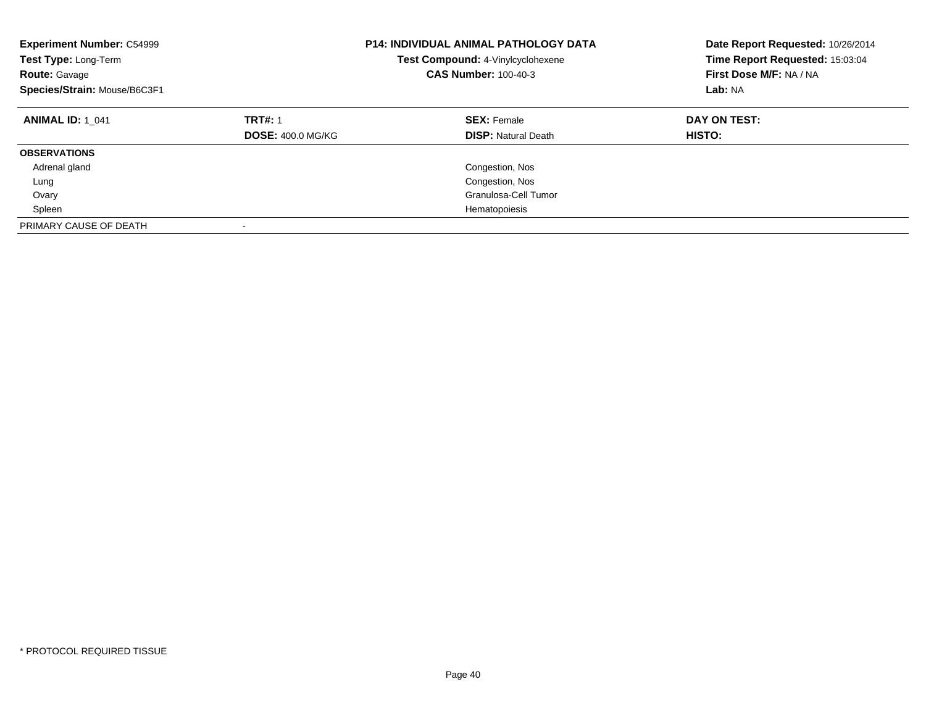| <b>Experiment Number: C54999</b><br>Test Type: Long-Term<br><b>Route: Gavage</b><br>Species/Strain: Mouse/B6C3F1 |                                            | <b>P14: INDIVIDUAL ANIMAL PATHOLOGY DATA</b><br>Test Compound: 4-Vinylcyclohexene<br><b>CAS Number: 100-40-3</b> | Date Report Requested: 10/26/2014<br>Time Report Requested: 15:03:04<br>First Dose M/F: NA / NA<br>Lab: NA |
|------------------------------------------------------------------------------------------------------------------|--------------------------------------------|------------------------------------------------------------------------------------------------------------------|------------------------------------------------------------------------------------------------------------|
| <b>ANIMAL ID: 1 041</b>                                                                                          | <b>TRT#: 1</b><br><b>DOSE: 400.0 MG/KG</b> | <b>SEX: Female</b><br><b>DISP: Natural Death</b>                                                                 | DAY ON TEST:<br><b>HISTO:</b>                                                                              |
| <b>OBSERVATIONS</b>                                                                                              |                                            |                                                                                                                  |                                                                                                            |
| Adrenal gland                                                                                                    |                                            | Congestion, Nos                                                                                                  |                                                                                                            |
| Lung                                                                                                             |                                            | Congestion, Nos                                                                                                  |                                                                                                            |
| Ovary                                                                                                            |                                            | Granulosa-Cell Tumor                                                                                             |                                                                                                            |
| Spleen                                                                                                           |                                            | Hematopoiesis                                                                                                    |                                                                                                            |
| PRIMARY CAUSE OF DEATH                                                                                           |                                            |                                                                                                                  |                                                                                                            |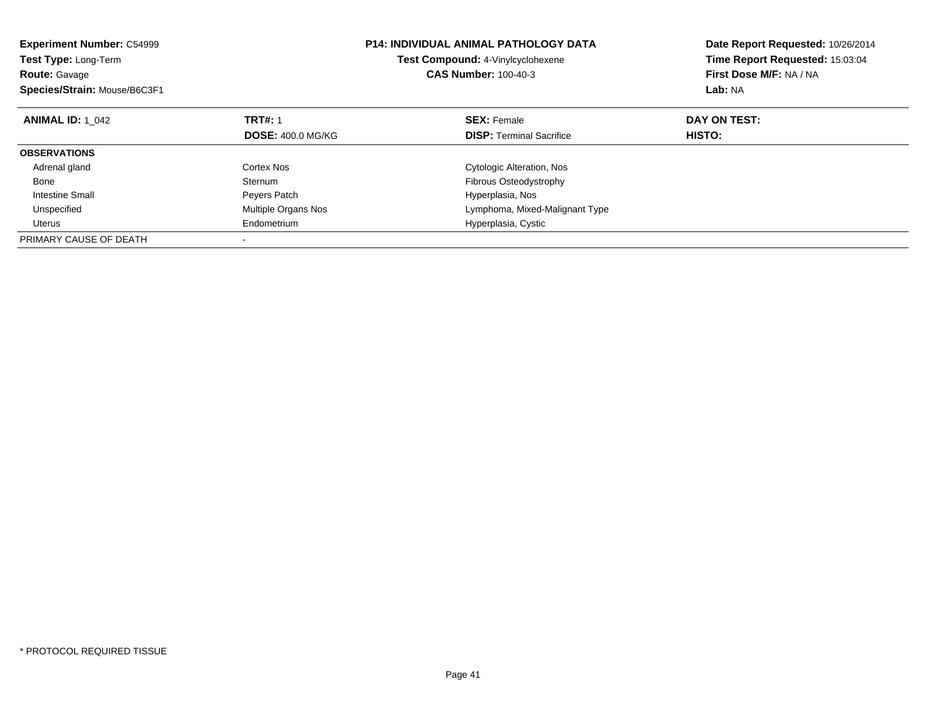| <b>Experiment Number: C54999</b><br><b>Test Type: Long-Term</b><br><b>Route: Gavage</b><br>Species/Strain: Mouse/B6C3F1 |                          | <b>P14: INDIVIDUAL ANIMAL PATHOLOGY DATA</b><br><b>Test Compound: 4-Vinylcyclohexene</b><br><b>CAS Number: 100-40-3</b> | Date Report Requested: 10/26/2014<br>Time Report Requested: 15:03:04<br>First Dose M/F: NA / NA<br>Lab: NA |
|-------------------------------------------------------------------------------------------------------------------------|--------------------------|-------------------------------------------------------------------------------------------------------------------------|------------------------------------------------------------------------------------------------------------|
| <b>ANIMAL ID: 1 042</b>                                                                                                 | <b>TRT#: 1</b>           | <b>SEX: Female</b>                                                                                                      | DAY ON TEST:                                                                                               |
|                                                                                                                         | <b>DOSE: 400.0 MG/KG</b> | <b>DISP:</b> Terminal Sacrifice                                                                                         | HISTO:                                                                                                     |
| <b>OBSERVATIONS</b>                                                                                                     |                          |                                                                                                                         |                                                                                                            |
| Adrenal gland                                                                                                           | Cortex Nos               | Cytologic Alteration, Nos                                                                                               |                                                                                                            |
| Bone                                                                                                                    | Sternum                  | Fibrous Osteodystrophy                                                                                                  |                                                                                                            |
| Intestine Small                                                                                                         | Peyers Patch             | Hyperplasia, Nos                                                                                                        |                                                                                                            |
| Unspecified                                                                                                             | Multiple Organs Nos      | Lymphoma, Mixed-Malignant Type                                                                                          |                                                                                                            |
| Uterus                                                                                                                  | Endometrium              | Hyperplasia, Cystic                                                                                                     |                                                                                                            |
| PRIMARY CAUSE OF DEATH                                                                                                  |                          |                                                                                                                         |                                                                                                            |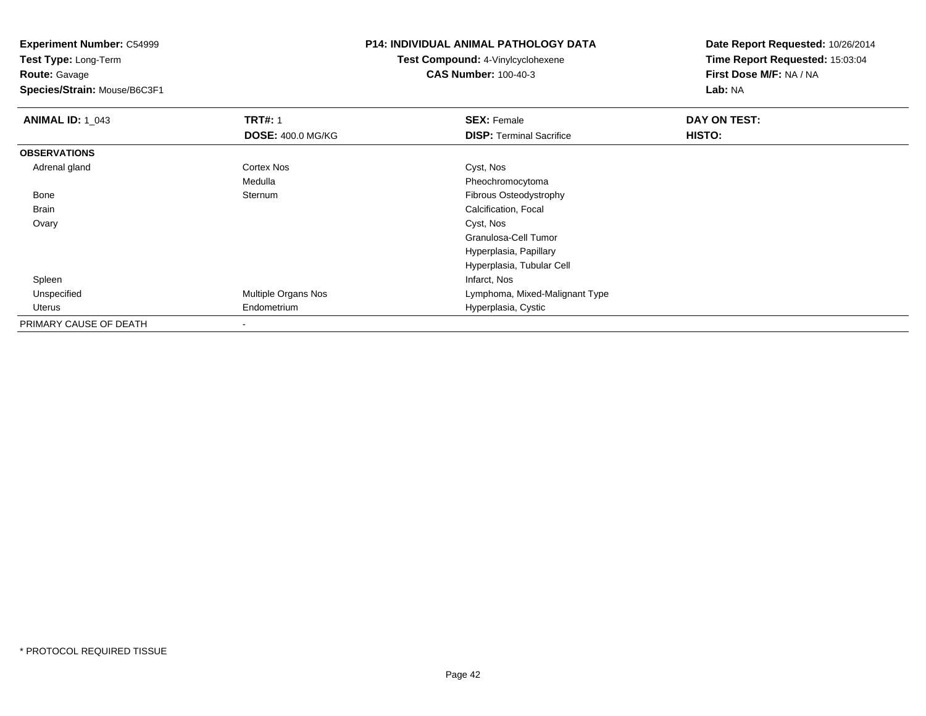**Experiment Number:** C54999**Test Type:** Long-Term**Route:** Gavage **Species/Strain:** Mouse/B6C3F1**P14: INDIVIDUAL ANIMAL PATHOLOGY DATATest Compound:** 4-Vinylcyclohexene**CAS Number:** 100-40-3**Date Report Requested:** 10/26/2014**Time Report Requested:** 15:03:04**First Dose M/F:** NA / NA**Lab:** NA**ANIMAL ID: 1\_043 TRT#:** 1 **SEX:** Female **DAY ON TEST: DOSE:** 400.0 MG/KG**DISP:** Terminal Sacrifice **HISTO: OBSERVATIONS** Adrenal glandd Cortex Nos Cortex Nos Cyst, Nos MedullaMedulla<br>
Sternum<br>
Sternum<br>
Pibrous Osteodystro Bonee Sternum Fibrous Osteodystrophy BrainCalcification, Focal<br>Cyst, Nos Ovaryy and the control of the control of the control of the control of the control of the control of the control of the control of the control of the control of the control of the control of the control of the control of the co Granulosa-Cell TumorHyperplasia, Papillary Hyperplasia, Tubular Cell Spleenn and the control of the control of the control of the control of the control of the control of the control of the control of the control of the control of the control of the control of the control of the control of the co UnspecifiedMultiple Organs Nos **Multiple Organs Nos** Lymphoma, Mixed-Malignant Type Uterus Endometrium Hyperplasia, Cystic PRIMARY CAUSE OF DEATH-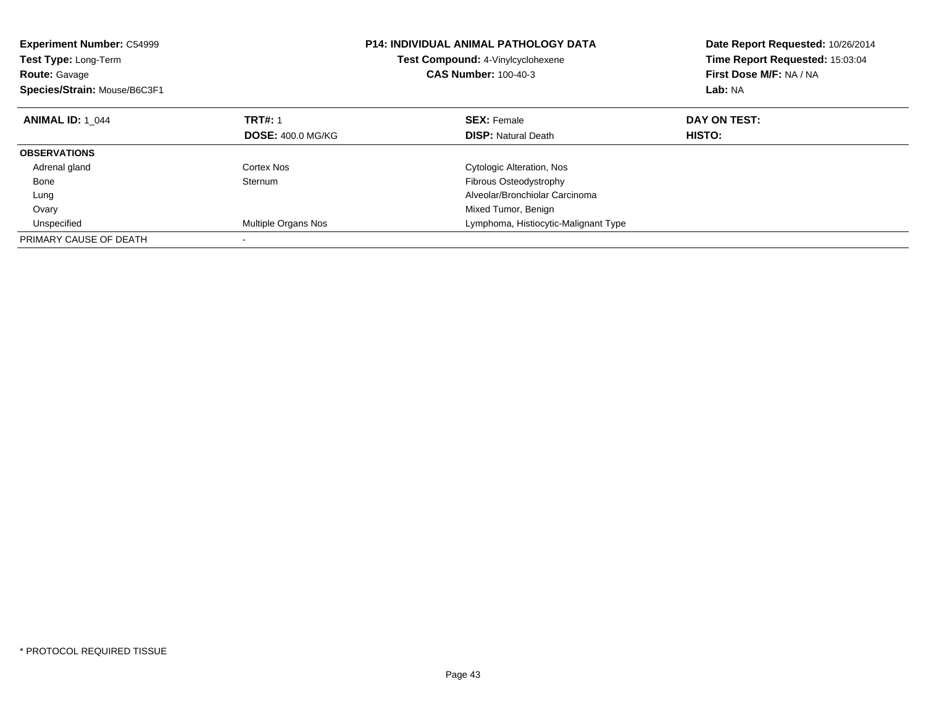| <b>Experiment Number: C54999</b><br><b>Test Type: Long-Term</b><br><b>Route: Gavage</b><br>Species/Strain: Mouse/B6C3F1 |                          | <b>P14: INDIVIDUAL ANIMAL PATHOLOGY DATA</b><br><b>Test Compound: 4-Vinylcyclohexene</b><br><b>CAS Number: 100-40-3</b> | Date Report Requested: 10/26/2014<br>Time Report Requested: 15:03:04<br>First Dose M/F: NA / NA<br>Lab: NA |
|-------------------------------------------------------------------------------------------------------------------------|--------------------------|-------------------------------------------------------------------------------------------------------------------------|------------------------------------------------------------------------------------------------------------|
| <b>ANIMAL ID: 1 044</b>                                                                                                 | <b>TRT#: 1</b>           | <b>SEX: Female</b>                                                                                                      | DAY ON TEST:                                                                                               |
|                                                                                                                         | <b>DOSE: 400.0 MG/KG</b> | <b>DISP:</b> Natural Death                                                                                              | <b>HISTO:</b>                                                                                              |
| <b>OBSERVATIONS</b>                                                                                                     |                          |                                                                                                                         |                                                                                                            |
| Adrenal gland                                                                                                           | Cortex Nos               | Cytologic Alteration, Nos                                                                                               |                                                                                                            |
| Bone                                                                                                                    | Sternum                  | Fibrous Osteodystrophy                                                                                                  |                                                                                                            |
| Lung                                                                                                                    |                          | Alveolar/Bronchiolar Carcinoma                                                                                          |                                                                                                            |
| Ovary                                                                                                                   |                          | Mixed Tumor, Benign                                                                                                     |                                                                                                            |
| Unspecified                                                                                                             | Multiple Organs Nos      | Lymphoma, Histiocytic-Malignant Type                                                                                    |                                                                                                            |
| PRIMARY CAUSE OF DEATH                                                                                                  |                          |                                                                                                                         |                                                                                                            |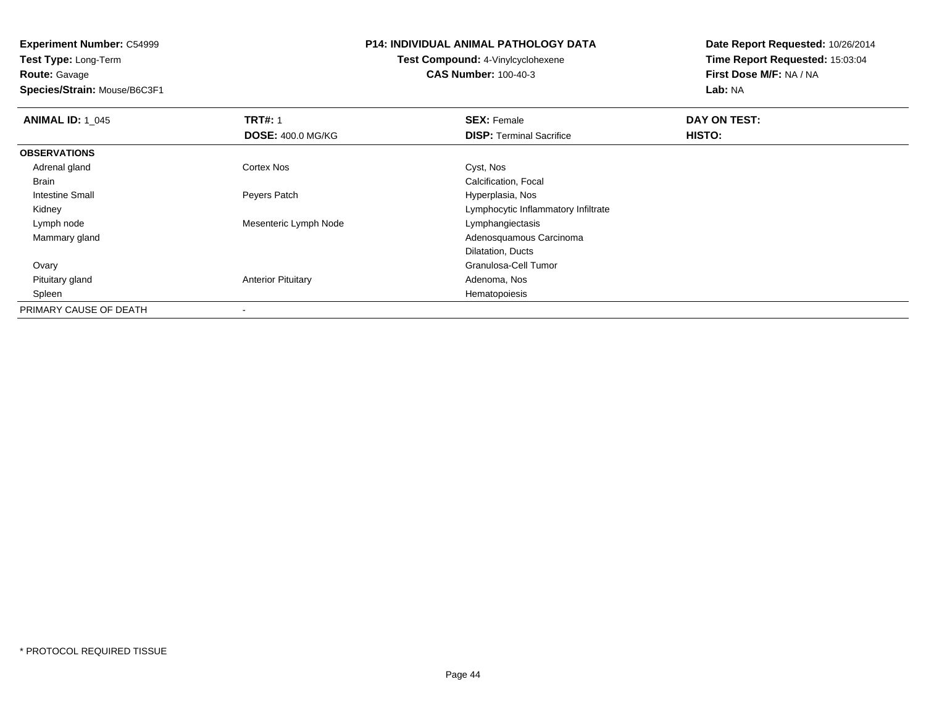**Experiment Number:** C54999**Test Type:** Long-Term

**Route:** Gavage

**Species/Strain:** Mouse/B6C3F1

# **P14: INDIVIDUAL ANIMAL PATHOLOGY DATA**

**Test Compound:** 4-Vinylcyclohexene**CAS Number:** 100-40-3

| <b>ANIMAL ID: 1_045</b> | <b>TRT#: 1</b>            | <b>SEX: Female</b>                  | DAY ON TEST: |  |
|-------------------------|---------------------------|-------------------------------------|--------------|--|
|                         | <b>DOSE: 400.0 MG/KG</b>  | <b>DISP: Terminal Sacrifice</b>     | HISTO:       |  |
| <b>OBSERVATIONS</b>     |                           |                                     |              |  |
| Adrenal gland           | <b>Cortex Nos</b>         | Cyst, Nos                           |              |  |
| Brain                   |                           | Calcification, Focal                |              |  |
| Intestine Small         | Peyers Patch              | Hyperplasia, Nos                    |              |  |
| Kidney                  |                           | Lymphocytic Inflammatory Infiltrate |              |  |
| Lymph node              | Mesenteric Lymph Node     | Lymphangiectasis                    |              |  |
| Mammary gland           |                           | Adenosquamous Carcinoma             |              |  |
|                         |                           | Dilatation, Ducts                   |              |  |
| Ovary                   |                           | Granulosa-Cell Tumor                |              |  |
| Pituitary gland         | <b>Anterior Pituitary</b> | Adenoma, Nos                        |              |  |
| Spleen                  |                           | Hematopoiesis                       |              |  |
| PRIMARY CAUSE OF DEATH  | $\overline{\phantom{a}}$  |                                     |              |  |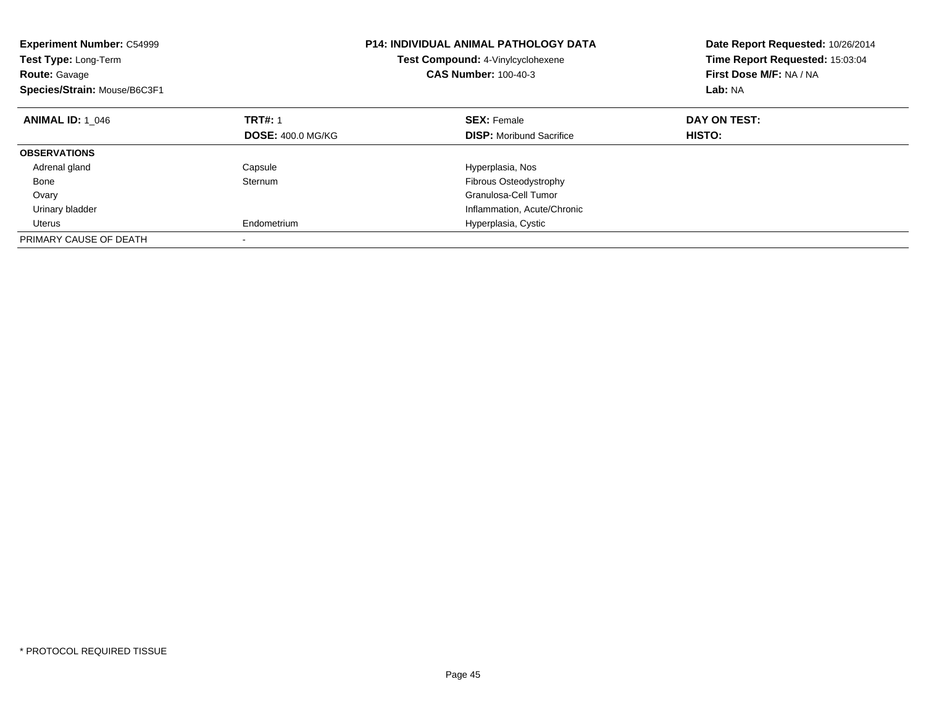| <b>Experiment Number: C54999</b><br>Test Type: Long-Term<br><b>Route:</b> Gavage<br>Species/Strain: Mouse/B6C3F1 |                          | <b>P14: INDIVIDUAL ANIMAL PATHOLOGY DATA</b><br>Test Compound: 4-Vinylcyclohexene<br><b>CAS Number: 100-40-3</b> | Date Report Requested: 10/26/2014<br>Time Report Requested: 15:03:04<br>First Dose M/F: NA / NA<br>Lab: NA |
|------------------------------------------------------------------------------------------------------------------|--------------------------|------------------------------------------------------------------------------------------------------------------|------------------------------------------------------------------------------------------------------------|
| <b>ANIMAL ID: 1 046</b>                                                                                          | <b>TRT#: 1</b>           | <b>SEX: Female</b>                                                                                               | DAY ON TEST:                                                                                               |
|                                                                                                                  | <b>DOSE: 400.0 MG/KG</b> | <b>DISP:</b> Moribund Sacrifice                                                                                  | HISTO:                                                                                                     |
| <b>OBSERVATIONS</b>                                                                                              |                          |                                                                                                                  |                                                                                                            |
| Adrenal gland                                                                                                    | Capsule                  | Hyperplasia, Nos                                                                                                 |                                                                                                            |
| Bone                                                                                                             | Sternum                  | Fibrous Osteodystrophy                                                                                           |                                                                                                            |
| Ovary                                                                                                            |                          | Granulosa-Cell Tumor                                                                                             |                                                                                                            |
| Urinary bladder                                                                                                  |                          | Inflammation, Acute/Chronic                                                                                      |                                                                                                            |
| Uterus                                                                                                           | Endometrium              | Hyperplasia, Cystic                                                                                              |                                                                                                            |
| PRIMARY CAUSE OF DEATH                                                                                           |                          |                                                                                                                  |                                                                                                            |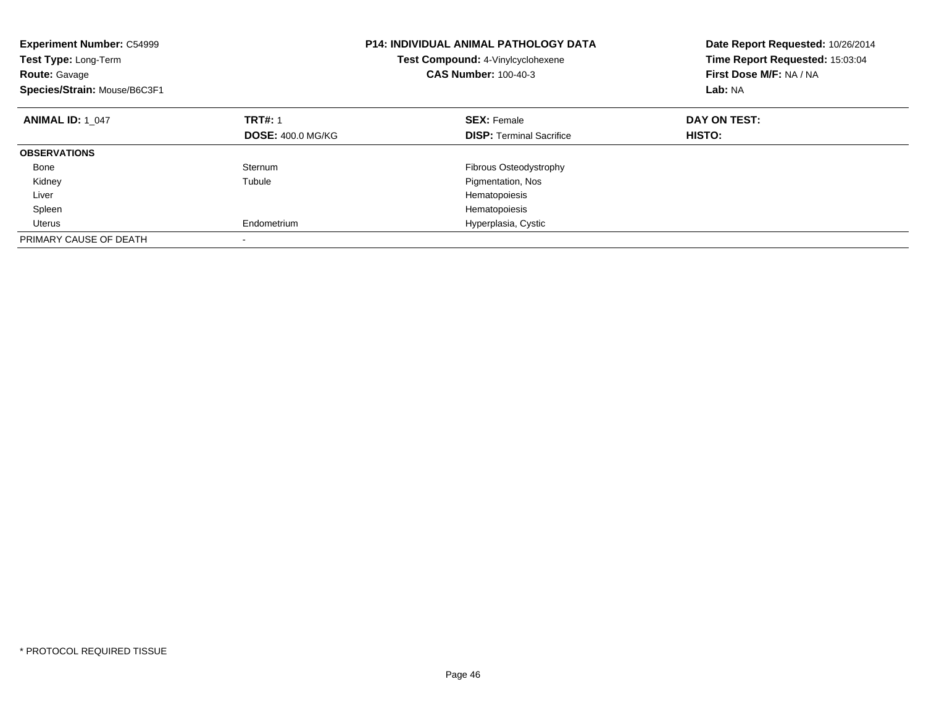| <b>Experiment Number: C54999</b><br>Test Type: Long-Term<br><b>Route: Gavage</b><br>Species/Strain: Mouse/B6C3F1 |                          | <b>P14: INDIVIDUAL ANIMAL PATHOLOGY DATA</b><br>Test Compound: 4-Vinylcyclohexene<br><b>CAS Number: 100-40-3</b> | Date Report Requested: 10/26/2014<br>Time Report Requested: 15:03:04<br>First Dose M/F: NA / NA<br>Lab: NA |
|------------------------------------------------------------------------------------------------------------------|--------------------------|------------------------------------------------------------------------------------------------------------------|------------------------------------------------------------------------------------------------------------|
| <b>ANIMAL ID: 1 047</b>                                                                                          | <b>TRT#: 1</b>           | <b>SEX: Female</b>                                                                                               | DAY ON TEST:                                                                                               |
|                                                                                                                  | <b>DOSE: 400.0 MG/KG</b> | <b>DISP:</b> Terminal Sacrifice                                                                                  | HISTO:                                                                                                     |
| <b>OBSERVATIONS</b>                                                                                              |                          |                                                                                                                  |                                                                                                            |
| Bone                                                                                                             | Sternum                  | Fibrous Osteodystrophy                                                                                           |                                                                                                            |
| Kidney                                                                                                           | Tubule                   | Pigmentation, Nos                                                                                                |                                                                                                            |
| Liver                                                                                                            |                          | Hematopoiesis                                                                                                    |                                                                                                            |
| Spleen                                                                                                           |                          | Hematopoiesis                                                                                                    |                                                                                                            |
| Uterus                                                                                                           | Endometrium              | Hyperplasia, Cystic                                                                                              |                                                                                                            |
| PRIMARY CAUSE OF DEATH                                                                                           |                          |                                                                                                                  |                                                                                                            |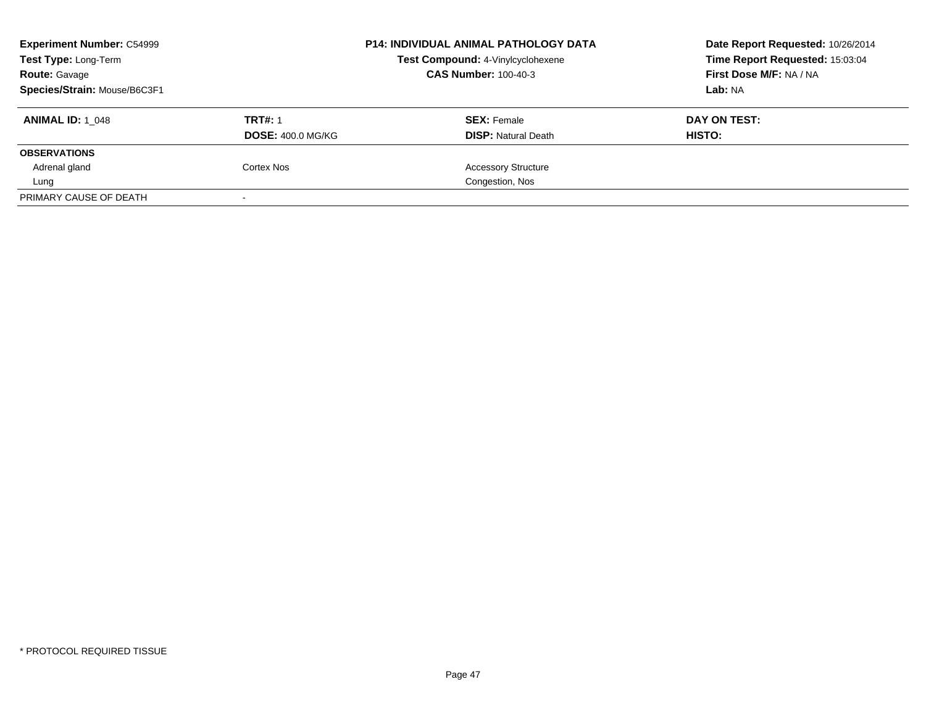| <b>Experiment Number: C54999</b><br>Test Type: Long-Term |                          | <b>P14: INDIVIDUAL ANIMAL PATHOLOGY DATA</b><br>Test Compound: 4-Vinylcyclohexene<br><b>CAS Number: 100-40-3</b> | Date Report Requested: 10/26/2014<br>Time Report Requested: 15:03:04<br>First Dose M/F: NA / NA |
|----------------------------------------------------------|--------------------------|------------------------------------------------------------------------------------------------------------------|-------------------------------------------------------------------------------------------------|
| <b>Route: Gavage</b><br>Species/Strain: Mouse/B6C3F1     |                          |                                                                                                                  | Lab: NA                                                                                         |
|                                                          |                          |                                                                                                                  |                                                                                                 |
| <b>ANIMAL ID: 1 048</b>                                  | <b>TRT#: 1</b>           | <b>SEX: Female</b>                                                                                               | DAY ON TEST:                                                                                    |
|                                                          | <b>DOSE: 400.0 MG/KG</b> | <b>DISP:</b> Natural Death                                                                                       | HISTO:                                                                                          |
| <b>OBSERVATIONS</b>                                      |                          |                                                                                                                  |                                                                                                 |
| Adrenal gland                                            | Cortex Nos               | <b>Accessory Structure</b>                                                                                       |                                                                                                 |
| Lung                                                     |                          | Congestion, Nos                                                                                                  |                                                                                                 |
| PRIMARY CAUSE OF DEATH                                   | $\sim$                   |                                                                                                                  |                                                                                                 |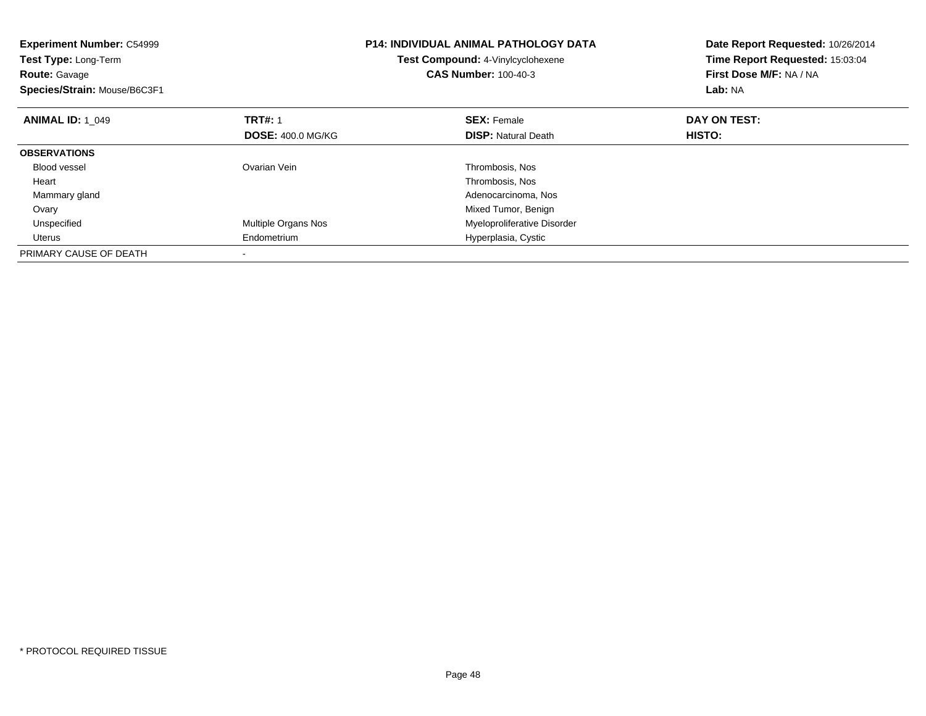| <b>Experiment Number: C54999</b><br>Test Type: Long-Term<br><b>Route: Gavage</b><br>Species/Strain: Mouse/B6C3F1 |                          | <b>P14: INDIVIDUAL ANIMAL PATHOLOGY DATA</b><br>Test Compound: 4-Vinylcyclohexene<br><b>CAS Number: 100-40-3</b> | Date Report Requested: 10/26/2014<br>Time Report Requested: 15:03:04<br>First Dose M/F: NA / NA<br>Lab: NA |
|------------------------------------------------------------------------------------------------------------------|--------------------------|------------------------------------------------------------------------------------------------------------------|------------------------------------------------------------------------------------------------------------|
| <b>ANIMAL ID: 1 049</b>                                                                                          | <b>TRT#: 1</b>           | <b>SEX: Female</b>                                                                                               | DAY ON TEST:                                                                                               |
|                                                                                                                  | <b>DOSE: 400.0 MG/KG</b> | <b>DISP:</b> Natural Death                                                                                       | HISTO:                                                                                                     |
| <b>OBSERVATIONS</b>                                                                                              |                          |                                                                                                                  |                                                                                                            |
| <b>Blood vessel</b>                                                                                              | Ovarian Vein             | Thrombosis, Nos                                                                                                  |                                                                                                            |
| Heart                                                                                                            |                          | Thrombosis, Nos                                                                                                  |                                                                                                            |
| Mammary gland                                                                                                    |                          | Adenocarcinoma, Nos                                                                                              |                                                                                                            |
| Ovary                                                                                                            |                          | Mixed Tumor, Benign                                                                                              |                                                                                                            |
| Unspecified                                                                                                      | Multiple Organs Nos      | Myeloproliferative Disorder                                                                                      |                                                                                                            |
| Uterus                                                                                                           | Endometrium              | Hyperplasia, Cystic                                                                                              |                                                                                                            |
| PRIMARY CAUSE OF DEATH                                                                                           |                          |                                                                                                                  |                                                                                                            |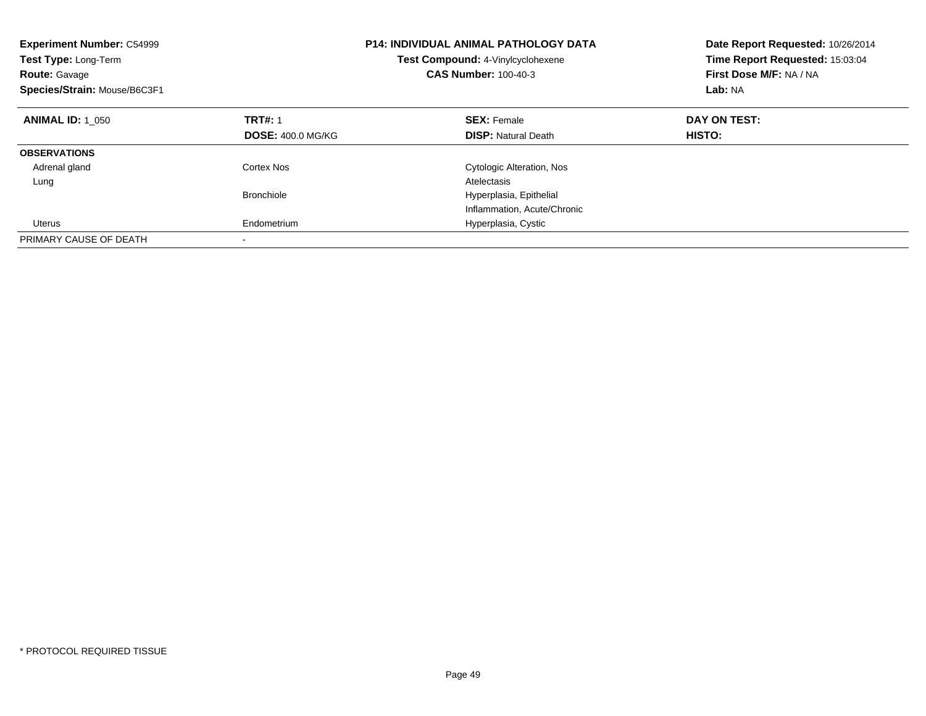| <b>Experiment Number: C54999</b><br><b>Test Type: Long-Term</b><br><b>Route: Gavage</b><br>Species/Strain: Mouse/B6C3F1 |                          | <b>P14: INDIVIDUAL ANIMAL PATHOLOGY DATA</b><br>Test Compound: 4-Vinylcyclohexene<br><b>CAS Number: 100-40-3</b> | Date Report Requested: 10/26/2014<br>Time Report Requested: 15:03:04<br>First Dose M/F: NA / NA<br>Lab: NA |
|-------------------------------------------------------------------------------------------------------------------------|--------------------------|------------------------------------------------------------------------------------------------------------------|------------------------------------------------------------------------------------------------------------|
| <b>ANIMAL ID: 1 050</b>                                                                                                 | <b>TRT#: 1</b>           | <b>SEX: Female</b>                                                                                               | DAY ON TEST:                                                                                               |
|                                                                                                                         | <b>DOSE: 400.0 MG/KG</b> | <b>DISP:</b> Natural Death                                                                                       | <b>HISTO:</b>                                                                                              |
| <b>OBSERVATIONS</b>                                                                                                     |                          |                                                                                                                  |                                                                                                            |
| Adrenal gland                                                                                                           | Cortex Nos               | <b>Cytologic Alteration, Nos</b>                                                                                 |                                                                                                            |
| Lung                                                                                                                    |                          | Atelectasis                                                                                                      |                                                                                                            |
|                                                                                                                         | Bronchiole               | Hyperplasia, Epithelial                                                                                          |                                                                                                            |
|                                                                                                                         |                          | Inflammation, Acute/Chronic                                                                                      |                                                                                                            |
| Uterus                                                                                                                  | Endometrium              | Hyperplasia, Cystic                                                                                              |                                                                                                            |
| PRIMARY CAUSE OF DEATH                                                                                                  |                          |                                                                                                                  |                                                                                                            |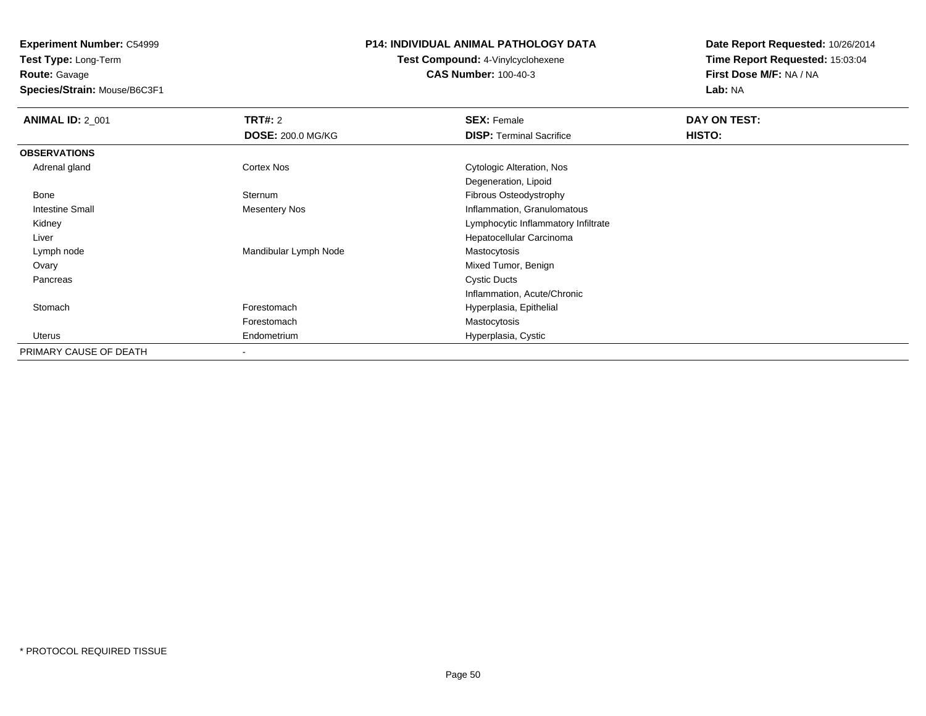**Experiment Number:** C54999

**Test Type:** Long-Term**Route:** Gavage

**Species/Strain:** Mouse/B6C3F1

# **P14: INDIVIDUAL ANIMAL PATHOLOGY DATA**

**Test Compound:** 4-Vinylcyclohexene**CAS Number:** 100-40-3

| <b>ANIMAL ID: 2_001</b> | <b>TRT#: 2</b>           | <b>SEX: Female</b>                  | DAY ON TEST: |  |
|-------------------------|--------------------------|-------------------------------------|--------------|--|
|                         | <b>DOSE: 200.0 MG/KG</b> | <b>DISP: Terminal Sacrifice</b>     | HISTO:       |  |
| <b>OBSERVATIONS</b>     |                          |                                     |              |  |
| Adrenal gland           | <b>Cortex Nos</b>        | Cytologic Alteration, Nos           |              |  |
|                         |                          | Degeneration, Lipoid                |              |  |
| Bone                    | Sternum                  | Fibrous Osteodystrophy              |              |  |
| Intestine Small         | Mesentery Nos            | Inflammation, Granulomatous         |              |  |
| Kidney                  |                          | Lymphocytic Inflammatory Infiltrate |              |  |
| Liver                   |                          | Hepatocellular Carcinoma            |              |  |
| Lymph node              | Mandibular Lymph Node    | Mastocytosis                        |              |  |
| Ovary                   |                          | Mixed Tumor, Benign                 |              |  |
| Pancreas                |                          | <b>Cystic Ducts</b>                 |              |  |
|                         |                          | Inflammation, Acute/Chronic         |              |  |
| Stomach                 | Forestomach              | Hyperplasia, Epithelial             |              |  |
|                         | Forestomach              | Mastocytosis                        |              |  |
| Uterus                  | Endometrium              | Hyperplasia, Cystic                 |              |  |
| PRIMARY CAUSE OF DEATH  |                          |                                     |              |  |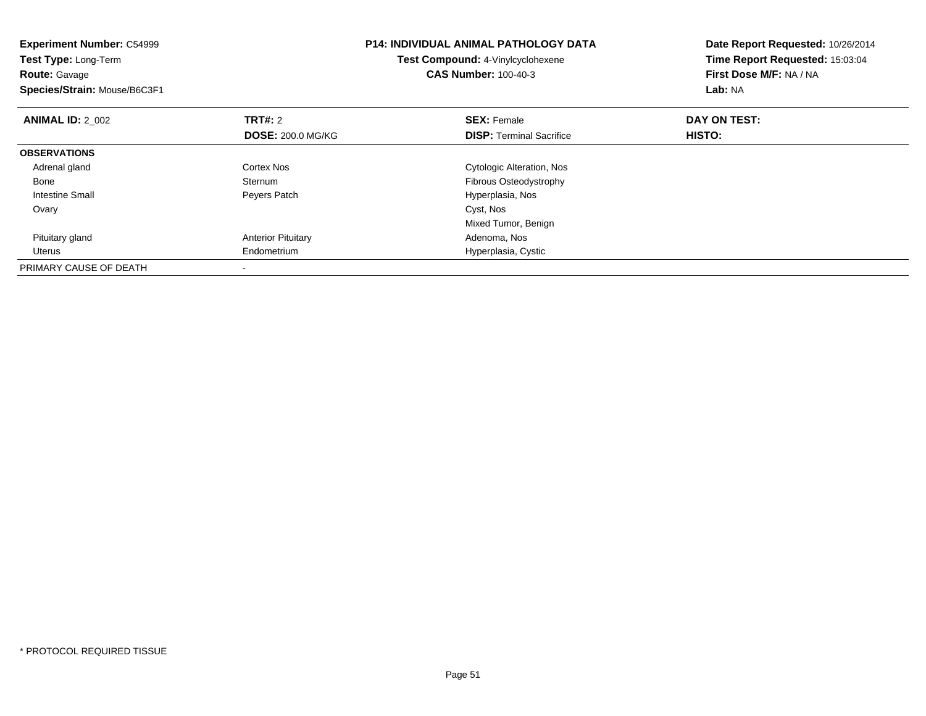| <b>Experiment Number: C54999</b><br>Test Type: Long-Term<br><b>Route: Gavage</b><br>Species/Strain: Mouse/B6C3F1 |                           | <b>P14: INDIVIDUAL ANIMAL PATHOLOGY DATA</b><br>Test Compound: 4-Vinylcyclohexene<br><b>CAS Number: 100-40-3</b> | Date Report Requested: 10/26/2014<br>Time Report Requested: 15:03:04<br>First Dose M/F: NA / NA<br>Lab: NA |
|------------------------------------------------------------------------------------------------------------------|---------------------------|------------------------------------------------------------------------------------------------------------------|------------------------------------------------------------------------------------------------------------|
| <b>ANIMAL ID: 2 002</b>                                                                                          | <b>TRT#: 2</b>            | <b>SEX: Female</b>                                                                                               | DAY ON TEST:                                                                                               |
|                                                                                                                  | <b>DOSE: 200.0 MG/KG</b>  | <b>DISP:</b> Terminal Sacrifice                                                                                  | <b>HISTO:</b>                                                                                              |
| <b>OBSERVATIONS</b>                                                                                              |                           |                                                                                                                  |                                                                                                            |
| Adrenal gland                                                                                                    | Cortex Nos                | Cytologic Alteration, Nos                                                                                        |                                                                                                            |
| Bone                                                                                                             | Sternum                   | Fibrous Osteodystrophy                                                                                           |                                                                                                            |
| <b>Intestine Small</b>                                                                                           | Peyers Patch              | Hyperplasia, Nos                                                                                                 |                                                                                                            |
| Ovary                                                                                                            |                           | Cyst, Nos                                                                                                        |                                                                                                            |
|                                                                                                                  |                           | Mixed Tumor, Benign                                                                                              |                                                                                                            |
| Pituitary gland                                                                                                  | <b>Anterior Pituitary</b> | Adenoma, Nos                                                                                                     |                                                                                                            |
| Uterus                                                                                                           | Endometrium               | Hyperplasia, Cystic                                                                                              |                                                                                                            |
| PRIMARY CAUSE OF DEATH                                                                                           |                           |                                                                                                                  |                                                                                                            |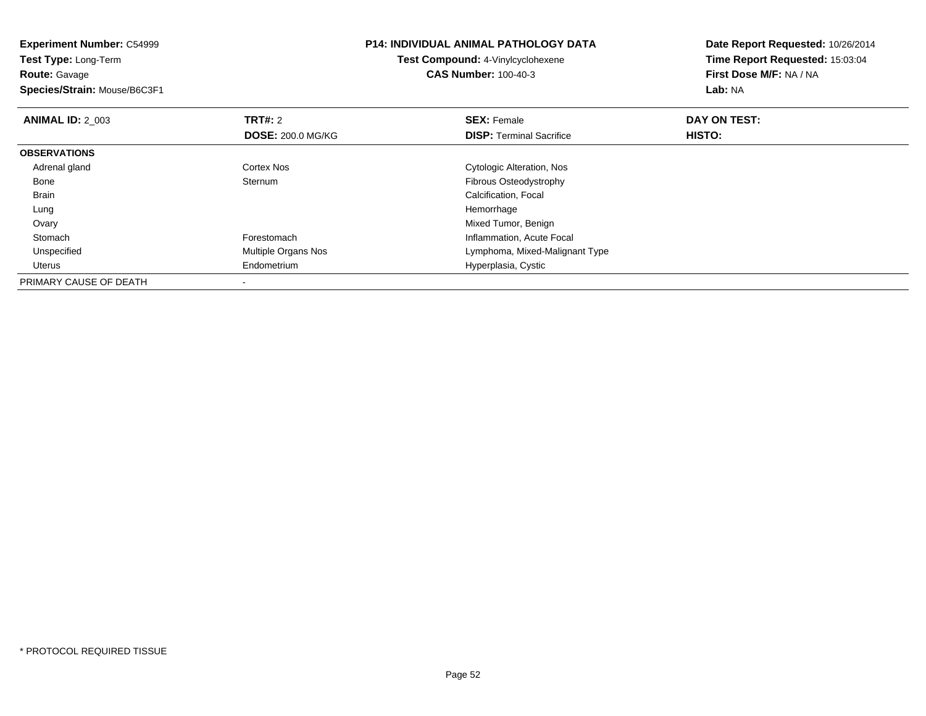| <b>Experiment Number: C54999</b><br><b>Test Type: Long-Term</b><br><b>Route: Gavage</b><br>Species/Strain: Mouse/B6C3F1 |                          | <b>P14: INDIVIDUAL ANIMAL PATHOLOGY DATA</b><br>Test Compound: 4-Vinylcyclohexene<br><b>CAS Number: 100-40-3</b> | Date Report Requested: 10/26/2014<br>Time Report Requested: 15:03:04<br>First Dose M/F: NA / NA<br>Lab: NA |
|-------------------------------------------------------------------------------------------------------------------------|--------------------------|------------------------------------------------------------------------------------------------------------------|------------------------------------------------------------------------------------------------------------|
| <b>ANIMAL ID: 2 003</b>                                                                                                 | <b>TRT#: 2</b>           | <b>SEX: Female</b>                                                                                               | DAY ON TEST:                                                                                               |
|                                                                                                                         | <b>DOSE: 200.0 MG/KG</b> | <b>DISP:</b> Terminal Sacrifice                                                                                  | <b>HISTO:</b>                                                                                              |
| <b>OBSERVATIONS</b>                                                                                                     |                          |                                                                                                                  |                                                                                                            |
| Adrenal gland                                                                                                           | Cortex Nos               | Cytologic Alteration, Nos                                                                                        |                                                                                                            |
| Bone                                                                                                                    | <b>Sternum</b>           | Fibrous Osteodystrophy                                                                                           |                                                                                                            |
| <b>Brain</b>                                                                                                            |                          | Calcification, Focal                                                                                             |                                                                                                            |
| Lung                                                                                                                    |                          | Hemorrhage                                                                                                       |                                                                                                            |
| Ovary                                                                                                                   |                          | Mixed Tumor, Benign                                                                                              |                                                                                                            |
| Stomach                                                                                                                 | Forestomach              | Inflammation, Acute Focal                                                                                        |                                                                                                            |
| Unspecified                                                                                                             | Multiple Organs Nos      | Lymphoma, Mixed-Malignant Type                                                                                   |                                                                                                            |
| Uterus                                                                                                                  | Endometrium              | Hyperplasia, Cystic                                                                                              |                                                                                                            |
| PRIMARY CAUSE OF DEATH                                                                                                  |                          |                                                                                                                  |                                                                                                            |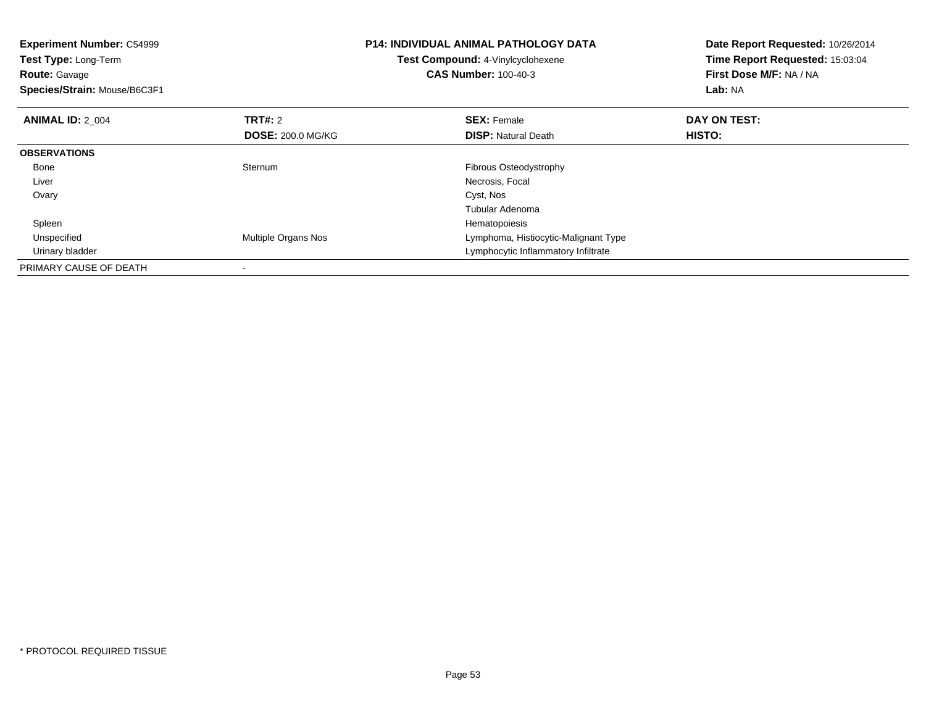| <b>Experiment Number: C54999</b><br>Test Type: Long-Term<br><b>Route:</b> Gavage<br>Species/Strain: Mouse/B6C3F1 |                          | <b>P14: INDIVIDUAL ANIMAL PATHOLOGY DATA</b><br>Test Compound: 4-Vinylcyclohexene<br><b>CAS Number: 100-40-3</b> | Date Report Requested: 10/26/2014<br>Time Report Requested: 15:03:04<br>First Dose M/F: NA / NA<br>Lab: NA |
|------------------------------------------------------------------------------------------------------------------|--------------------------|------------------------------------------------------------------------------------------------------------------|------------------------------------------------------------------------------------------------------------|
| <b>ANIMAL ID: 2 004</b>                                                                                          | <b>TRT#: 2</b>           | <b>SEX: Female</b>                                                                                               | DAY ON TEST:                                                                                               |
|                                                                                                                  | <b>DOSE: 200.0 MG/KG</b> | <b>DISP:</b> Natural Death                                                                                       | <b>HISTO:</b>                                                                                              |
| <b>OBSERVATIONS</b>                                                                                              |                          |                                                                                                                  |                                                                                                            |
| Bone                                                                                                             | Sternum                  | Fibrous Osteodystrophy                                                                                           |                                                                                                            |
| Liver                                                                                                            |                          | Necrosis, Focal                                                                                                  |                                                                                                            |
| Ovary                                                                                                            |                          | Cyst, Nos                                                                                                        |                                                                                                            |
|                                                                                                                  |                          | Tubular Adenoma                                                                                                  |                                                                                                            |
| Spleen                                                                                                           |                          | Hematopoiesis                                                                                                    |                                                                                                            |
| Unspecified                                                                                                      | Multiple Organs Nos      | Lymphoma, Histiocytic-Malignant Type                                                                             |                                                                                                            |
| Urinary bladder                                                                                                  |                          | Lymphocytic Inflammatory Infiltrate                                                                              |                                                                                                            |
| PRIMARY CAUSE OF DEATH                                                                                           |                          |                                                                                                                  |                                                                                                            |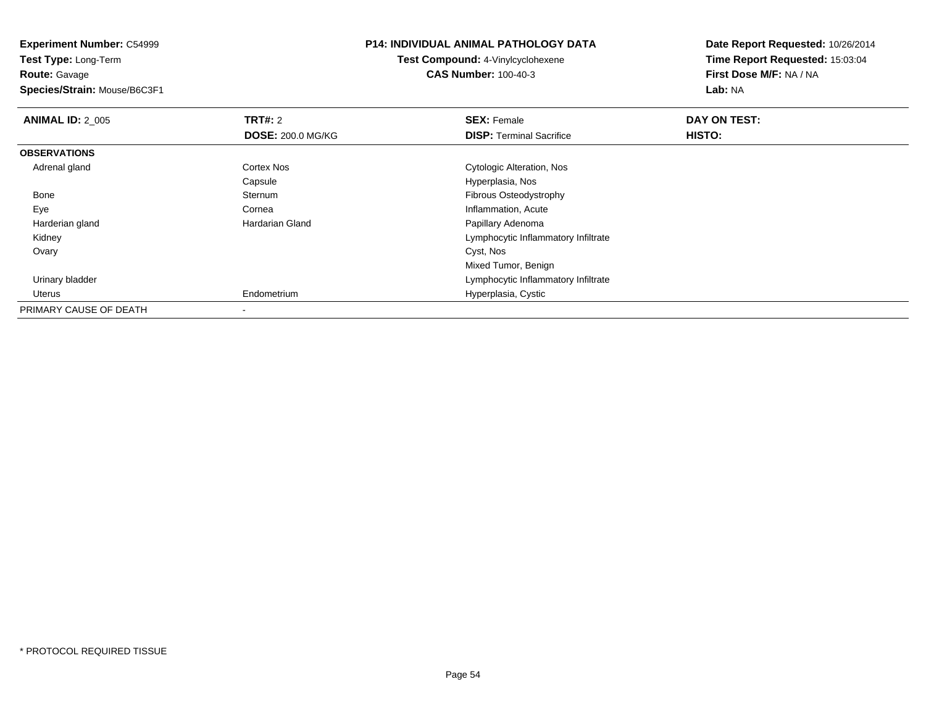**Experiment Number:** C54999**Test Type:** Long-Term**Route:** Gavage **Species/Strain:** Mouse/B6C3F1**P14: INDIVIDUAL ANIMAL PATHOLOGY DATATest Compound:** 4-Vinylcyclohexene**CAS Number:** 100-40-3**Date Report Requested:** 10/26/2014**Time Report Requested:** 15:03:04**First Dose M/F:** NA / NA**Lab:** NA**ANIMAL ID: 2 005 TRT#:** 2 **SEX:** Female **DAY ON TEST: DOSE:** 200.0 MG/KG**DISP:** Terminal Sacrifice **HISTO: OBSERVATIONS** Adrenal gland Cortex Nos Cytologic Alteration, Nos CapsuleCapsule **Capsule Capsulate Capsule**<br> **Hyperplasia, Nos**<br>
Fibrous Osteodys Bonee Sternum Sternum and the control of the control of the Fibrous Osteodystrophy<br>
Cornea and the control of the control of the control of the control of the control of the control of the control of the control of the control of the co EyeCornea **Inflammation, Acute**<br> **Inflammation, Acute**<br> **Inflammation, Acute**<br> **Inflammation, Acute**  Harderian glandPapillary Adenoma Kidney Lymphocytic Inflammatory Infiltrate Ovaryy and the control of the control of the control of the control of the control of the control of the control of the control of the control of the control of the control of the control of the control of the control of the co Mixed Tumor, Benignr the contraction of the contraction of the contraction of the contraction of the contraction of the contraction of  $\mathsf{Lymphocytic}$  inflammatory infiltrate Urinary bladder Uterus Endometrium Hyperplasia, Cystic PRIMARY CAUSE OF DEATH-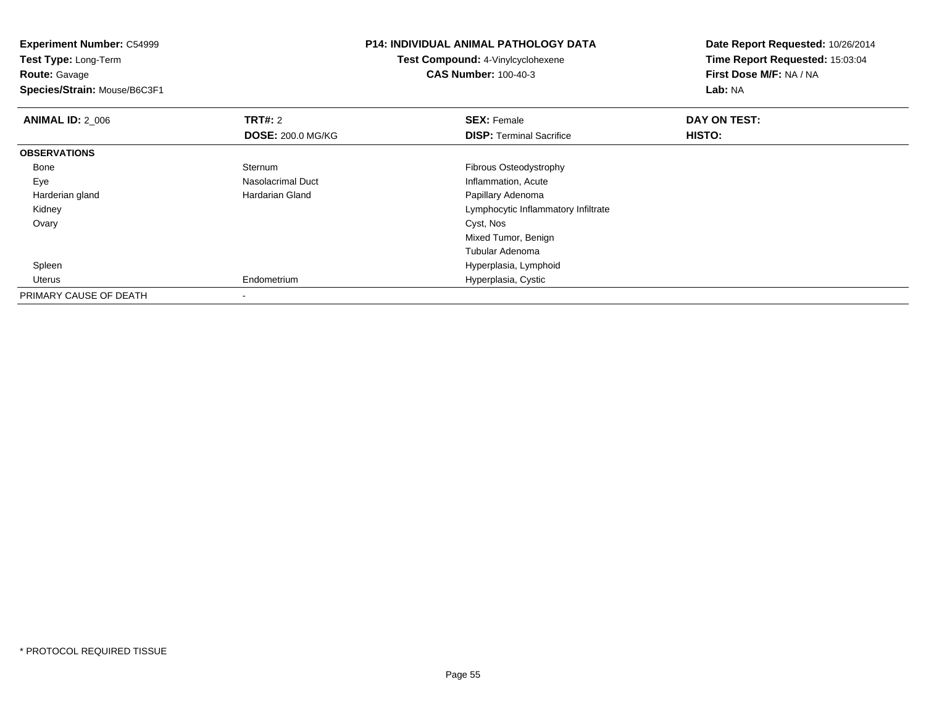| <b>Experiment Number: C54999</b><br>Test Type: Long-Term |                          | <b>P14: INDIVIDUAL ANIMAL PATHOLOGY DATA</b> | Date Report Requested: 10/26/2014 |
|----------------------------------------------------------|--------------------------|----------------------------------------------|-----------------------------------|
|                                                          |                          | <b>Test Compound: 4-Vinylcyclohexene</b>     | Time Report Requested: 15:03:04   |
| <b>Route: Gavage</b>                                     |                          | <b>CAS Number: 100-40-3</b>                  | First Dose M/F: NA / NA           |
| Species/Strain: Mouse/B6C3F1                             |                          |                                              | Lab: NA                           |
| <b>ANIMAL ID: 2_006</b>                                  | <b>TRT#: 2</b>           | <b>SEX: Female</b>                           | DAY ON TEST:                      |
|                                                          | <b>DOSE: 200.0 MG/KG</b> | <b>DISP:</b> Terminal Sacrifice              | HISTO:                            |
| <b>OBSERVATIONS</b>                                      |                          |                                              |                                   |
| Bone                                                     | Sternum                  | Fibrous Osteodystrophy                       |                                   |
| Eye                                                      | Nasolacrimal Duct        | Inflammation, Acute                          |                                   |
| Harderian gland                                          | Hardarian Gland          | Papillary Adenoma                            |                                   |
| Kidney                                                   |                          | Lymphocytic Inflammatory Infiltrate          |                                   |
| Ovary                                                    |                          | Cyst, Nos                                    |                                   |
|                                                          |                          | Mixed Tumor, Benign                          |                                   |
|                                                          |                          | Tubular Adenoma                              |                                   |
| Spleen                                                   |                          | Hyperplasia, Lymphoid                        |                                   |
| Uterus                                                   | Endometrium              | Hyperplasia, Cystic                          |                                   |
| PRIMARY CAUSE OF DEATH                                   |                          |                                              |                                   |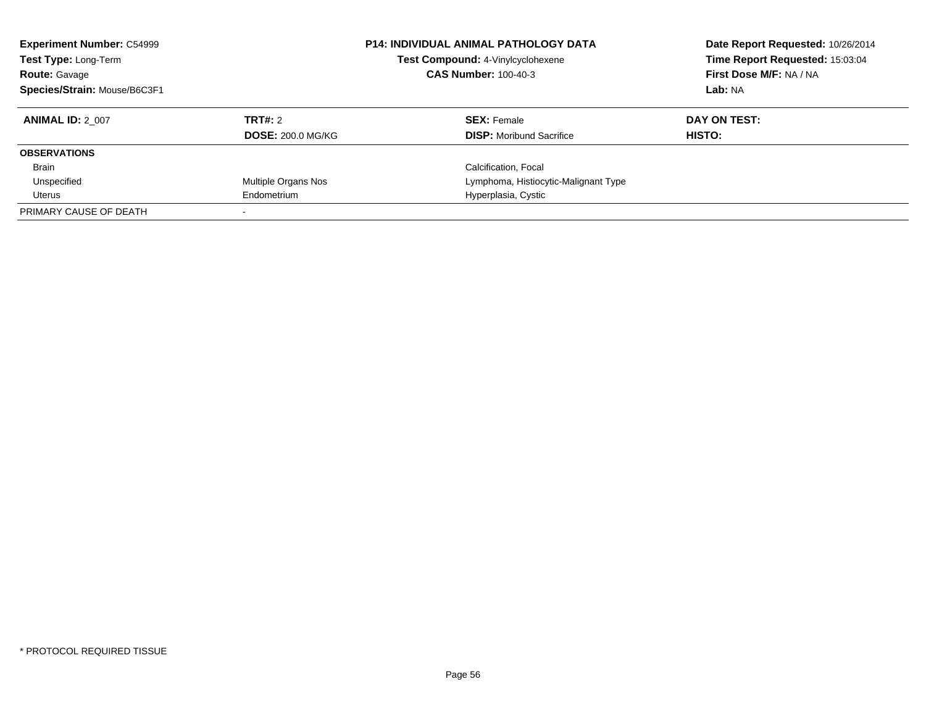| <b>Experiment Number: C54999</b><br>Test Type: Long-Term<br><b>Route: Gavage</b><br>Species/Strain: Mouse/B6C3F1 |                          | <b>P14: INDIVIDUAL ANIMAL PATHOLOGY DATA</b><br>Test Compound: 4-Vinylcyclohexene<br><b>CAS Number: 100-40-3</b> | Date Report Requested: 10/26/2014<br>Time Report Requested: 15:03:04<br>First Dose M/F: NA / NA<br>Lab: NA |
|------------------------------------------------------------------------------------------------------------------|--------------------------|------------------------------------------------------------------------------------------------------------------|------------------------------------------------------------------------------------------------------------|
| <b>ANIMAL ID: 2 007</b>                                                                                          | TRT#: 2                  | <b>SEX: Female</b>                                                                                               | DAY ON TEST:                                                                                               |
|                                                                                                                  | <b>DOSE: 200.0 MG/KG</b> | <b>DISP:</b> Moribund Sacrifice                                                                                  | HISTO:                                                                                                     |
| <b>OBSERVATIONS</b>                                                                                              |                          |                                                                                                                  |                                                                                                            |
| <b>Brain</b>                                                                                                     |                          | Calcification, Focal                                                                                             |                                                                                                            |
| Unspecified                                                                                                      | Multiple Organs Nos      | Lymphoma, Histiocytic-Malignant Type                                                                             |                                                                                                            |
| Uterus                                                                                                           | Endometrium              | Hyperplasia, Cystic                                                                                              |                                                                                                            |
| PRIMARY CAUSE OF DEATH                                                                                           |                          |                                                                                                                  |                                                                                                            |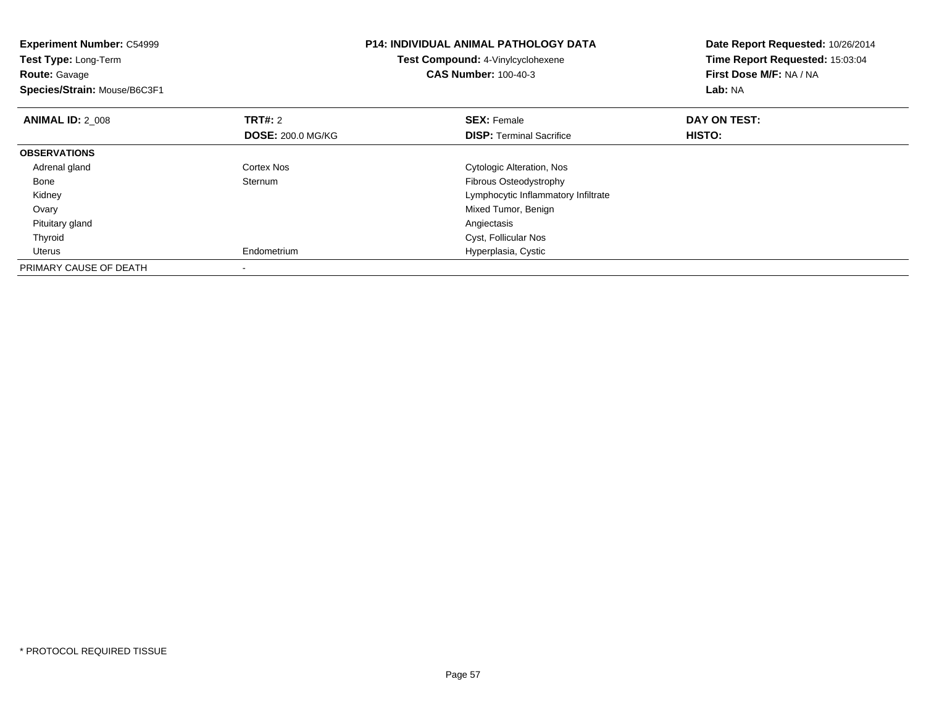| <b>Experiment Number: C54999</b><br><b>Test Type: Long-Term</b><br><b>Route: Gavage</b><br>Species/Strain: Mouse/B6C3F1 |                          | <b>P14: INDIVIDUAL ANIMAL PATHOLOGY DATA</b><br>Test Compound: 4-Vinylcyclohexene<br><b>CAS Number: 100-40-3</b> | Date Report Requested: 10/26/2014<br>Time Report Requested: 15:03:04<br>First Dose M/F: NA / NA<br>Lab: NA |
|-------------------------------------------------------------------------------------------------------------------------|--------------------------|------------------------------------------------------------------------------------------------------------------|------------------------------------------------------------------------------------------------------------|
| <b>ANIMAL ID: 2 008</b>                                                                                                 | <b>TRT#: 2</b>           | <b>SEX: Female</b>                                                                                               | DAY ON TEST:                                                                                               |
|                                                                                                                         | <b>DOSE: 200.0 MG/KG</b> | <b>DISP:</b> Terminal Sacrifice                                                                                  | HISTO:                                                                                                     |
| <b>OBSERVATIONS</b>                                                                                                     |                          |                                                                                                                  |                                                                                                            |
| Adrenal gland                                                                                                           | Cortex Nos               | <b>Cytologic Alteration, Nos</b>                                                                                 |                                                                                                            |
| Bone                                                                                                                    | Sternum                  | Fibrous Osteodystrophy                                                                                           |                                                                                                            |
| Kidney                                                                                                                  |                          | Lymphocytic Inflammatory Infiltrate                                                                              |                                                                                                            |
| Ovary                                                                                                                   |                          | Mixed Tumor, Benign                                                                                              |                                                                                                            |
| Pituitary gland                                                                                                         |                          | Angiectasis                                                                                                      |                                                                                                            |
| Thyroid                                                                                                                 |                          | Cyst, Follicular Nos                                                                                             |                                                                                                            |
| Uterus                                                                                                                  | Endometrium              | Hyperplasia, Cystic                                                                                              |                                                                                                            |
| PRIMARY CAUSE OF DEATH                                                                                                  |                          |                                                                                                                  |                                                                                                            |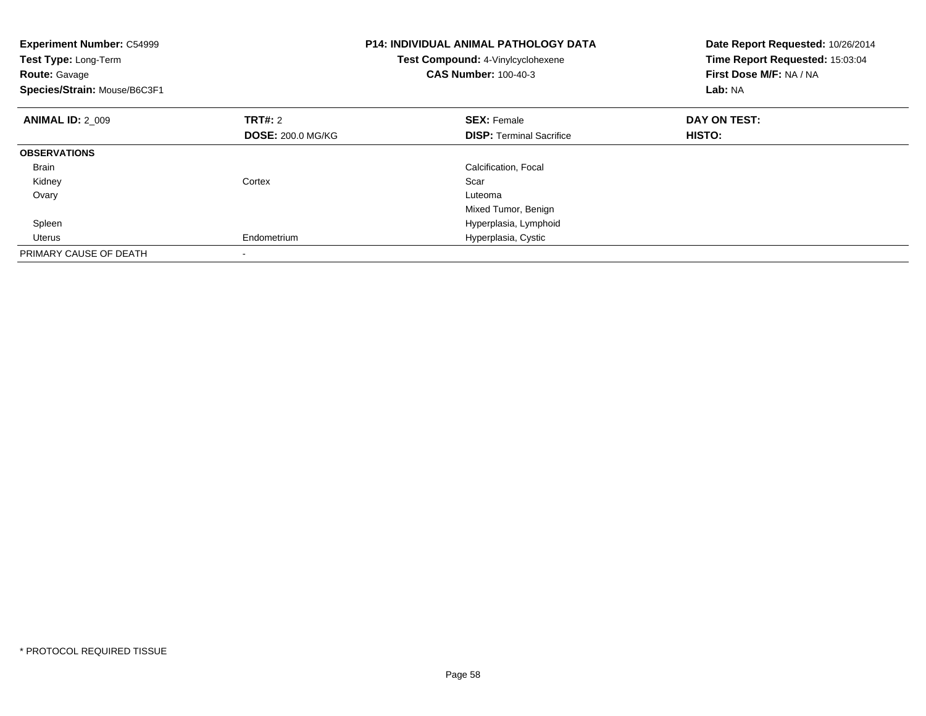| <b>Experiment Number: C54999</b><br>Test Type: Long-Term<br><b>Route: Gavage</b><br>Species/Strain: Mouse/B6C3F1 |                          | <b>P14: INDIVIDUAL ANIMAL PATHOLOGY DATA</b><br>Test Compound: 4-Vinylcyclohexene<br><b>CAS Number: 100-40-3</b> | Date Report Requested: 10/26/2014<br>Time Report Requested: 15:03:04<br>First Dose M/F: NA / NA<br>Lab: NA |
|------------------------------------------------------------------------------------------------------------------|--------------------------|------------------------------------------------------------------------------------------------------------------|------------------------------------------------------------------------------------------------------------|
| <b>ANIMAL ID: 2 009</b>                                                                                          | <b>TRT#: 2</b>           | <b>SEX: Female</b>                                                                                               | DAY ON TEST:                                                                                               |
|                                                                                                                  | <b>DOSE: 200.0 MG/KG</b> | <b>DISP:</b> Terminal Sacrifice                                                                                  | <b>HISTO:</b>                                                                                              |
| <b>OBSERVATIONS</b>                                                                                              |                          |                                                                                                                  |                                                                                                            |
| Brain                                                                                                            |                          | Calcification, Focal                                                                                             |                                                                                                            |
| Kidney                                                                                                           | Cortex                   | Scar                                                                                                             |                                                                                                            |
| Ovary                                                                                                            |                          | Luteoma                                                                                                          |                                                                                                            |
|                                                                                                                  |                          | Mixed Tumor, Benign                                                                                              |                                                                                                            |
| Spleen                                                                                                           |                          | Hyperplasia, Lymphoid                                                                                            |                                                                                                            |
| Uterus                                                                                                           | Endometrium              | Hyperplasia, Cystic                                                                                              |                                                                                                            |
| PRIMARY CAUSE OF DEATH                                                                                           |                          |                                                                                                                  |                                                                                                            |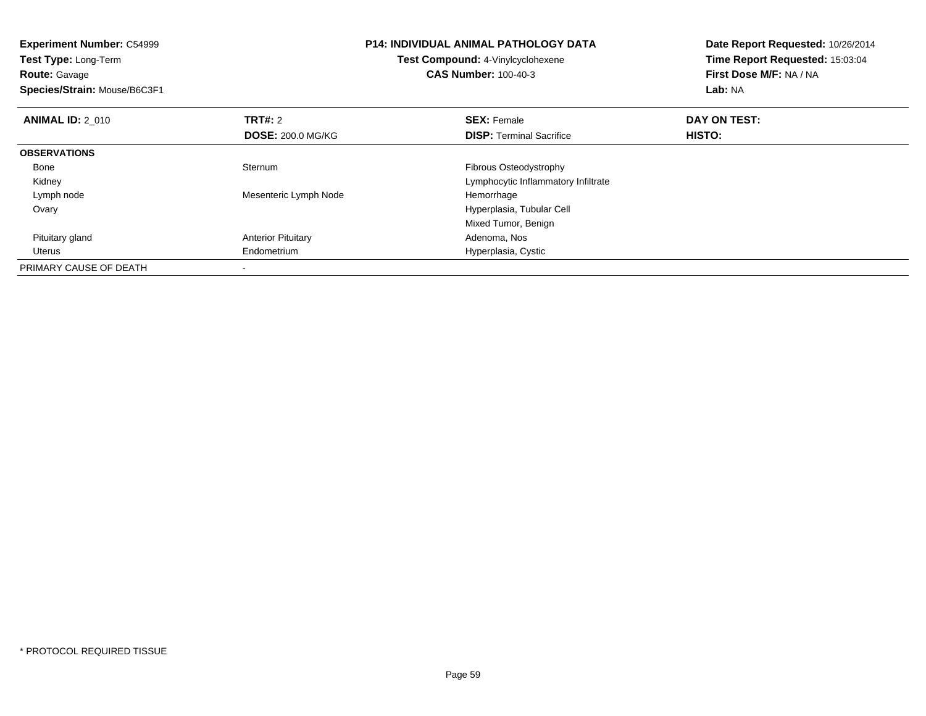| <b>Experiment Number: C54999</b><br>Test Type: Long-Term<br><b>Route:</b> Gavage<br>Species/Strain: Mouse/B6C3F1 |                           | <b>P14: INDIVIDUAL ANIMAL PATHOLOGY DATA</b><br>Test Compound: 4-Vinylcyclohexene<br><b>CAS Number: 100-40-3</b> | Date Report Requested: 10/26/2014<br>Time Report Requested: 15:03:04<br>First Dose M/F: NA / NA<br>Lab: NA |
|------------------------------------------------------------------------------------------------------------------|---------------------------|------------------------------------------------------------------------------------------------------------------|------------------------------------------------------------------------------------------------------------|
| <b>ANIMAL ID: 2 010</b>                                                                                          | <b>TRT#: 2</b>            | <b>SEX: Female</b>                                                                                               | DAY ON TEST:                                                                                               |
|                                                                                                                  | <b>DOSE: 200.0 MG/KG</b>  | <b>DISP:</b> Terminal Sacrifice                                                                                  | HISTO:                                                                                                     |
| <b>OBSERVATIONS</b>                                                                                              |                           |                                                                                                                  |                                                                                                            |
| Bone                                                                                                             | Sternum                   | Fibrous Osteodystrophy                                                                                           |                                                                                                            |
| Kidney                                                                                                           |                           | Lymphocytic Inflammatory Infiltrate                                                                              |                                                                                                            |
| Lymph node                                                                                                       | Mesenteric Lymph Node     | Hemorrhage                                                                                                       |                                                                                                            |
| Ovary                                                                                                            |                           | Hyperplasia, Tubular Cell                                                                                        |                                                                                                            |
|                                                                                                                  |                           | Mixed Tumor, Benign                                                                                              |                                                                                                            |
| Pituitary gland                                                                                                  | <b>Anterior Pituitary</b> | Adenoma, Nos                                                                                                     |                                                                                                            |
| Uterus                                                                                                           | Endometrium               | Hyperplasia, Cystic                                                                                              |                                                                                                            |
| PRIMARY CAUSE OF DEATH                                                                                           |                           |                                                                                                                  |                                                                                                            |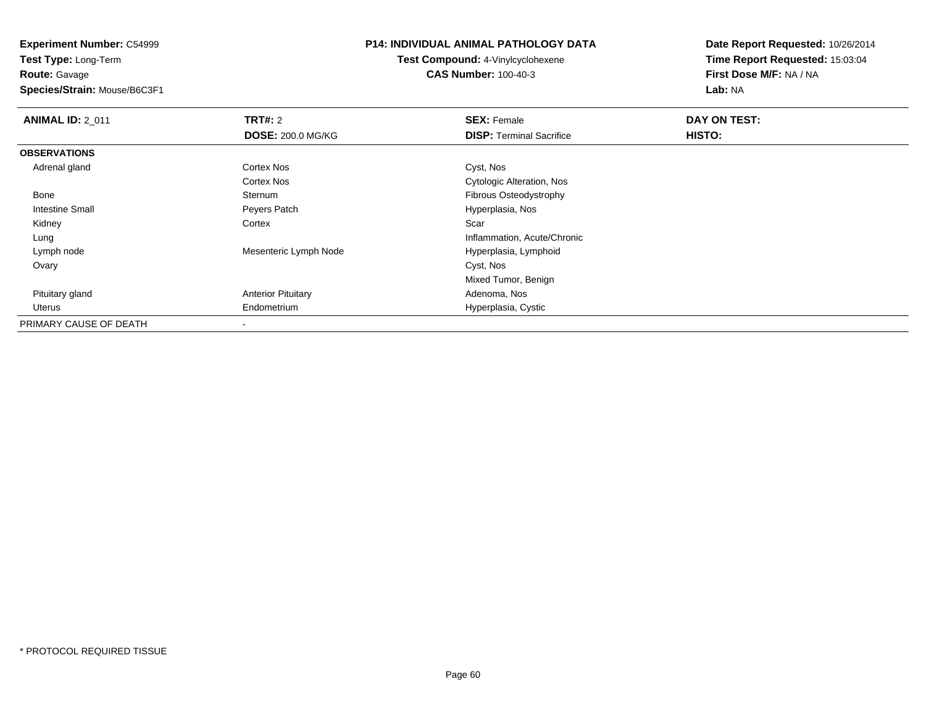**Experiment Number:** C54999**Test Type:** Long-Term

**Route:** Gavage

**Species/Strain:** Mouse/B6C3F1

#### **P14: INDIVIDUAL ANIMAL PATHOLOGY DATA**

**Test Compound:** 4-Vinylcyclohexene**CAS Number:** 100-40-3

| <b>ANIMAL ID: 2_011</b> | <b>TRT#: 2</b>            | <b>SEX: Female</b>               | DAY ON TEST: |  |
|-------------------------|---------------------------|----------------------------------|--------------|--|
|                         | <b>DOSE: 200.0 MG/KG</b>  | <b>DISP:</b> Terminal Sacrifice  | HISTO:       |  |
| <b>OBSERVATIONS</b>     |                           |                                  |              |  |
| Adrenal gland           | Cortex Nos                | Cyst, Nos                        |              |  |
|                         | <b>Cortex Nos</b>         | <b>Cytologic Alteration, Nos</b> |              |  |
| Bone                    | Sternum                   | Fibrous Osteodystrophy           |              |  |
| Intestine Small         | Peyers Patch              | Hyperplasia, Nos                 |              |  |
| Kidney                  | Cortex                    | Scar                             |              |  |
| Lung                    |                           | Inflammation, Acute/Chronic      |              |  |
| Lymph node              | Mesenteric Lymph Node     | Hyperplasia, Lymphoid            |              |  |
| Ovary                   |                           | Cyst, Nos                        |              |  |
|                         |                           | Mixed Tumor, Benign              |              |  |
| Pituitary gland         | <b>Anterior Pituitary</b> | Adenoma, Nos                     |              |  |
| Uterus                  | Endometrium               | Hyperplasia, Cystic              |              |  |
| PRIMARY CAUSE OF DEATH  |                           |                                  |              |  |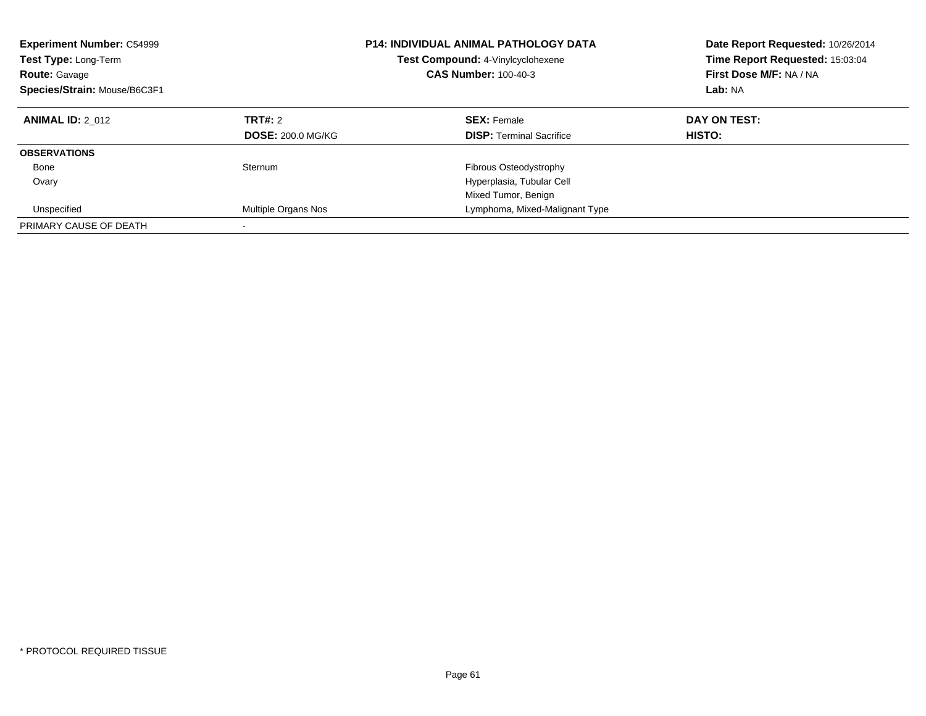| <b>Experiment Number: C54999</b><br><b>Test Type: Long-Term</b><br><b>Route: Gavage</b><br>Species/Strain: Mouse/B6C3F1 |                                     | <b>P14: INDIVIDUAL ANIMAL PATHOLOGY DATA</b><br>Test Compound: 4-Vinylcyclohexene<br><b>CAS Number: 100-40-3</b> | Date Report Requested: 10/26/2014<br>Time Report Requested: 15:03:04<br>First Dose M/F: NA / NA<br>Lab: NA |
|-------------------------------------------------------------------------------------------------------------------------|-------------------------------------|------------------------------------------------------------------------------------------------------------------|------------------------------------------------------------------------------------------------------------|
| <b>ANIMAL ID: 2 012</b>                                                                                                 | TRT#: 2<br><b>DOSE: 200.0 MG/KG</b> | <b>SEX: Female</b><br><b>DISP:</b> Terminal Sacrifice                                                            | DAY ON TEST:<br>HISTO:                                                                                     |
| <b>OBSERVATIONS</b>                                                                                                     |                                     |                                                                                                                  |                                                                                                            |
| Bone                                                                                                                    | Sternum                             | Fibrous Osteodystrophy                                                                                           |                                                                                                            |
| Ovary                                                                                                                   |                                     | Hyperplasia, Tubular Cell                                                                                        |                                                                                                            |
|                                                                                                                         |                                     | Mixed Tumor, Benign                                                                                              |                                                                                                            |
| Unspecified                                                                                                             | Multiple Organs Nos                 | Lymphoma, Mixed-Malignant Type                                                                                   |                                                                                                            |
| PRIMARY CAUSE OF DEATH                                                                                                  |                                     |                                                                                                                  |                                                                                                            |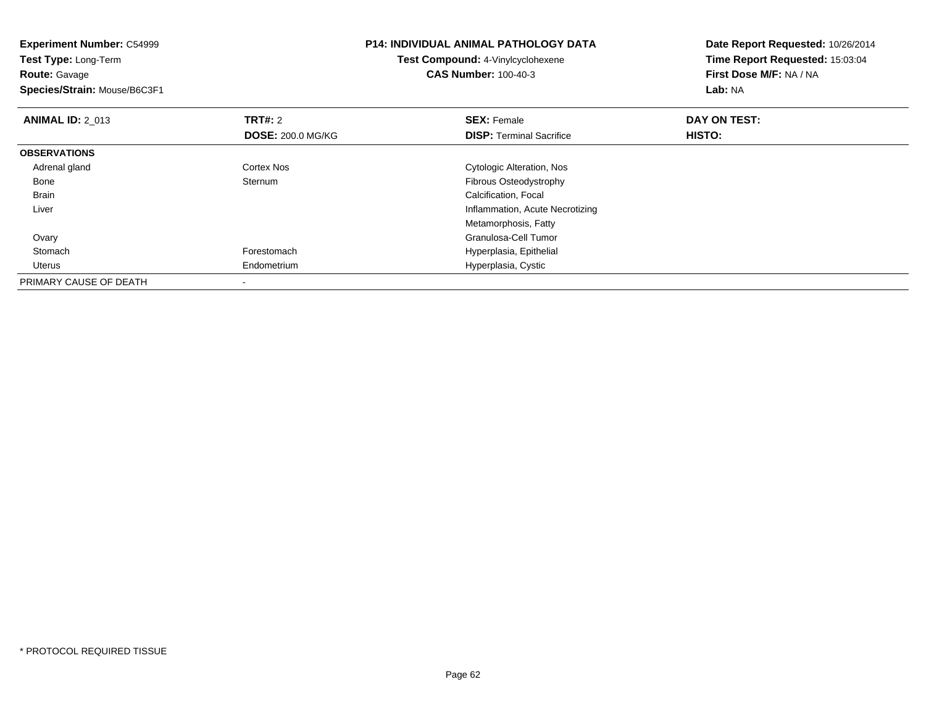| <b>Experiment Number: C54999</b><br>Test Type: Long-Term<br><b>Route: Gavage</b><br>Species/Strain: Mouse/B6C3F1 |                          | <b>P14: INDIVIDUAL ANIMAL PATHOLOGY DATA</b><br>Test Compound: 4-Vinylcyclohexene<br><b>CAS Number: 100-40-3</b> | Date Report Requested: 10/26/2014<br>Time Report Requested: 15:03:04<br>First Dose M/F: NA / NA<br>Lab: NA |
|------------------------------------------------------------------------------------------------------------------|--------------------------|------------------------------------------------------------------------------------------------------------------|------------------------------------------------------------------------------------------------------------|
| <b>ANIMAL ID: 2 013</b>                                                                                          | <b>TRT#: 2</b>           | <b>SEX: Female</b>                                                                                               | DAY ON TEST:                                                                                               |
|                                                                                                                  | <b>DOSE: 200.0 MG/KG</b> | <b>DISP:</b> Terminal Sacrifice                                                                                  | <b>HISTO:</b>                                                                                              |
| <b>OBSERVATIONS</b>                                                                                              |                          |                                                                                                                  |                                                                                                            |
| Adrenal gland                                                                                                    | <b>Cortex Nos</b>        | Cytologic Alteration, Nos                                                                                        |                                                                                                            |
| Bone                                                                                                             | Sternum                  | Fibrous Osteodystrophy                                                                                           |                                                                                                            |
| Brain                                                                                                            |                          | Calcification, Focal                                                                                             |                                                                                                            |
| Liver                                                                                                            |                          | Inflammation, Acute Necrotizing                                                                                  |                                                                                                            |
|                                                                                                                  |                          | Metamorphosis, Fatty                                                                                             |                                                                                                            |
| Ovary                                                                                                            |                          | Granulosa-Cell Tumor                                                                                             |                                                                                                            |
| Stomach                                                                                                          | Forestomach              | Hyperplasia, Epithelial                                                                                          |                                                                                                            |
| Uterus                                                                                                           | Endometrium              | Hyperplasia, Cystic                                                                                              |                                                                                                            |
| PRIMARY CAUSE OF DEATH                                                                                           |                          |                                                                                                                  |                                                                                                            |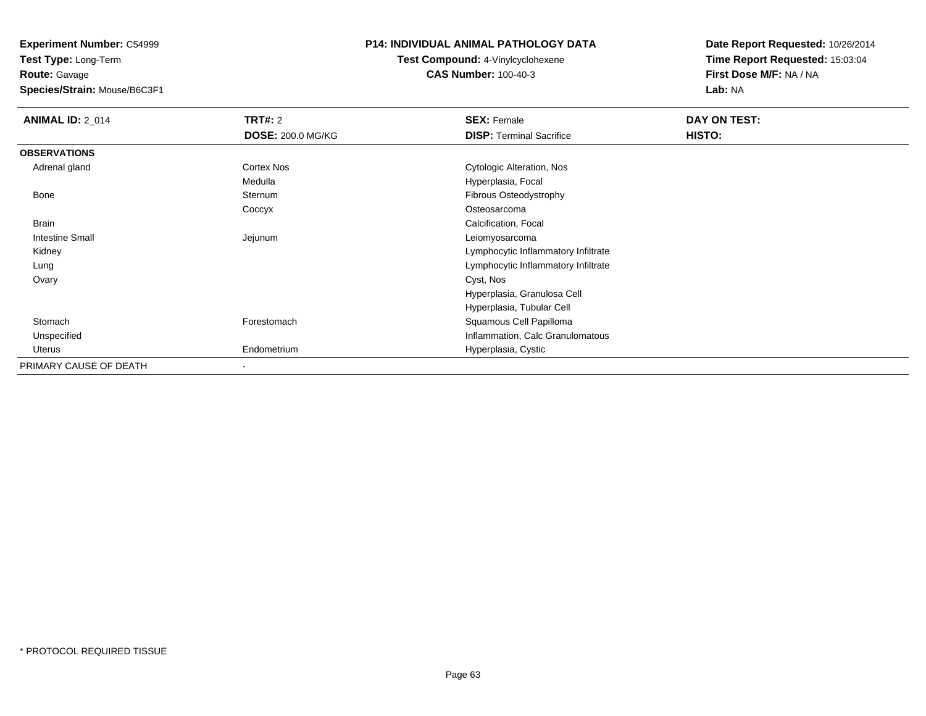**Experiment Number:** C54999

**Test Type:** Long-Term**Route:** Gavage

**Species/Strain:** Mouse/B6C3F1

# **P14: INDIVIDUAL ANIMAL PATHOLOGY DATA**

**Test Compound:** 4-Vinylcyclohexene**CAS Number:** 100-40-3

| <b>ANIMAL ID: 2_014</b> | <b>TRT#: 2</b>           | <b>SEX: Female</b>                  | DAY ON TEST: |  |
|-------------------------|--------------------------|-------------------------------------|--------------|--|
|                         | <b>DOSE: 200.0 MG/KG</b> | <b>DISP:</b> Terminal Sacrifice     | HISTO:       |  |
| <b>OBSERVATIONS</b>     |                          |                                     |              |  |
| Adrenal gland           | Cortex Nos               | Cytologic Alteration, Nos           |              |  |
|                         | Medulla                  | Hyperplasia, Focal                  |              |  |
| Bone                    | Sternum                  | Fibrous Osteodystrophy              |              |  |
|                         | Coccyx                   | Osteosarcoma                        |              |  |
| <b>Brain</b>            |                          | Calcification, Focal                |              |  |
| <b>Intestine Small</b>  | Jejunum                  | Leiomyosarcoma                      |              |  |
| Kidney                  |                          | Lymphocytic Inflammatory Infiltrate |              |  |
| Lung                    |                          | Lymphocytic Inflammatory Infiltrate |              |  |
| Ovary                   |                          | Cyst, Nos                           |              |  |
|                         |                          | Hyperplasia, Granulosa Cell         |              |  |
|                         |                          | Hyperplasia, Tubular Cell           |              |  |
| Stomach                 | Forestomach              | Squamous Cell Papilloma             |              |  |
| Unspecified             |                          | Inflammation, Calc Granulomatous    |              |  |
| Uterus                  | Endometrium              | Hyperplasia, Cystic                 |              |  |
| PRIMARY CAUSE OF DEATH  | -                        |                                     |              |  |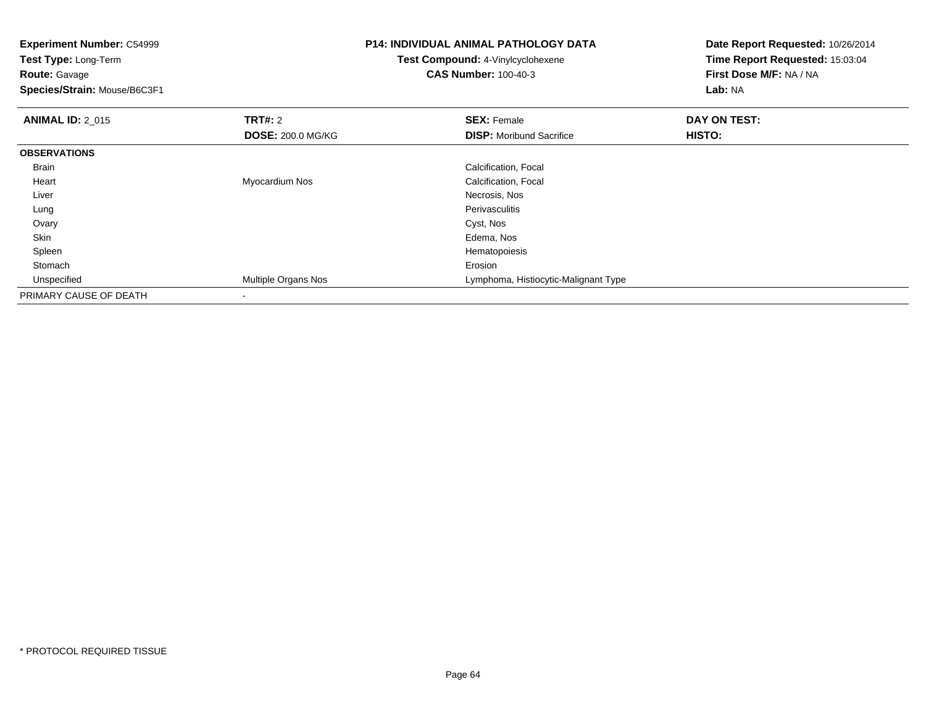| <b>Experiment Number: C54999</b><br>Test Type: Long-Term<br><b>Route: Gavage</b><br>Species/Strain: Mouse/B6C3F1 |                                            | <b>P14: INDIVIDUAL ANIMAL PATHOLOGY DATA</b><br><b>Test Compound: 4-Vinylcyclohexene</b><br><b>CAS Number: 100-40-3</b> | Date Report Requested: 10/26/2014<br>Time Report Requested: 15:03:04<br>First Dose M/F: NA / NA<br>Lab: NA |  |
|------------------------------------------------------------------------------------------------------------------|--------------------------------------------|-------------------------------------------------------------------------------------------------------------------------|------------------------------------------------------------------------------------------------------------|--|
| <b>ANIMAL ID: 2 015</b>                                                                                          | <b>TRT#: 2</b><br><b>DOSE: 200.0 MG/KG</b> | <b>SEX: Female</b><br><b>DISP:</b> Moribund Sacrifice                                                                   | DAY ON TEST:<br><b>HISTO:</b>                                                                              |  |
| <b>OBSERVATIONS</b>                                                                                              |                                            |                                                                                                                         |                                                                                                            |  |
| <b>Brain</b>                                                                                                     |                                            | Calcification, Focal                                                                                                    |                                                                                                            |  |
| Heart                                                                                                            | Myocardium Nos                             | Calcification, Focal                                                                                                    |                                                                                                            |  |
| Liver                                                                                                            |                                            | Necrosis, Nos                                                                                                           |                                                                                                            |  |
| Lung                                                                                                             |                                            | Perivasculitis                                                                                                          |                                                                                                            |  |
| Ovary                                                                                                            |                                            | Cyst, Nos                                                                                                               |                                                                                                            |  |
| Skin                                                                                                             |                                            | Edema, Nos                                                                                                              |                                                                                                            |  |
| Spleen                                                                                                           |                                            | Hematopoiesis                                                                                                           |                                                                                                            |  |
| Stomach                                                                                                          |                                            | Erosion                                                                                                                 |                                                                                                            |  |
| Unspecified                                                                                                      | Multiple Organs Nos                        | Lymphoma, Histiocytic-Malignant Type                                                                                    |                                                                                                            |  |
| PRIMARY CAUSE OF DEATH                                                                                           |                                            |                                                                                                                         |                                                                                                            |  |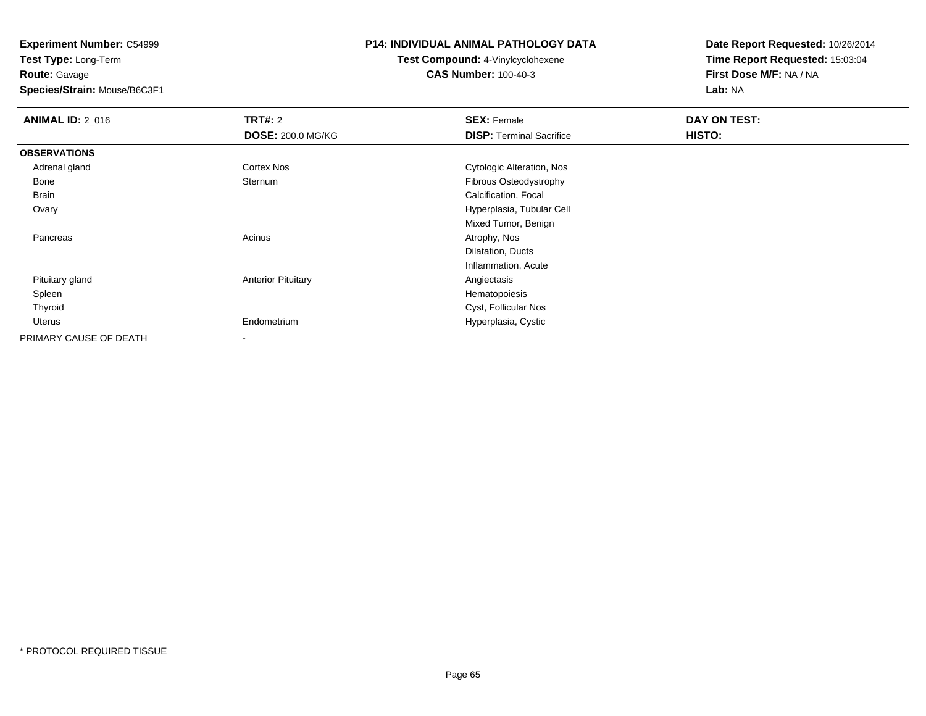**Experiment Number:** C54999**Test Type:** Long-Term

**Route:** Gavage

**Species/Strain:** Mouse/B6C3F1

# **P14: INDIVIDUAL ANIMAL PATHOLOGY DATA**

# **Test Compound:** 4-Vinylcyclohexene**CAS Number:** 100-40-3

| <b>ANIMAL ID: 2_016</b> | TRT#: 2                   | <b>SEX: Female</b>              | DAY ON TEST: |  |
|-------------------------|---------------------------|---------------------------------|--------------|--|
|                         | <b>DOSE: 200.0 MG/KG</b>  | <b>DISP: Terminal Sacrifice</b> | HISTO:       |  |
| <b>OBSERVATIONS</b>     |                           |                                 |              |  |
| Adrenal gland           | <b>Cortex Nos</b>         | Cytologic Alteration, Nos       |              |  |
| Bone                    | Sternum                   | Fibrous Osteodystrophy          |              |  |
| Brain                   |                           | Calcification, Focal            |              |  |
| Ovary                   |                           | Hyperplasia, Tubular Cell       |              |  |
|                         |                           | Mixed Tumor, Benign             |              |  |
| Pancreas                | Acinus                    | Atrophy, Nos                    |              |  |
|                         |                           | Dilatation, Ducts               |              |  |
|                         |                           | Inflammation, Acute             |              |  |
| Pituitary gland         | <b>Anterior Pituitary</b> | Angiectasis                     |              |  |
| Spleen                  |                           | Hematopoiesis                   |              |  |
| Thyroid                 |                           | Cyst, Follicular Nos            |              |  |
| Uterus                  | Endometrium               | Hyperplasia, Cystic             |              |  |
| PRIMARY CAUSE OF DEATH  | $\overline{\phantom{a}}$  |                                 |              |  |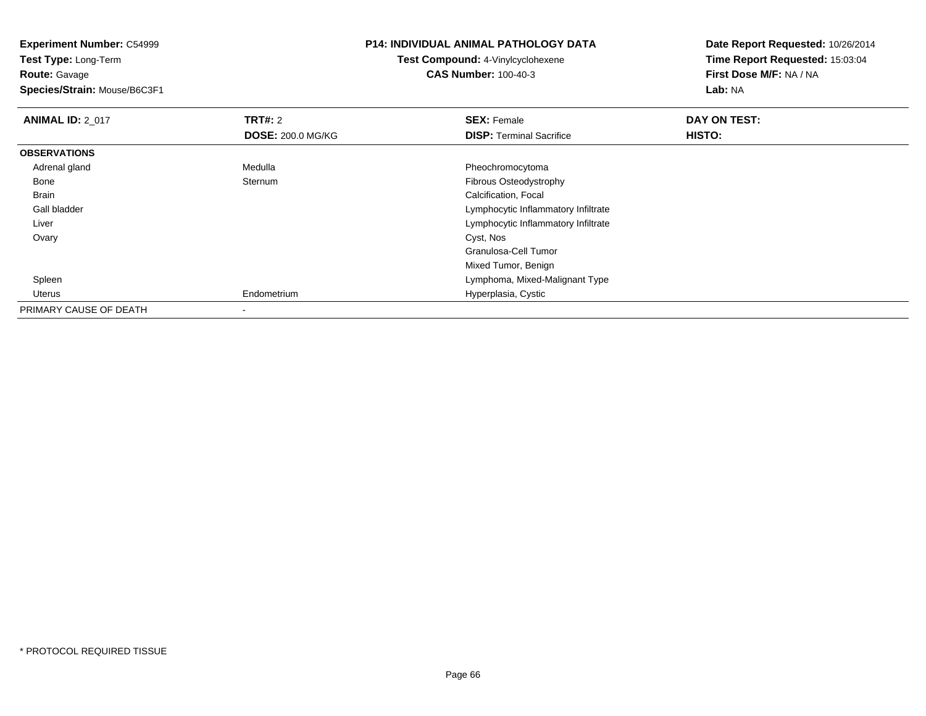**Experiment Number:** C54999**Test Type:** Long-Term**Route:** Gavage **Species/Strain:** Mouse/B6C3F1**P14: INDIVIDUAL ANIMAL PATHOLOGY DATATest Compound:** 4-Vinylcyclohexene**CAS Number:** 100-40-3**Date Report Requested:** 10/26/2014**Time Report Requested:** 15:03:04**First Dose M/F:** NA / NA**Lab:** NA**ANIMAL ID: 2 017 TRT#:** <sup>2</sup> **SEX:** Female **DAY ON TEST: DOSE:** 200.0 MG/KG**DISP:** Terminal Sacrifice **HISTO: OBSERVATIONS** Adrenal glandMedulla **Medulla** Pheochromocytoma<br>Sternum **Pheochromocytoma**<br>Pibrous Osteodystroj Bonee Sternum Fibrous Osteodystrophy Brain Calcification, Focal Gall bladder Lymphocytic Inflammatory Infiltrate Lymphocytic Inflammatory Infiltrate Liver Ovaryy and the control of the control of the control of the control of the control of the control of the control of the control of the control of the control of the control of the control of the control of the control of the co Granulosa-Cell TumorMixed Tumor, Benign Lymphoma, Mixed-Malignant Type Spleen Uterus Endometrium Hyperplasia, Cystic PRIMARY CAUSE OF DEATH-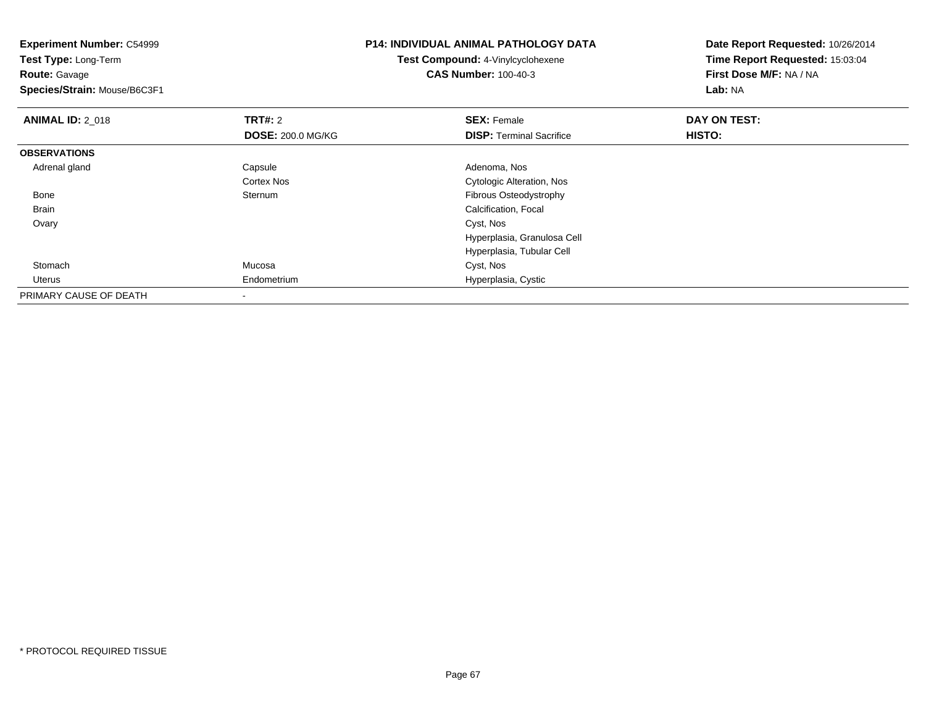| <b>Experiment Number: C54999</b><br>Test Type: Long-Term<br><b>Route: Gavage</b><br>Species/Strain: Mouse/B6C3F1 |                          | <b>P14: INDIVIDUAL ANIMAL PATHOLOGY DATA</b><br><b>Test Compound: 4-Vinylcyclohexene</b><br><b>CAS Number: 100-40-3</b> | Date Report Requested: 10/26/2014<br>Time Report Requested: 15:03:04<br>First Dose M/F: NA / NA<br>Lab: NA |  |
|------------------------------------------------------------------------------------------------------------------|--------------------------|-------------------------------------------------------------------------------------------------------------------------|------------------------------------------------------------------------------------------------------------|--|
| <b>ANIMAL ID: 2_018</b>                                                                                          | <b>TRT#:</b> 2           | <b>SEX: Female</b>                                                                                                      | DAY ON TEST:                                                                                               |  |
|                                                                                                                  | <b>DOSE: 200.0 MG/KG</b> | <b>DISP:</b> Terminal Sacrifice                                                                                         | <b>HISTO:</b>                                                                                              |  |
| <b>OBSERVATIONS</b>                                                                                              |                          |                                                                                                                         |                                                                                                            |  |
| Adrenal gland                                                                                                    | Capsule                  | Adenoma, Nos                                                                                                            |                                                                                                            |  |
|                                                                                                                  | Cortex Nos               | Cytologic Alteration, Nos                                                                                               |                                                                                                            |  |
| Bone                                                                                                             | Sternum                  | Fibrous Osteodystrophy                                                                                                  |                                                                                                            |  |
| Brain                                                                                                            |                          | Calcification, Focal                                                                                                    |                                                                                                            |  |
| Ovary                                                                                                            |                          | Cyst, Nos                                                                                                               |                                                                                                            |  |
|                                                                                                                  |                          | Hyperplasia, Granulosa Cell                                                                                             |                                                                                                            |  |
|                                                                                                                  |                          | Hyperplasia, Tubular Cell                                                                                               |                                                                                                            |  |
| Stomach                                                                                                          | Mucosa                   | Cyst, Nos                                                                                                               |                                                                                                            |  |
| Uterus                                                                                                           | Endometrium              | Hyperplasia, Cystic                                                                                                     |                                                                                                            |  |
| PRIMARY CAUSE OF DEATH                                                                                           | $\,$                     |                                                                                                                         |                                                                                                            |  |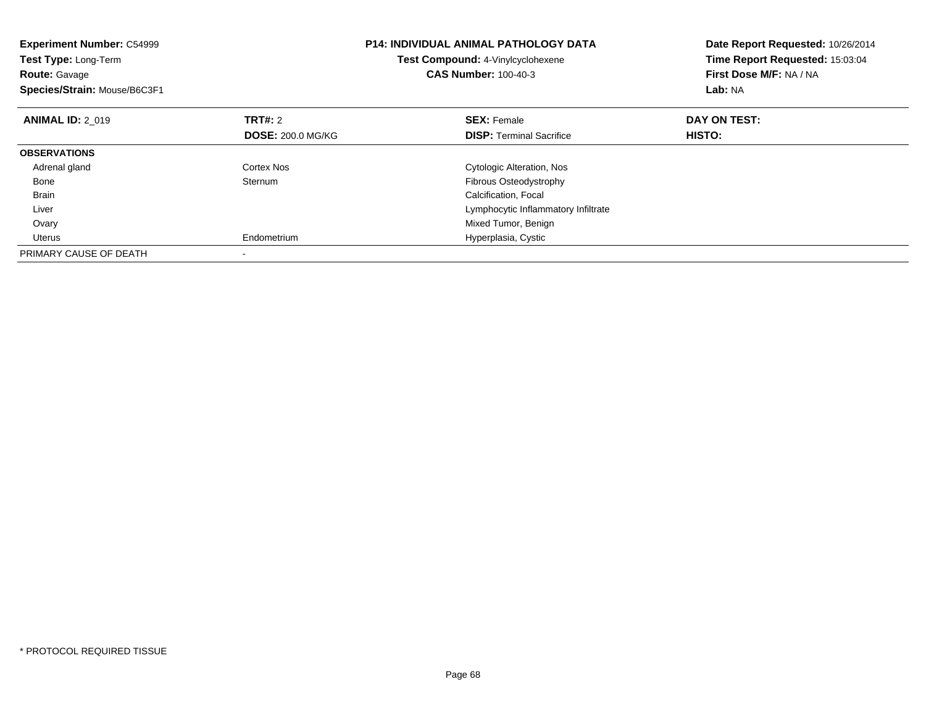| <b>Experiment Number: C54999</b><br>Test Type: Long-Term<br><b>Route: Gavage</b><br>Species/Strain: Mouse/B6C3F1 |                          | <b>P14: INDIVIDUAL ANIMAL PATHOLOGY DATA</b><br>Test Compound: 4-Vinylcyclohexene<br><b>CAS Number: 100-40-3</b> | Date Report Requested: 10/26/2014<br>Time Report Requested: 15:03:04<br>First Dose M/F: NA / NA<br>Lab: NA |
|------------------------------------------------------------------------------------------------------------------|--------------------------|------------------------------------------------------------------------------------------------------------------|------------------------------------------------------------------------------------------------------------|
| <b>ANIMAL ID: 2 019</b>                                                                                          | TRT#: 2                  | <b>SEX: Female</b>                                                                                               | DAY ON TEST:                                                                                               |
|                                                                                                                  | <b>DOSE: 200.0 MG/KG</b> | <b>DISP:</b> Terminal Sacrifice                                                                                  | HISTO:                                                                                                     |
| <b>OBSERVATIONS</b>                                                                                              |                          |                                                                                                                  |                                                                                                            |
| Adrenal gland                                                                                                    | Cortex Nos               | Cytologic Alteration, Nos                                                                                        |                                                                                                            |
| Bone                                                                                                             | Sternum                  | <b>Fibrous Osteodystrophy</b>                                                                                    |                                                                                                            |
| <b>Brain</b>                                                                                                     |                          | Calcification, Focal                                                                                             |                                                                                                            |
| Liver                                                                                                            |                          | Lymphocytic Inflammatory Infiltrate                                                                              |                                                                                                            |
| Ovary                                                                                                            |                          | Mixed Tumor, Benign                                                                                              |                                                                                                            |
| Uterus                                                                                                           | Endometrium              | Hyperplasia, Cystic                                                                                              |                                                                                                            |
| PRIMARY CAUSE OF DEATH                                                                                           |                          |                                                                                                                  |                                                                                                            |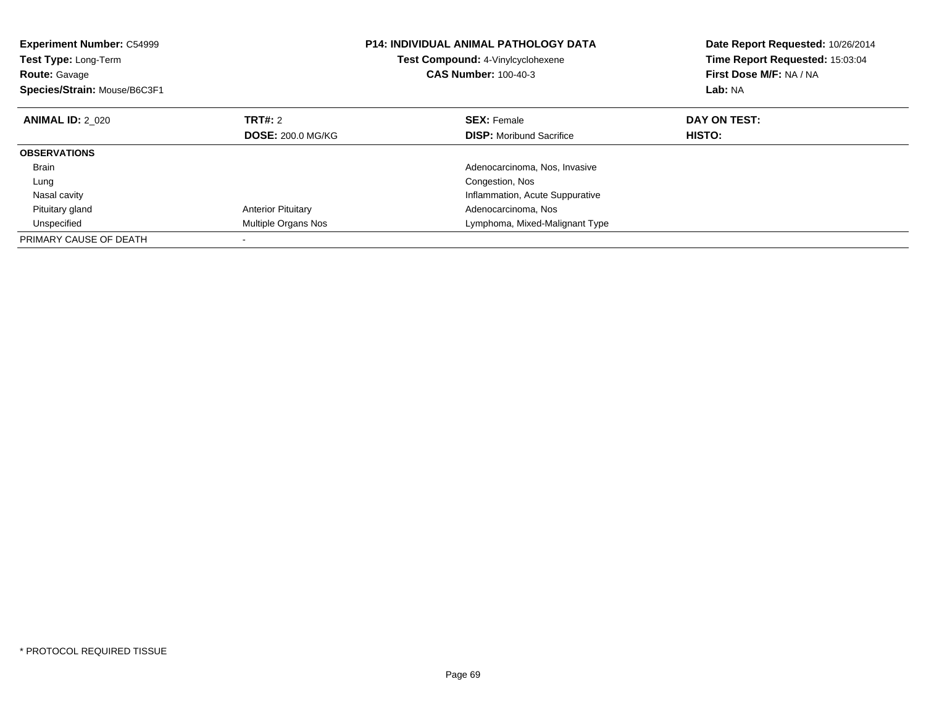| <b>Experiment Number: C54999</b><br>Test Type: Long-Term<br><b>Route: Gavage</b><br>Species/Strain: Mouse/B6C3F1 |                           | <b>P14: INDIVIDUAL ANIMAL PATHOLOGY DATA</b><br>Test Compound: 4-Vinylcyclohexene<br><b>CAS Number: 100-40-3</b> |                                 | Date Report Requested: 10/26/2014<br>Time Report Requested: 15:03:04<br>First Dose M/F: NA / NA<br>Lab: NA |  |
|------------------------------------------------------------------------------------------------------------------|---------------------------|------------------------------------------------------------------------------------------------------------------|---------------------------------|------------------------------------------------------------------------------------------------------------|--|
| <b>ANIMAL ID: 2 020</b>                                                                                          | TRT#: 2                   |                                                                                                                  | <b>SEX:</b> Female              | DAY ON TEST:                                                                                               |  |
|                                                                                                                  | <b>DOSE: 200.0 MG/KG</b>  |                                                                                                                  | <b>DISP:</b> Moribund Sacrifice | HISTO:                                                                                                     |  |
| <b>OBSERVATIONS</b>                                                                                              |                           |                                                                                                                  |                                 |                                                                                                            |  |
| <b>Brain</b>                                                                                                     |                           |                                                                                                                  | Adenocarcinoma, Nos, Invasive   |                                                                                                            |  |
| Lung                                                                                                             |                           |                                                                                                                  | Congestion, Nos                 |                                                                                                            |  |
| Nasal cavity                                                                                                     |                           |                                                                                                                  | Inflammation, Acute Suppurative |                                                                                                            |  |
| Pituitary gland                                                                                                  | <b>Anterior Pituitary</b> |                                                                                                                  | Adenocarcinoma, Nos             |                                                                                                            |  |
| Unspecified                                                                                                      | Multiple Organs Nos       |                                                                                                                  | Lymphoma, Mixed-Malignant Type  |                                                                                                            |  |
| PRIMARY CAUSE OF DEATH                                                                                           |                           |                                                                                                                  |                                 |                                                                                                            |  |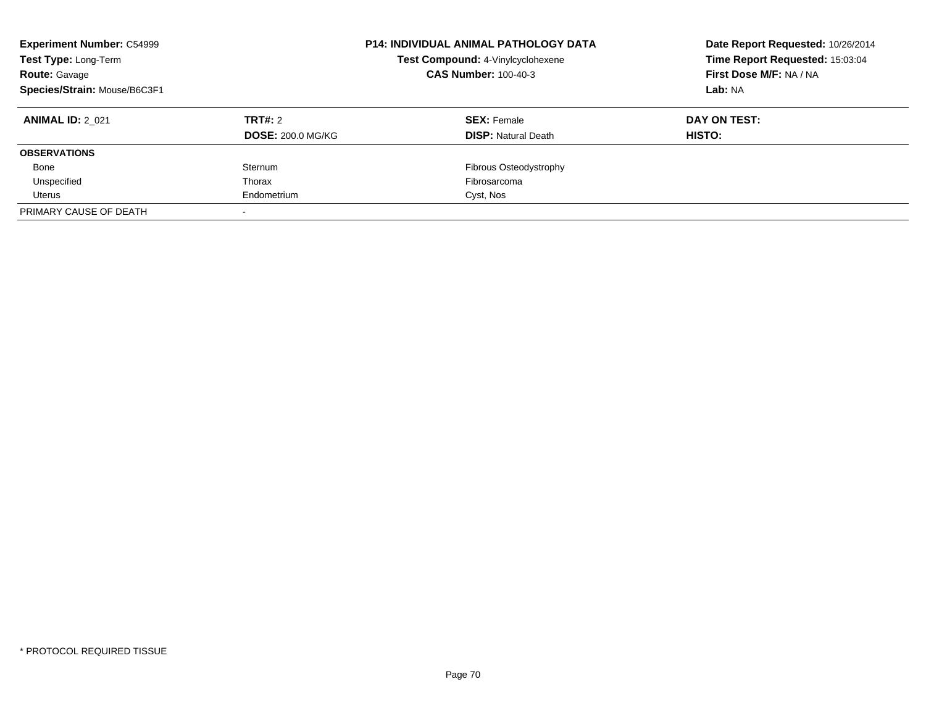| <b>Experiment Number: C54999</b><br>Test Type: Long-Term<br><b>Route: Gavage</b><br>Species/Strain: Mouse/B6C3F1 |                          | <b>P14: INDIVIDUAL ANIMAL PATHOLOGY DATA</b><br>Test Compound: 4-Vinylcyclohexene<br><b>CAS Number: 100-40-3</b> | Date Report Requested: 10/26/2014<br>Time Report Requested: 15:03:04<br>First Dose M/F: NA / NA<br>Lab: NA |  |
|------------------------------------------------------------------------------------------------------------------|--------------------------|------------------------------------------------------------------------------------------------------------------|------------------------------------------------------------------------------------------------------------|--|
| <b>ANIMAL ID: 2 021</b>                                                                                          | TRT#: 2                  | <b>SEX: Female</b>                                                                                               | DAY ON TEST:                                                                                               |  |
|                                                                                                                  | <b>DOSE: 200.0 MG/KG</b> | <b>DISP:</b> Natural Death                                                                                       | <b>HISTO:</b>                                                                                              |  |
| <b>OBSERVATIONS</b>                                                                                              |                          |                                                                                                                  |                                                                                                            |  |
| Bone                                                                                                             | Sternum                  | Fibrous Osteodystrophy                                                                                           |                                                                                                            |  |
| Unspecified                                                                                                      | Thorax                   | Fibrosarcoma                                                                                                     |                                                                                                            |  |
| Uterus                                                                                                           | Endometrium              | Cyst, Nos                                                                                                        |                                                                                                            |  |
| PRIMARY CAUSE OF DEATH                                                                                           |                          |                                                                                                                  |                                                                                                            |  |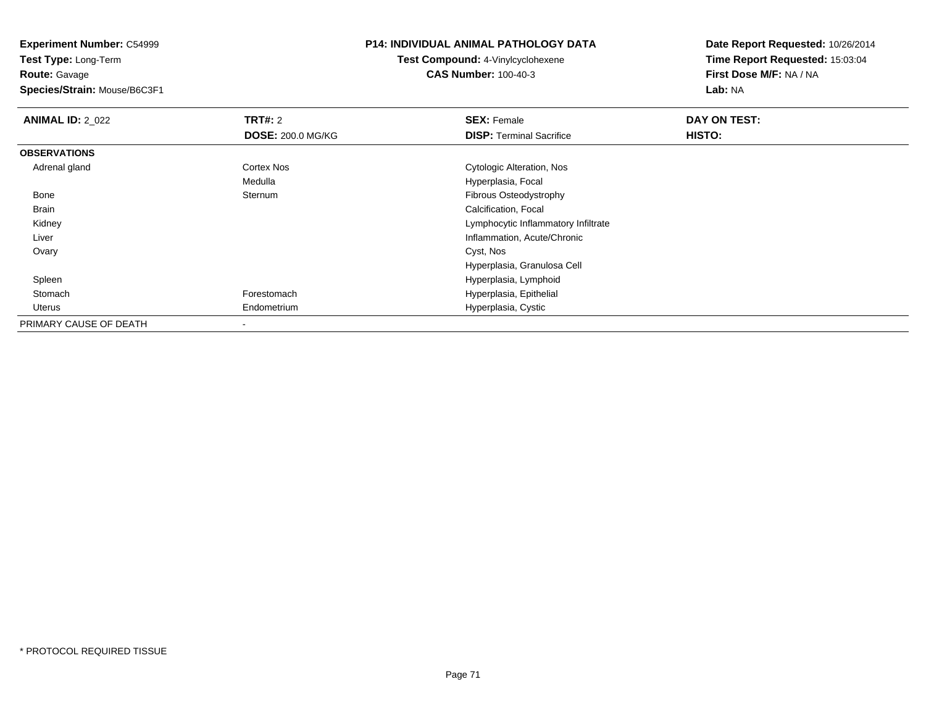**Experiment Number:** C54999

**Test Type:** Long-Term**Route:** Gavage

**Species/Strain:** Mouse/B6C3F1

## **P14: INDIVIDUAL ANIMAL PATHOLOGY DATA**

**Test Compound:** 4-Vinylcyclohexene**CAS Number:** 100-40-3

| <b>ANIMAL ID: 2_022</b> | <b>TRT#: 2</b>           | <b>SEX: Female</b>                  | DAY ON TEST: |  |
|-------------------------|--------------------------|-------------------------------------|--------------|--|
|                         | <b>DOSE: 200.0 MG/KG</b> | <b>DISP:</b> Terminal Sacrifice     | HISTO:       |  |
| <b>OBSERVATIONS</b>     |                          |                                     |              |  |
| Adrenal gland           | Cortex Nos               | Cytologic Alteration, Nos           |              |  |
|                         | Medulla                  | Hyperplasia, Focal                  |              |  |
| Bone                    | Sternum                  | Fibrous Osteodystrophy              |              |  |
| Brain                   |                          | Calcification, Focal                |              |  |
| Kidney                  |                          | Lymphocytic Inflammatory Infiltrate |              |  |
| Liver                   |                          | Inflammation, Acute/Chronic         |              |  |
| Ovary                   |                          | Cyst, Nos                           |              |  |
|                         |                          | Hyperplasia, Granulosa Cell         |              |  |
| Spleen                  |                          | Hyperplasia, Lymphoid               |              |  |
| Stomach                 | Forestomach              | Hyperplasia, Epithelial             |              |  |
| Uterus                  | Endometrium              | Hyperplasia, Cystic                 |              |  |
| PRIMARY CAUSE OF DEATH  |                          |                                     |              |  |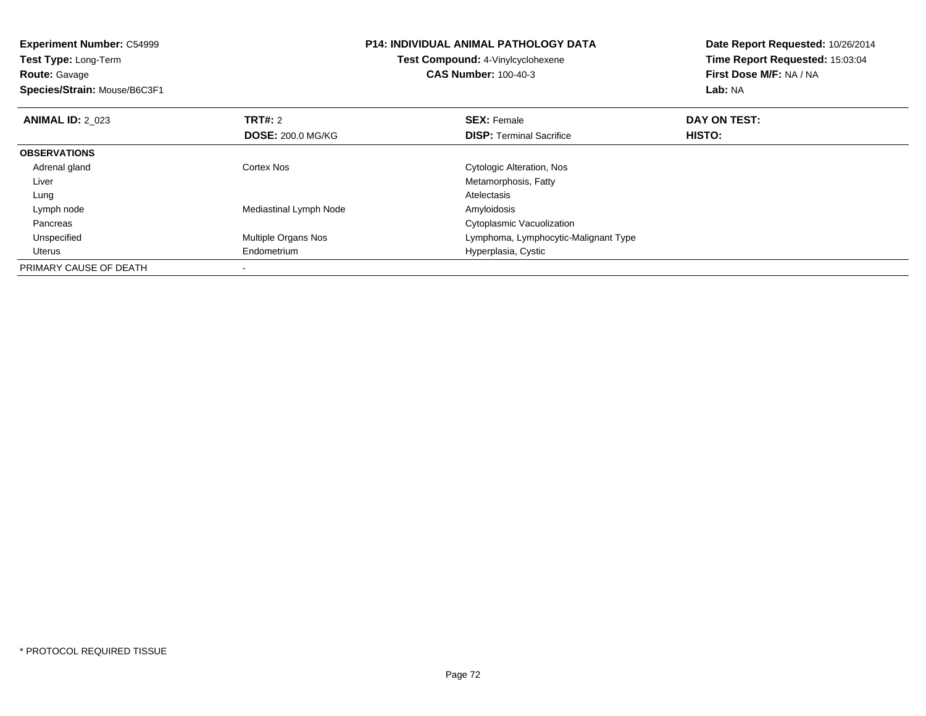| <b>Experiment Number: C54999</b><br>Test Type: Long-Term<br><b>Route: Gavage</b><br>Species/Strain: Mouse/B6C3F1 |                          | <b>P14: INDIVIDUAL ANIMAL PATHOLOGY DATA</b><br>Test Compound: 4-Vinylcyclohexene<br><b>CAS Number: 100-40-3</b> | Date Report Requested: 10/26/2014<br>Time Report Requested: 15:03:04<br>First Dose M/F: NA / NA<br>Lab: NA |
|------------------------------------------------------------------------------------------------------------------|--------------------------|------------------------------------------------------------------------------------------------------------------|------------------------------------------------------------------------------------------------------------|
| <b>ANIMAL ID: 2 023</b>                                                                                          | TRT#: 2                  | <b>SEX: Female</b>                                                                                               | DAY ON TEST:                                                                                               |
|                                                                                                                  | <b>DOSE: 200.0 MG/KG</b> | <b>DISP:</b> Terminal Sacrifice                                                                                  | HISTO:                                                                                                     |
| <b>OBSERVATIONS</b>                                                                                              |                          |                                                                                                                  |                                                                                                            |
| Adrenal gland                                                                                                    | Cortex Nos               | Cytologic Alteration, Nos                                                                                        |                                                                                                            |
| Liver                                                                                                            |                          | Metamorphosis, Fatty                                                                                             |                                                                                                            |
| Lung                                                                                                             |                          | Atelectasis                                                                                                      |                                                                                                            |
| Lymph node                                                                                                       | Mediastinal Lymph Node   | Amyloidosis                                                                                                      |                                                                                                            |
| Pancreas                                                                                                         |                          | Cytoplasmic Vacuolization                                                                                        |                                                                                                            |
| Unspecified                                                                                                      | Multiple Organs Nos      | Lymphoma, Lymphocytic-Malignant Type                                                                             |                                                                                                            |
| Uterus                                                                                                           | Endometrium              | Hyperplasia, Cystic                                                                                              |                                                                                                            |
| PRIMARY CAUSE OF DEATH                                                                                           |                          |                                                                                                                  |                                                                                                            |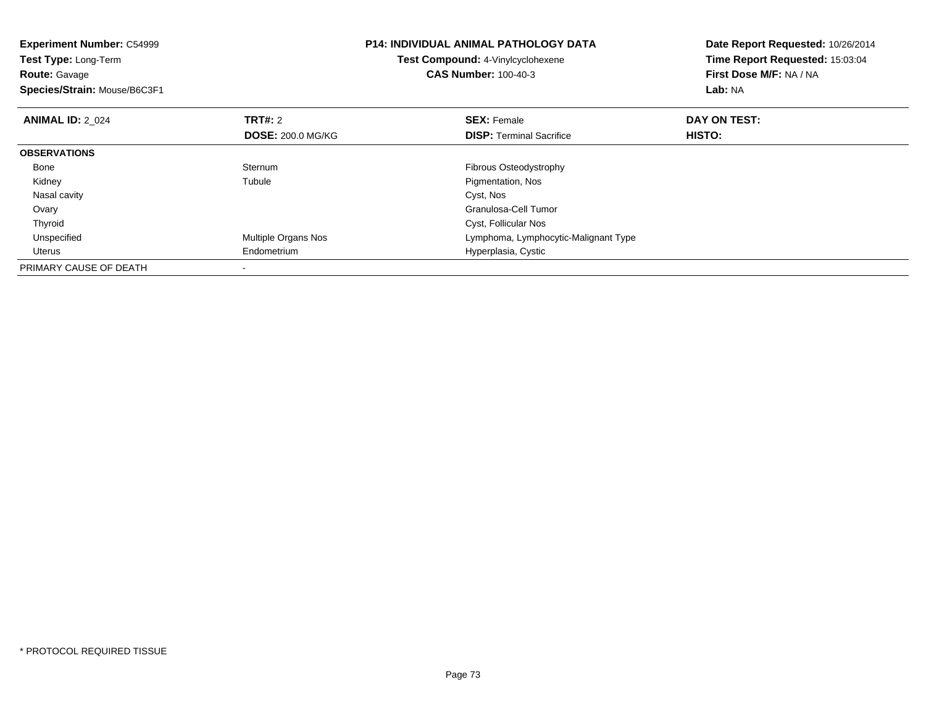| <b>Experiment Number: C54999</b><br><b>Test Type: Long-Term</b><br><b>Route: Gavage</b><br>Species/Strain: Mouse/B6C3F1 |                          | <b>P14: INDIVIDUAL ANIMAL PATHOLOGY DATA</b><br>Test Compound: 4-Vinylcyclohexene<br><b>CAS Number: 100-40-3</b> | Date Report Requested: 10/26/2014<br>Time Report Requested: 15:03:04<br>First Dose M/F: NA / NA<br>Lab: NA |
|-------------------------------------------------------------------------------------------------------------------------|--------------------------|------------------------------------------------------------------------------------------------------------------|------------------------------------------------------------------------------------------------------------|
| <b>ANIMAL ID: 2 024</b>                                                                                                 | <b>TRT#: 2</b>           | <b>SEX: Female</b>                                                                                               | DAY ON TEST:                                                                                               |
|                                                                                                                         | <b>DOSE: 200.0 MG/KG</b> | <b>DISP:</b> Terminal Sacrifice                                                                                  | <b>HISTO:</b>                                                                                              |
| <b>OBSERVATIONS</b>                                                                                                     |                          |                                                                                                                  |                                                                                                            |
| Bone                                                                                                                    | Sternum                  | Fibrous Osteodystrophy                                                                                           |                                                                                                            |
| Kidney                                                                                                                  | Tubule                   | Pigmentation, Nos                                                                                                |                                                                                                            |
| Nasal cavity                                                                                                            |                          | Cyst, Nos                                                                                                        |                                                                                                            |
| Ovary                                                                                                                   |                          | Granulosa-Cell Tumor                                                                                             |                                                                                                            |
| Thyroid                                                                                                                 |                          | Cyst, Follicular Nos                                                                                             |                                                                                                            |
| Unspecified                                                                                                             | Multiple Organs Nos      | Lymphoma, Lymphocytic-Malignant Type                                                                             |                                                                                                            |
| Uterus                                                                                                                  | Endometrium              | Hyperplasia, Cystic                                                                                              |                                                                                                            |
| PRIMARY CAUSE OF DEATH                                                                                                  |                          |                                                                                                                  |                                                                                                            |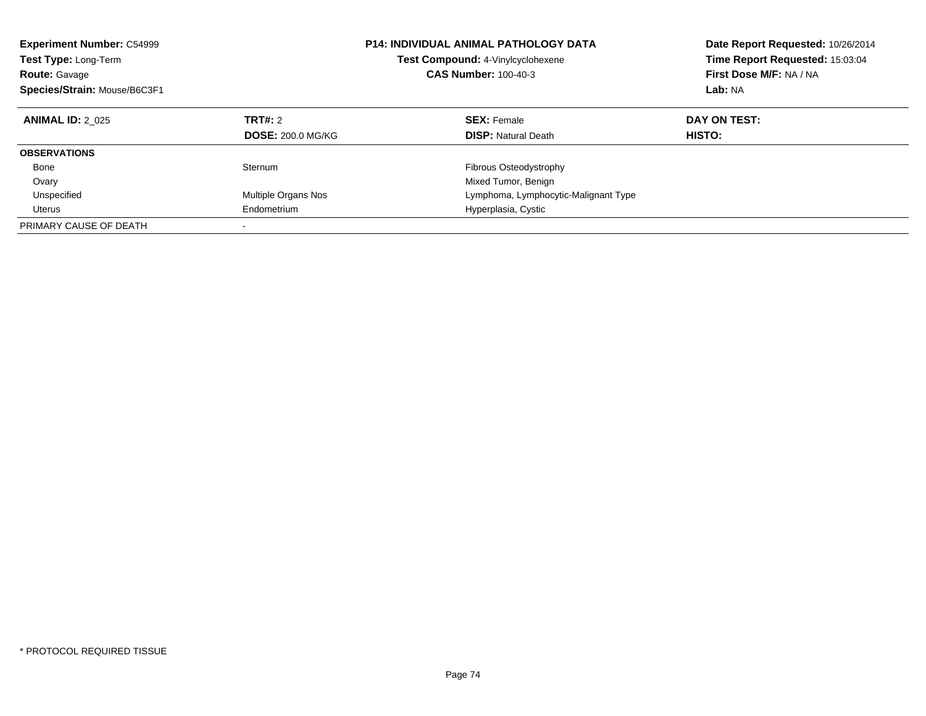| <b>Experiment Number: C54999</b><br>Test Type: Long-Term<br><b>Route: Gavage</b><br>Species/Strain: Mouse/B6C3F1 |                          | <b>P14: INDIVIDUAL ANIMAL PATHOLOGY DATA</b><br>Test Compound: 4-Vinylcyclohexene<br><b>CAS Number: 100-40-3</b> | Date Report Requested: 10/26/2014<br>Time Report Requested: 15:03:04<br>First Dose M/F: NA / NA<br>Lab: NA |
|------------------------------------------------------------------------------------------------------------------|--------------------------|------------------------------------------------------------------------------------------------------------------|------------------------------------------------------------------------------------------------------------|
| <b>ANIMAL ID: 2 025</b>                                                                                          | TRT#: 2                  | <b>SEX: Female</b>                                                                                               | DAY ON TEST:                                                                                               |
|                                                                                                                  | <b>DOSE: 200.0 MG/KG</b> | <b>DISP:</b> Natural Death                                                                                       | HISTO:                                                                                                     |
| <b>OBSERVATIONS</b>                                                                                              |                          |                                                                                                                  |                                                                                                            |
| Bone                                                                                                             | Sternum                  | Fibrous Osteodystrophy                                                                                           |                                                                                                            |
| Ovary                                                                                                            |                          | Mixed Tumor, Benign                                                                                              |                                                                                                            |
| Unspecified                                                                                                      | Multiple Organs Nos      | Lymphoma, Lymphocytic-Malignant Type                                                                             |                                                                                                            |
| Uterus                                                                                                           | Endometrium              | Hyperplasia, Cystic                                                                                              |                                                                                                            |
| PRIMARY CAUSE OF DEATH                                                                                           |                          |                                                                                                                  |                                                                                                            |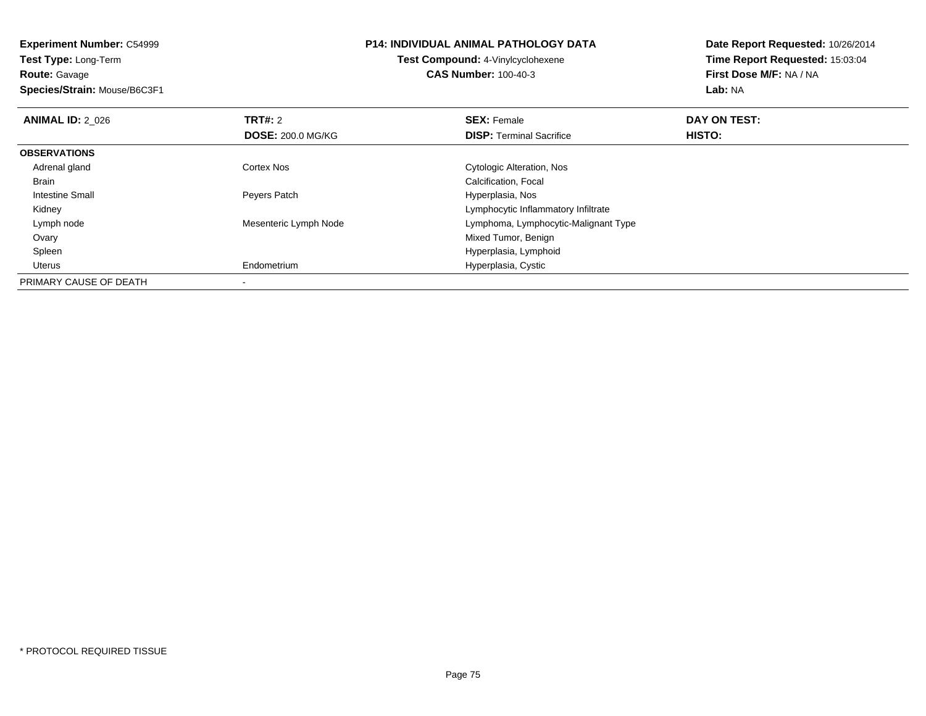**Experiment Number:** C54999**Test Type:** Long-Term**Route:** Gavage **Species/Strain:** Mouse/B6C3F1**P14: INDIVIDUAL ANIMAL PATHOLOGY DATATest Compound:** 4-Vinylcyclohexene**CAS Number:** 100-40-3**Date Report Requested:** 10/26/2014**Time Report Requested:** 15:03:04**First Dose M/F:** NA / NA**Lab:** NA**ANIMAL ID: 2 026 6 DAY ON TEST: TRT#:** 2 **SEX:** Female **SEX:** Female **DOSE:** 200.0 MG/KG**DISP:** Terminal Sacrifice **HISTO: OBSERVATIONS** Adrenal gland Cortex Nos Cytologic Alteration, Nos Brain Calcification, Focal Intestine Small Peyers Patch Hyperplasia, Nos Kidney Lymphocytic Inflammatory Infiltratee and the Mesenteric Lymph Node **Lymphoma, Lymphoma, Lymphocytic-Malignant Type**  Lymph node Ovary Mixed Tumor, Benign Hyperplasia, Lymphoid Spleen Uterus Endometrium Hyperplasia, Cystic PRIMARY CAUSE OF DEATH-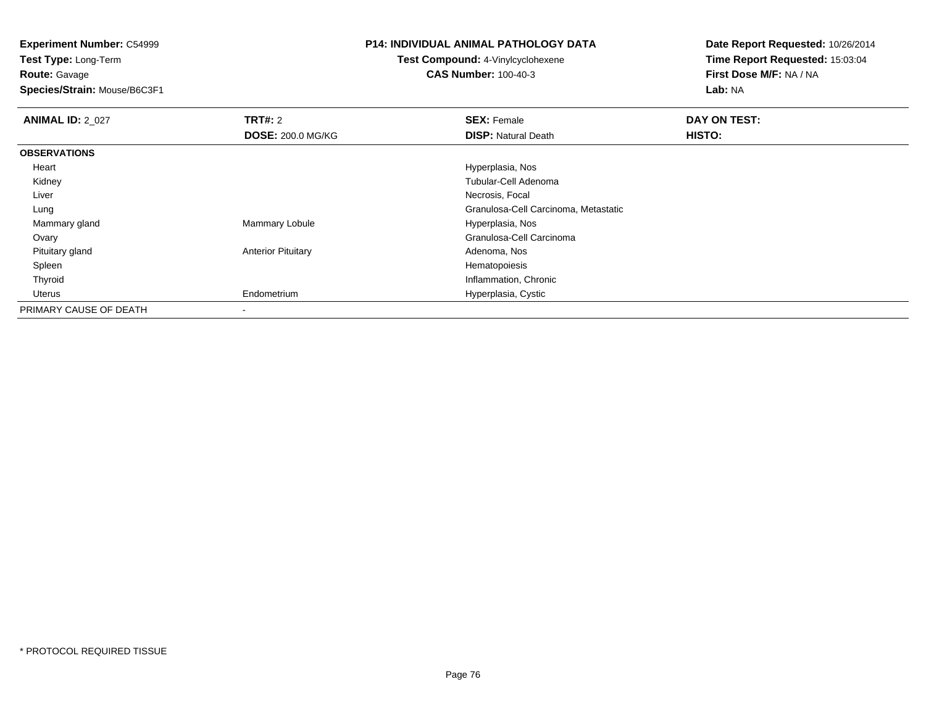**Experiment Number:** C54999

**Test Type:** Long-Term**Route:** Gavage

**Species/Strain:** Mouse/B6C3F1

## **P14: INDIVIDUAL ANIMAL PATHOLOGY DATA**

## **Test Compound:** 4-Vinylcyclohexene**CAS Number:** 100-40-3

**Date Report Requested:** 10/26/2014**Time Report Requested:** 15:03:04**First Dose M/F:** NA / NA**Lab:** NA

| <b>ANIMAL ID: 2_027</b> | TRT#: 2                   | <b>SEX: Female</b>                   | DAY ON TEST:  |  |
|-------------------------|---------------------------|--------------------------------------|---------------|--|
|                         | <b>DOSE: 200.0 MG/KG</b>  | <b>DISP: Natural Death</b>           | <b>HISTO:</b> |  |
| <b>OBSERVATIONS</b>     |                           |                                      |               |  |
| Heart                   |                           | Hyperplasia, Nos                     |               |  |
| Kidney                  |                           | Tubular-Cell Adenoma                 |               |  |
| Liver                   |                           | Necrosis, Focal                      |               |  |
| Lung                    |                           | Granulosa-Cell Carcinoma, Metastatic |               |  |
| Mammary gland           | Mammary Lobule            | Hyperplasia, Nos                     |               |  |
| Ovary                   |                           | Granulosa-Cell Carcinoma             |               |  |
| Pituitary gland         | <b>Anterior Pituitary</b> | Adenoma, Nos                         |               |  |
| Spleen                  |                           | Hematopoiesis                        |               |  |
| Thyroid                 |                           | Inflammation, Chronic                |               |  |
| Uterus                  | Endometrium               | Hyperplasia, Cystic                  |               |  |
| PRIMARY CAUSE OF DEATH  | $\overline{\phantom{a}}$  |                                      |               |  |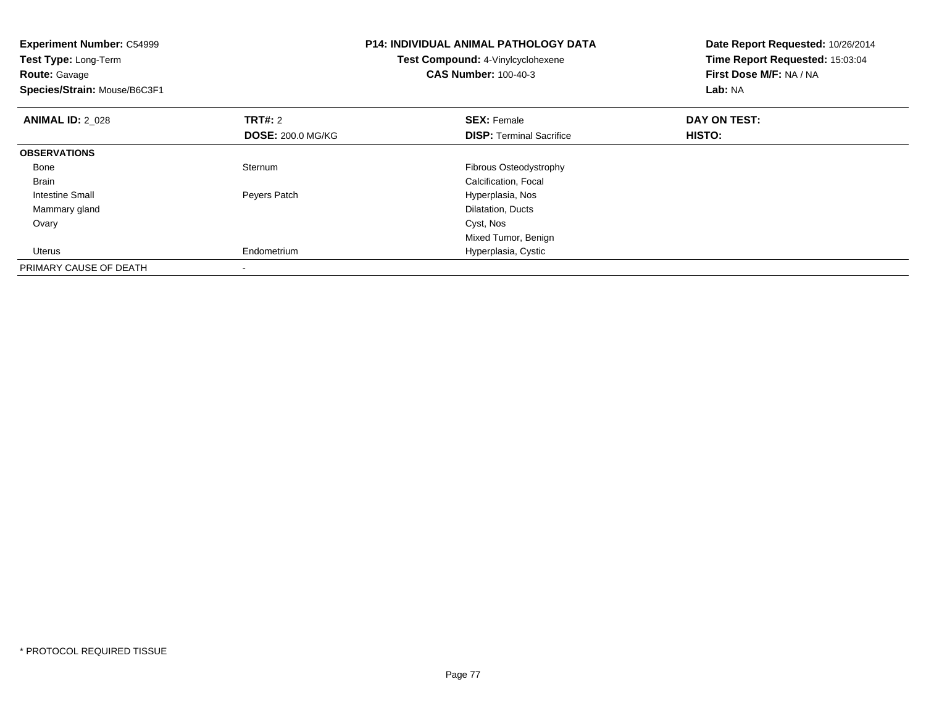| <b>Experiment Number: C54999</b><br>Test Type: Long-Term<br><b>Route: Gavage</b><br>Species/Strain: Mouse/B6C3F1 |                          | <b>P14: INDIVIDUAL ANIMAL PATHOLOGY DATA</b><br>Test Compound: 4-Vinylcyclohexene<br><b>CAS Number: 100-40-3</b> | Date Report Requested: 10/26/2014<br>Time Report Requested: 15:03:04<br>First Dose M/F: NA / NA<br>Lab: NA |
|------------------------------------------------------------------------------------------------------------------|--------------------------|------------------------------------------------------------------------------------------------------------------|------------------------------------------------------------------------------------------------------------|
| <b>ANIMAL ID: 2 028</b>                                                                                          | <b>TRT#: 2</b>           | <b>SEX: Female</b>                                                                                               | DAY ON TEST:                                                                                               |
|                                                                                                                  | <b>DOSE: 200.0 MG/KG</b> | <b>DISP:</b> Terminal Sacrifice                                                                                  | HISTO:                                                                                                     |
| <b>OBSERVATIONS</b>                                                                                              |                          |                                                                                                                  |                                                                                                            |
| Bone                                                                                                             | Sternum                  | Fibrous Osteodystrophy                                                                                           |                                                                                                            |
| <b>Brain</b>                                                                                                     |                          | Calcification, Focal                                                                                             |                                                                                                            |
| Intestine Small                                                                                                  | Peyers Patch             | Hyperplasia, Nos                                                                                                 |                                                                                                            |
| Mammary gland                                                                                                    |                          | Dilatation, Ducts                                                                                                |                                                                                                            |
| Ovary                                                                                                            |                          | Cyst, Nos                                                                                                        |                                                                                                            |
|                                                                                                                  |                          | Mixed Tumor, Benign                                                                                              |                                                                                                            |
| Uterus                                                                                                           | Endometrium              | Hyperplasia, Cystic                                                                                              |                                                                                                            |
| PRIMARY CAUSE OF DEATH                                                                                           |                          |                                                                                                                  |                                                                                                            |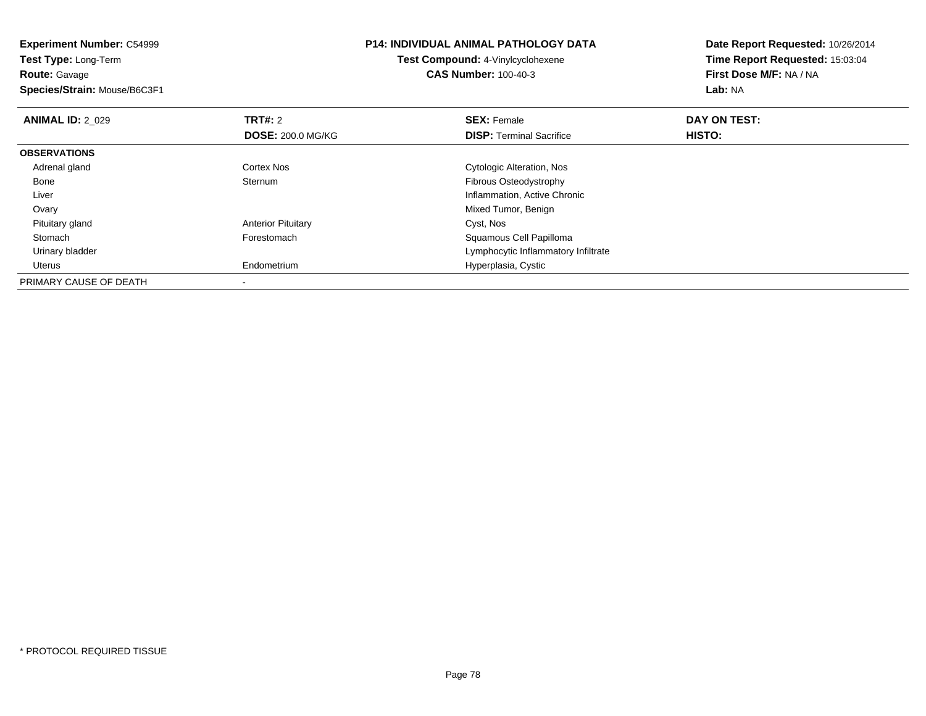**Experiment Number:** C54999**Test Type:** Long-Term**Route:** Gavage **Species/Strain:** Mouse/B6C3F1**P14: INDIVIDUAL ANIMAL PATHOLOGY DATATest Compound:** 4-Vinylcyclohexene**CAS Number:** 100-40-3**Date Report Requested:** 10/26/2014**Time Report Requested:** 15:03:04**First Dose M/F:** NA / NA**Lab:** NA**ANIMAL ID: 2 029 TRT#:** 2 **SEX:** Female **DAY ON TEST: DOSE:** 200.0 MG/KG**DISP:** Terminal Sacrifice **HISTO: OBSERVATIONS** Adrenal glandCortex Nos<br>
Sternum<br>
Sternum<br>
Cytologic Alteration, Nos Bonee Sternum Fibrous Osteodystrophy Liver Inflammation, Active Chronic**Ovary**  Mixed Tumor, Benign Pituitary glandAnterior Pituitary **Cyst, Nos**<br>
Forestomach **Cyst, Nos**<br>
Squamous StomachSquamous Cell Papilloma Urinary bladder Lymphocytic Inflammatory Infiltrate Uterus Endometrium Hyperplasia, Cystic PRIMARY CAUSE OF DEATH-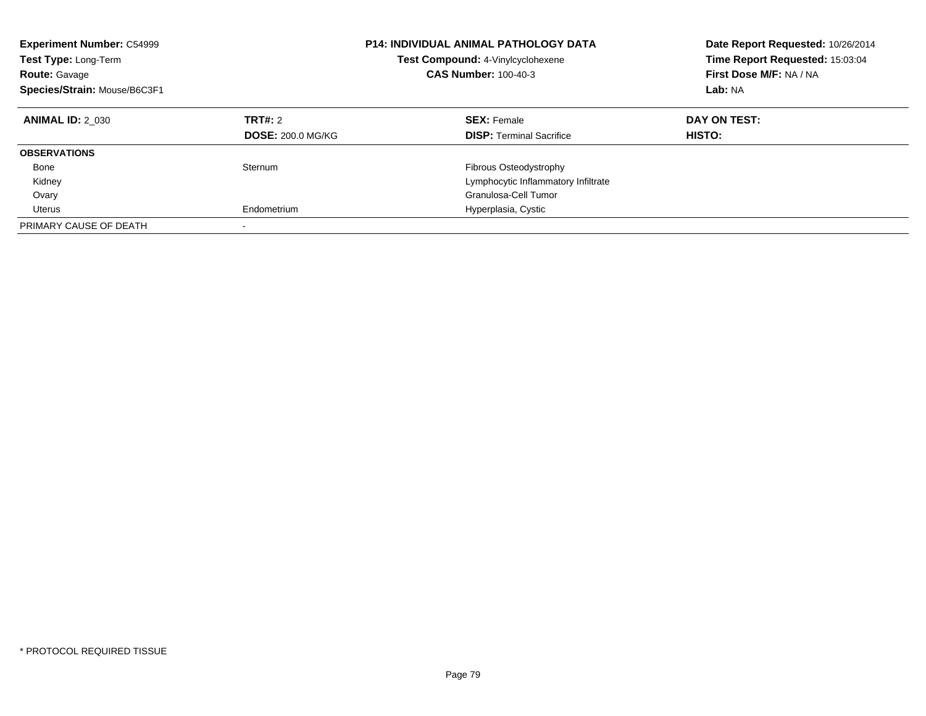| <b>Experiment Number: C54999</b><br>Test Type: Long-Term<br><b>Route: Gavage</b><br>Species/Strain: Mouse/B6C3F1 |                                     | <b>P14: INDIVIDUAL ANIMAL PATHOLOGY DATA</b><br>Test Compound: 4-Vinylcyclohexene<br><b>CAS Number: 100-40-3</b> | Date Report Requested: 10/26/2014<br>Time Report Requested: 15:03:04<br>First Dose M/F: NA / NA<br>Lab: NA |
|------------------------------------------------------------------------------------------------------------------|-------------------------------------|------------------------------------------------------------------------------------------------------------------|------------------------------------------------------------------------------------------------------------|
| <b>ANIMAL ID: 2 030</b>                                                                                          | TRT#: 2<br><b>DOSE: 200.0 MG/KG</b> | <b>SEX: Female</b><br><b>DISP:</b> Terminal Sacrifice                                                            | DAY ON TEST:<br>HISTO:                                                                                     |
|                                                                                                                  |                                     |                                                                                                                  |                                                                                                            |
| <b>OBSERVATIONS</b>                                                                                              |                                     |                                                                                                                  |                                                                                                            |
| Bone                                                                                                             | Sternum                             | <b>Fibrous Osteodystrophy</b>                                                                                    |                                                                                                            |
| Kidney                                                                                                           |                                     | Lymphocytic Inflammatory Infiltrate                                                                              |                                                                                                            |
| Ovary                                                                                                            |                                     | Granulosa-Cell Tumor                                                                                             |                                                                                                            |
| Uterus                                                                                                           | Endometrium                         | Hyperplasia, Cystic                                                                                              |                                                                                                            |
| PRIMARY CAUSE OF DEATH                                                                                           |                                     |                                                                                                                  |                                                                                                            |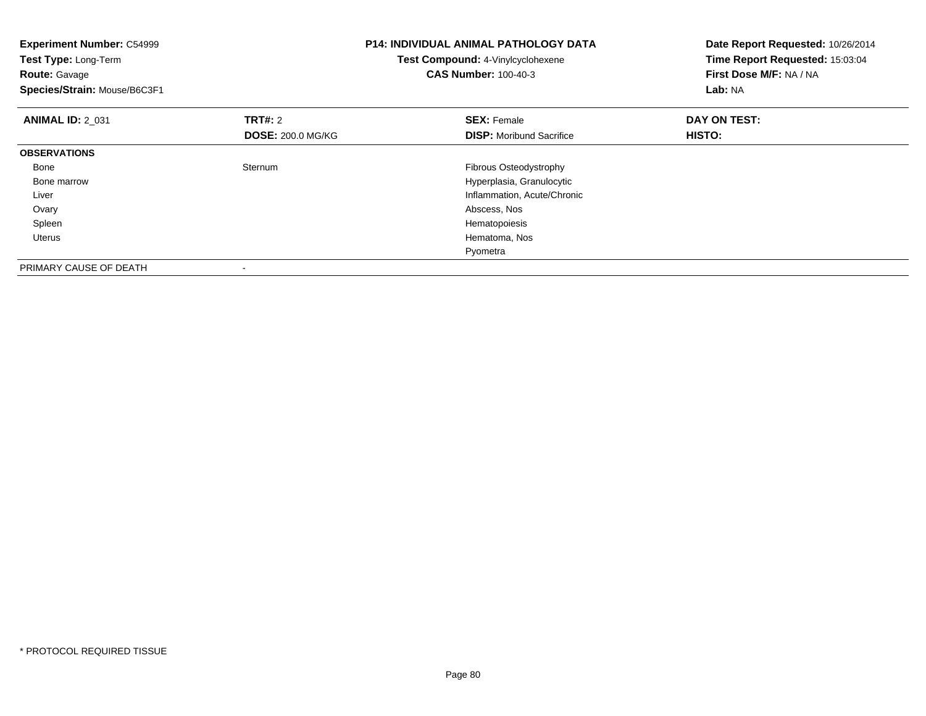| <b>Experiment Number: C54999</b><br>Test Type: Long-Term<br><b>Route: Gavage</b><br>Species/Strain: Mouse/B6C3F1 |                                     | <b>P14: INDIVIDUAL ANIMAL PATHOLOGY DATA</b><br>Test Compound: 4-Vinylcyclohexene<br><b>CAS Number: 100-40-3</b>                                 | Date Report Requested: 10/26/2014<br>Time Report Requested: 15:03:04<br>First Dose M/F: NA / NA<br>Lab: NA |
|------------------------------------------------------------------------------------------------------------------|-------------------------------------|--------------------------------------------------------------------------------------------------------------------------------------------------|------------------------------------------------------------------------------------------------------------|
| <b>ANIMAL ID: 2 031</b>                                                                                          | TRT#: 2<br><b>DOSE: 200.0 MG/KG</b> | <b>SEX: Female</b><br><b>DISP:</b> Moribund Sacrifice                                                                                            | DAY ON TEST:<br>HISTO:                                                                                     |
| <b>OBSERVATIONS</b>                                                                                              |                                     |                                                                                                                                                  |                                                                                                            |
| Bone<br>Bone marrow<br>Liver<br>Ovary<br>Spleen<br>Uterus                                                        | Sternum                             | Fibrous Osteodystrophy<br>Hyperplasia, Granulocytic<br>Inflammation, Acute/Chronic<br>Abscess, Nos<br>Hematopoiesis<br>Hematoma, Nos<br>Pyometra |                                                                                                            |
| PRIMARY CAUSE OF DEATH                                                                                           |                                     |                                                                                                                                                  |                                                                                                            |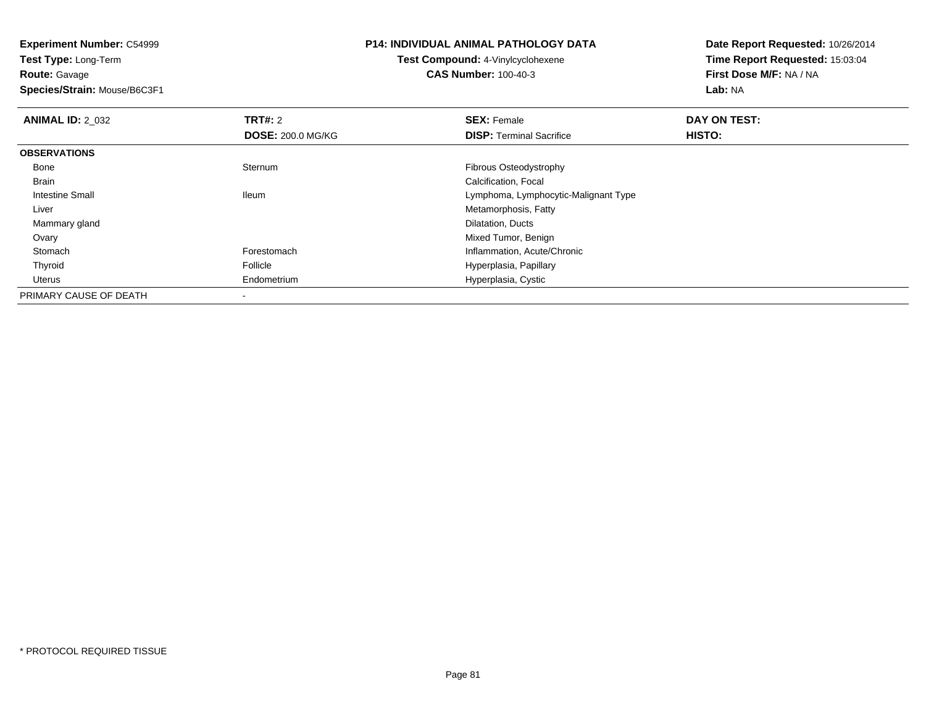**Experiment Number:** C54999

**Test Type:** Long-Term**Route:** Gavage

**Species/Strain:** Mouse/B6C3F1

## **P14: INDIVIDUAL ANIMAL PATHOLOGY DATA**

**Test Compound:** 4-Vinylcyclohexene**CAS Number:** 100-40-3

**Date Report Requested:** 10/26/2014**Time Report Requested:** 15:03:04**First Dose M/F:** NA / NA**Lab:** NA

| <b>ANIMAL ID: 2 032</b> | <b>TRT#: 2</b>           | <b>SEX: Female</b>                   | DAY ON TEST: |  |
|-------------------------|--------------------------|--------------------------------------|--------------|--|
|                         | <b>DOSE: 200.0 MG/KG</b> | <b>DISP: Terminal Sacrifice</b>      | HISTO:       |  |
| <b>OBSERVATIONS</b>     |                          |                                      |              |  |
| Bone                    | Sternum                  | Fibrous Osteodystrophy               |              |  |
| <b>Brain</b>            |                          | Calcification, Focal                 |              |  |
| Intestine Small         | <b>Ileum</b>             | Lymphoma, Lymphocytic-Malignant Type |              |  |
| Liver                   |                          | Metamorphosis, Fatty                 |              |  |
| Mammary gland           |                          | Dilatation, Ducts                    |              |  |
| Ovary                   |                          | Mixed Tumor, Benign                  |              |  |
| Stomach                 | Forestomach              | Inflammation, Acute/Chronic          |              |  |
| Thyroid                 | Follicle                 | Hyperplasia, Papillary               |              |  |
| Uterus                  | Endometrium              | Hyperplasia, Cystic                  |              |  |
| PRIMARY CAUSE OF DEATH  |                          |                                      |              |  |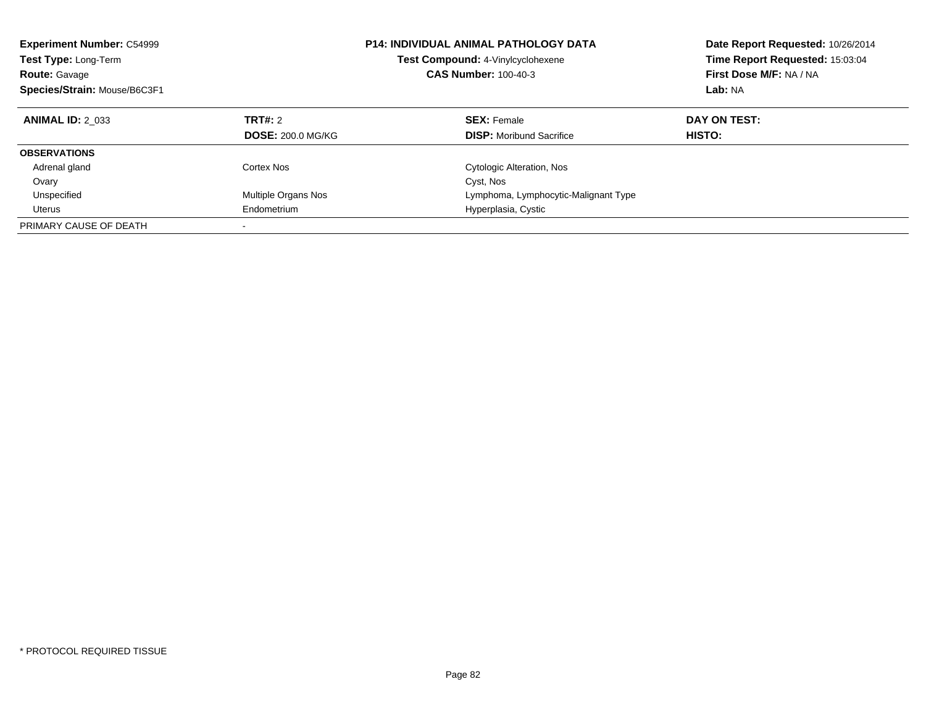| <b>Experiment Number: C54999</b><br>Test Type: Long-Term<br><b>Route: Gavage</b><br>Species/Strain: Mouse/B6C3F1 |                          | <b>P14: INDIVIDUAL ANIMAL PATHOLOGY DATA</b><br>Test Compound: 4-Vinylcyclohexene<br><b>CAS Number: 100-40-3</b> | Date Report Requested: 10/26/2014<br>Time Report Requested: 15:03:04<br>First Dose M/F: NA / NA<br>Lab: NA |
|------------------------------------------------------------------------------------------------------------------|--------------------------|------------------------------------------------------------------------------------------------------------------|------------------------------------------------------------------------------------------------------------|
| <b>ANIMAL ID: 2 033</b>                                                                                          | TRT#: 2                  | <b>SEX: Female</b>                                                                                               | DAY ON TEST:                                                                                               |
|                                                                                                                  | <b>DOSE: 200.0 MG/KG</b> | <b>DISP:</b> Moribund Sacrifice                                                                                  | HISTO:                                                                                                     |
| <b>OBSERVATIONS</b>                                                                                              |                          |                                                                                                                  |                                                                                                            |
| Adrenal gland                                                                                                    | Cortex Nos               | Cytologic Alteration, Nos                                                                                        |                                                                                                            |
| Ovary                                                                                                            |                          | Cyst, Nos                                                                                                        |                                                                                                            |
| Unspecified                                                                                                      | Multiple Organs Nos      | Lymphoma, Lymphocytic-Malignant Type                                                                             |                                                                                                            |
| Uterus                                                                                                           | Endometrium              | Hyperplasia, Cystic                                                                                              |                                                                                                            |
| PRIMARY CAUSE OF DEATH                                                                                           |                          |                                                                                                                  |                                                                                                            |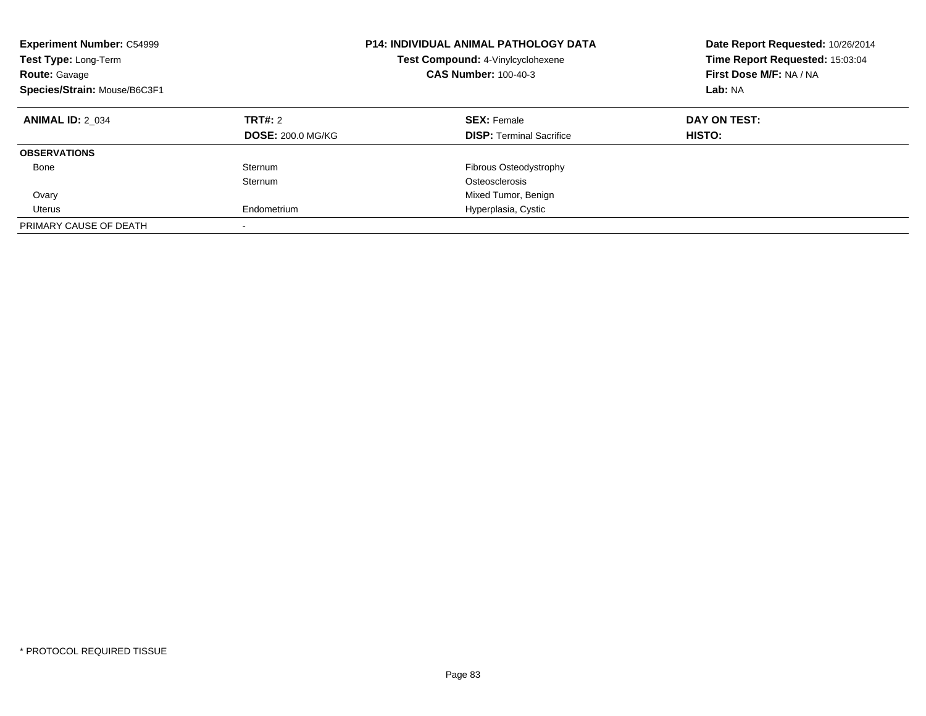| <b>Experiment Number: C54999</b><br>Test Type: Long-Term<br><b>Route: Gavage</b><br>Species/Strain: Mouse/B6C3F1 |                          | <b>P14: INDIVIDUAL ANIMAL PATHOLOGY DATA</b><br>Test Compound: 4-Vinylcyclohexene<br><b>CAS Number: 100-40-3</b> | Date Report Requested: 10/26/2014<br>Time Report Requested: 15:03:04<br>First Dose M/F: NA / NA<br>Lab: NA |
|------------------------------------------------------------------------------------------------------------------|--------------------------|------------------------------------------------------------------------------------------------------------------|------------------------------------------------------------------------------------------------------------|
| <b>ANIMAL ID: 2 034</b>                                                                                          | TRT#: 2                  | <b>SEX: Female</b>                                                                                               | DAY ON TEST:                                                                                               |
|                                                                                                                  | <b>DOSE: 200.0 MG/KG</b> | <b>DISP:</b> Terminal Sacrifice                                                                                  | HISTO:                                                                                                     |
| <b>OBSERVATIONS</b>                                                                                              |                          |                                                                                                                  |                                                                                                            |
| Bone                                                                                                             | Sternum                  | Fibrous Osteodystrophy                                                                                           |                                                                                                            |
|                                                                                                                  | Sternum                  | Osteosclerosis                                                                                                   |                                                                                                            |
| Ovary                                                                                                            |                          | Mixed Tumor, Benign                                                                                              |                                                                                                            |
| Uterus                                                                                                           | Endometrium              | Hyperplasia, Cystic                                                                                              |                                                                                                            |
| PRIMARY CAUSE OF DEATH                                                                                           | $\overline{\phantom{a}}$ |                                                                                                                  |                                                                                                            |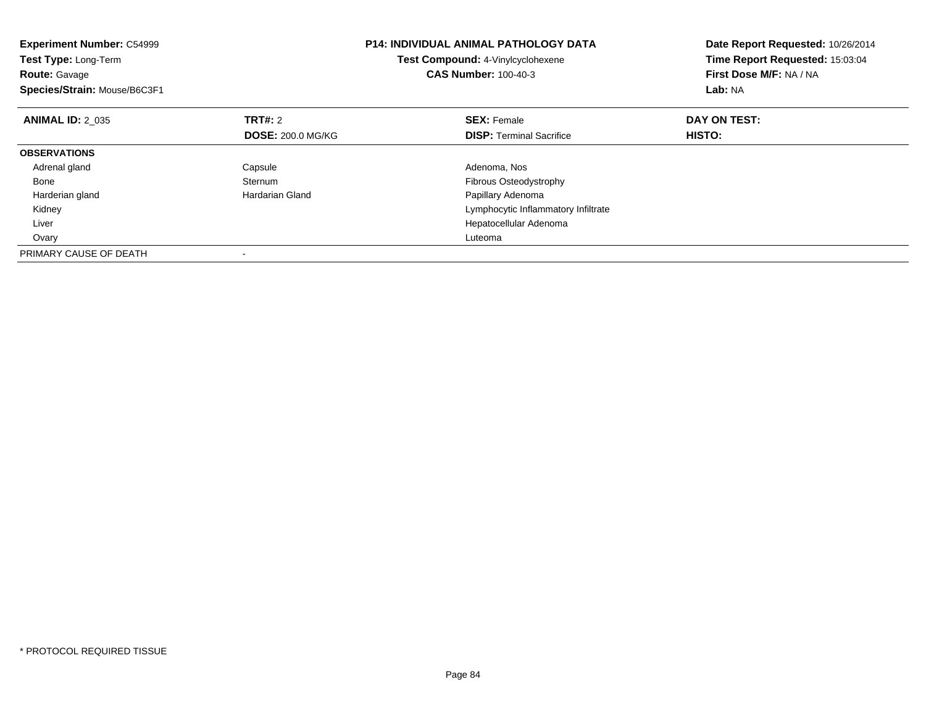| <b>Experiment Number: C54999</b><br>Test Type: Long-Term<br><b>Route: Gavage</b><br>Species/Strain: Mouse/B6C3F1 |                          | <b>P14: INDIVIDUAL ANIMAL PATHOLOGY DATA</b><br>Test Compound: 4-Vinylcyclohexene<br><b>CAS Number: 100-40-3</b> | Date Report Requested: 10/26/2014<br>Time Report Requested: 15:03:04<br>First Dose M/F: NA / NA<br>Lab: NA |
|------------------------------------------------------------------------------------------------------------------|--------------------------|------------------------------------------------------------------------------------------------------------------|------------------------------------------------------------------------------------------------------------|
| <b>ANIMAL ID: 2 035</b>                                                                                          | <b>TRT#: 2</b>           | <b>SEX: Female</b>                                                                                               | DAY ON TEST:                                                                                               |
|                                                                                                                  | <b>DOSE: 200.0 MG/KG</b> | <b>DISP:</b> Terminal Sacrifice                                                                                  | <b>HISTO:</b>                                                                                              |
| <b>OBSERVATIONS</b>                                                                                              |                          |                                                                                                                  |                                                                                                            |
| Adrenal gland                                                                                                    | Capsule                  | Adenoma, Nos                                                                                                     |                                                                                                            |
| Bone                                                                                                             | Sternum                  | Fibrous Osteodystrophy                                                                                           |                                                                                                            |
| Harderian gland                                                                                                  | Hardarian Gland          | Papillary Adenoma                                                                                                |                                                                                                            |
| Kidney                                                                                                           |                          | Lymphocytic Inflammatory Infiltrate                                                                              |                                                                                                            |
| Liver                                                                                                            |                          | Hepatocellular Adenoma                                                                                           |                                                                                                            |
| Ovary                                                                                                            |                          | Luteoma                                                                                                          |                                                                                                            |
| PRIMARY CAUSE OF DEATH                                                                                           |                          |                                                                                                                  |                                                                                                            |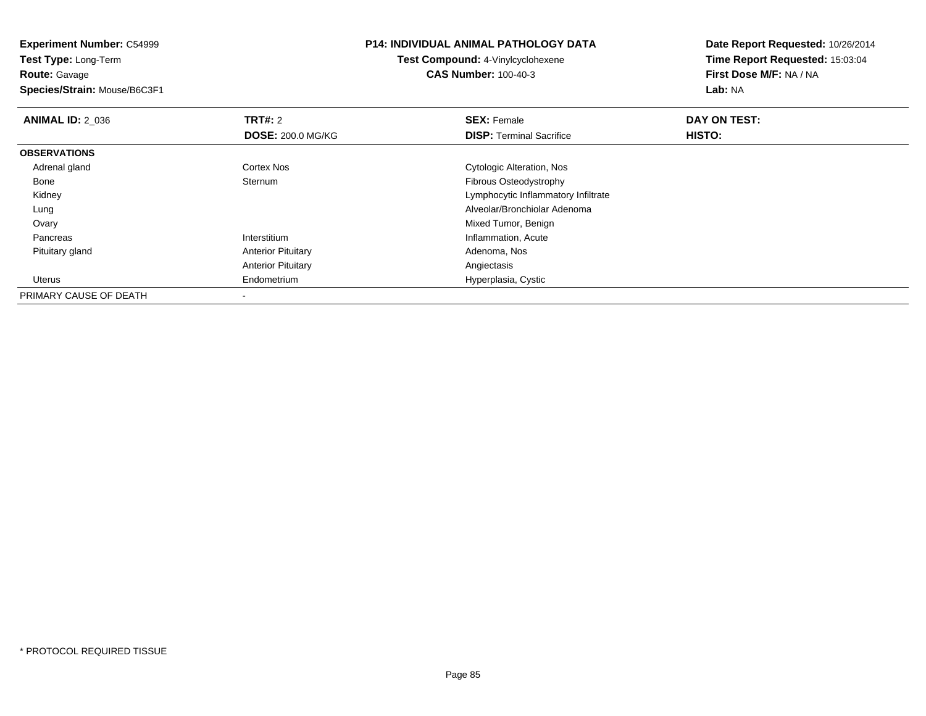**Experiment Number:** C54999**Test Type:** Long-Term**Route:** Gavage **Species/Strain:** Mouse/B6C3F1**P14: INDIVIDUAL ANIMAL PATHOLOGY DATATest Compound:** 4-Vinylcyclohexene**CAS Number:** 100-40-3**Date Report Requested:** 10/26/2014**Time Report Requested:** 15:03:04**First Dose M/F:** NA / NA**Lab:** NA**ANIMAL ID: 2 036 6 DAY ON TEST: TRT#:** 2 **SEX:** Female **SEX:** Female **DOSE:** 200.0 MG/KG**DISP:** Terminal Sacrifice **HISTO: OBSERVATIONS** Adrenal glandCortex Nos<br>
Sternum<br>
Sternum<br>
Cytologic Alteration, Nos Bonee Sternum Fibrous Osteodystrophy Kidney Lymphocytic Inflammatory Infiltrate Lung Alveolar/Bronchiolar Adenoma **Ovary**  Mixed Tumor, Benignm<br>
Inflammation, Acute Pancreas Interstitium Pituitary glandAnterior Pituitary **Adenoma, Nos** Adenoma, Nos Anterior Pituitary Angiectasis Uterus Endometrium Hyperplasia, Cystic PRIMARY CAUSE OF DEATH-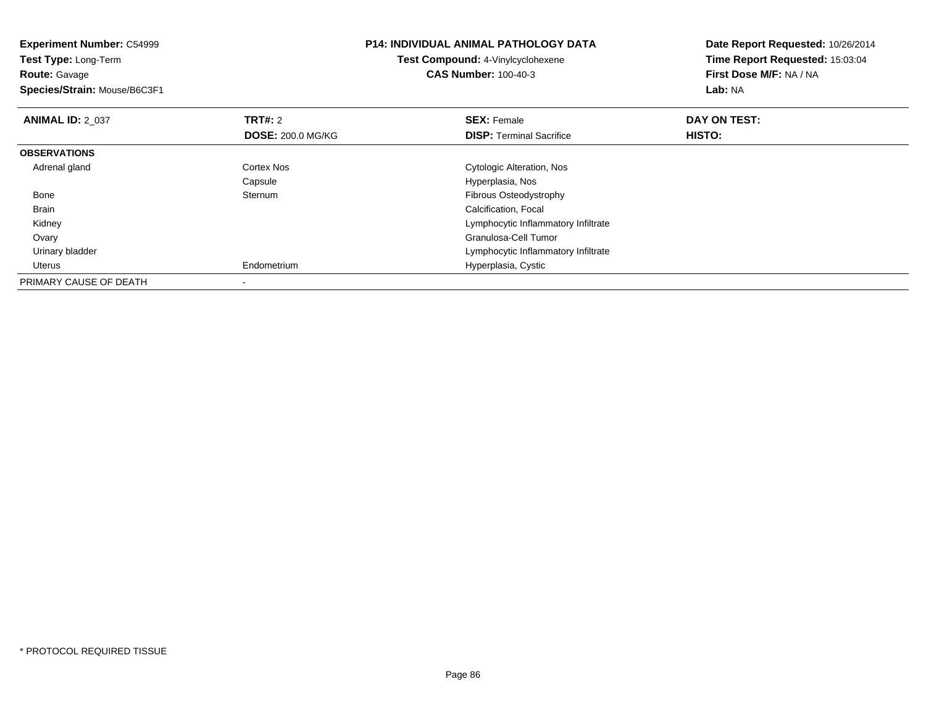| <b>Experiment Number: C54999</b><br>Test Type: Long-Term<br><b>Route: Gavage</b><br>Species/Strain: Mouse/B6C3F1 |                          | <b>P14: INDIVIDUAL ANIMAL PATHOLOGY DATA</b><br><b>Test Compound: 4-Vinylcyclohexene</b><br><b>CAS Number: 100-40-3</b> | Date Report Requested: 10/26/2014<br>Time Report Requested: 15:03:04<br>First Dose M/F: NA / NA<br>Lab: NA |
|------------------------------------------------------------------------------------------------------------------|--------------------------|-------------------------------------------------------------------------------------------------------------------------|------------------------------------------------------------------------------------------------------------|
| <b>ANIMAL ID: 2 037</b>                                                                                          | <b>TRT#: 2</b>           | <b>SEX: Female</b>                                                                                                      | DAY ON TEST:                                                                                               |
|                                                                                                                  | <b>DOSE: 200.0 MG/KG</b> | <b>DISP:</b> Terminal Sacrifice                                                                                         | HISTO:                                                                                                     |
| <b>OBSERVATIONS</b>                                                                                              |                          |                                                                                                                         |                                                                                                            |
| Adrenal gland                                                                                                    | <b>Cortex Nos</b>        | Cytologic Alteration, Nos                                                                                               |                                                                                                            |
|                                                                                                                  | Capsule                  | Hyperplasia, Nos                                                                                                        |                                                                                                            |
| Bone                                                                                                             | Sternum                  | Fibrous Osteodystrophy                                                                                                  |                                                                                                            |
| Brain                                                                                                            |                          | Calcification, Focal                                                                                                    |                                                                                                            |
| Kidney                                                                                                           |                          | Lymphocytic Inflammatory Infiltrate                                                                                     |                                                                                                            |
| Ovary                                                                                                            |                          | Granulosa-Cell Tumor                                                                                                    |                                                                                                            |
| Urinary bladder                                                                                                  |                          | Lymphocytic Inflammatory Infiltrate                                                                                     |                                                                                                            |
| Uterus                                                                                                           | Endometrium              | Hyperplasia, Cystic                                                                                                     |                                                                                                            |
| PRIMARY CAUSE OF DEATH                                                                                           |                          |                                                                                                                         |                                                                                                            |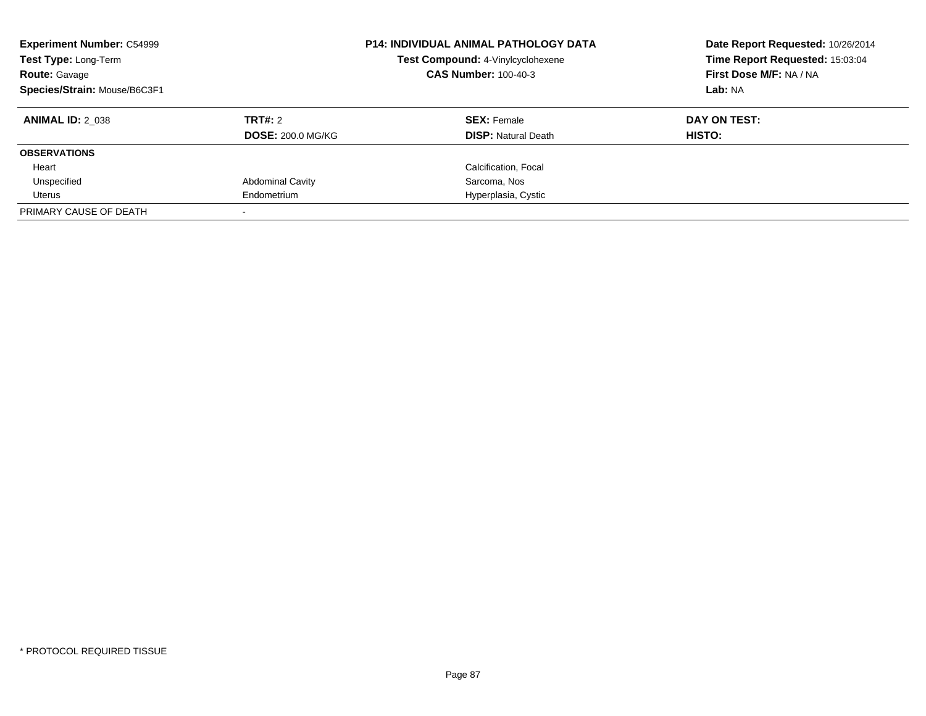| <b>Experiment Number: C54999</b><br>Test Type: Long-Term<br><b>Route: Gavage</b><br>Species/Strain: Mouse/B6C3F1 |                          | <b>P14: INDIVIDUAL ANIMAL PATHOLOGY DATA</b><br>Test Compound: 4-Vinylcyclohexene<br><b>CAS Number: 100-40-3</b> | Date Report Requested: 10/26/2014<br>Time Report Requested: 15:03:04<br>First Dose M/F: NA / NA<br>Lab: NA |
|------------------------------------------------------------------------------------------------------------------|--------------------------|------------------------------------------------------------------------------------------------------------------|------------------------------------------------------------------------------------------------------------|
| <b>ANIMAL ID: 2 038</b>                                                                                          | TRT#: 2                  | <b>SEX: Female</b>                                                                                               | DAY ON TEST:                                                                                               |
|                                                                                                                  | <b>DOSE: 200.0 MG/KG</b> | <b>DISP:</b> Natural Death                                                                                       | HISTO:                                                                                                     |
| <b>OBSERVATIONS</b>                                                                                              |                          |                                                                                                                  |                                                                                                            |
| Heart                                                                                                            |                          | Calcification, Focal                                                                                             |                                                                                                            |
| Unspecified                                                                                                      | <b>Abdominal Cavity</b>  | Sarcoma, Nos                                                                                                     |                                                                                                            |
| Uterus                                                                                                           | Endometrium              | Hyperplasia, Cystic                                                                                              |                                                                                                            |
| PRIMARY CAUSE OF DEATH                                                                                           |                          |                                                                                                                  |                                                                                                            |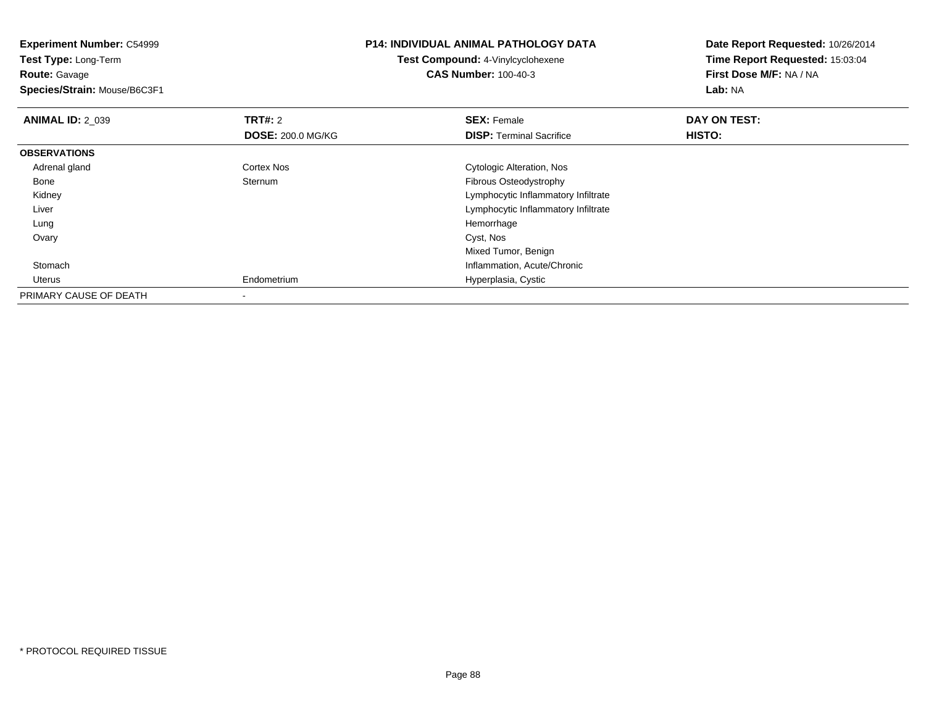| <b>Experiment Number: C54999</b> |                                   | <b>P14: INDIVIDUAL ANIMAL PATHOLOGY DATA</b> | Date Report Requested: 10/26/2014 |
|----------------------------------|-----------------------------------|----------------------------------------------|-----------------------------------|
| Test Type: Long-Term             | Test Compound: 4-Vinylcyclohexene |                                              | Time Report Requested: 15:03:04   |
| <b>Route: Gavage</b>             |                                   | <b>CAS Number: 100-40-3</b>                  | First Dose M/F: NA / NA           |
| Species/Strain: Mouse/B6C3F1     |                                   |                                              | Lab: NA                           |
| <b>ANIMAL ID: 2_039</b>          | <b>TRT#: 2</b>                    | <b>SEX: Female</b>                           | DAY ON TEST:                      |
|                                  | <b>DOSE: 200.0 MG/KG</b>          | <b>DISP:</b> Terminal Sacrifice              | HISTO:                            |
| <b>OBSERVATIONS</b>              |                                   |                                              |                                   |
| Adrenal gland                    | Cortex Nos                        | Cytologic Alteration, Nos                    |                                   |
| Bone                             | Sternum                           | Fibrous Osteodystrophy                       |                                   |
| Kidney                           |                                   | Lymphocytic Inflammatory Infiltrate          |                                   |
| Liver                            |                                   | Lymphocytic Inflammatory Infiltrate          |                                   |
| Lung                             |                                   | Hemorrhage                                   |                                   |
| Ovary                            |                                   | Cyst, Nos                                    |                                   |
|                                  |                                   | Mixed Tumor, Benign                          |                                   |
| Stomach                          |                                   | Inflammation, Acute/Chronic                  |                                   |
| Uterus                           | Endometrium                       | Hyperplasia, Cystic                          |                                   |
| PRIMARY CAUSE OF DEATH           |                                   |                                              |                                   |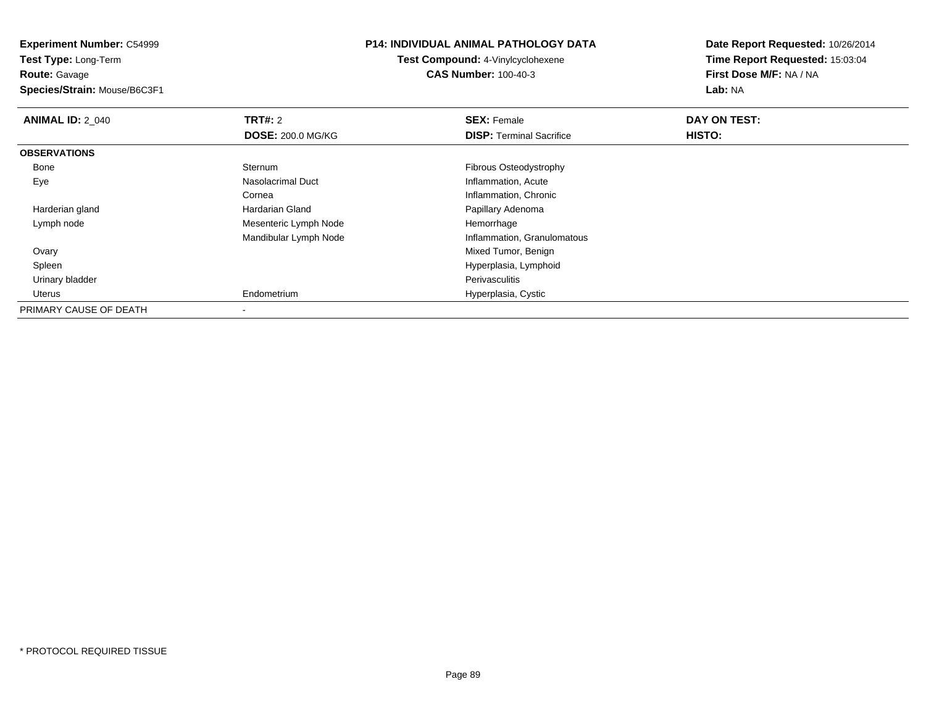**Experiment Number:** C54999**Test Type:** Long-Term**Route:** Gavage **Species/Strain:** Mouse/B6C3F1**P14: INDIVIDUAL ANIMAL PATHOLOGY DATATest Compound:** 4-Vinylcyclohexene**CAS Number:** 100-40-3**Date Report Requested:** 10/26/2014**Time Report Requested:** 15:03:04**First Dose M/F:** NA / NA**Lab:** NA**ANIMAL ID: 2 040 Communist SEX: Female DAY ON TEST: DAY ON TEST: DOSE:** 200.0 MG/KG**DISP:** Terminal Sacrifice **HISTO: OBSERVATIONS** Bonee Sternum Sternum<br>
Nasolacrimal Duct<br>
Nasolacrimal Duct<br>
Nasolacrimal Duct<br>
Contract Duct<br>
Contract Duct<br>
Contract Duct<br>
Contract Duct<br>
Contract Duct<br>
Contract Duct<br>
Contract Duct<br>
Contract Duct<br>
Contract Duct<br>
Contract Duct<br>
Contra EyeInflammation, Acute CorneaCornea **Inflammation, Chronic**<br> **Inflammation, Chronic Hardarian Gland Corneal Corneal Corneal Corneal Corneal Corneal Corneal Corneal Corneal**  Harderian glandPapillary Adenoma Lymph nodeMesenteric Lymph Node Hemorrhage Mandibular Lymph Node Inflammation, Granulomatous Ovary Mixed Tumor, Benign Hyperplasia, Lymphoid Spleen Urinary bladder Perivasculitism Hyperplasia, Cystic Uterus EndometriumPRIMARY CAUSE OF DEATH

\* PROTOCOL REQUIRED TISSUE

-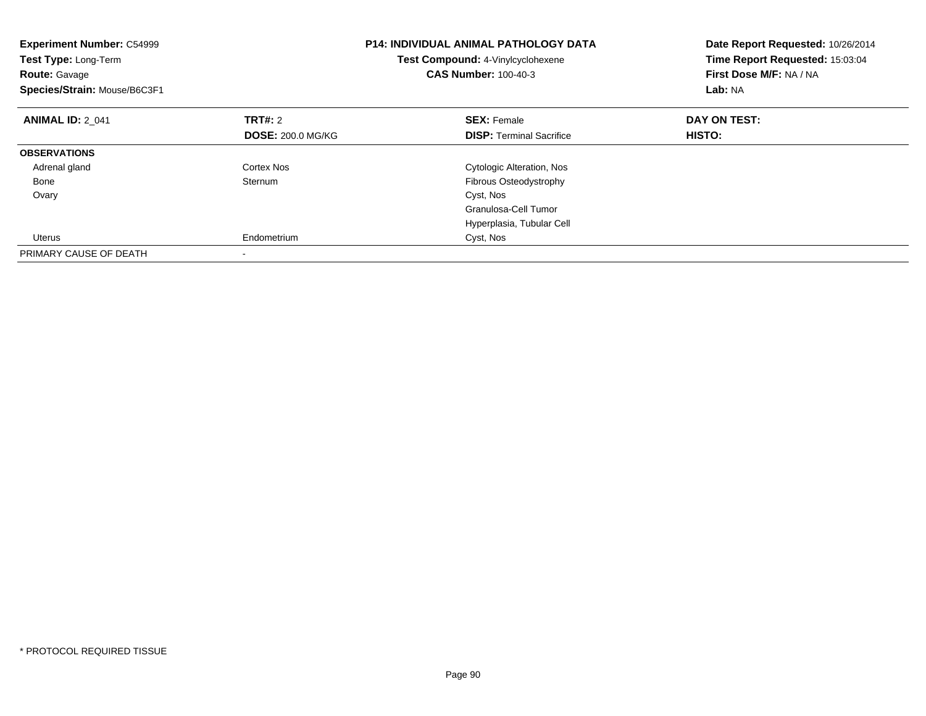| <b>Experiment Number: C54999</b><br>Test Type: Long-Term<br><b>Route: Gavage</b><br>Species/Strain: Mouse/B6C3F1 |                          | <b>P14: INDIVIDUAL ANIMAL PATHOLOGY DATA</b><br>Test Compound: 4-Vinylcyclohexene<br><b>CAS Number: 100-40-3</b> | Date Report Requested: 10/26/2014<br>Time Report Requested: 15:03:04<br>First Dose M/F: NA / NA<br>Lab: NA |
|------------------------------------------------------------------------------------------------------------------|--------------------------|------------------------------------------------------------------------------------------------------------------|------------------------------------------------------------------------------------------------------------|
| <b>ANIMAL ID: 2 041</b>                                                                                          | TRT#: 2                  | <b>SEX: Female</b>                                                                                               | DAY ON TEST:                                                                                               |
|                                                                                                                  | <b>DOSE: 200.0 MG/KG</b> | <b>DISP:</b> Terminal Sacrifice                                                                                  | HISTO:                                                                                                     |
| <b>OBSERVATIONS</b>                                                                                              |                          |                                                                                                                  |                                                                                                            |
| Adrenal gland                                                                                                    | Cortex Nos               | Cytologic Alteration, Nos                                                                                        |                                                                                                            |
| Bone                                                                                                             | Sternum                  | Fibrous Osteodystrophy                                                                                           |                                                                                                            |
| Ovary                                                                                                            |                          | Cyst, Nos                                                                                                        |                                                                                                            |
|                                                                                                                  |                          | Granulosa-Cell Tumor                                                                                             |                                                                                                            |
|                                                                                                                  |                          | Hyperplasia, Tubular Cell                                                                                        |                                                                                                            |
| Uterus                                                                                                           | Endometrium              | Cyst, Nos                                                                                                        |                                                                                                            |
| PRIMARY CAUSE OF DEATH                                                                                           |                          |                                                                                                                  |                                                                                                            |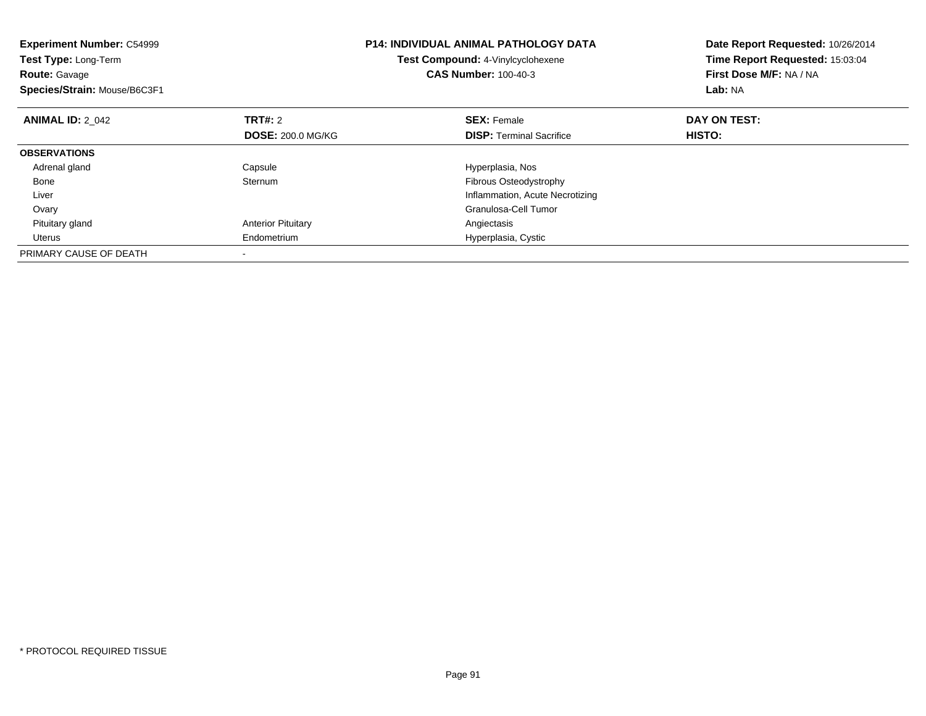| <b>Experiment Number: C54999</b><br>Test Type: Long-Term<br><b>Route: Gavage</b><br>Species/Strain: Mouse/B6C3F1 |                           | <b>P14: INDIVIDUAL ANIMAL PATHOLOGY DATA</b><br>Test Compound: 4-Vinylcyclohexene<br><b>CAS Number: 100-40-3</b> | Date Report Requested: 10/26/2014<br>Time Report Requested: 15:03:04<br>First Dose M/F: NA / NA<br>Lab: NA |
|------------------------------------------------------------------------------------------------------------------|---------------------------|------------------------------------------------------------------------------------------------------------------|------------------------------------------------------------------------------------------------------------|
| <b>ANIMAL ID: 2 042</b>                                                                                          | TRT#: 2                   | <b>SEX: Female</b>                                                                                               | DAY ON TEST:                                                                                               |
|                                                                                                                  | <b>DOSE: 200.0 MG/KG</b>  | <b>DISP:</b> Terminal Sacrifice                                                                                  | <b>HISTO:</b>                                                                                              |
| <b>OBSERVATIONS</b>                                                                                              |                           |                                                                                                                  |                                                                                                            |
| Adrenal gland                                                                                                    | Capsule                   | Hyperplasia, Nos                                                                                                 |                                                                                                            |
| Bone                                                                                                             | Sternum                   | <b>Fibrous Osteodystrophy</b>                                                                                    |                                                                                                            |
| Liver                                                                                                            |                           | Inflammation, Acute Necrotizing                                                                                  |                                                                                                            |
| Ovary                                                                                                            |                           | Granulosa-Cell Tumor                                                                                             |                                                                                                            |
| Pituitary gland                                                                                                  | <b>Anterior Pituitary</b> | Angiectasis                                                                                                      |                                                                                                            |
| Uterus                                                                                                           | Endometrium               | Hyperplasia, Cystic                                                                                              |                                                                                                            |
| PRIMARY CAUSE OF DEATH                                                                                           |                           |                                                                                                                  |                                                                                                            |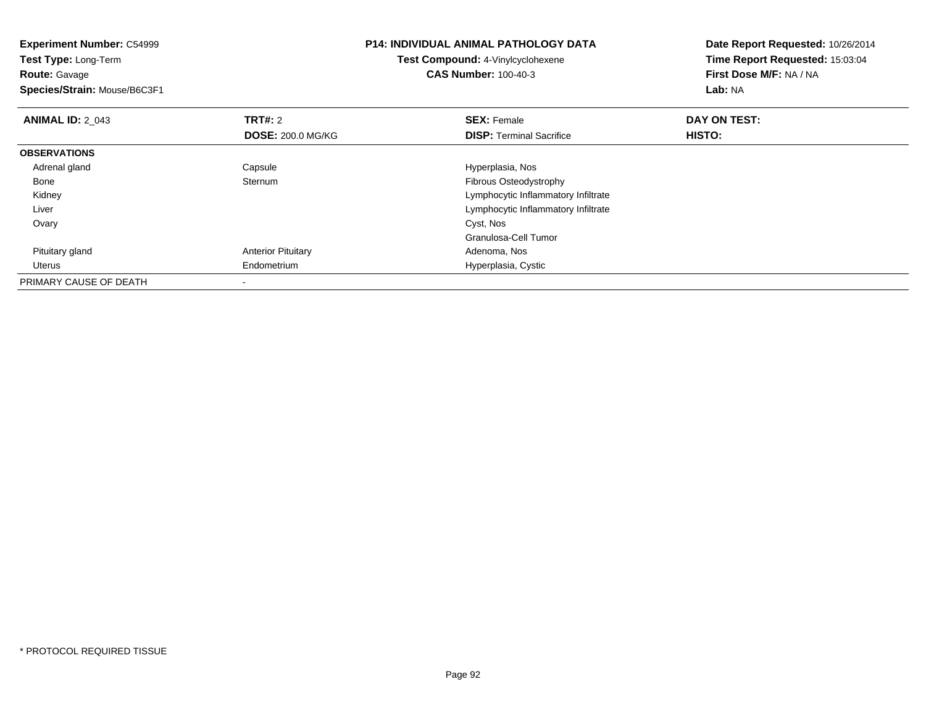| <b>Experiment Number: C54999</b> |                           | <b>P14: INDIVIDUAL ANIMAL PATHOLOGY DATA</b> | Date Report Requested: 10/26/2014 |
|----------------------------------|---------------------------|----------------------------------------------|-----------------------------------|
| Test Type: Long-Term             |                           | Test Compound: 4-Vinylcyclohexene            | Time Report Requested: 15:03:04   |
| <b>Route: Gavage</b>             |                           | <b>CAS Number: 100-40-3</b>                  | First Dose M/F: NA / NA           |
| Species/Strain: Mouse/B6C3F1     |                           |                                              | Lab: NA                           |
| <b>ANIMAL ID: 2 043</b>          | <b>TRT#: 2</b>            | <b>SEX: Female</b>                           | DAY ON TEST:                      |
|                                  | <b>DOSE: 200.0 MG/KG</b>  | <b>DISP:</b> Terminal Sacrifice              | HISTO:                            |
| <b>OBSERVATIONS</b>              |                           |                                              |                                   |
| Adrenal gland                    | Capsule                   | Hyperplasia, Nos                             |                                   |
| Bone                             | Sternum                   | Fibrous Osteodystrophy                       |                                   |
| Kidney                           |                           | Lymphocytic Inflammatory Infiltrate          |                                   |
| Liver                            |                           | Lymphocytic Inflammatory Infiltrate          |                                   |
| Ovary                            |                           | Cyst, Nos                                    |                                   |
|                                  |                           | Granulosa-Cell Tumor                         |                                   |
| Pituitary gland                  | <b>Anterior Pituitary</b> | Adenoma, Nos                                 |                                   |
| Uterus                           | Endometrium               | Hyperplasia, Cystic                          |                                   |
| PRIMARY CAUSE OF DEATH           |                           |                                              |                                   |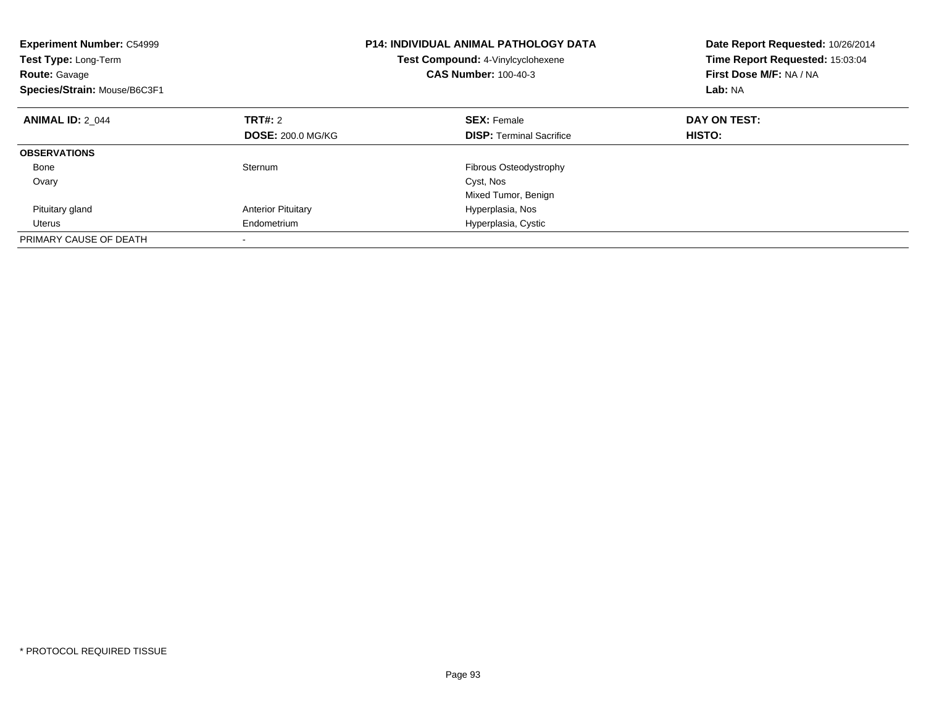| <b>Experiment Number: C54999</b><br>Test Type: Long-Term<br><b>Route: Gavage</b><br>Species/Strain: Mouse/B6C3F1 |                           | <b>P14: INDIVIDUAL ANIMAL PATHOLOGY DATA</b><br>Test Compound: 4-Vinylcyclohexene<br><b>CAS Number: 100-40-3</b> | Date Report Requested: 10/26/2014<br>Time Report Requested: 15:03:04<br>First Dose M/F: NA / NA<br>Lab: NA |
|------------------------------------------------------------------------------------------------------------------|---------------------------|------------------------------------------------------------------------------------------------------------------|------------------------------------------------------------------------------------------------------------|
| <b>ANIMAL ID: 2 044</b>                                                                                          | TRT#: 2                   | <b>SEX: Female</b>                                                                                               | DAY ON TEST:                                                                                               |
|                                                                                                                  | <b>DOSE: 200.0 MG/KG</b>  | <b>DISP:</b> Terminal Sacrifice                                                                                  | HISTO:                                                                                                     |
| <b>OBSERVATIONS</b>                                                                                              |                           |                                                                                                                  |                                                                                                            |
| Bone                                                                                                             | Sternum                   | Fibrous Osteodystrophy                                                                                           |                                                                                                            |
| Ovary                                                                                                            |                           | Cyst, Nos                                                                                                        |                                                                                                            |
|                                                                                                                  |                           | Mixed Tumor, Benign                                                                                              |                                                                                                            |
| Pituitary gland                                                                                                  | <b>Anterior Pituitary</b> | Hyperplasia, Nos                                                                                                 |                                                                                                            |
| Uterus                                                                                                           | Endometrium               | Hyperplasia, Cystic                                                                                              |                                                                                                            |
| PRIMARY CAUSE OF DEATH                                                                                           | $\overline{\phantom{a}}$  |                                                                                                                  |                                                                                                            |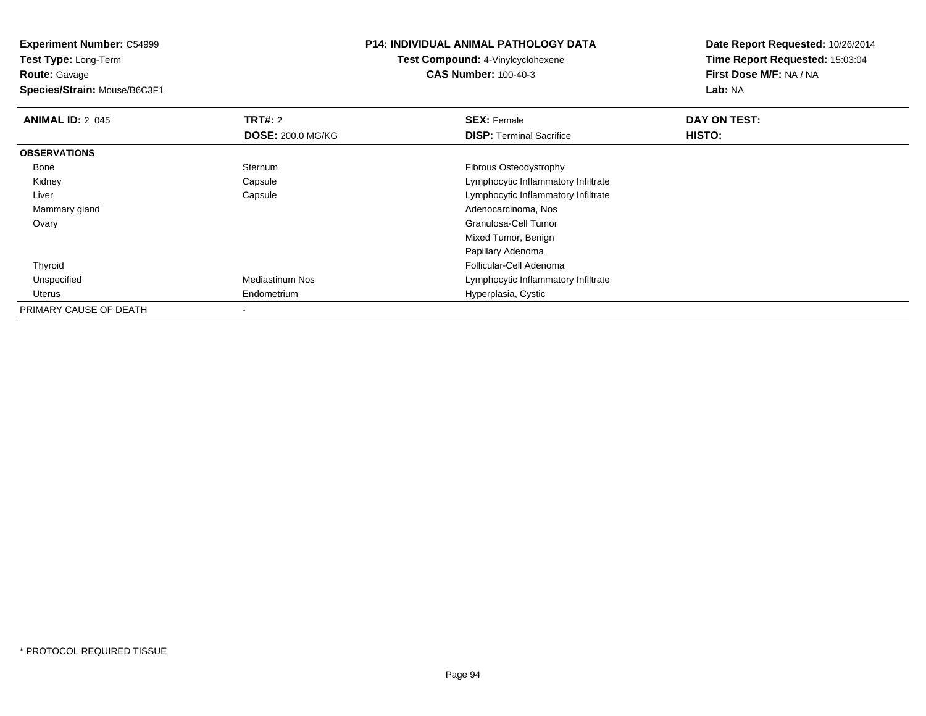**Experiment Number:** C54999**Test Type:** Long-Term**Route:** Gavage **Species/Strain:** Mouse/B6C3F1**P14: INDIVIDUAL ANIMAL PATHOLOGY DATATest Compound:** 4-Vinylcyclohexene**CAS Number:** 100-40-3**Date Report Requested:** 10/26/2014**Time Report Requested:** 15:03:04**First Dose M/F:** NA / NA**Lab:** NA**ANIMAL ID: 2 045 TRT#:** 2 **SEX:** Female **DAY ON TEST: DOSE:** 200.0 MG/KG**DISP:** Terminal Sacrifice **HISTO: OBSERVATIONS** Bonee Sternum Sternum **Exercise Sternum Fibrous Osteodystrophy**  Kidney Capsule Lymphocytic Inflammatory Infiltrate Liver Capsule Lymphocytic Inflammatory Infiltrate Mammary gland Adenocarcinoma, Nos Ovary Granulosa-Cell Tumor Mixed Tumor, BenignPapillary Adenoma Follicular-Cell Adenoma Thyroid UnspecifiedMediastinum Nos **Mediastinum Nos** Lymphocytic Inflammatory Infiltrate Uterus Endometrium Hyperplasia, Cystic PRIMARY CAUSE OF DEATH-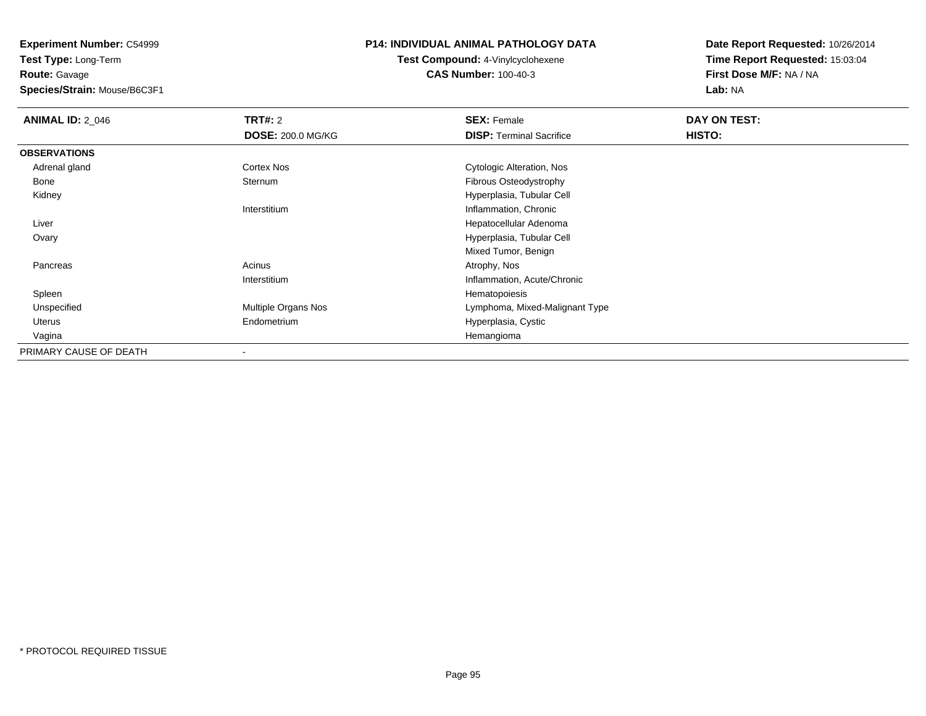**Experiment Number:** C54999

**Test Type:** Long-Term**Route:** Gavage

**Species/Strain:** Mouse/B6C3F1

## **P14: INDIVIDUAL ANIMAL PATHOLOGY DATA**

**Test Compound:** 4-Vinylcyclohexene**CAS Number:** 100-40-3

**Date Report Requested:** 10/26/2014**Time Report Requested:** 15:03:04**First Dose M/F:** NA / NA**Lab:** NA

| <b>ANIMAL ID: 2_046</b> | <b>TRT#: 2</b>           | <b>SEX: Female</b>              | DAY ON TEST: |  |
|-------------------------|--------------------------|---------------------------------|--------------|--|
|                         | <b>DOSE: 200.0 MG/KG</b> | <b>DISP: Terminal Sacrifice</b> | HISTO:       |  |
| <b>OBSERVATIONS</b>     |                          |                                 |              |  |
| Adrenal gland           | Cortex Nos               | Cytologic Alteration, Nos       |              |  |
| Bone                    | Sternum                  | Fibrous Osteodystrophy          |              |  |
| Kidney                  |                          | Hyperplasia, Tubular Cell       |              |  |
|                         | Interstitium             | Inflammation, Chronic           |              |  |
| Liver                   |                          | Hepatocellular Adenoma          |              |  |
| Ovary                   |                          | Hyperplasia, Tubular Cell       |              |  |
|                         |                          | Mixed Tumor, Benign             |              |  |
| Pancreas                | Acinus                   | Atrophy, Nos                    |              |  |
|                         | Interstitium             | Inflammation, Acute/Chronic     |              |  |
| Spleen                  |                          | Hematopoiesis                   |              |  |
| Unspecified             | Multiple Organs Nos      | Lymphoma, Mixed-Malignant Type  |              |  |
| Uterus                  | Endometrium              | Hyperplasia, Cystic             |              |  |
| Vagina                  |                          | Hemangioma                      |              |  |
| PRIMARY CAUSE OF DEATH  |                          |                                 |              |  |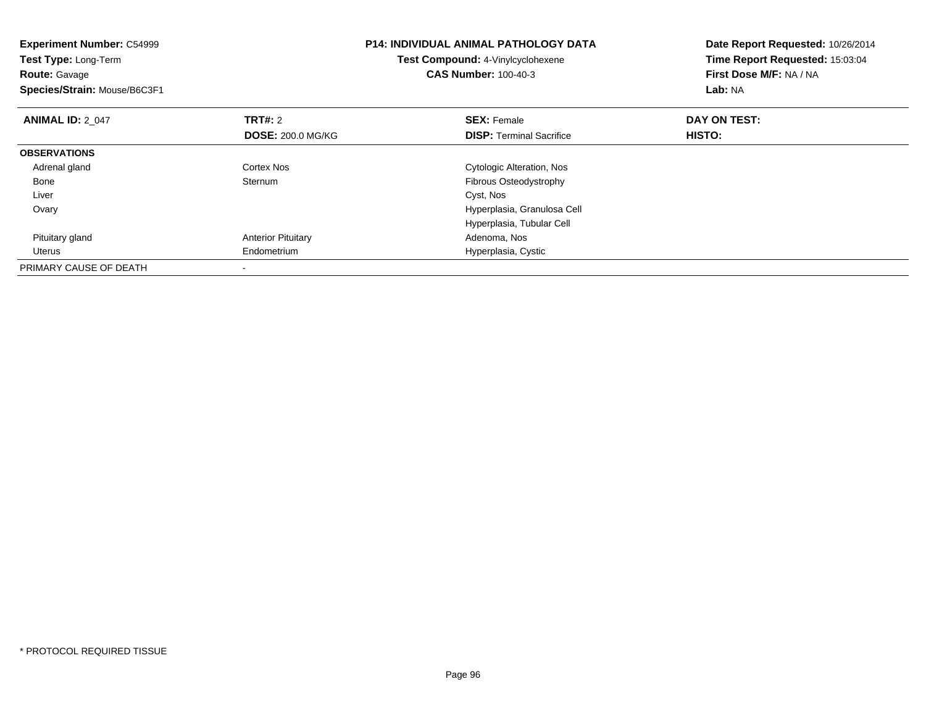| <b>Experiment Number: C54999</b><br>Test Type: Long-Term<br><b>Route: Gavage</b><br>Species/Strain: Mouse/B6C3F1 |                           | <b>P14: INDIVIDUAL ANIMAL PATHOLOGY DATA</b><br>Test Compound: 4-Vinylcyclohexene<br><b>CAS Number: 100-40-3</b> | Date Report Requested: 10/26/2014<br>Time Report Requested: 15:03:04<br>First Dose M/F: NA / NA<br>Lab: NA |
|------------------------------------------------------------------------------------------------------------------|---------------------------|------------------------------------------------------------------------------------------------------------------|------------------------------------------------------------------------------------------------------------|
| <b>ANIMAL ID: 2 047</b>                                                                                          | <b>TRT#: 2</b>            | <b>SEX: Female</b>                                                                                               | DAY ON TEST:                                                                                               |
|                                                                                                                  | <b>DOSE: 200.0 MG/KG</b>  | <b>DISP:</b> Terminal Sacrifice                                                                                  | HISTO:                                                                                                     |
| <b>OBSERVATIONS</b>                                                                                              |                           |                                                                                                                  |                                                                                                            |
| Adrenal gland                                                                                                    | Cortex Nos                | Cytologic Alteration, Nos                                                                                        |                                                                                                            |
| Bone                                                                                                             | Sternum                   | Fibrous Osteodystrophy                                                                                           |                                                                                                            |
| Liver                                                                                                            |                           | Cyst, Nos                                                                                                        |                                                                                                            |
| Ovary                                                                                                            |                           | Hyperplasia, Granulosa Cell                                                                                      |                                                                                                            |
|                                                                                                                  |                           | Hyperplasia, Tubular Cell                                                                                        |                                                                                                            |
| Pituitary gland                                                                                                  | <b>Anterior Pituitary</b> | Adenoma, Nos                                                                                                     |                                                                                                            |
| Uterus                                                                                                           | Endometrium               | Hyperplasia, Cystic                                                                                              |                                                                                                            |
| PRIMARY CAUSE OF DEATH                                                                                           |                           |                                                                                                                  |                                                                                                            |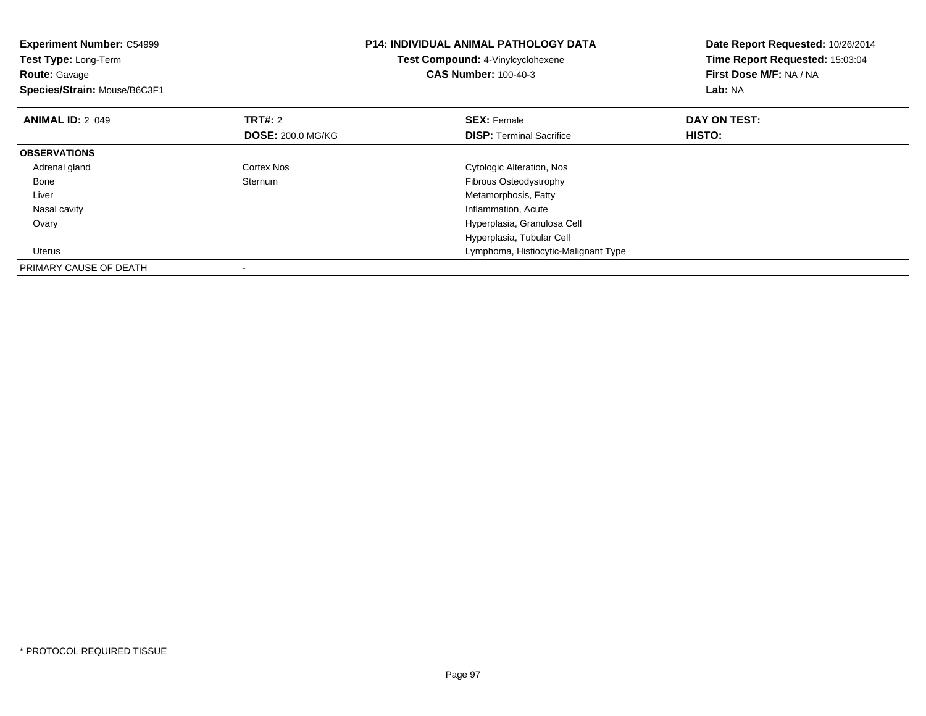| <b>Experiment Number: C54999</b><br>Test Type: Long-Term<br><b>Route: Gavage</b><br>Species/Strain: Mouse/B6C3F1 |                          | <b>P14: INDIVIDUAL ANIMAL PATHOLOGY DATA</b><br>Test Compound: 4-Vinylcyclohexene<br><b>CAS Number: 100-40-3</b> | Date Report Requested: 10/26/2014<br>Time Report Requested: 15:03:04<br>First Dose M/F: NA / NA<br>Lab: NA |
|------------------------------------------------------------------------------------------------------------------|--------------------------|------------------------------------------------------------------------------------------------------------------|------------------------------------------------------------------------------------------------------------|
| <b>ANIMAL ID: 2 049</b>                                                                                          | <b>TRT#:</b> 2           | <b>SEX: Female</b>                                                                                               | DAY ON TEST:                                                                                               |
|                                                                                                                  | <b>DOSE: 200.0 MG/KG</b> | <b>DISP:</b> Terminal Sacrifice                                                                                  | HISTO:                                                                                                     |
| <b>OBSERVATIONS</b>                                                                                              |                          |                                                                                                                  |                                                                                                            |
| Adrenal gland                                                                                                    | Cortex Nos               | Cytologic Alteration, Nos                                                                                        |                                                                                                            |
| Bone                                                                                                             | Sternum                  | Fibrous Osteodystrophy                                                                                           |                                                                                                            |
| Liver                                                                                                            |                          | Metamorphosis, Fatty                                                                                             |                                                                                                            |
| Nasal cavity                                                                                                     |                          | Inflammation, Acute                                                                                              |                                                                                                            |
| Ovary                                                                                                            |                          | Hyperplasia, Granulosa Cell                                                                                      |                                                                                                            |
|                                                                                                                  |                          | Hyperplasia, Tubular Cell                                                                                        |                                                                                                            |
| Uterus                                                                                                           |                          | Lymphoma, Histiocytic-Malignant Type                                                                             |                                                                                                            |
| PRIMARY CAUSE OF DEATH                                                                                           |                          |                                                                                                                  |                                                                                                            |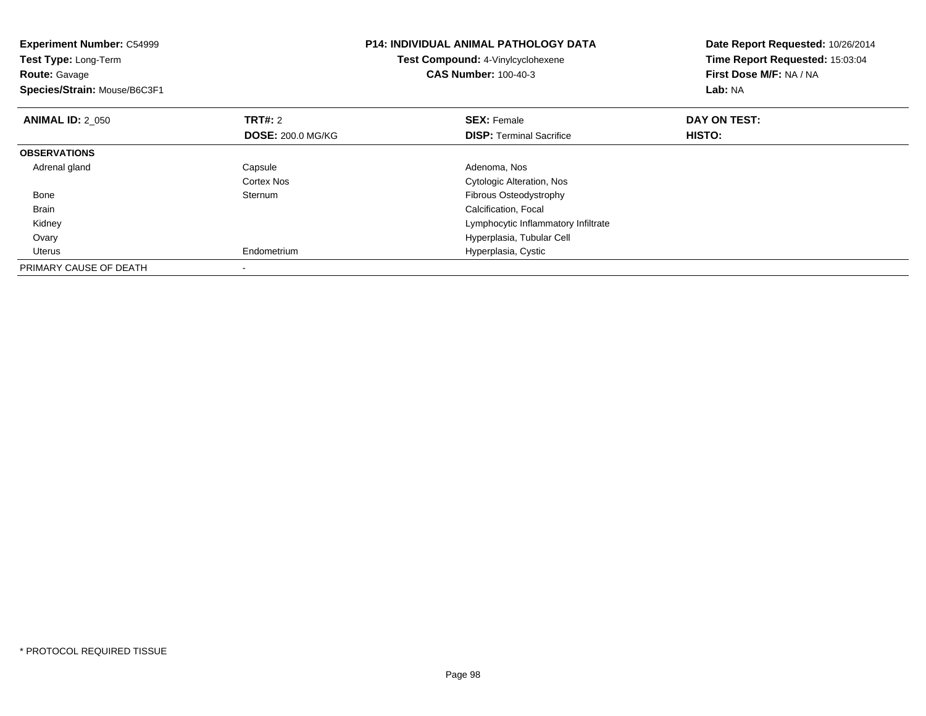| <b>Experiment Number: C54999</b><br><b>Test Type: Long-Term</b><br><b>Route: Gavage</b><br>Species/Strain: Mouse/B6C3F1 |                                            | <b>P14: INDIVIDUAL ANIMAL PATHOLOGY DATA</b><br>Test Compound: 4-Vinylcyclohexene<br><b>CAS Number: 100-40-3</b> | Date Report Requested: 10/26/2014<br>Time Report Requested: 15:03:04<br>First Dose M/F: NA / NA<br>Lab: NA |
|-------------------------------------------------------------------------------------------------------------------------|--------------------------------------------|------------------------------------------------------------------------------------------------------------------|------------------------------------------------------------------------------------------------------------|
| <b>ANIMAL ID: 2 050</b>                                                                                                 | <b>TRT#: 2</b><br><b>DOSE: 200.0 MG/KG</b> | <b>SEX: Female</b><br><b>DISP:</b> Terminal Sacrifice                                                            | DAY ON TEST:<br>HISTO:                                                                                     |
| <b>OBSERVATIONS</b>                                                                                                     |                                            |                                                                                                                  |                                                                                                            |
| Adrenal gland                                                                                                           | Capsule<br>Cortex Nos                      | Adenoma, Nos<br>Cytologic Alteration, Nos                                                                        |                                                                                                            |
| Bone                                                                                                                    | Sternum                                    | <b>Fibrous Osteodystrophy</b>                                                                                    |                                                                                                            |
| <b>Brain</b>                                                                                                            |                                            | Calcification, Focal                                                                                             |                                                                                                            |
| Kidney                                                                                                                  |                                            | Lymphocytic Inflammatory Infiltrate                                                                              |                                                                                                            |
| Ovary                                                                                                                   |                                            | Hyperplasia, Tubular Cell                                                                                        |                                                                                                            |
| Uterus                                                                                                                  | Endometrium                                | Hyperplasia, Cystic                                                                                              |                                                                                                            |
| PRIMARY CAUSE OF DEATH                                                                                                  |                                            |                                                                                                                  |                                                                                                            |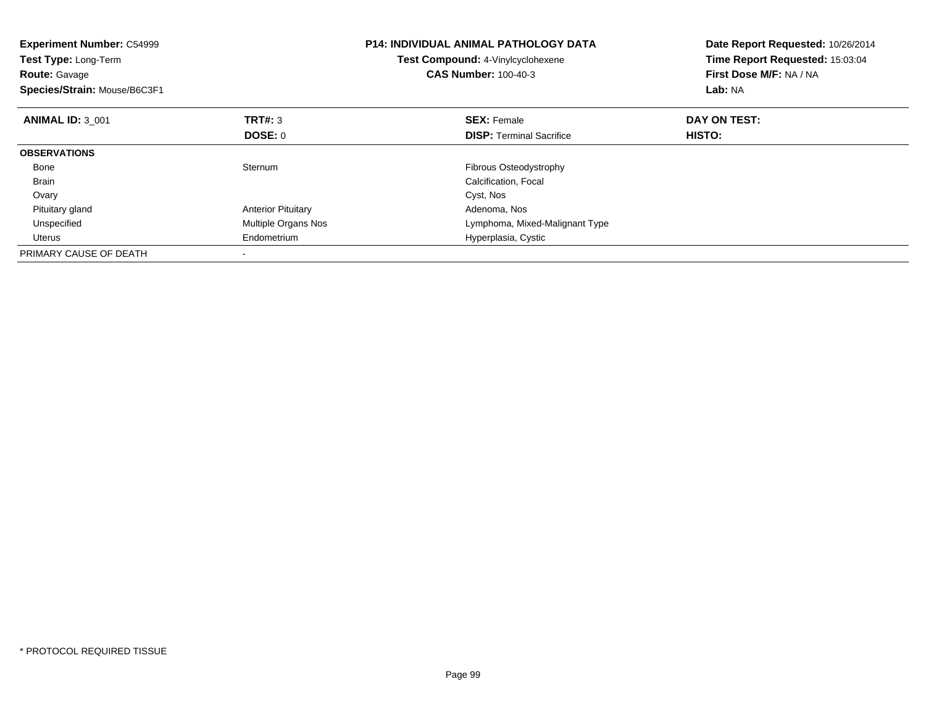| <b>Experiment Number: C54999</b><br>Test Type: Long-Term<br><b>Route: Gavage</b><br>Species/Strain: Mouse/B6C3F1 |                           | <b>P14: INDIVIDUAL ANIMAL PATHOLOGY DATA</b><br>Test Compound: 4-Vinylcyclohexene<br><b>CAS Number: 100-40-3</b> | Date Report Requested: 10/26/2014<br>Time Report Requested: 15:03:04<br>First Dose M/F: NA / NA<br>Lab: NA |
|------------------------------------------------------------------------------------------------------------------|---------------------------|------------------------------------------------------------------------------------------------------------------|------------------------------------------------------------------------------------------------------------|
| <b>ANIMAL ID: 3 001</b>                                                                                          | TRT#: 3                   | <b>SEX: Female</b>                                                                                               | DAY ON TEST:                                                                                               |
|                                                                                                                  | DOSE: 0                   | <b>DISP:</b> Terminal Sacrifice                                                                                  | HISTO:                                                                                                     |
| <b>OBSERVATIONS</b>                                                                                              |                           |                                                                                                                  |                                                                                                            |
| Bone                                                                                                             | Sternum                   | <b>Fibrous Osteodystrophy</b>                                                                                    |                                                                                                            |
| Brain                                                                                                            |                           | Calcification, Focal                                                                                             |                                                                                                            |
| Ovary                                                                                                            |                           | Cyst, Nos                                                                                                        |                                                                                                            |
| Pituitary gland                                                                                                  | <b>Anterior Pituitary</b> | Adenoma, Nos                                                                                                     |                                                                                                            |
| Unspecified                                                                                                      | Multiple Organs Nos       | Lymphoma, Mixed-Malignant Type                                                                                   |                                                                                                            |
| Uterus                                                                                                           | Endometrium               | Hyperplasia, Cystic                                                                                              |                                                                                                            |
| PRIMARY CAUSE OF DEATH                                                                                           |                           |                                                                                                                  |                                                                                                            |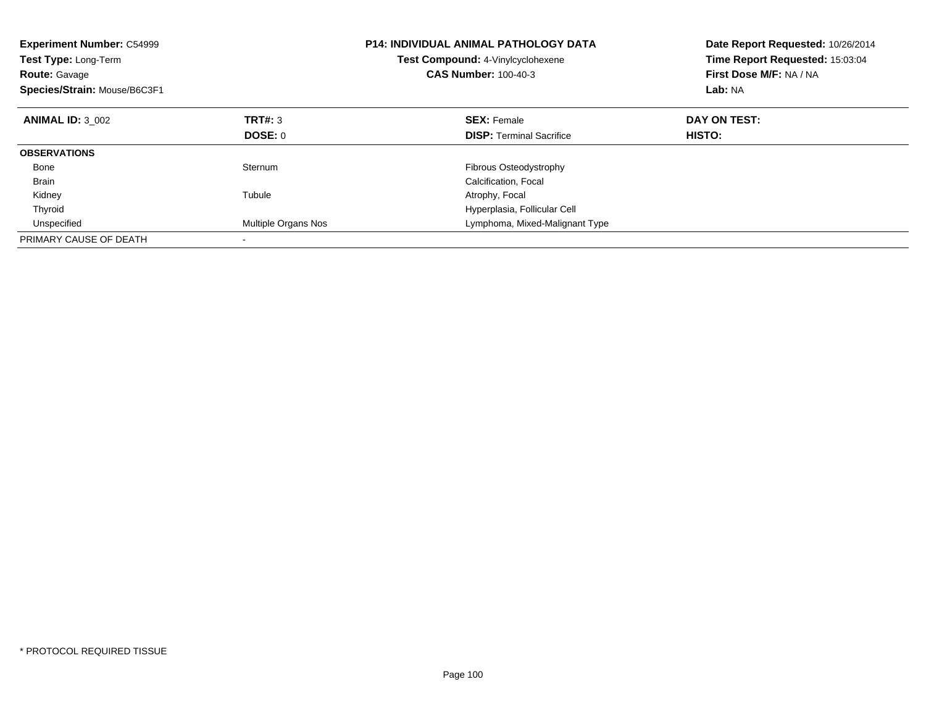| <b>Experiment Number: C54999</b><br><b>Test Type: Long-Term</b><br><b>Route: Gavage</b><br>Species/Strain: Mouse/B6C3F1 |                     | <b>P14: INDIVIDUAL ANIMAL PATHOLOGY DATA</b><br><b>Test Compound: 4-Vinylcyclohexene</b><br><b>CAS Number: 100-40-3</b> | Date Report Requested: 10/26/2014<br>Time Report Requested: 15:03:04<br>First Dose M/F: NA / NA<br>Lab: NA |
|-------------------------------------------------------------------------------------------------------------------------|---------------------|-------------------------------------------------------------------------------------------------------------------------|------------------------------------------------------------------------------------------------------------|
| <b>ANIMAL ID: 3 002</b>                                                                                                 | TRT#: 3             | <b>SEX: Female</b>                                                                                                      | DAY ON TEST:                                                                                               |
|                                                                                                                         | DOSE: 0             | <b>DISP:</b> Terminal Sacrifice                                                                                         | HISTO:                                                                                                     |
| <b>OBSERVATIONS</b>                                                                                                     |                     |                                                                                                                         |                                                                                                            |
| Bone                                                                                                                    | Sternum             | Fibrous Osteodystrophy                                                                                                  |                                                                                                            |
| <b>Brain</b>                                                                                                            |                     | Calcification, Focal                                                                                                    |                                                                                                            |
| Kidney                                                                                                                  | Tubule              | Atrophy, Focal                                                                                                          |                                                                                                            |
| Thyroid                                                                                                                 |                     | Hyperplasia, Follicular Cell                                                                                            |                                                                                                            |
| Unspecified                                                                                                             | Multiple Organs Nos | Lymphoma, Mixed-Malignant Type                                                                                          |                                                                                                            |
| PRIMARY CAUSE OF DEATH                                                                                                  |                     |                                                                                                                         |                                                                                                            |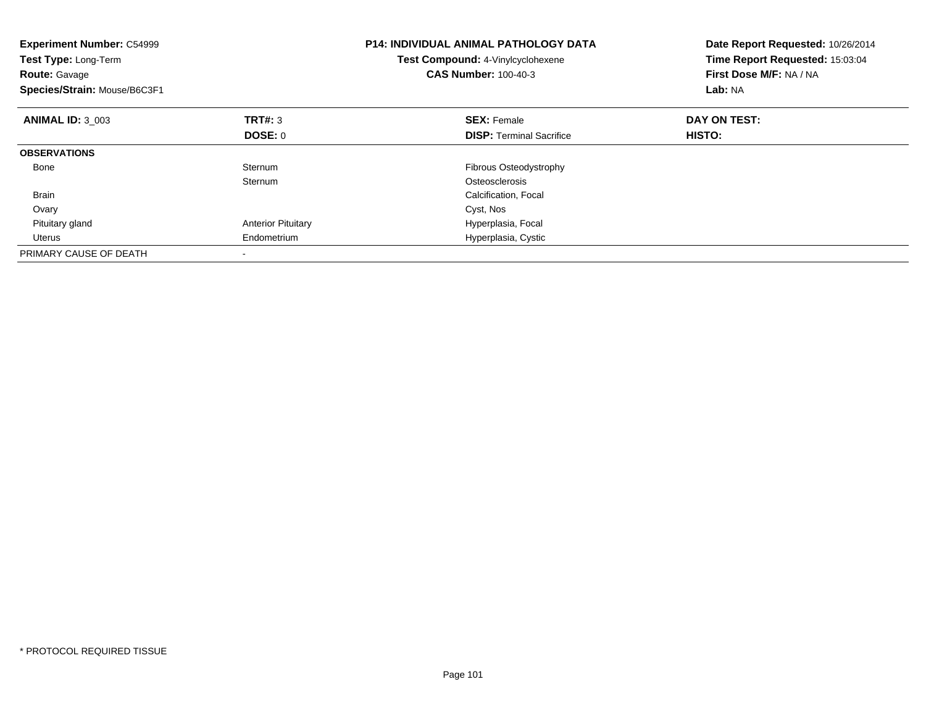| <b>Experiment Number: C54999</b><br><b>Test Type: Long-Term</b><br><b>Route: Gavage</b><br>Species/Strain: Mouse/B6C3F1 |                           | <b>P14: INDIVIDUAL ANIMAL PATHOLOGY DATA</b><br>Test Compound: 4-Vinylcyclohexene<br><b>CAS Number: 100-40-3</b> | Date Report Requested: 10/26/2014<br>Time Report Requested: 15:03:04<br>First Dose M/F: NA / NA<br>Lab: NA |
|-------------------------------------------------------------------------------------------------------------------------|---------------------------|------------------------------------------------------------------------------------------------------------------|------------------------------------------------------------------------------------------------------------|
| <b>ANIMAL ID: 3 003</b>                                                                                                 | TRT#: 3                   | <b>SEX: Female</b>                                                                                               | DAY ON TEST:                                                                                               |
|                                                                                                                         | DOSE: 0                   | <b>DISP:</b> Terminal Sacrifice                                                                                  | HISTO:                                                                                                     |
| <b>OBSERVATIONS</b>                                                                                                     |                           |                                                                                                                  |                                                                                                            |
| Bone                                                                                                                    | Sternum                   | <b>Fibrous Osteodystrophy</b>                                                                                    |                                                                                                            |
|                                                                                                                         | Sternum                   | Osteosclerosis                                                                                                   |                                                                                                            |
| Brain                                                                                                                   |                           | Calcification, Focal                                                                                             |                                                                                                            |
| Ovary                                                                                                                   |                           | Cyst, Nos                                                                                                        |                                                                                                            |
| Pituitary gland                                                                                                         | <b>Anterior Pituitary</b> | Hyperplasia, Focal                                                                                               |                                                                                                            |
| Uterus                                                                                                                  | Endometrium               | Hyperplasia, Cystic                                                                                              |                                                                                                            |
| PRIMARY CAUSE OF DEATH                                                                                                  |                           |                                                                                                                  |                                                                                                            |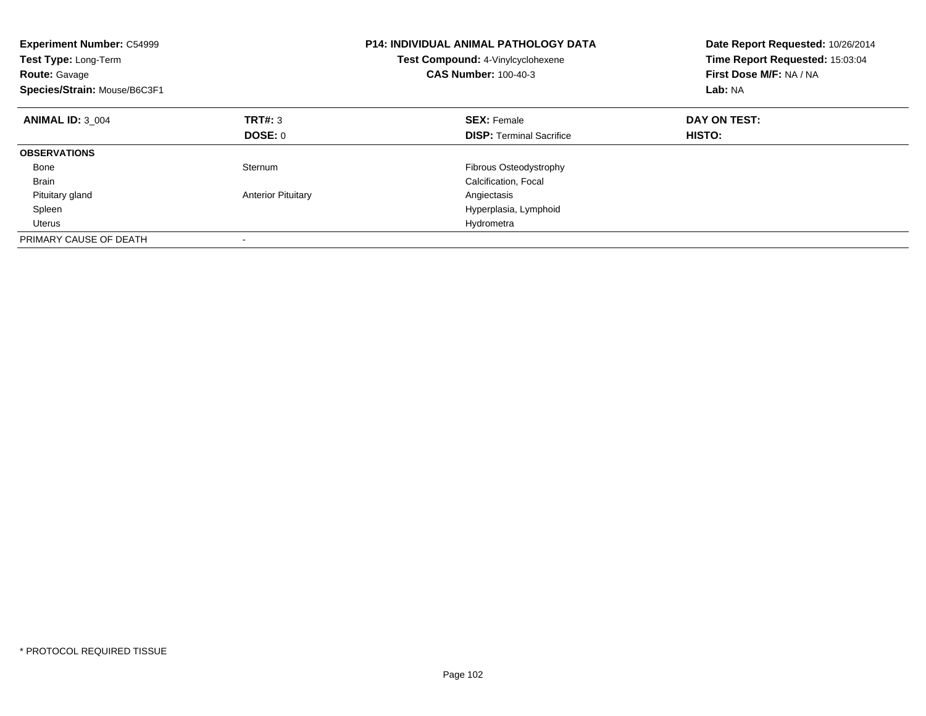| <b>Experiment Number: C54999</b><br><b>Test Type: Long-Term</b><br><b>Route: Gavage</b><br>Species/Strain: Mouse/B6C3F1 |                           | <b>P14: INDIVIDUAL ANIMAL PATHOLOGY DATA</b><br><b>Test Compound: 4-Vinylcyclohexene</b><br><b>CAS Number: 100-40-3</b> | Date Report Requested: 10/26/2014<br>Time Report Requested: 15:03:04<br>First Dose M/F: NA / NA<br><b>Lab: NA</b> |
|-------------------------------------------------------------------------------------------------------------------------|---------------------------|-------------------------------------------------------------------------------------------------------------------------|-------------------------------------------------------------------------------------------------------------------|
| <b>ANIMAL ID: 3 004</b>                                                                                                 | TRT#: 3                   | <b>SEX: Female</b>                                                                                                      | DAY ON TEST:                                                                                                      |
|                                                                                                                         | <b>DOSE: 0</b>            | <b>DISP:</b> Terminal Sacrifice                                                                                         | HISTO:                                                                                                            |
| <b>OBSERVATIONS</b>                                                                                                     |                           |                                                                                                                         |                                                                                                                   |
| Bone                                                                                                                    | Sternum                   | Fibrous Osteodystrophy                                                                                                  |                                                                                                                   |
| <b>Brain</b>                                                                                                            |                           | Calcification, Focal                                                                                                    |                                                                                                                   |
| Pituitary gland                                                                                                         | <b>Anterior Pituitary</b> | Angiectasis                                                                                                             |                                                                                                                   |
| Spleen                                                                                                                  |                           | Hyperplasia, Lymphoid                                                                                                   |                                                                                                                   |
| Uterus                                                                                                                  |                           | Hydrometra                                                                                                              |                                                                                                                   |
| PRIMARY CAUSE OF DEATH                                                                                                  |                           |                                                                                                                         |                                                                                                                   |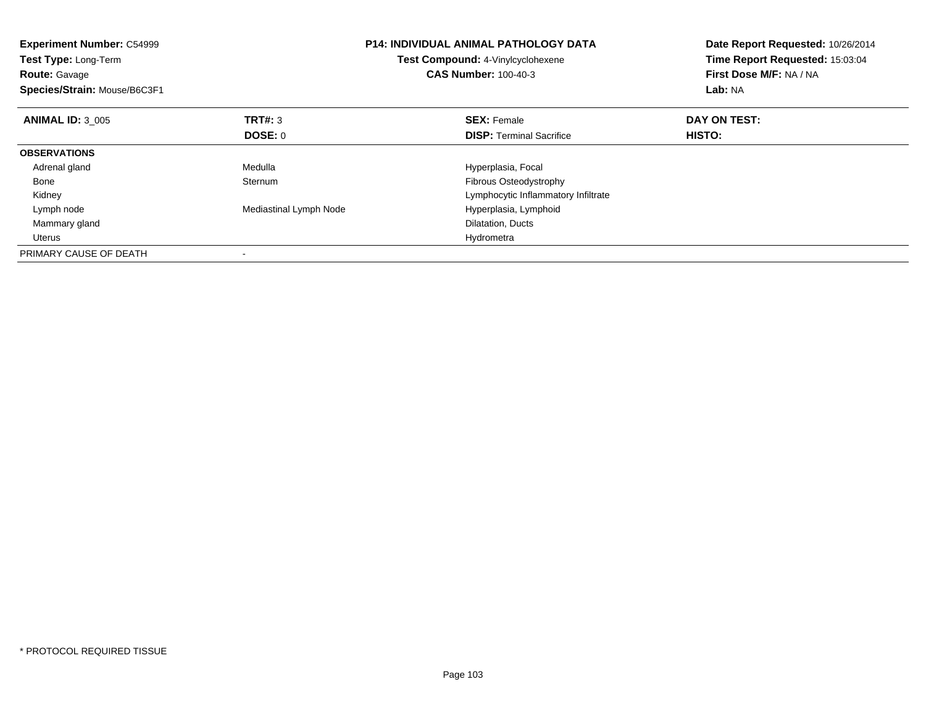| <b>Experiment Number: C54999</b><br>Test Type: Long-Term<br><b>Route: Gavage</b><br>Species/Strain: Mouse/B6C3F1 |                        | <b>P14: INDIVIDUAL ANIMAL PATHOLOGY DATA</b><br>Test Compound: 4-Vinylcyclohexene<br><b>CAS Number: 100-40-3</b> | Date Report Requested: 10/26/2014<br>Time Report Requested: 15:03:04<br>First Dose M/F: NA / NA<br>Lab: NA |
|------------------------------------------------------------------------------------------------------------------|------------------------|------------------------------------------------------------------------------------------------------------------|------------------------------------------------------------------------------------------------------------|
| <b>ANIMAL ID: 3 005</b>                                                                                          | TRT#: 3                | <b>SEX: Female</b>                                                                                               | DAY ON TEST:                                                                                               |
|                                                                                                                  | <b>DOSE: 0</b>         | <b>DISP:</b> Terminal Sacrifice                                                                                  | HISTO:                                                                                                     |
| <b>OBSERVATIONS</b>                                                                                              |                        |                                                                                                                  |                                                                                                            |
| Adrenal gland                                                                                                    | Medulla                | Hyperplasia, Focal                                                                                               |                                                                                                            |
| Bone                                                                                                             | Sternum                | <b>Fibrous Osteodystrophy</b>                                                                                    |                                                                                                            |
| Kidney                                                                                                           |                        | Lymphocytic Inflammatory Infiltrate                                                                              |                                                                                                            |
| Lymph node                                                                                                       | Mediastinal Lymph Node | Hyperplasia, Lymphoid                                                                                            |                                                                                                            |
| Mammary gland                                                                                                    |                        | Dilatation, Ducts                                                                                                |                                                                                                            |
| Uterus                                                                                                           |                        | Hydrometra                                                                                                       |                                                                                                            |
| PRIMARY CAUSE OF DEATH                                                                                           |                        |                                                                                                                  |                                                                                                            |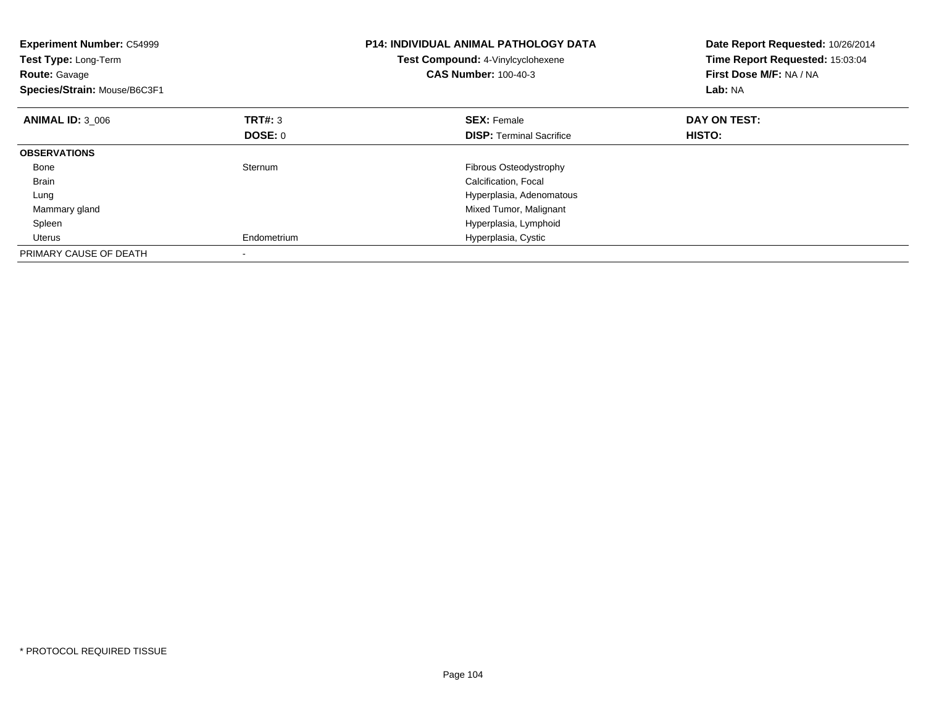| <b>Experiment Number: C54999</b><br>Test Type: Long-Term<br><b>Route: Gavage</b><br>Species/Strain: Mouse/B6C3F1 |                | <b>P14: INDIVIDUAL ANIMAL PATHOLOGY DATA</b><br>Test Compound: 4-Vinylcyclohexene<br><b>CAS Number: 100-40-3</b> | Date Report Requested: 10/26/2014<br>Time Report Requested: 15:03:04<br>First Dose M/F: NA / NA<br>Lab: NA |
|------------------------------------------------------------------------------------------------------------------|----------------|------------------------------------------------------------------------------------------------------------------|------------------------------------------------------------------------------------------------------------|
| <b>ANIMAL ID: 3 006</b>                                                                                          | TRT#: 3        | <b>SEX: Female</b>                                                                                               | DAY ON TEST:                                                                                               |
|                                                                                                                  | <b>DOSE: 0</b> | <b>DISP:</b> Terminal Sacrifice                                                                                  | HISTO:                                                                                                     |
| <b>OBSERVATIONS</b>                                                                                              |                |                                                                                                                  |                                                                                                            |
| Bone                                                                                                             | Sternum        | Fibrous Osteodystrophy                                                                                           |                                                                                                            |
| Brain                                                                                                            |                | Calcification, Focal                                                                                             |                                                                                                            |
| Lung                                                                                                             |                | Hyperplasia, Adenomatous                                                                                         |                                                                                                            |
| Mammary gland                                                                                                    |                | Mixed Tumor, Malignant                                                                                           |                                                                                                            |
| Spleen                                                                                                           |                | Hyperplasia, Lymphoid                                                                                            |                                                                                                            |
| Uterus                                                                                                           | Endometrium    | Hyperplasia, Cystic                                                                                              |                                                                                                            |
| PRIMARY CAUSE OF DEATH                                                                                           |                |                                                                                                                  |                                                                                                            |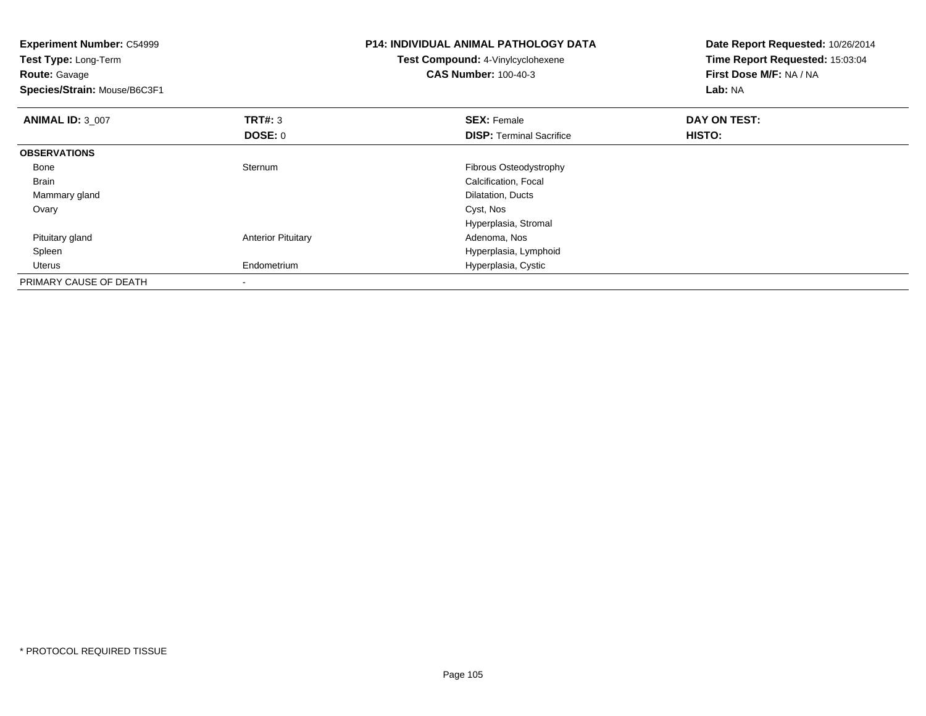| <b>Experiment Number: C54999</b><br>Test Type: Long-Term<br><b>Route: Gavage</b><br>Species/Strain: Mouse/B6C3F1 |                           | <b>P14: INDIVIDUAL ANIMAL PATHOLOGY DATA</b><br>Test Compound: 4-Vinylcyclohexene<br><b>CAS Number: 100-40-3</b> | Date Report Requested: 10/26/2014<br>Time Report Requested: 15:03:04<br>First Dose M/F: NA / NA<br>Lab: NA |
|------------------------------------------------------------------------------------------------------------------|---------------------------|------------------------------------------------------------------------------------------------------------------|------------------------------------------------------------------------------------------------------------|
| <b>ANIMAL ID: 3 007</b>                                                                                          | TRT#: 3                   | <b>SEX: Female</b>                                                                                               | DAY ON TEST:                                                                                               |
|                                                                                                                  | DOSE: 0                   | <b>DISP: Terminal Sacrifice</b>                                                                                  | <b>HISTO:</b>                                                                                              |
| <b>OBSERVATIONS</b>                                                                                              |                           |                                                                                                                  |                                                                                                            |
| Bone                                                                                                             | Sternum                   | Fibrous Osteodystrophy                                                                                           |                                                                                                            |
| <b>Brain</b>                                                                                                     |                           | Calcification, Focal                                                                                             |                                                                                                            |
| Mammary gland                                                                                                    |                           | Dilatation, Ducts                                                                                                |                                                                                                            |
| Ovary                                                                                                            |                           | Cyst, Nos                                                                                                        |                                                                                                            |
|                                                                                                                  |                           | Hyperplasia, Stromal                                                                                             |                                                                                                            |
| Pituitary gland                                                                                                  | <b>Anterior Pituitary</b> | Adenoma, Nos                                                                                                     |                                                                                                            |
| Spleen                                                                                                           |                           | Hyperplasia, Lymphoid                                                                                            |                                                                                                            |
| Uterus                                                                                                           | Endometrium               | Hyperplasia, Cystic                                                                                              |                                                                                                            |
| PRIMARY CAUSE OF DEATH                                                                                           |                           |                                                                                                                  |                                                                                                            |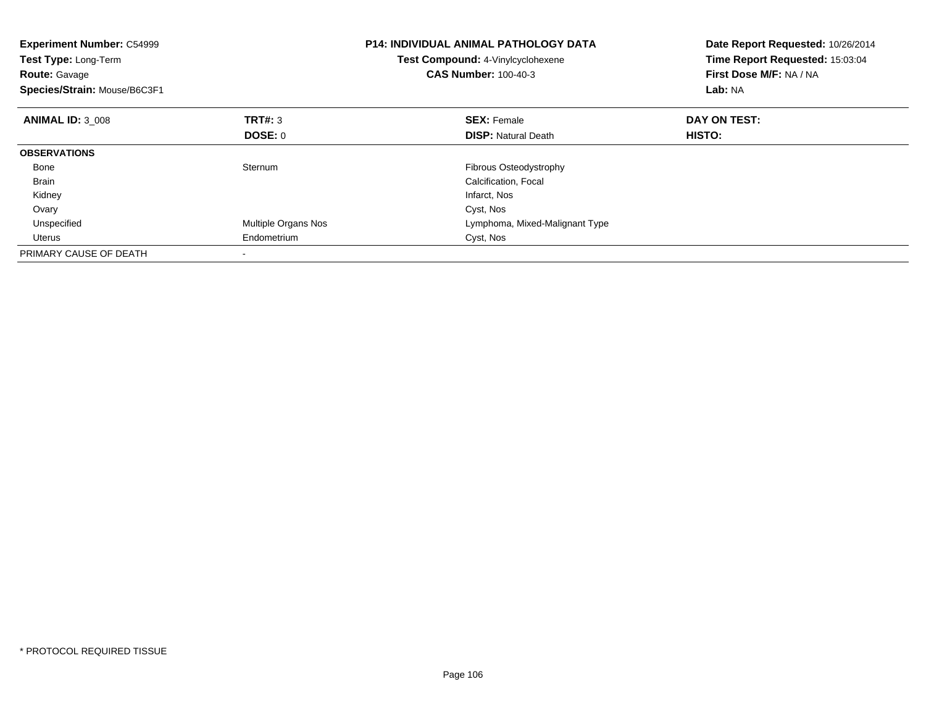| <b>Experiment Number: C54999</b><br>Test Type: Long-Term<br><b>Route: Gavage</b><br>Species/Strain: Mouse/B6C3F1 |                     | <b>P14: INDIVIDUAL ANIMAL PATHOLOGY DATA</b><br>Test Compound: 4-Vinylcyclohexene<br><b>CAS Number: 100-40-3</b> | Date Report Requested: 10/26/2014<br>Time Report Requested: 15:03:04<br>First Dose M/F: NA / NA<br>Lab: NA |
|------------------------------------------------------------------------------------------------------------------|---------------------|------------------------------------------------------------------------------------------------------------------|------------------------------------------------------------------------------------------------------------|
| <b>ANIMAL ID: 3 008</b>                                                                                          | TRT#: 3             | <b>SEX: Female</b>                                                                                               | DAY ON TEST:                                                                                               |
|                                                                                                                  | DOSE: 0             | <b>DISP:</b> Natural Death                                                                                       | HISTO:                                                                                                     |
| <b>OBSERVATIONS</b>                                                                                              |                     |                                                                                                                  |                                                                                                            |
| Bone                                                                                                             | Sternum             | <b>Fibrous Osteodystrophy</b>                                                                                    |                                                                                                            |
| <b>Brain</b>                                                                                                     |                     | Calcification, Focal                                                                                             |                                                                                                            |
| Kidney                                                                                                           |                     | Infarct, Nos                                                                                                     |                                                                                                            |
| Ovary                                                                                                            |                     | Cyst, Nos                                                                                                        |                                                                                                            |
| Unspecified                                                                                                      | Multiple Organs Nos | Lymphoma, Mixed-Malignant Type                                                                                   |                                                                                                            |
| Uterus                                                                                                           | Endometrium         | Cyst, Nos                                                                                                        |                                                                                                            |
| PRIMARY CAUSE OF DEATH                                                                                           |                     |                                                                                                                  |                                                                                                            |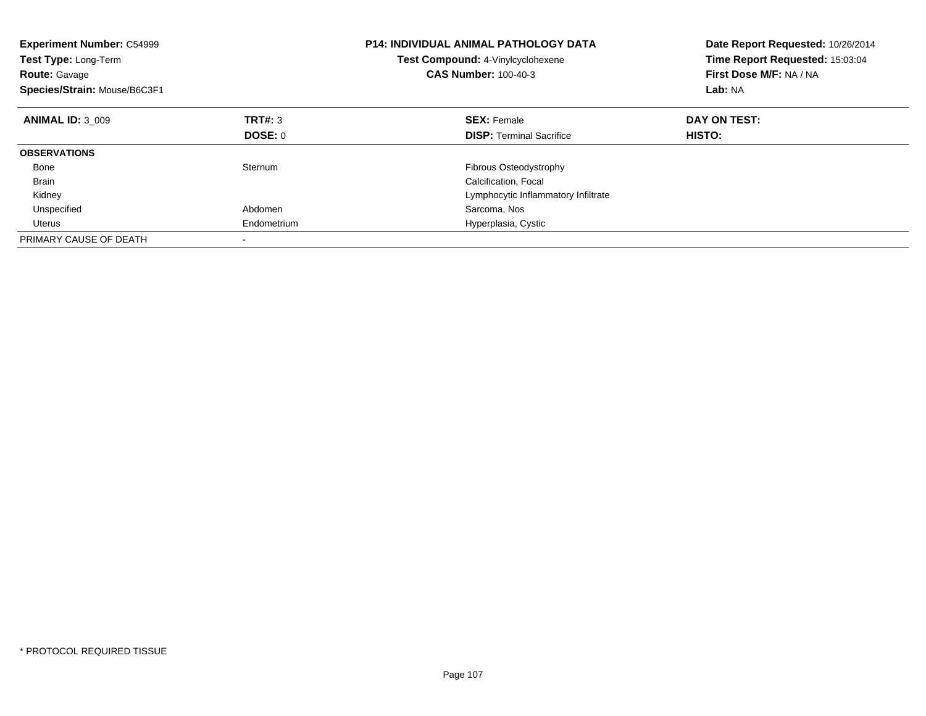| <b>Experiment Number: C54999</b><br><b>Test Type: Long-Term</b><br><b>Route: Gavage</b><br>Species/Strain: Mouse/B6C3F1 |             | <b>P14: INDIVIDUAL ANIMAL PATHOLOGY DATA</b><br><b>Test Compound: 4-Vinylcyclohexene</b><br><b>CAS Number: 100-40-3</b> | Date Report Requested: 10/26/2014<br>Time Report Requested: 15:03:04<br>First Dose M/F: NA / NA<br>Lab: NA |
|-------------------------------------------------------------------------------------------------------------------------|-------------|-------------------------------------------------------------------------------------------------------------------------|------------------------------------------------------------------------------------------------------------|
| <b>ANIMAL ID: 3 009</b>                                                                                                 | TRT#: 3     | <b>SEX: Female</b>                                                                                                      | DAY ON TEST:                                                                                               |
|                                                                                                                         | DOSE: 0     | <b>DISP:</b> Terminal Sacrifice                                                                                         | HISTO:                                                                                                     |
| <b>OBSERVATIONS</b>                                                                                                     |             |                                                                                                                         |                                                                                                            |
| Bone                                                                                                                    | Sternum     | Fibrous Osteodystrophy                                                                                                  |                                                                                                            |
| <b>Brain</b>                                                                                                            |             | Calcification, Focal                                                                                                    |                                                                                                            |
| Kidney                                                                                                                  |             | Lymphocytic Inflammatory Infiltrate                                                                                     |                                                                                                            |
| Unspecified                                                                                                             | Abdomen     | Sarcoma, Nos                                                                                                            |                                                                                                            |
| Uterus                                                                                                                  | Endometrium | Hyperplasia, Cystic                                                                                                     |                                                                                                            |
| PRIMARY CAUSE OF DEATH                                                                                                  |             |                                                                                                                         |                                                                                                            |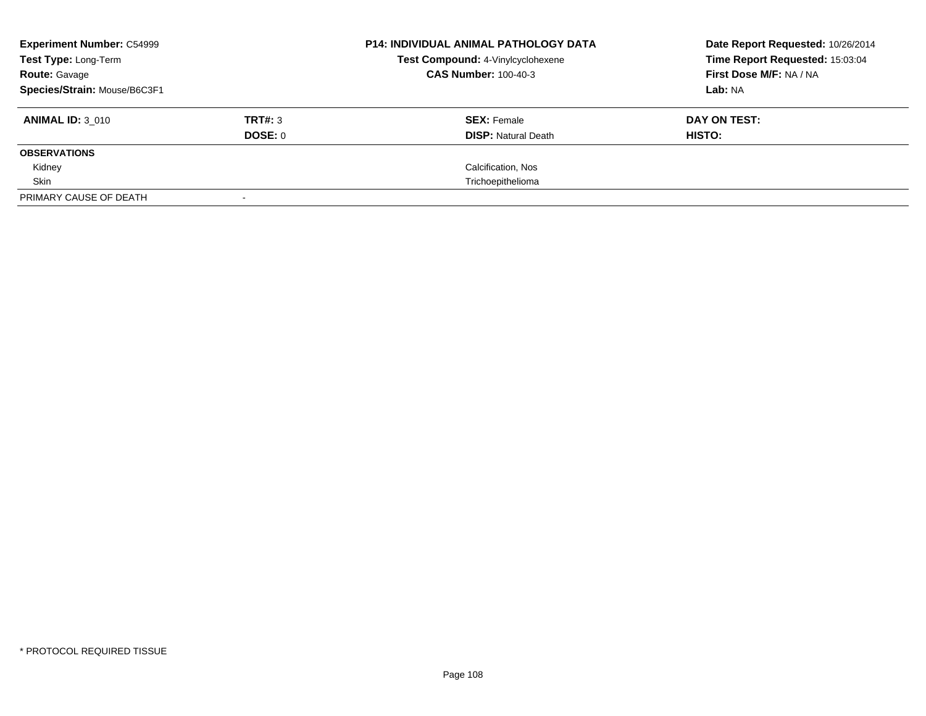| <b>Experiment Number: C54999</b> |         | <b>P14: INDIVIDUAL ANIMAL PATHOLOGY DATA</b><br>Test Compound: 4-Vinylcyclohexene | Date Report Requested: 10/26/2014 |  |
|----------------------------------|---------|-----------------------------------------------------------------------------------|-----------------------------------|--|
| Test Type: Long-Term             |         |                                                                                   | Time Report Requested: 15:03:04   |  |
| <b>Route: Gavage</b>             |         | <b>CAS Number: 100-40-3</b>                                                       | First Dose M/F: NA / NA           |  |
| Species/Strain: Mouse/B6C3F1     |         |                                                                                   | Lab: NA                           |  |
| <b>ANIMAL ID: 3 010</b>          | TRT#: 3 | <b>SEX: Female</b>                                                                | DAY ON TEST:                      |  |
|                                  | DOSE: 0 | <b>DISP:</b> Natural Death                                                        | HISTO:                            |  |
| <b>OBSERVATIONS</b>              |         |                                                                                   |                                   |  |
| Kidney                           |         | Calcification, Nos                                                                |                                   |  |
| Skin                             |         | Trichoepithelioma                                                                 |                                   |  |
| PRIMARY CAUSE OF DEATH           |         |                                                                                   |                                   |  |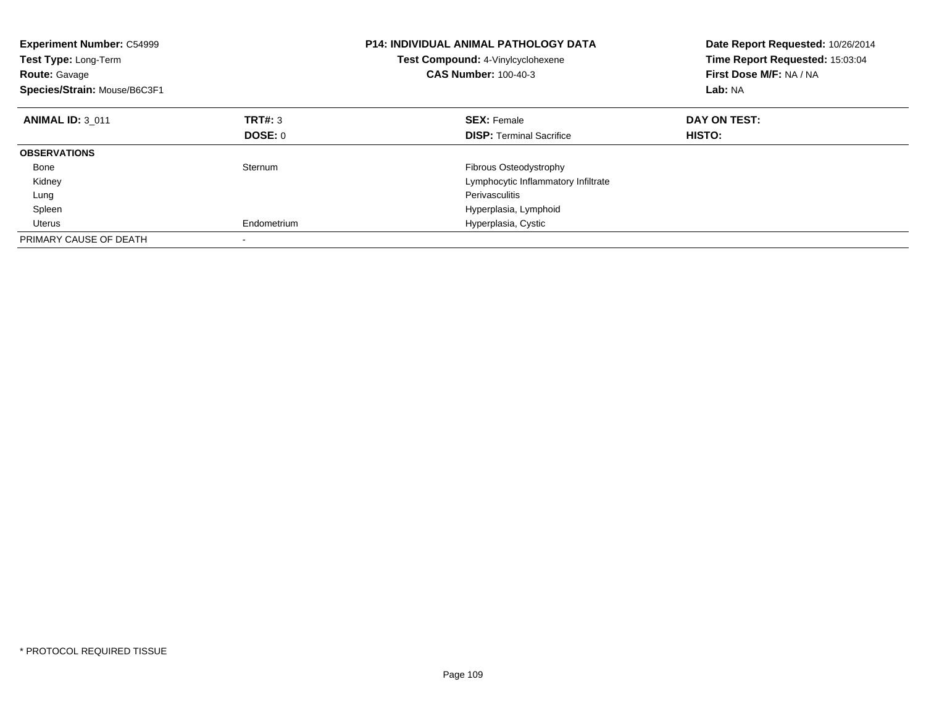| <b>Experiment Number: C54999</b><br>Test Type: Long-Term<br><b>Route: Gavage</b><br>Species/Strain: Mouse/B6C3F1 |             | <b>P14: INDIVIDUAL ANIMAL PATHOLOGY DATA</b><br>Test Compound: 4-Vinylcyclohexene<br><b>CAS Number: 100-40-3</b> | Date Report Requested: 10/26/2014<br>Time Report Requested: 15:03:04<br>First Dose M/F: NA / NA<br>Lab: NA |
|------------------------------------------------------------------------------------------------------------------|-------------|------------------------------------------------------------------------------------------------------------------|------------------------------------------------------------------------------------------------------------|
| <b>ANIMAL ID: 3 011</b>                                                                                          | TRT#: 3     | <b>SEX: Female</b>                                                                                               | DAY ON TEST:                                                                                               |
|                                                                                                                  | DOSE: 0     | <b>DISP:</b> Terminal Sacrifice                                                                                  | <b>HISTO:</b>                                                                                              |
| <b>OBSERVATIONS</b>                                                                                              |             |                                                                                                                  |                                                                                                            |
| Bone                                                                                                             | Sternum     | Fibrous Osteodystrophy                                                                                           |                                                                                                            |
| Kidney                                                                                                           |             | Lymphocytic Inflammatory Infiltrate                                                                              |                                                                                                            |
| Lung                                                                                                             |             | Perivasculitis                                                                                                   |                                                                                                            |
| Spleen                                                                                                           |             | Hyperplasia, Lymphoid                                                                                            |                                                                                                            |
| Uterus                                                                                                           | Endometrium | Hyperplasia, Cystic                                                                                              |                                                                                                            |
| PRIMARY CAUSE OF DEATH                                                                                           |             |                                                                                                                  |                                                                                                            |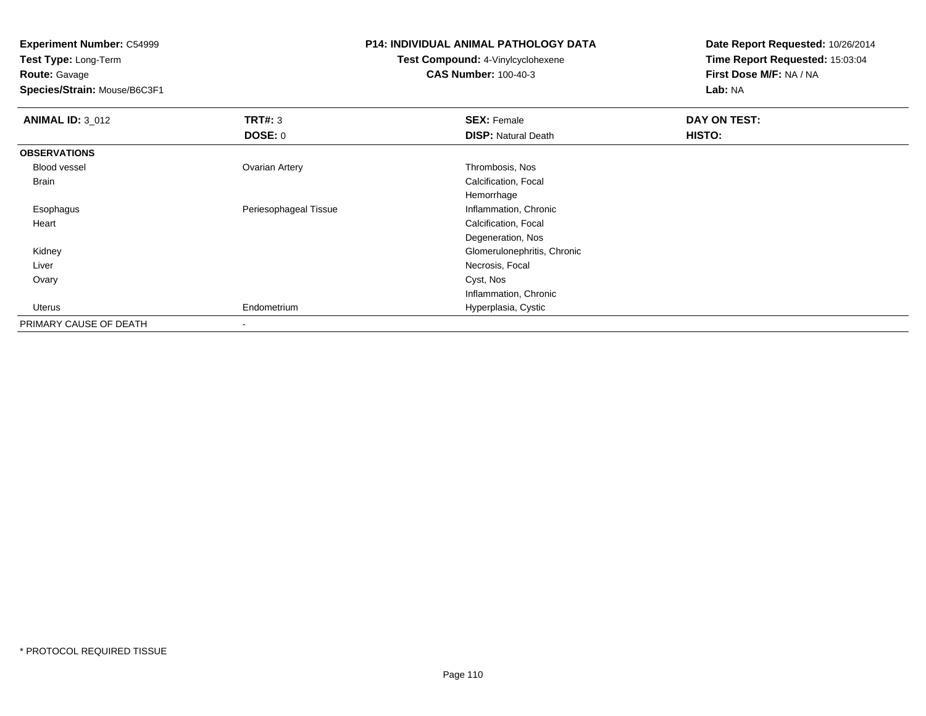**Experiment Number:** C54999

**Test Type:** Long-Term**Route:** Gavage

**Species/Strain:** Mouse/B6C3F1

## **P14: INDIVIDUAL ANIMAL PATHOLOGY DATA**

## **Test Compound:** 4-Vinylcyclohexene**CAS Number:** 100-40-3

**Date Report Requested:** 10/26/2014**Time Report Requested:** 15:03:04**First Dose M/F:** NA / NA**Lab:** NA

| <b>ANIMAL ID: 3 012</b> | TRT#: 3               | <b>SEX: Female</b>          | DAY ON TEST: |  |
|-------------------------|-----------------------|-----------------------------|--------------|--|
|                         | <b>DOSE: 0</b>        | <b>DISP: Natural Death</b>  | HISTO:       |  |
| <b>OBSERVATIONS</b>     |                       |                             |              |  |
| Blood vessel            | <b>Ovarian Artery</b> | Thrombosis, Nos             |              |  |
| <b>Brain</b>            |                       | Calcification, Focal        |              |  |
|                         |                       | Hemorrhage                  |              |  |
| Esophagus               | Periesophageal Tissue | Inflammation, Chronic       |              |  |
| Heart                   |                       | Calcification, Focal        |              |  |
|                         |                       | Degeneration, Nos           |              |  |
| Kidney                  |                       | Glomerulonephritis, Chronic |              |  |
| Liver                   |                       | Necrosis, Focal             |              |  |
| Ovary                   |                       | Cyst, Nos                   |              |  |
|                         |                       | Inflammation, Chronic       |              |  |
| Uterus                  | Endometrium           | Hyperplasia, Cystic         |              |  |
| PRIMARY CAUSE OF DEATH  | $\blacksquare$        |                             |              |  |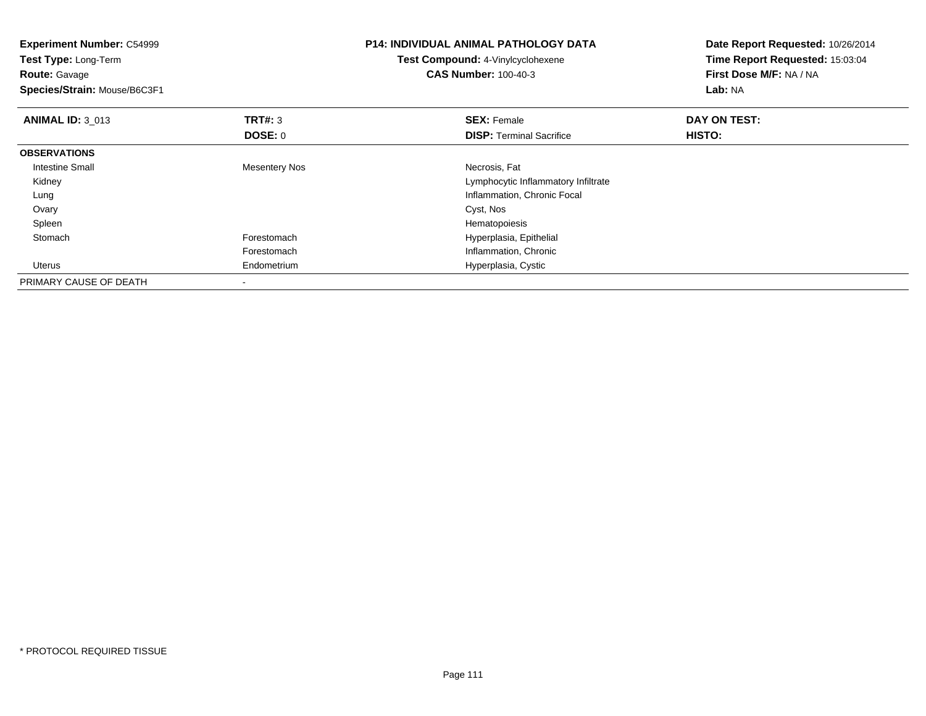| <b>Experiment Number: C54999</b><br>Test Type: Long-Term<br><b>Route: Gavage</b><br>Species/Strain: Mouse/B6C3F1 |                      | <b>P14: INDIVIDUAL ANIMAL PATHOLOGY DATA</b><br>Test Compound: 4-Vinylcyclohexene<br><b>CAS Number: 100-40-3</b> | Date Report Requested: 10/26/2014<br>Time Report Requested: 15:03:04<br>First Dose M/F: NA / NA<br>Lab: NA |
|------------------------------------------------------------------------------------------------------------------|----------------------|------------------------------------------------------------------------------------------------------------------|------------------------------------------------------------------------------------------------------------|
| <b>ANIMAL ID: 3 013</b>                                                                                          | TRT#: 3              | <b>SEX: Female</b>                                                                                               | DAY ON TEST:                                                                                               |
|                                                                                                                  | DOSE: 0              | <b>DISP: Terminal Sacrifice</b>                                                                                  | HISTO:                                                                                                     |
| <b>OBSERVATIONS</b>                                                                                              |                      |                                                                                                                  |                                                                                                            |
| <b>Intestine Small</b>                                                                                           | <b>Mesentery Nos</b> | Necrosis, Fat                                                                                                    |                                                                                                            |
| Kidney                                                                                                           |                      | Lymphocytic Inflammatory Infiltrate                                                                              |                                                                                                            |
| Lung                                                                                                             |                      | Inflammation, Chronic Focal                                                                                      |                                                                                                            |
| Ovary                                                                                                            |                      | Cyst, Nos                                                                                                        |                                                                                                            |
| Spleen                                                                                                           |                      | Hematopoiesis                                                                                                    |                                                                                                            |
| Stomach                                                                                                          | Forestomach          | Hyperplasia, Epithelial                                                                                          |                                                                                                            |
|                                                                                                                  | Forestomach          | Inflammation, Chronic                                                                                            |                                                                                                            |
| Uterus                                                                                                           | Endometrium          | Hyperplasia, Cystic                                                                                              |                                                                                                            |
| PRIMARY CAUSE OF DEATH                                                                                           |                      |                                                                                                                  |                                                                                                            |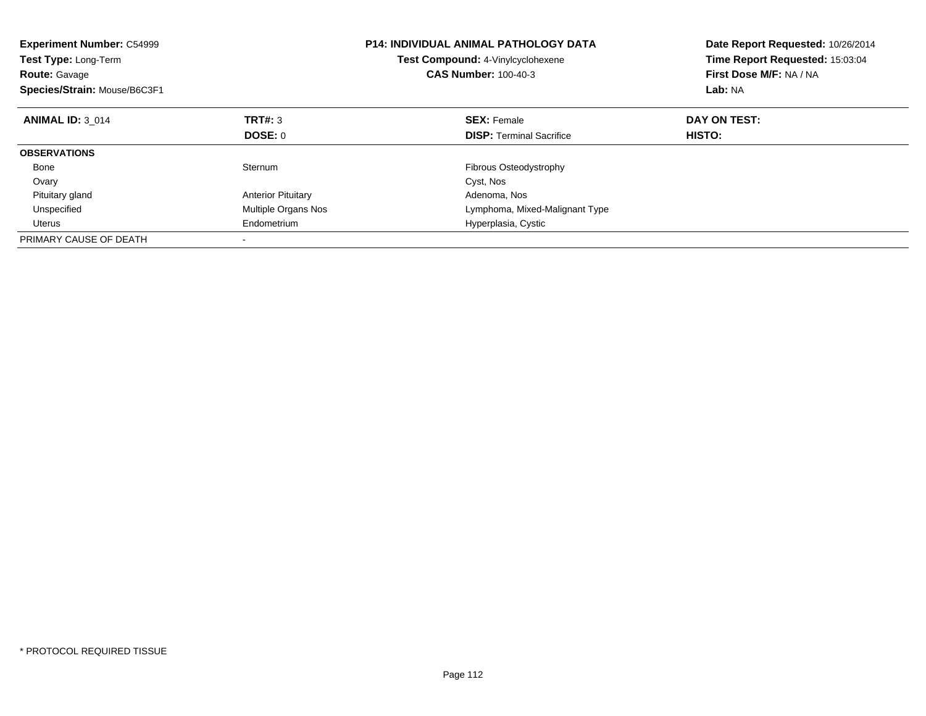| <b>Experiment Number: C54999</b><br>Test Type: Long-Term<br><b>Route: Gavage</b><br>Species/Strain: Mouse/B6C3F1 |                           | <b>P14: INDIVIDUAL ANIMAL PATHOLOGY DATA</b><br>Test Compound: 4-Vinylcyclohexene<br><b>CAS Number: 100-40-3</b> | Date Report Requested: 10/26/2014<br>Time Report Requested: 15:03:04<br>First Dose M/F: NA / NA<br>Lab: NA |
|------------------------------------------------------------------------------------------------------------------|---------------------------|------------------------------------------------------------------------------------------------------------------|------------------------------------------------------------------------------------------------------------|
| <b>ANIMAL ID: 3 014</b>                                                                                          | TRT#: 3                   | <b>SEX: Female</b>                                                                                               | DAY ON TEST:                                                                                               |
|                                                                                                                  | DOSE: 0                   | <b>DISP: Terminal Sacrifice</b>                                                                                  | <b>HISTO:</b>                                                                                              |
| <b>OBSERVATIONS</b>                                                                                              |                           |                                                                                                                  |                                                                                                            |
| Bone                                                                                                             | Sternum                   | Fibrous Osteodystrophy                                                                                           |                                                                                                            |
| Ovary                                                                                                            |                           | Cyst, Nos                                                                                                        |                                                                                                            |
| Pituitary gland                                                                                                  | <b>Anterior Pituitary</b> | Adenoma, Nos                                                                                                     |                                                                                                            |
| Unspecified                                                                                                      | Multiple Organs Nos       | Lymphoma, Mixed-Malignant Type                                                                                   |                                                                                                            |
| Uterus                                                                                                           | Endometrium               | Hyperplasia, Cystic                                                                                              |                                                                                                            |
| PRIMARY CAUSE OF DEATH                                                                                           |                           |                                                                                                                  |                                                                                                            |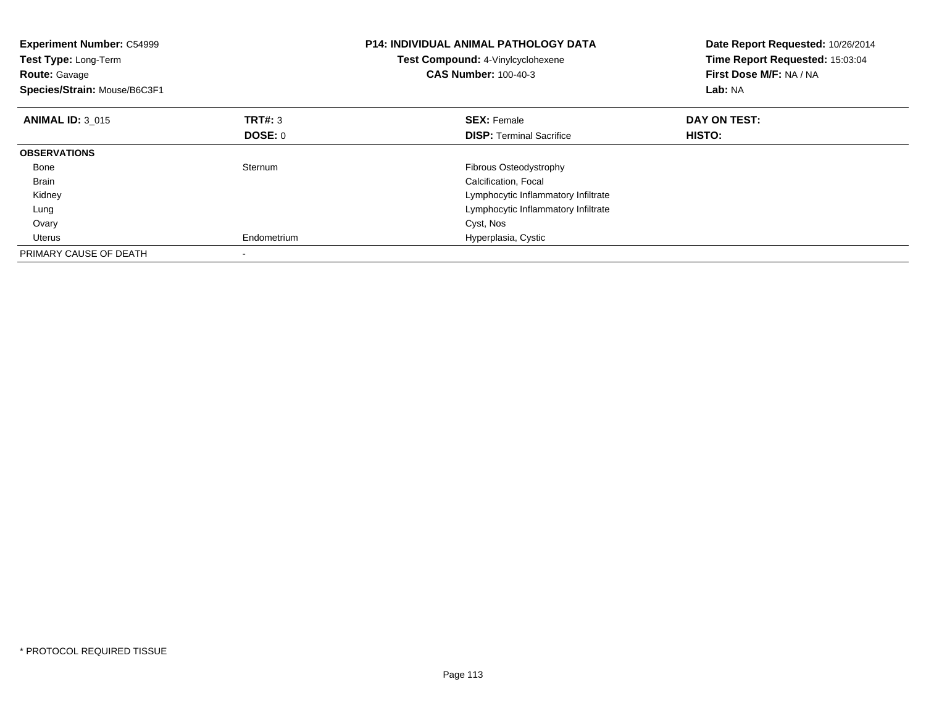| <b>Experiment Number: C54999</b><br>Test Type: Long-Term<br><b>Route: Gavage</b><br>Species/Strain: Mouse/B6C3F1 |                | <b>P14: INDIVIDUAL ANIMAL PATHOLOGY DATA</b><br>Test Compound: 4-Vinylcyclohexene<br><b>CAS Number: 100-40-3</b> | Date Report Requested: 10/26/2014<br>Time Report Requested: 15:03:04<br>First Dose M/F: NA / NA<br>Lab: NA |
|------------------------------------------------------------------------------------------------------------------|----------------|------------------------------------------------------------------------------------------------------------------|------------------------------------------------------------------------------------------------------------|
| <b>ANIMAL ID: 3 015</b>                                                                                          | TRT#: 3        | <b>SEX: Female</b>                                                                                               | DAY ON TEST:                                                                                               |
|                                                                                                                  | <b>DOSE: 0</b> | <b>DISP:</b> Terminal Sacrifice                                                                                  | HISTO:                                                                                                     |
| <b>OBSERVATIONS</b>                                                                                              |                |                                                                                                                  |                                                                                                            |
| Bone                                                                                                             | Sternum        | <b>Fibrous Osteodystrophy</b>                                                                                    |                                                                                                            |
| <b>Brain</b>                                                                                                     |                | Calcification, Focal                                                                                             |                                                                                                            |
| Kidney                                                                                                           |                | Lymphocytic Inflammatory Infiltrate                                                                              |                                                                                                            |
| Lung                                                                                                             |                | Lymphocytic Inflammatory Infiltrate                                                                              |                                                                                                            |
| Ovary                                                                                                            |                | Cyst, Nos                                                                                                        |                                                                                                            |
| Uterus                                                                                                           | Endometrium    | Hyperplasia, Cystic                                                                                              |                                                                                                            |
| PRIMARY CAUSE OF DEATH                                                                                           |                |                                                                                                                  |                                                                                                            |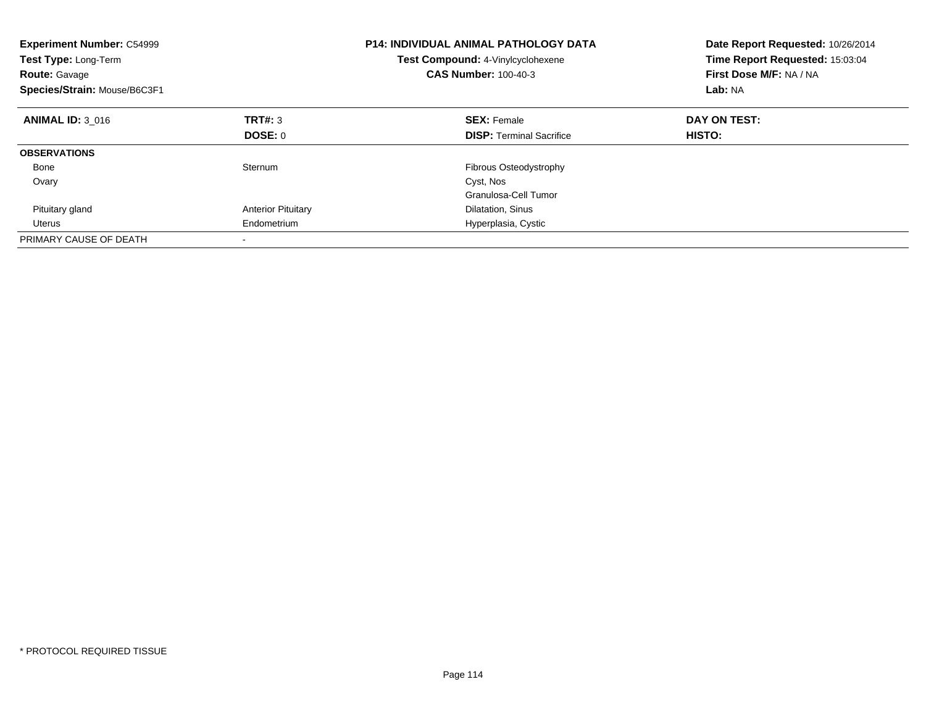| <b>Experiment Number: C54999</b><br>Test Type: Long-Term<br><b>Route: Gavage</b><br>Species/Strain: Mouse/B6C3F1 |                           | <b>P14: INDIVIDUAL ANIMAL PATHOLOGY DATA</b><br>Test Compound: 4-Vinylcyclohexene<br><b>CAS Number: 100-40-3</b> | Date Report Requested: 10/26/2014<br>Time Report Requested: 15:03:04<br>First Dose M/F: NA / NA<br>Lab: NA |
|------------------------------------------------------------------------------------------------------------------|---------------------------|------------------------------------------------------------------------------------------------------------------|------------------------------------------------------------------------------------------------------------|
| <b>ANIMAL ID: 3 016</b>                                                                                          | TRT#: 3                   | <b>SEX: Female</b>                                                                                               | DAY ON TEST:                                                                                               |
|                                                                                                                  | DOSE: 0                   | <b>DISP:</b> Terminal Sacrifice                                                                                  | HISTO:                                                                                                     |
| <b>OBSERVATIONS</b>                                                                                              |                           |                                                                                                                  |                                                                                                            |
| Bone                                                                                                             | Sternum                   | Fibrous Osteodystrophy                                                                                           |                                                                                                            |
| Ovary                                                                                                            |                           | Cyst, Nos                                                                                                        |                                                                                                            |
|                                                                                                                  |                           | Granulosa-Cell Tumor                                                                                             |                                                                                                            |
| Pituitary gland                                                                                                  | <b>Anterior Pituitary</b> | Dilatation, Sinus                                                                                                |                                                                                                            |
| Uterus                                                                                                           | Endometrium               | Hyperplasia, Cystic                                                                                              |                                                                                                            |
| PRIMARY CAUSE OF DEATH                                                                                           |                           |                                                                                                                  |                                                                                                            |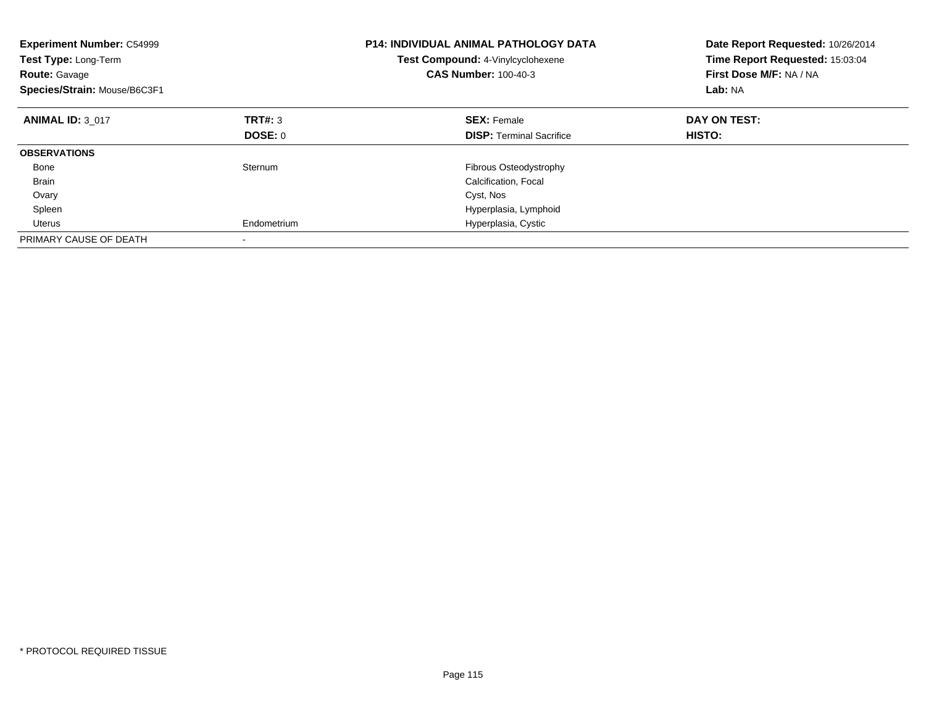| <b>Experiment Number: C54999</b><br>Test Type: Long-Term<br><b>Route: Gavage</b><br>Species/Strain: Mouse/B6C3F1 |             | <b>P14: INDIVIDUAL ANIMAL PATHOLOGY DATA</b><br>Test Compound: 4-Vinylcyclohexene<br><b>CAS Number: 100-40-3</b> | Date Report Requested: 10/26/2014<br>Time Report Requested: 15:03:04<br>First Dose M/F: NA / NA<br>Lab: NA |
|------------------------------------------------------------------------------------------------------------------|-------------|------------------------------------------------------------------------------------------------------------------|------------------------------------------------------------------------------------------------------------|
| <b>ANIMAL ID: 3 017</b>                                                                                          | TRT#: 3     | <b>SEX: Female</b>                                                                                               | DAY ON TEST:                                                                                               |
|                                                                                                                  | DOSE: 0     | <b>DISP:</b> Terminal Sacrifice                                                                                  | HISTO:                                                                                                     |
| <b>OBSERVATIONS</b>                                                                                              |             |                                                                                                                  |                                                                                                            |
| Bone                                                                                                             | Sternum     | Fibrous Osteodystrophy                                                                                           |                                                                                                            |
| <b>Brain</b>                                                                                                     |             | Calcification, Focal                                                                                             |                                                                                                            |
| Ovary                                                                                                            |             | Cyst, Nos                                                                                                        |                                                                                                            |
| Spleen                                                                                                           |             | Hyperplasia, Lymphoid                                                                                            |                                                                                                            |
| Uterus                                                                                                           | Endometrium | Hyperplasia, Cystic                                                                                              |                                                                                                            |
| PRIMARY CAUSE OF DEATH                                                                                           |             |                                                                                                                  |                                                                                                            |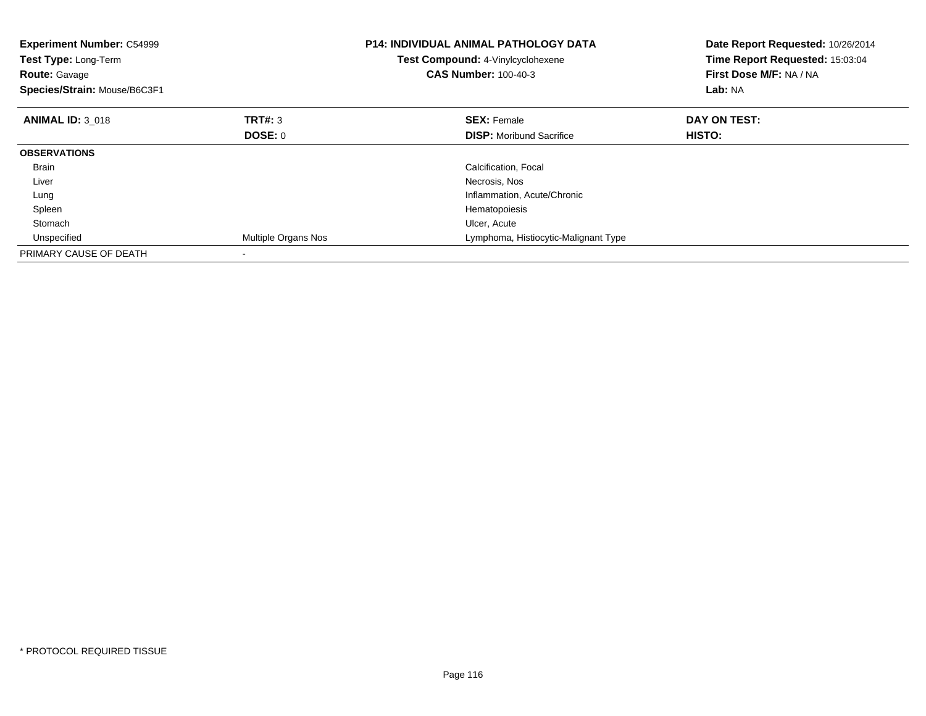| <b>Experiment Number: C54999</b><br>Test Type: Long-Term<br><b>Route: Gavage</b><br>Species/Strain: Mouse/B6C3F1 |                     | <b>P14: INDIVIDUAL ANIMAL PATHOLOGY DATA</b><br>Test Compound: 4-Vinylcyclohexene<br><b>CAS Number: 100-40-3</b> | Date Report Requested: 10/26/2014<br>Time Report Requested: 15:03:04<br>First Dose M/F: NA / NA<br>Lab: NA |
|------------------------------------------------------------------------------------------------------------------|---------------------|------------------------------------------------------------------------------------------------------------------|------------------------------------------------------------------------------------------------------------|
| <b>ANIMAL ID: 3 018</b>                                                                                          | TRT#: 3             | <b>SEX: Female</b>                                                                                               | DAY ON TEST:                                                                                               |
|                                                                                                                  | <b>DOSE: 0</b>      | <b>DISP:</b> Moribund Sacrifice                                                                                  | HISTO:                                                                                                     |
| <b>OBSERVATIONS</b>                                                                                              |                     |                                                                                                                  |                                                                                                            |
| <b>Brain</b>                                                                                                     |                     | Calcification, Focal                                                                                             |                                                                                                            |
| Liver                                                                                                            |                     | Necrosis, Nos                                                                                                    |                                                                                                            |
| Lung                                                                                                             |                     | Inflammation, Acute/Chronic                                                                                      |                                                                                                            |
| Spleen                                                                                                           |                     | Hematopoiesis                                                                                                    |                                                                                                            |
| Stomach                                                                                                          |                     | Ulcer, Acute                                                                                                     |                                                                                                            |
| Unspecified                                                                                                      | Multiple Organs Nos | Lymphoma, Histiocytic-Malignant Type                                                                             |                                                                                                            |
| PRIMARY CAUSE OF DEATH                                                                                           |                     |                                                                                                                  |                                                                                                            |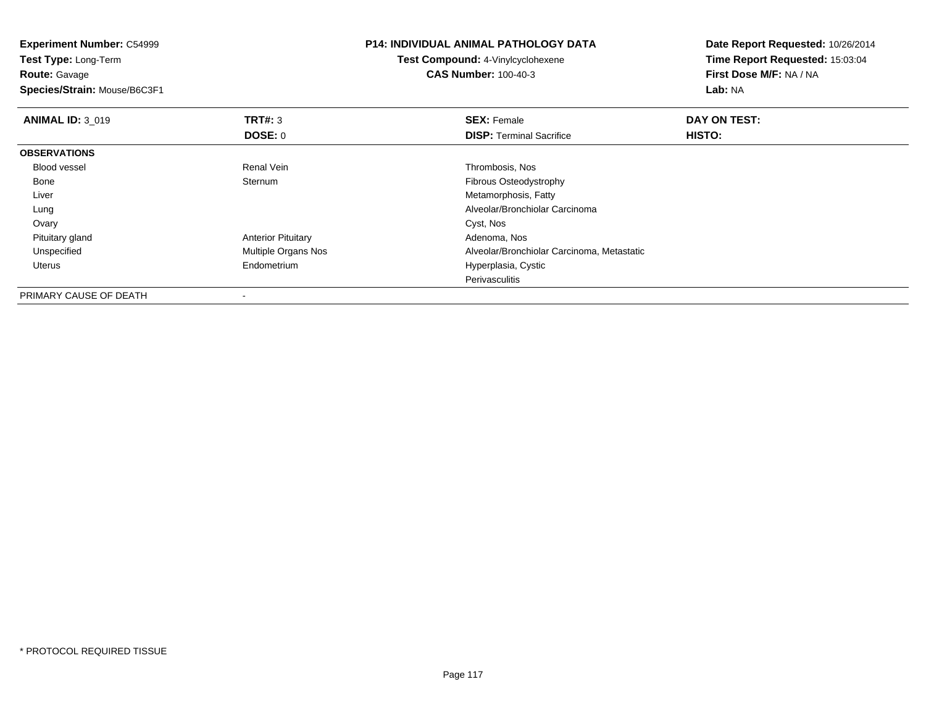| <b>Experiment Number: C54999</b> |                           | <b>P14: INDIVIDUAL ANIMAL PATHOLOGY DATA</b> | Date Report Requested: 10/26/2014<br>Time Report Requested: 15:03:04 |
|----------------------------------|---------------------------|----------------------------------------------|----------------------------------------------------------------------|
| Test Type: Long-Term             |                           | <b>Test Compound: 4-Vinylcyclohexene</b>     |                                                                      |
| <b>Route: Gavage</b>             |                           | <b>CAS Number: 100-40-3</b>                  | First Dose M/F: NA / NA                                              |
| Species/Strain: Mouse/B6C3F1     |                           |                                              | Lab: NA                                                              |
| <b>ANIMAL ID: 3 019</b>          | <b>TRT#:</b> 3            | <b>SEX: Female</b>                           | DAY ON TEST:                                                         |
|                                  | DOSE: 0                   | <b>DISP:</b> Terminal Sacrifice              | HISTO:                                                               |
| <b>OBSERVATIONS</b>              |                           |                                              |                                                                      |
| <b>Blood vessel</b>              | Renal Vein                | Thrombosis, Nos                              |                                                                      |
| Bone                             | Sternum                   | Fibrous Osteodystrophy                       |                                                                      |
| Liver                            |                           | Metamorphosis, Fatty                         |                                                                      |
| Lung                             |                           | Alveolar/Bronchiolar Carcinoma               |                                                                      |
| Ovary                            |                           | Cyst, Nos                                    |                                                                      |
| Pituitary gland                  | <b>Anterior Pituitary</b> | Adenoma, Nos                                 |                                                                      |
| Unspecified                      | Multiple Organs Nos       | Alveolar/Bronchiolar Carcinoma, Metastatic   |                                                                      |
| Uterus                           | Endometrium               | Hyperplasia, Cystic                          |                                                                      |
|                                  |                           | Perivasculitis                               |                                                                      |
| DDII11ND17Q111QFQFQF1T11         |                           |                                              |                                                                      |

PRIMARY CAUSE OF DEATH-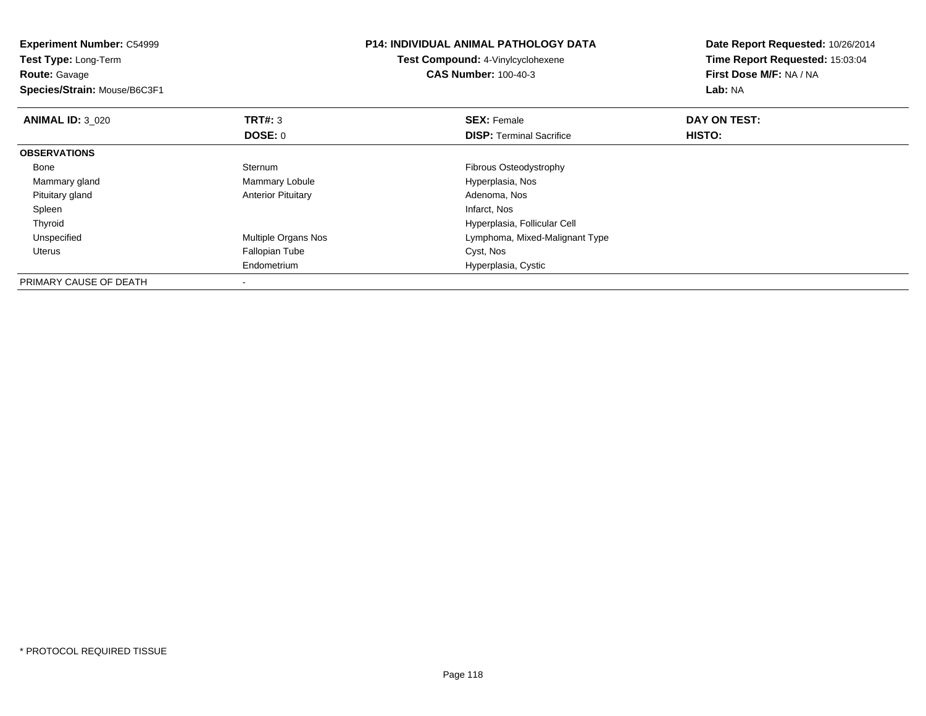| <b>Experiment Number: C54999</b><br>Test Type: Long-Term<br><b>Route:</b> Gavage<br>Species/Strain: Mouse/B6C3F1 |                           | <b>P14: INDIVIDUAL ANIMAL PATHOLOGY DATA</b><br>Test Compound: 4-Vinylcyclohexene<br><b>CAS Number: 100-40-3</b> | Date Report Requested: 10/26/2014<br>Time Report Requested: 15:03:04<br>First Dose M/F: NA / NA<br>Lab: NA |
|------------------------------------------------------------------------------------------------------------------|---------------------------|------------------------------------------------------------------------------------------------------------------|------------------------------------------------------------------------------------------------------------|
| <b>ANIMAL ID: 3 020</b>                                                                                          | <b>TRT#: 3</b>            | <b>SEX: Female</b>                                                                                               | DAY ON TEST:                                                                                               |
|                                                                                                                  | DOSE: 0                   | <b>DISP:</b> Terminal Sacrifice                                                                                  | HISTO:                                                                                                     |
| <b>OBSERVATIONS</b>                                                                                              |                           |                                                                                                                  |                                                                                                            |
| Bone                                                                                                             | Sternum                   | Fibrous Osteodystrophy                                                                                           |                                                                                                            |
| Mammary gland                                                                                                    | Mammary Lobule            | Hyperplasia, Nos                                                                                                 |                                                                                                            |
| Pituitary gland                                                                                                  | <b>Anterior Pituitary</b> | Adenoma, Nos                                                                                                     |                                                                                                            |
| Spleen                                                                                                           |                           | Infarct, Nos                                                                                                     |                                                                                                            |
| Thyroid                                                                                                          |                           | Hyperplasia, Follicular Cell                                                                                     |                                                                                                            |
| Unspecified                                                                                                      | Multiple Organs Nos       | Lymphoma, Mixed-Malignant Type                                                                                   |                                                                                                            |
| Uterus                                                                                                           | <b>Fallopian Tube</b>     | Cyst, Nos                                                                                                        |                                                                                                            |
|                                                                                                                  | Endometrium               | Hyperplasia, Cystic                                                                                              |                                                                                                            |
| PRIMARY CAUSE OF DEATH                                                                                           | $\overline{\phantom{a}}$  |                                                                                                                  |                                                                                                            |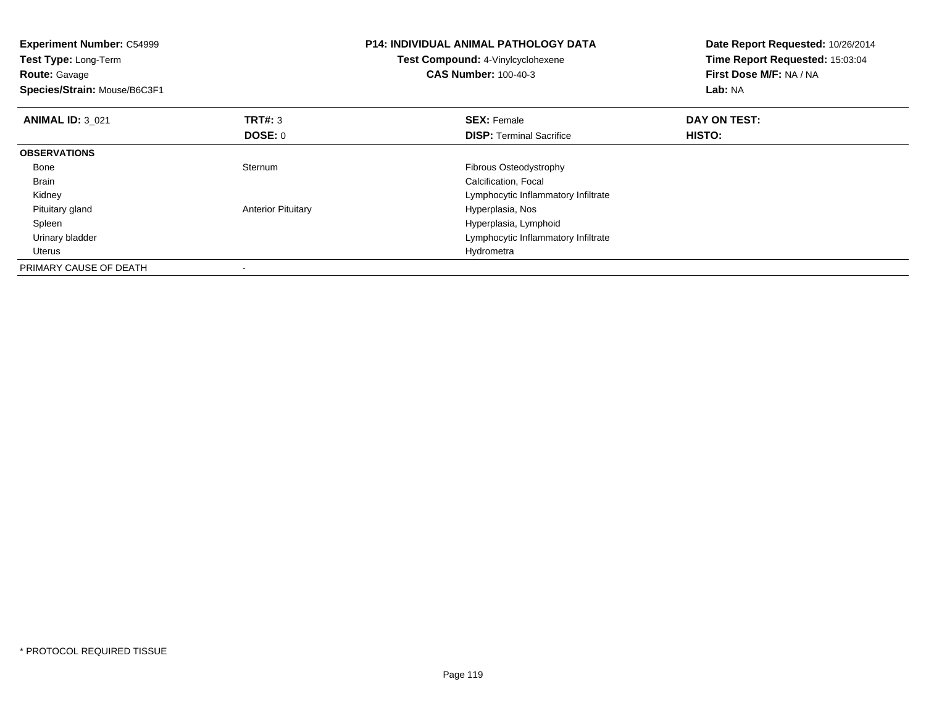| <b>Experiment Number: C54999</b><br><b>Test Type: Long-Term</b><br><b>Route: Gavage</b><br>Species/Strain: Mouse/B6C3F1 |                           | <b>P14: INDIVIDUAL ANIMAL PATHOLOGY DATA</b><br>Test Compound: 4-Vinylcyclohexene<br><b>CAS Number: 100-40-3</b> | Date Report Requested: 10/26/2014<br>Time Report Requested: 15:03:04<br>First Dose M/F: NA / NA<br>Lab: NA |
|-------------------------------------------------------------------------------------------------------------------------|---------------------------|------------------------------------------------------------------------------------------------------------------|------------------------------------------------------------------------------------------------------------|
| <b>ANIMAL ID: 3 021</b>                                                                                                 | TRT#: 3                   | <b>SEX: Female</b>                                                                                               | DAY ON TEST:                                                                                               |
|                                                                                                                         | <b>DOSE: 0</b>            | <b>DISP:</b> Terminal Sacrifice                                                                                  | HISTO:                                                                                                     |
| <b>OBSERVATIONS</b>                                                                                                     |                           |                                                                                                                  |                                                                                                            |
| Bone                                                                                                                    | Sternum                   | Fibrous Osteodystrophy                                                                                           |                                                                                                            |
| <b>Brain</b>                                                                                                            |                           | Calcification, Focal                                                                                             |                                                                                                            |
| Kidney                                                                                                                  |                           | Lymphocytic Inflammatory Infiltrate                                                                              |                                                                                                            |
| Pituitary gland                                                                                                         | <b>Anterior Pituitary</b> | Hyperplasia, Nos                                                                                                 |                                                                                                            |
| Spleen                                                                                                                  |                           | Hyperplasia, Lymphoid                                                                                            |                                                                                                            |
| Urinary bladder                                                                                                         |                           | Lymphocytic Inflammatory Infiltrate                                                                              |                                                                                                            |
| Uterus                                                                                                                  |                           | Hydrometra                                                                                                       |                                                                                                            |
| PRIMARY CAUSE OF DEATH                                                                                                  |                           |                                                                                                                  |                                                                                                            |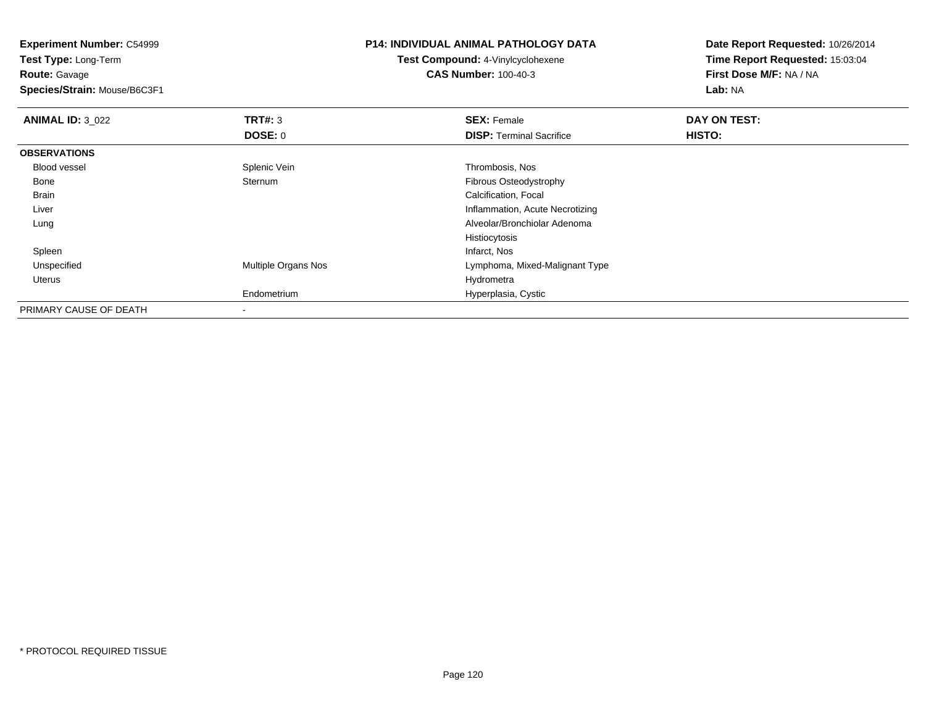**Experiment Number:** C54999**Test Type:** Long-Term**Route:** Gavage **Species/Strain:** Mouse/B6C3F1**P14: INDIVIDUAL ANIMAL PATHOLOGY DATATest Compound:** 4-Vinylcyclohexene**CAS Number:** 100-40-3**Date Report Requested:** 10/26/2014**Time Report Requested:** 15:03:04**First Dose M/F:** NA / NA**Lab:** NA**ANIMAL ID:** 3\_022 **TRT#:** <sup>3</sup> **SEX:** Female **DAY ON TEST: DOSE:** 0**DISP:** Terminal Sacrifice **HISTO: OBSERVATIONS** Blood vessel Splenic Vein Thrombosis, Nos Bone Sternum Fibrous Osteodystrophy Brain Calcification, Focal Liver Inflammation, Acute Necrotizing Alveolar/Bronchiolar Adenoma LungHistiocytosisInfarct, Nos Spleenn and the control of the control of the control of the control of the control of the control of the control of the control of the control of the control of the control of the control of the control of the control of the co UnspecifiedMultiple Organs Nos **Multiple Organs Nos** Lymphoma, Mixed-Malignant Type Uteruss and the contract of the contract of the contract of the contract of the contract of the contract of the contract of the contract of the contract of the contract of the contract of the contract of the contract of the cont m Hyperplasia, Cystic EndometriumPRIMARY CAUSE OF DEATH-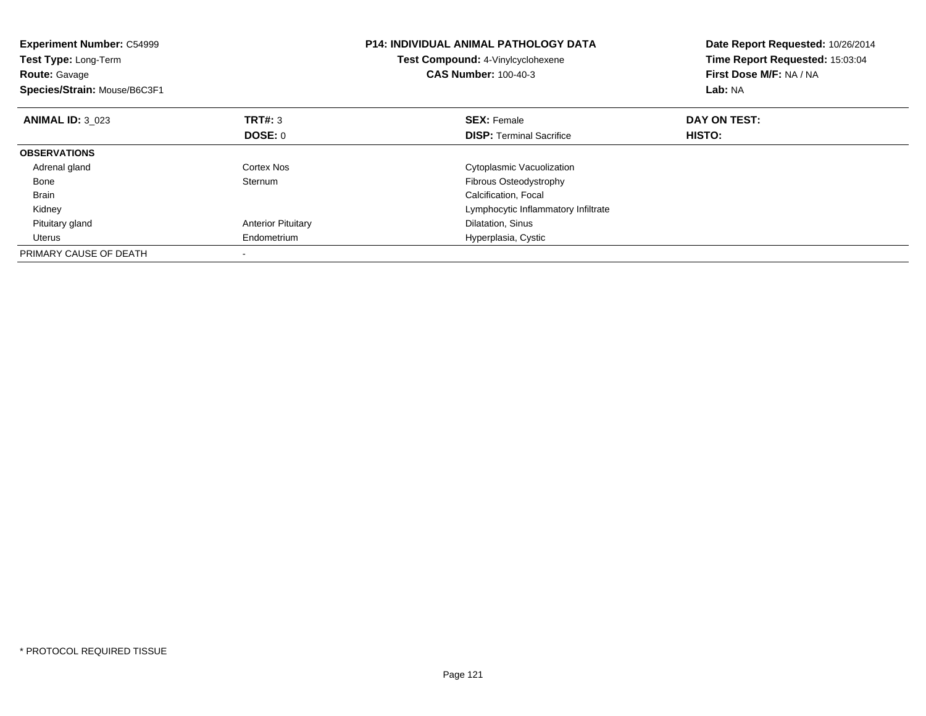| <b>Experiment Number: C54999</b><br>Test Type: Long-Term<br><b>Route: Gavage</b><br>Species/Strain: Mouse/B6C3F1 |                           | <b>P14: INDIVIDUAL ANIMAL PATHOLOGY DATA</b><br>Test Compound: 4-Vinylcyclohexene<br><b>CAS Number: 100-40-3</b> | Date Report Requested: 10/26/2014<br>Time Report Requested: 15:03:04<br>First Dose M/F: NA / NA<br>Lab: NA |
|------------------------------------------------------------------------------------------------------------------|---------------------------|------------------------------------------------------------------------------------------------------------------|------------------------------------------------------------------------------------------------------------|
| <b>ANIMAL ID: 3 023</b>                                                                                          | TRT#: 3                   | <b>SEX: Female</b>                                                                                               | DAY ON TEST:                                                                                               |
|                                                                                                                  | DOSE: 0                   | <b>DISP:</b> Terminal Sacrifice                                                                                  | HISTO:                                                                                                     |
| <b>OBSERVATIONS</b>                                                                                              |                           |                                                                                                                  |                                                                                                            |
| Adrenal gland                                                                                                    | Cortex Nos                | Cytoplasmic Vacuolization                                                                                        |                                                                                                            |
| Bone                                                                                                             | Sternum                   | <b>Fibrous Osteodystrophy</b>                                                                                    |                                                                                                            |
| Brain                                                                                                            |                           | Calcification, Focal                                                                                             |                                                                                                            |
| Kidney                                                                                                           |                           | Lymphocytic Inflammatory Infiltrate                                                                              |                                                                                                            |
| Pituitary gland                                                                                                  | <b>Anterior Pituitary</b> | Dilatation, Sinus                                                                                                |                                                                                                            |
| Uterus                                                                                                           | Endometrium               | Hyperplasia, Cystic                                                                                              |                                                                                                            |
| PRIMARY CAUSE OF DEATH                                                                                           |                           |                                                                                                                  |                                                                                                            |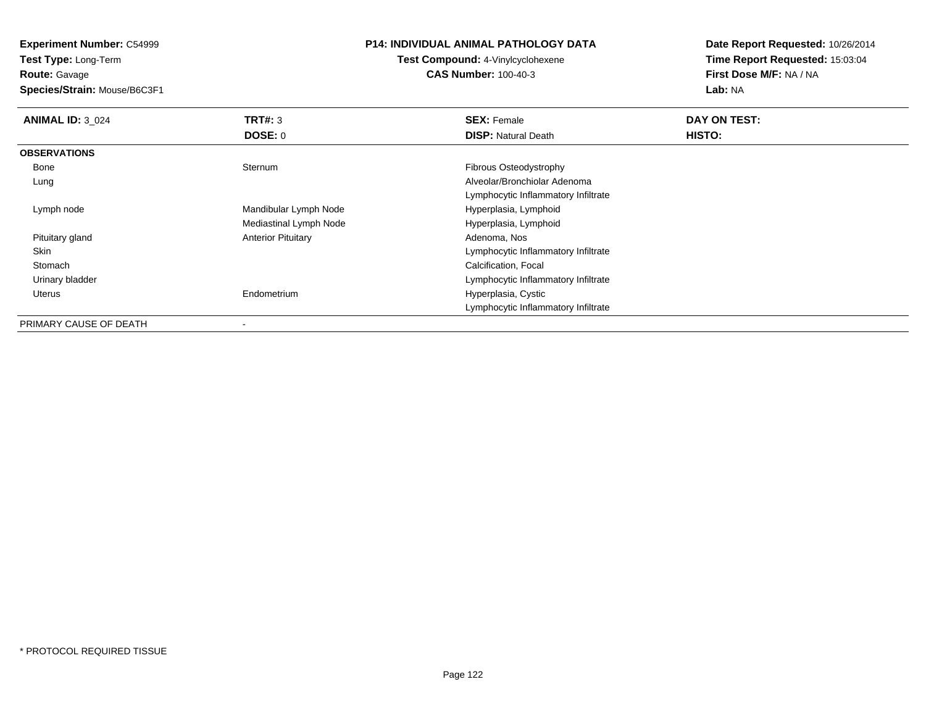**Experiment Number:** C54999

**Test Type:** Long-Term**Route:** Gavage

**Species/Strain:** Mouse/B6C3F1

## **P14: INDIVIDUAL ANIMAL PATHOLOGY DATA**

**Test Compound:** 4-Vinylcyclohexene**CAS Number:** 100-40-3

**Date Report Requested:** 10/26/2014**Time Report Requested:** 15:03:04**First Dose M/F:** NA / NA**Lab:** NA

| <b>ANIMAL ID: 3 024</b> | TRT#: 3                   | <b>SEX: Female</b>                  | DAY ON TEST: |
|-------------------------|---------------------------|-------------------------------------|--------------|
|                         | <b>DOSE: 0</b>            | <b>DISP:</b> Natural Death          | HISTO:       |
| <b>OBSERVATIONS</b>     |                           |                                     |              |
| Bone                    | Sternum                   | Fibrous Osteodystrophy              |              |
| Lung                    |                           | Alveolar/Bronchiolar Adenoma        |              |
|                         |                           | Lymphocytic Inflammatory Infiltrate |              |
| Lymph node              | Mandibular Lymph Node     | Hyperplasia, Lymphoid               |              |
|                         | Mediastinal Lymph Node    | Hyperplasia, Lymphoid               |              |
| Pituitary gland         | <b>Anterior Pituitary</b> | Adenoma, Nos                        |              |
| Skin                    |                           | Lymphocytic Inflammatory Infiltrate |              |
| Stomach                 |                           | Calcification, Focal                |              |
| Urinary bladder         |                           | Lymphocytic Inflammatory Infiltrate |              |
| Uterus                  | Endometrium               | Hyperplasia, Cystic                 |              |
|                         |                           | Lymphocytic Inflammatory Infiltrate |              |
| PRIMARY CAUSE OF DEATH  | $\overline{\phantom{a}}$  |                                     |              |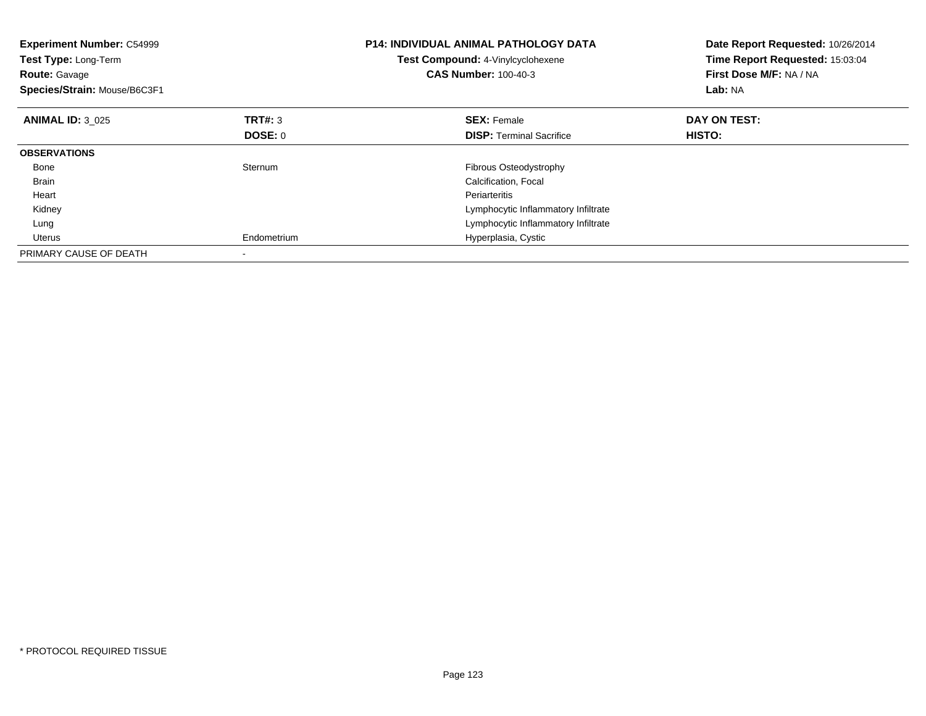| <b>Experiment Number: C54999</b><br>Test Type: Long-Term<br><b>Route: Gavage</b><br>Species/Strain: Mouse/B6C3F1 |                | <b>P14: INDIVIDUAL ANIMAL PATHOLOGY DATA</b><br>Test Compound: 4-Vinylcyclohexene<br><b>CAS Number: 100-40-3</b> | Date Report Requested: 10/26/2014<br>Time Report Requested: 15:03:04<br>First Dose M/F: NA / NA<br>Lab: NA |
|------------------------------------------------------------------------------------------------------------------|----------------|------------------------------------------------------------------------------------------------------------------|------------------------------------------------------------------------------------------------------------|
| <b>ANIMAL ID: 3 025</b>                                                                                          | TRT#: 3        | <b>SEX: Female</b>                                                                                               | DAY ON TEST:                                                                                               |
|                                                                                                                  | <b>DOSE: 0</b> | <b>DISP:</b> Terminal Sacrifice                                                                                  | HISTO:                                                                                                     |
| <b>OBSERVATIONS</b>                                                                                              |                |                                                                                                                  |                                                                                                            |
| Bone                                                                                                             | Sternum        | <b>Fibrous Osteodystrophy</b>                                                                                    |                                                                                                            |
| <b>Brain</b>                                                                                                     |                | Calcification, Focal                                                                                             |                                                                                                            |
| Heart                                                                                                            |                | Periarteritis                                                                                                    |                                                                                                            |
| Kidney                                                                                                           |                | Lymphocytic Inflammatory Infiltrate                                                                              |                                                                                                            |
| Lung                                                                                                             |                | Lymphocytic Inflammatory Infiltrate                                                                              |                                                                                                            |
| Uterus                                                                                                           | Endometrium    | Hyperplasia, Cystic                                                                                              |                                                                                                            |
| PRIMARY CAUSE OF DEATH                                                                                           |                |                                                                                                                  |                                                                                                            |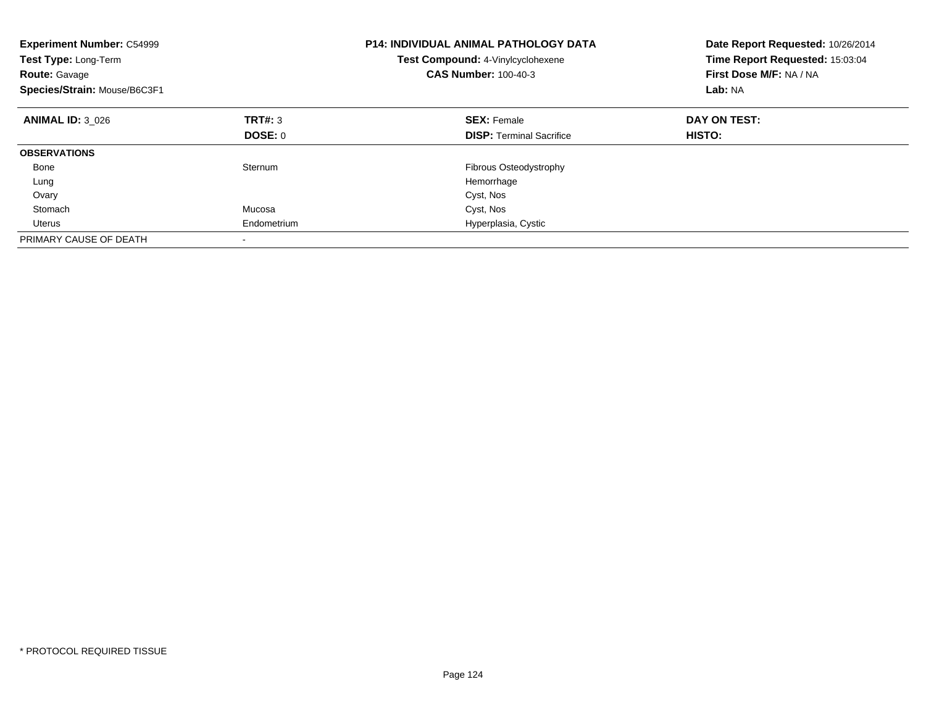| <b>Experiment Number: C54999</b><br>Test Type: Long-Term<br><b>Route: Gavage</b><br>Species/Strain: Mouse/B6C3F1 |             | <b>P14: INDIVIDUAL ANIMAL PATHOLOGY DATA</b><br>Test Compound: 4-Vinylcyclohexene<br><b>CAS Number: 100-40-3</b> | Date Report Requested: 10/26/2014<br>Time Report Requested: 15:03:04<br>First Dose M/F: NA / NA<br>Lab: NA |
|------------------------------------------------------------------------------------------------------------------|-------------|------------------------------------------------------------------------------------------------------------------|------------------------------------------------------------------------------------------------------------|
| <b>ANIMAL ID: 3 026</b>                                                                                          | TRT#: 3     | <b>SEX: Female</b>                                                                                               | DAY ON TEST:                                                                                               |
|                                                                                                                  | DOSE: 0     | <b>DISP:</b> Terminal Sacrifice                                                                                  | <b>HISTO:</b>                                                                                              |
| <b>OBSERVATIONS</b>                                                                                              |             |                                                                                                                  |                                                                                                            |
| Bone                                                                                                             | Sternum     | Fibrous Osteodystrophy                                                                                           |                                                                                                            |
| Lung                                                                                                             |             | Hemorrhage                                                                                                       |                                                                                                            |
| Ovary                                                                                                            |             | Cyst, Nos                                                                                                        |                                                                                                            |
| Stomach                                                                                                          | Mucosa      | Cyst, Nos                                                                                                        |                                                                                                            |
| Uterus                                                                                                           | Endometrium | Hyperplasia, Cystic                                                                                              |                                                                                                            |
| PRIMARY CAUSE OF DEATH                                                                                           |             |                                                                                                                  |                                                                                                            |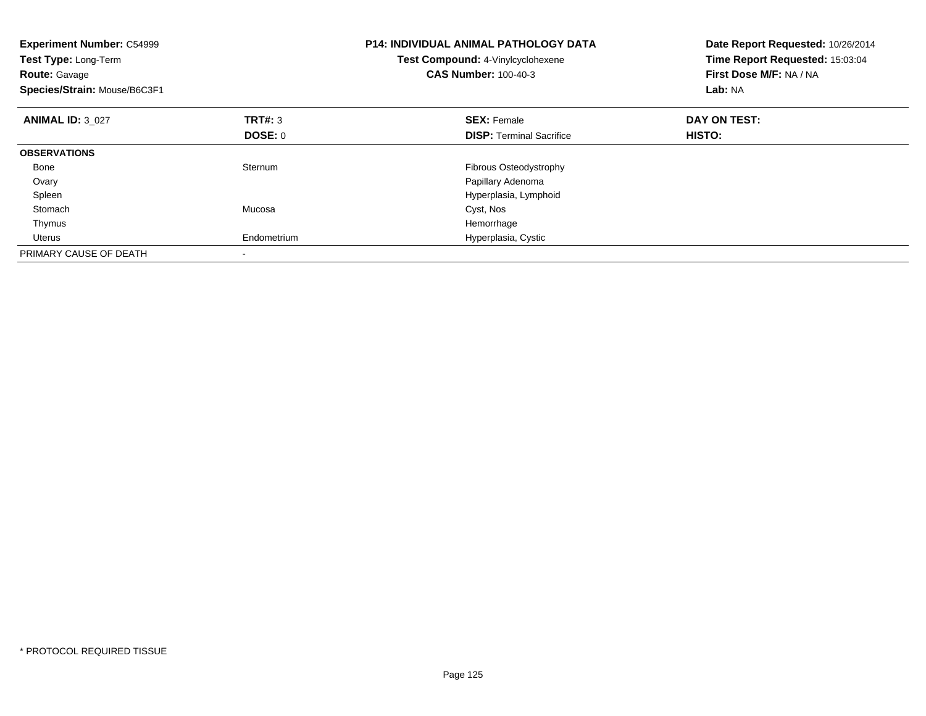| <b>Experiment Number: C54999</b><br>Test Type: Long-Term<br><b>Route: Gavage</b><br>Species/Strain: Mouse/B6C3F1 |                | <b>P14: INDIVIDUAL ANIMAL PATHOLOGY DATA</b><br>Test Compound: 4-Vinylcyclohexene<br><b>CAS Number: 100-40-3</b> | Date Report Requested: 10/26/2014<br>Time Report Requested: 15:03:04<br>First Dose M/F: NA / NA<br>Lab: NA |
|------------------------------------------------------------------------------------------------------------------|----------------|------------------------------------------------------------------------------------------------------------------|------------------------------------------------------------------------------------------------------------|
| <b>ANIMAL ID: 3 027</b>                                                                                          | <b>TRT#: 3</b> | <b>SEX: Female</b>                                                                                               | DAY ON TEST:                                                                                               |
|                                                                                                                  | DOSE: 0        | <b>DISP:</b> Terminal Sacrifice                                                                                  | <b>HISTO:</b>                                                                                              |
| <b>OBSERVATIONS</b>                                                                                              |                |                                                                                                                  |                                                                                                            |
| Bone                                                                                                             | Sternum        | Fibrous Osteodystrophy                                                                                           |                                                                                                            |
| Ovary                                                                                                            |                | Papillary Adenoma                                                                                                |                                                                                                            |
| Spleen                                                                                                           |                | Hyperplasia, Lymphoid                                                                                            |                                                                                                            |
| Stomach                                                                                                          | Mucosa         | Cyst, Nos                                                                                                        |                                                                                                            |
| Thymus                                                                                                           |                | Hemorrhage                                                                                                       |                                                                                                            |
| Uterus                                                                                                           | Endometrium    | Hyperplasia, Cystic                                                                                              |                                                                                                            |
| PRIMARY CAUSE OF DEATH                                                                                           |                |                                                                                                                  |                                                                                                            |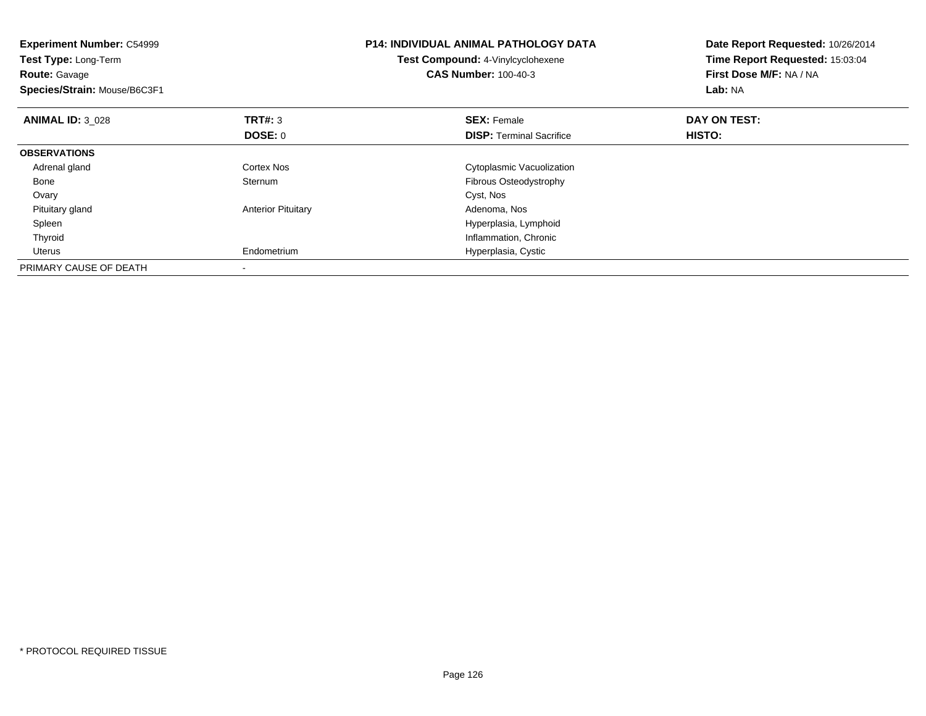| <b>Experiment Number: C54999</b><br>Test Type: Long-Term<br><b>Route: Gavage</b><br>Species/Strain: Mouse/B6C3F1 |                           | <b>P14: INDIVIDUAL ANIMAL PATHOLOGY DATA</b><br>Test Compound: 4-Vinylcyclohexene<br><b>CAS Number: 100-40-3</b> | Date Report Requested: 10/26/2014<br>Time Report Requested: 15:03:04<br>First Dose M/F: NA / NA<br>Lab: NA |
|------------------------------------------------------------------------------------------------------------------|---------------------------|------------------------------------------------------------------------------------------------------------------|------------------------------------------------------------------------------------------------------------|
| <b>ANIMAL ID: 3 028</b>                                                                                          | <b>TRT#: 3</b>            | <b>SEX: Female</b>                                                                                               | DAY ON TEST:                                                                                               |
|                                                                                                                  | DOSE: 0                   | <b>DISP:</b> Terminal Sacrifice                                                                                  | HISTO:                                                                                                     |
| <b>OBSERVATIONS</b>                                                                                              |                           |                                                                                                                  |                                                                                                            |
| Adrenal gland                                                                                                    | Cortex Nos                | Cytoplasmic Vacuolization                                                                                        |                                                                                                            |
| Bone                                                                                                             | Sternum                   | Fibrous Osteodystrophy                                                                                           |                                                                                                            |
| Ovary                                                                                                            |                           | Cyst, Nos                                                                                                        |                                                                                                            |
| Pituitary gland                                                                                                  | <b>Anterior Pituitary</b> | Adenoma, Nos                                                                                                     |                                                                                                            |
| Spleen                                                                                                           |                           | Hyperplasia, Lymphoid                                                                                            |                                                                                                            |
| Thyroid                                                                                                          |                           | Inflammation, Chronic                                                                                            |                                                                                                            |
| Uterus                                                                                                           | Endometrium               | Hyperplasia, Cystic                                                                                              |                                                                                                            |
| PRIMARY CAUSE OF DEATH                                                                                           |                           |                                                                                                                  |                                                                                                            |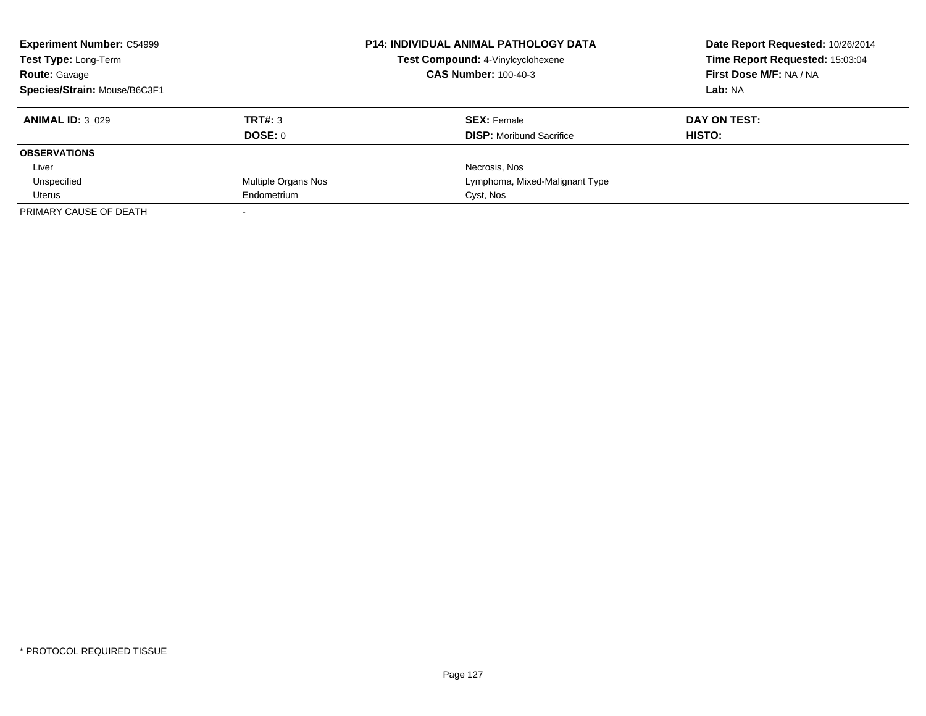| <b>Experiment Number: C54999</b> |                            | <b>P14: INDIVIDUAL ANIMAL PATHOLOGY DATA</b> | Date Report Requested: 10/26/2014 |
|----------------------------------|----------------------------|----------------------------------------------|-----------------------------------|
| Test Type: Long-Term             |                            | Test Compound: 4-Vinylcyclohexene            | Time Report Requested: 15:03:04   |
| <b>Route: Gavage</b>             |                            | <b>CAS Number: 100-40-3</b>                  | First Dose M/F: NA / NA           |
| Species/Strain: Mouse/B6C3F1     |                            |                                              | Lab: NA                           |
| <b>ANIMAL ID: 3 029</b>          | TRT#: 3                    | <b>SEX: Female</b>                           | DAY ON TEST:                      |
|                                  | DOSE: 0                    | <b>DISP:</b> Moribund Sacrifice              | HISTO:                            |
| <b>OBSERVATIONS</b>              |                            |                                              |                                   |
| Liver                            |                            | Necrosis, Nos                                |                                   |
| Unspecified                      | <b>Multiple Organs Nos</b> | Lymphoma, Mixed-Malignant Type               |                                   |
| Uterus                           | Endometrium                | Cyst, Nos                                    |                                   |
| PRIMARY CAUSE OF DEATH           |                            |                                              |                                   |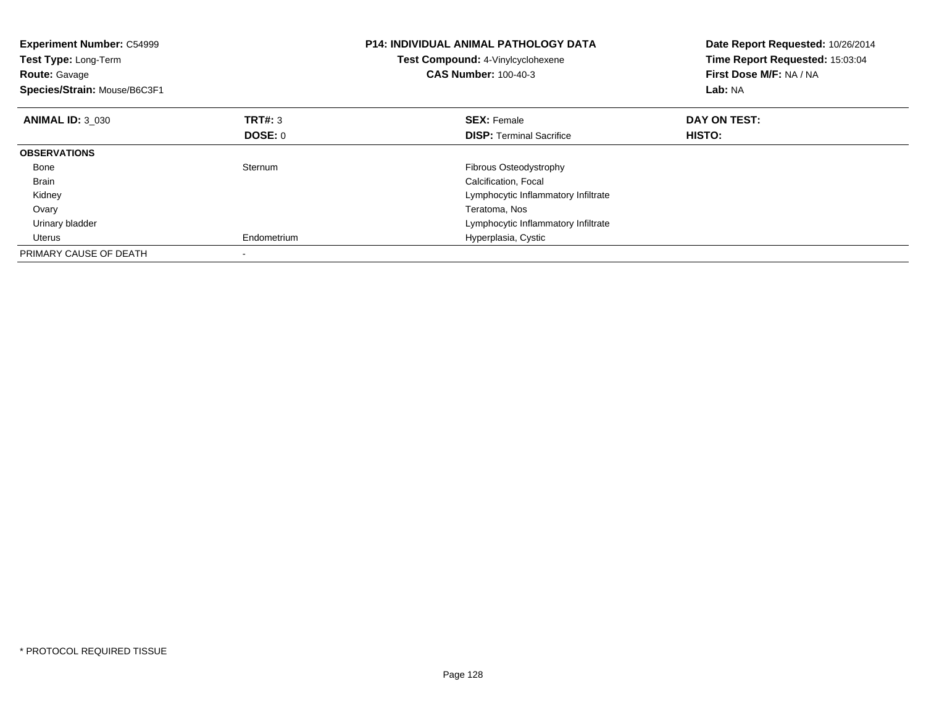| <b>Experiment Number: C54999</b><br>Test Type: Long-Term<br><b>Route: Gavage</b><br>Species/Strain: Mouse/B6C3F1 |                | <b>P14: INDIVIDUAL ANIMAL PATHOLOGY DATA</b><br>Test Compound: 4-Vinylcyclohexene<br><b>CAS Number: 100-40-3</b> | Date Report Requested: 10/26/2014<br>Time Report Requested: 15:03:04<br>First Dose M/F: NA / NA<br>Lab: NA |
|------------------------------------------------------------------------------------------------------------------|----------------|------------------------------------------------------------------------------------------------------------------|------------------------------------------------------------------------------------------------------------|
| <b>ANIMAL ID: 3 030</b>                                                                                          | TRT#: 3        | <b>SEX: Female</b>                                                                                               | DAY ON TEST:                                                                                               |
|                                                                                                                  | <b>DOSE: 0</b> | <b>DISP:</b> Terminal Sacrifice                                                                                  | HISTO:                                                                                                     |
| <b>OBSERVATIONS</b>                                                                                              |                |                                                                                                                  |                                                                                                            |
| Bone                                                                                                             | Sternum        | <b>Fibrous Osteodystrophy</b>                                                                                    |                                                                                                            |
| <b>Brain</b>                                                                                                     |                | Calcification, Focal                                                                                             |                                                                                                            |
| Kidney                                                                                                           |                | Lymphocytic Inflammatory Infiltrate                                                                              |                                                                                                            |
| Ovary                                                                                                            |                | Teratoma, Nos                                                                                                    |                                                                                                            |
| Urinary bladder                                                                                                  |                | Lymphocytic Inflammatory Infiltrate                                                                              |                                                                                                            |
| Uterus                                                                                                           | Endometrium    | Hyperplasia, Cystic                                                                                              |                                                                                                            |
| PRIMARY CAUSE OF DEATH                                                                                           |                |                                                                                                                  |                                                                                                            |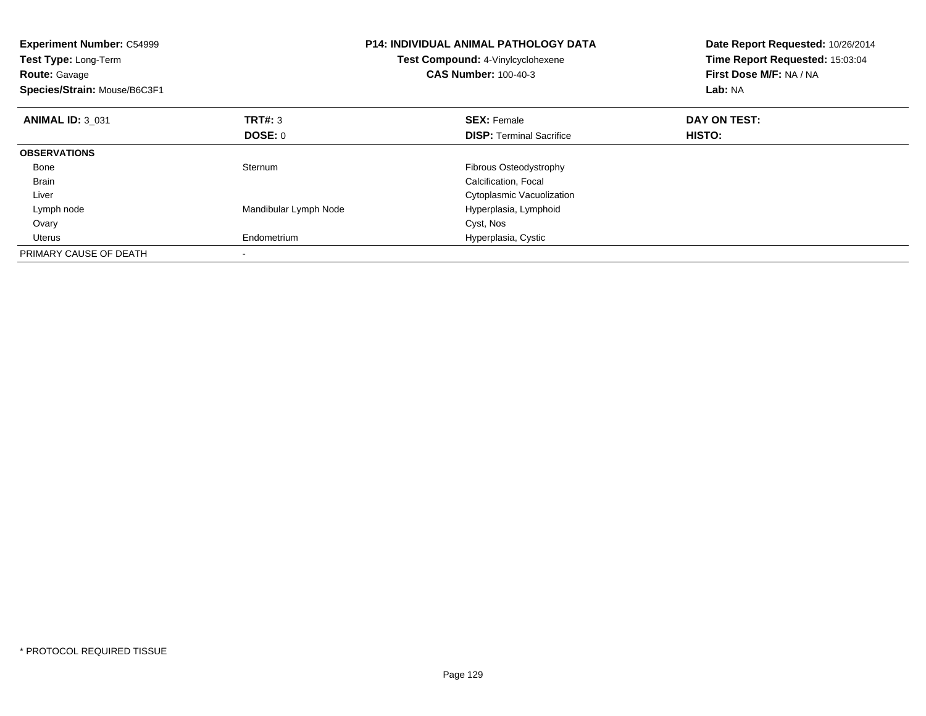| <b>Experiment Number: C54999</b><br>Test Type: Long-Term<br><b>Route: Gavage</b><br>Species/Strain: Mouse/B6C3F1 |                       | <b>P14: INDIVIDUAL ANIMAL PATHOLOGY DATA</b><br>Test Compound: 4-Vinylcyclohexene<br><b>CAS Number: 100-40-3</b> | Date Report Requested: 10/26/2014<br>Time Report Requested: 15:03:04<br>First Dose M/F: NA / NA<br>Lab: NA |
|------------------------------------------------------------------------------------------------------------------|-----------------------|------------------------------------------------------------------------------------------------------------------|------------------------------------------------------------------------------------------------------------|
| <b>ANIMAL ID: 3 031</b>                                                                                          | <b>TRT#: 3</b>        | <b>SEX: Female</b>                                                                                               | DAY ON TEST:                                                                                               |
|                                                                                                                  | DOSE: 0               | <b>DISP:</b> Terminal Sacrifice                                                                                  | <b>HISTO:</b>                                                                                              |
| <b>OBSERVATIONS</b>                                                                                              |                       |                                                                                                                  |                                                                                                            |
| Bone                                                                                                             | Sternum               | Fibrous Osteodystrophy                                                                                           |                                                                                                            |
| <b>Brain</b>                                                                                                     |                       | Calcification, Focal                                                                                             |                                                                                                            |
| Liver                                                                                                            |                       | Cytoplasmic Vacuolization                                                                                        |                                                                                                            |
| Lymph node                                                                                                       | Mandibular Lymph Node | Hyperplasia, Lymphoid                                                                                            |                                                                                                            |
| Ovary                                                                                                            |                       | Cyst, Nos                                                                                                        |                                                                                                            |
| Uterus                                                                                                           | Endometrium           | Hyperplasia, Cystic                                                                                              |                                                                                                            |
| PRIMARY CAUSE OF DEATH                                                                                           |                       |                                                                                                                  |                                                                                                            |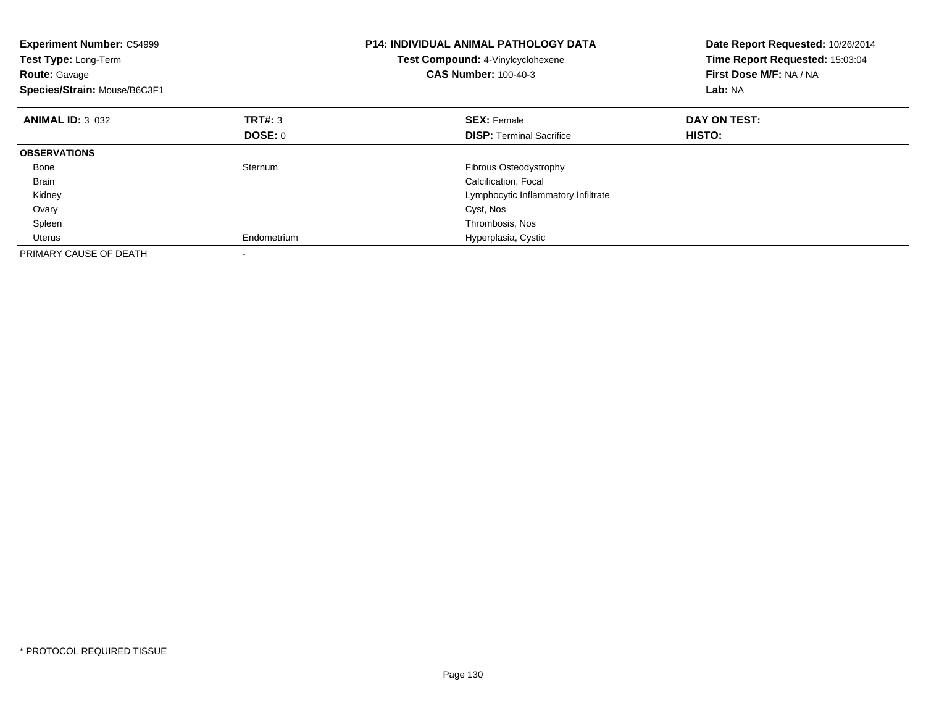| <b>Experiment Number: C54999</b><br>Test Type: Long-Term<br><b>Route: Gavage</b><br>Species/Strain: Mouse/B6C3F1 |                | <b>P14: INDIVIDUAL ANIMAL PATHOLOGY DATA</b><br>Test Compound: 4-Vinylcyclohexene<br><b>CAS Number: 100-40-3</b> | Date Report Requested: 10/26/2014<br>Time Report Requested: 15:03:04<br>First Dose M/F: NA / NA<br>Lab: NA |
|------------------------------------------------------------------------------------------------------------------|----------------|------------------------------------------------------------------------------------------------------------------|------------------------------------------------------------------------------------------------------------|
| <b>ANIMAL ID: 3 032</b>                                                                                          | TRT#: 3        | <b>SEX: Female</b>                                                                                               | DAY ON TEST:                                                                                               |
|                                                                                                                  | <b>DOSE: 0</b> | <b>DISP:</b> Terminal Sacrifice                                                                                  | HISTO:                                                                                                     |
| <b>OBSERVATIONS</b>                                                                                              |                |                                                                                                                  |                                                                                                            |
| Bone                                                                                                             | Sternum        | <b>Fibrous Osteodystrophy</b>                                                                                    |                                                                                                            |
| <b>Brain</b>                                                                                                     |                | Calcification, Focal                                                                                             |                                                                                                            |
| Kidney                                                                                                           |                | Lymphocytic Inflammatory Infiltrate                                                                              |                                                                                                            |
| Ovary                                                                                                            |                | Cyst, Nos                                                                                                        |                                                                                                            |
| Spleen                                                                                                           |                | Thrombosis, Nos                                                                                                  |                                                                                                            |
| Uterus                                                                                                           | Endometrium    | Hyperplasia, Cystic                                                                                              |                                                                                                            |
| PRIMARY CAUSE OF DEATH                                                                                           |                |                                                                                                                  |                                                                                                            |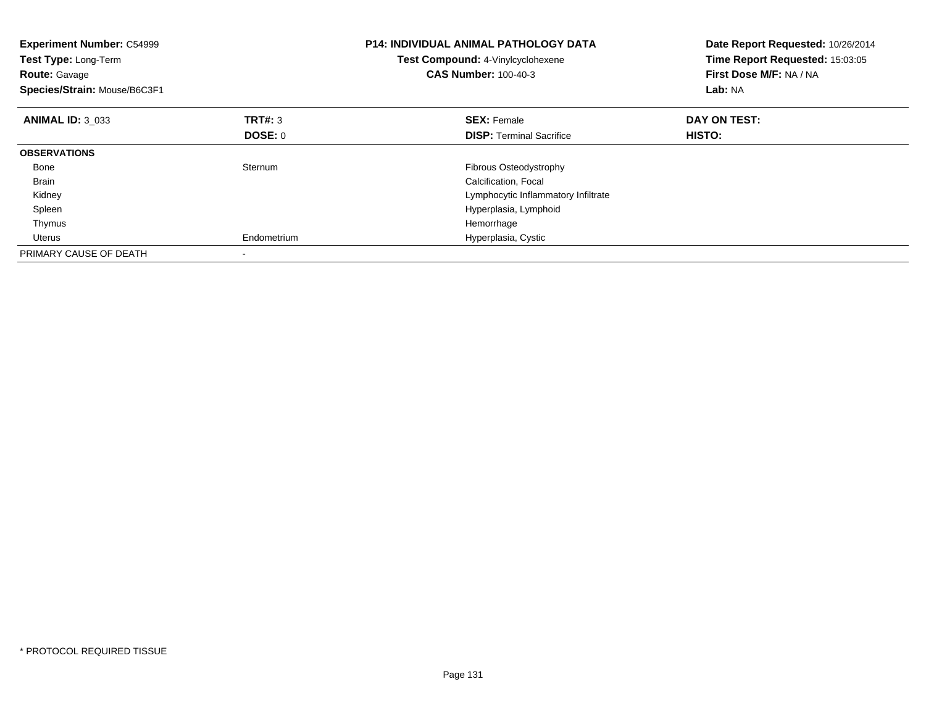| <b>Experiment Number: C54999</b><br>Test Type: Long-Term<br><b>Route: Gavage</b><br>Species/Strain: Mouse/B6C3F1 |                | <b>P14: INDIVIDUAL ANIMAL PATHOLOGY DATA</b><br>Test Compound: 4-Vinylcyclohexene<br><b>CAS Number: 100-40-3</b> | Date Report Requested: 10/26/2014<br>Time Report Requested: 15:03:05<br>First Dose M/F: NA / NA<br>Lab: NA |
|------------------------------------------------------------------------------------------------------------------|----------------|------------------------------------------------------------------------------------------------------------------|------------------------------------------------------------------------------------------------------------|
| <b>ANIMAL ID: 3 033</b>                                                                                          | TRT#: 3        | <b>SEX: Female</b>                                                                                               | DAY ON TEST:                                                                                               |
|                                                                                                                  | <b>DOSE: 0</b> | <b>DISP:</b> Terminal Sacrifice                                                                                  | HISTO:                                                                                                     |
| <b>OBSERVATIONS</b>                                                                                              |                |                                                                                                                  |                                                                                                            |
| Bone                                                                                                             | Sternum        | Fibrous Osteodystrophy                                                                                           |                                                                                                            |
| <b>Brain</b>                                                                                                     |                | Calcification, Focal                                                                                             |                                                                                                            |
| Kidney                                                                                                           |                | Lymphocytic Inflammatory Infiltrate                                                                              |                                                                                                            |
| Spleen                                                                                                           |                | Hyperplasia, Lymphoid                                                                                            |                                                                                                            |
| Thymus                                                                                                           |                | Hemorrhage                                                                                                       |                                                                                                            |
| Uterus                                                                                                           | Endometrium    | Hyperplasia, Cystic                                                                                              |                                                                                                            |
| PRIMARY CAUSE OF DEATH                                                                                           |                |                                                                                                                  |                                                                                                            |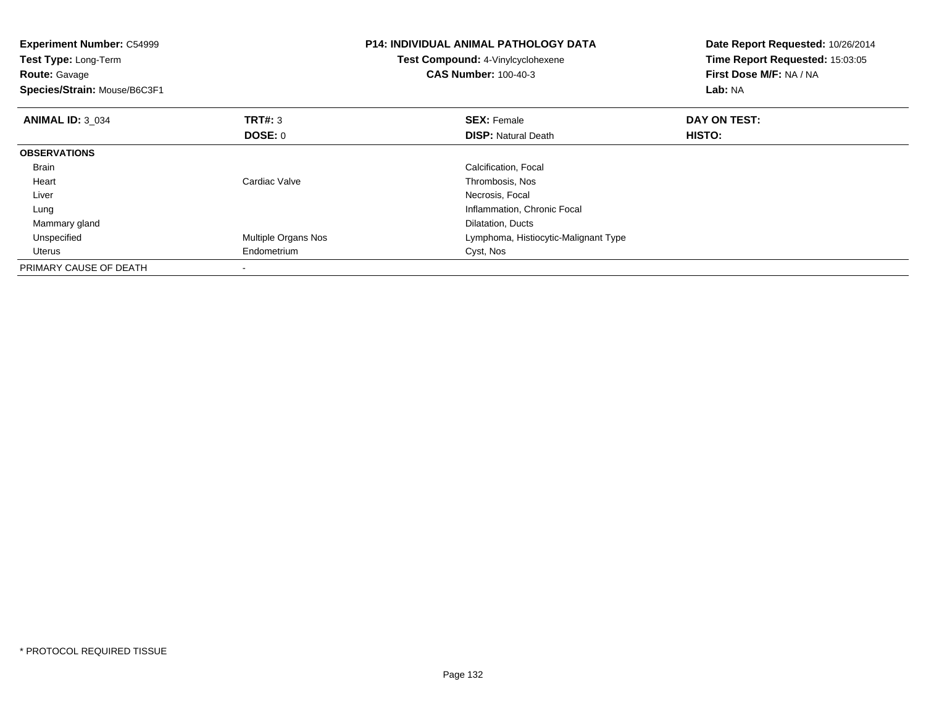| <b>Experiment Number: C54999</b><br><b>Test Type: Long-Term</b><br><b>Route: Gavage</b><br>Species/Strain: Mouse/B6C3F1 |                     | <b>P14: INDIVIDUAL ANIMAL PATHOLOGY DATA</b><br>Test Compound: 4-Vinylcyclohexene<br><b>CAS Number: 100-40-3</b> | Date Report Requested: 10/26/2014<br>Time Report Requested: 15:03:05<br>First Dose M/F: NA / NA<br>Lab: NA |
|-------------------------------------------------------------------------------------------------------------------------|---------------------|------------------------------------------------------------------------------------------------------------------|------------------------------------------------------------------------------------------------------------|
| <b>ANIMAL ID: 3 034</b>                                                                                                 | TRT#: 3<br>DOSE: 0  | <b>SEX: Female</b><br><b>DISP: Natural Death</b>                                                                 | DAY ON TEST:<br><b>HISTO:</b>                                                                              |
| <b>OBSERVATIONS</b>                                                                                                     |                     |                                                                                                                  |                                                                                                            |
| <b>Brain</b>                                                                                                            |                     | Calcification, Focal                                                                                             |                                                                                                            |
| Heart                                                                                                                   | Cardiac Valve       | Thrombosis, Nos                                                                                                  |                                                                                                            |
| Liver                                                                                                                   |                     | Necrosis, Focal                                                                                                  |                                                                                                            |
| Lung                                                                                                                    |                     | Inflammation, Chronic Focal                                                                                      |                                                                                                            |
| Mammary gland                                                                                                           |                     | Dilatation, Ducts                                                                                                |                                                                                                            |
| Unspecified                                                                                                             | Multiple Organs Nos | Lymphoma, Histiocytic-Malignant Type                                                                             |                                                                                                            |
| Uterus                                                                                                                  | Endometrium         | Cyst, Nos                                                                                                        |                                                                                                            |
| PRIMARY CAUSE OF DEATH                                                                                                  |                     |                                                                                                                  |                                                                                                            |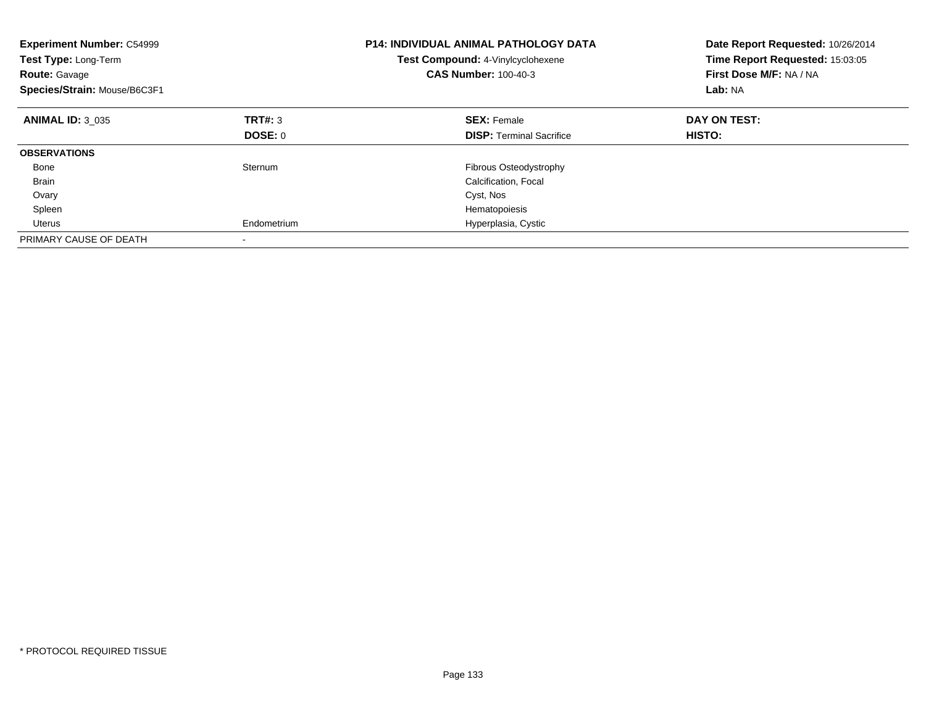| <b>Experiment Number: C54999</b><br>Test Type: Long-Term<br><b>Route: Gavage</b><br>Species/Strain: Mouse/B6C3F1 |             | <b>P14: INDIVIDUAL ANIMAL PATHOLOGY DATA</b><br>Test Compound: 4-Vinylcyclohexene<br><b>CAS Number: 100-40-3</b> | Date Report Requested: 10/26/2014<br>Time Report Requested: 15:03:05<br>First Dose M/F: NA / NA<br>Lab: NA |
|------------------------------------------------------------------------------------------------------------------|-------------|------------------------------------------------------------------------------------------------------------------|------------------------------------------------------------------------------------------------------------|
| <b>ANIMAL ID: 3 035</b>                                                                                          | TRT#: 3     | <b>SEX: Female</b>                                                                                               | DAY ON TEST:                                                                                               |
|                                                                                                                  | DOSE: 0     | <b>DISP:</b> Terminal Sacrifice                                                                                  | HISTO:                                                                                                     |
| <b>OBSERVATIONS</b>                                                                                              |             |                                                                                                                  |                                                                                                            |
| Bone                                                                                                             | Sternum     | Fibrous Osteodystrophy                                                                                           |                                                                                                            |
| Brain                                                                                                            |             | Calcification, Focal                                                                                             |                                                                                                            |
| Ovary                                                                                                            |             | Cyst, Nos                                                                                                        |                                                                                                            |
| Spleen                                                                                                           |             | Hematopoiesis                                                                                                    |                                                                                                            |
| Uterus                                                                                                           | Endometrium | Hyperplasia, Cystic                                                                                              |                                                                                                            |
| PRIMARY CAUSE OF DEATH                                                                                           |             |                                                                                                                  |                                                                                                            |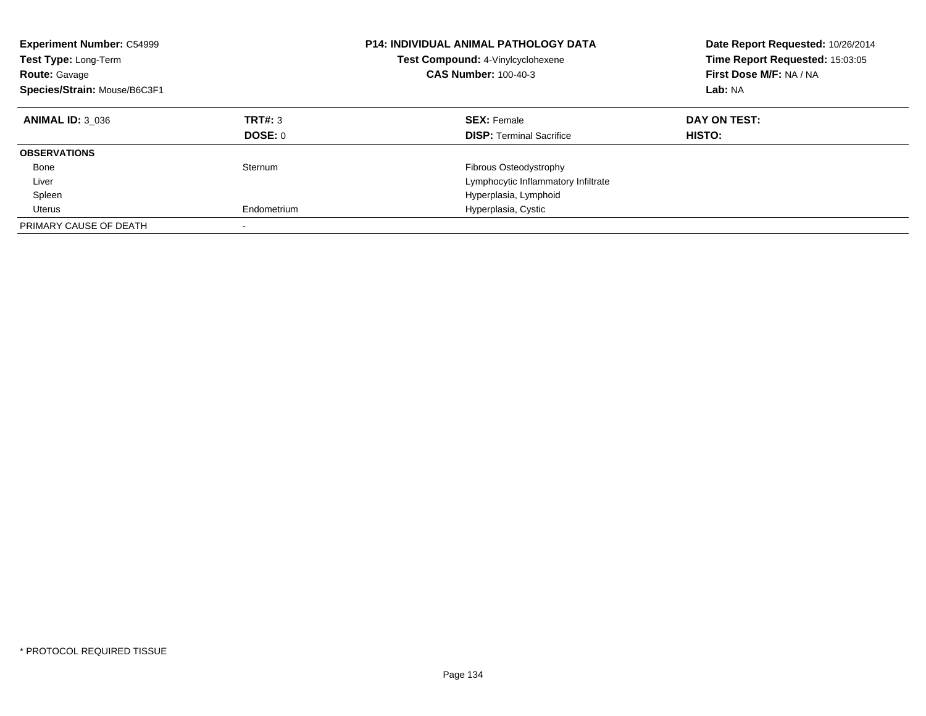| <b>Experiment Number: C54999</b><br><b>Test Type: Long-Term</b><br><b>Route: Gavage</b><br>Species/Strain: Mouse/B6C3F1 |                    | <b>P14: INDIVIDUAL ANIMAL PATHOLOGY DATA</b><br>Test Compound: 4-Vinylcyclohexene<br><b>CAS Number: 100-40-3</b> | Date Report Requested: 10/26/2014<br>Time Report Requested: 15:03:05<br>First Dose M/F: NA / NA<br>Lab: NA |
|-------------------------------------------------------------------------------------------------------------------------|--------------------|------------------------------------------------------------------------------------------------------------------|------------------------------------------------------------------------------------------------------------|
| <b>ANIMAL ID: 3 036</b>                                                                                                 | TRT#: 3<br>DOSE: 0 | <b>SEX: Female</b><br><b>DISP:</b> Terminal Sacrifice                                                            | DAY ON TEST:<br>HISTO:                                                                                     |
| <b>OBSERVATIONS</b>                                                                                                     |                    |                                                                                                                  |                                                                                                            |
| Bone<br>Liver                                                                                                           | Sternum            | Fibrous Osteodystrophy<br>Lymphocytic Inflammatory Infiltrate                                                    |                                                                                                            |
| Spleen                                                                                                                  |                    | Hyperplasia, Lymphoid                                                                                            |                                                                                                            |
| Uterus                                                                                                                  | Endometrium        | Hyperplasia, Cystic                                                                                              |                                                                                                            |
| PRIMARY CAUSE OF DEATH                                                                                                  |                    |                                                                                                                  |                                                                                                            |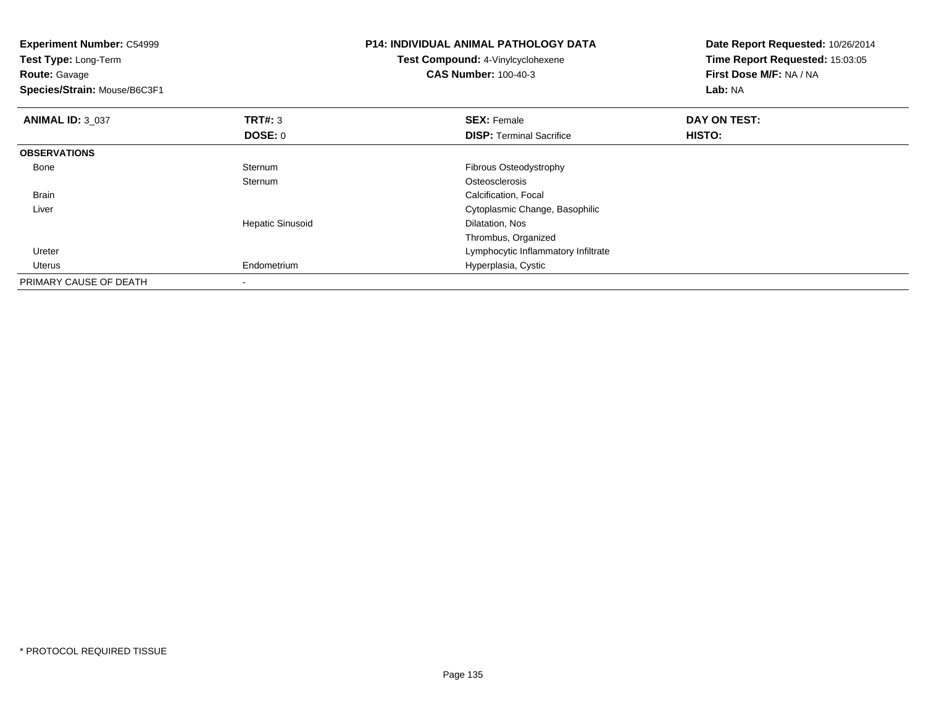| <b>Experiment Number: C54999</b><br>Test Type: Long-Term<br><b>Route: Gavage</b><br>Species/Strain: Mouse/B6C3F1 |                         | <b>P14: INDIVIDUAL ANIMAL PATHOLOGY DATA</b><br><b>Test Compound: 4-Vinylcyclohexene</b><br><b>CAS Number: 100-40-3</b> | Date Report Requested: 10/26/2014<br>Time Report Requested: 15:03:05<br>First Dose M/F: NA / NA<br>Lab: NA |
|------------------------------------------------------------------------------------------------------------------|-------------------------|-------------------------------------------------------------------------------------------------------------------------|------------------------------------------------------------------------------------------------------------|
| <b>ANIMAL ID: 3 037</b>                                                                                          | TRT#: 3                 | <b>SEX: Female</b>                                                                                                      | DAY ON TEST:                                                                                               |
|                                                                                                                  | DOSE: 0                 | <b>DISP:</b> Terminal Sacrifice                                                                                         | <b>HISTO:</b>                                                                                              |
| <b>OBSERVATIONS</b>                                                                                              |                         |                                                                                                                         |                                                                                                            |
| Bone                                                                                                             | Sternum                 | Fibrous Osteodystrophy                                                                                                  |                                                                                                            |
|                                                                                                                  | Sternum                 | Osteosclerosis                                                                                                          |                                                                                                            |
| <b>Brain</b>                                                                                                     |                         | Calcification, Focal                                                                                                    |                                                                                                            |
| Liver                                                                                                            |                         | Cytoplasmic Change, Basophilic                                                                                          |                                                                                                            |
|                                                                                                                  | <b>Hepatic Sinusoid</b> | Dilatation, Nos                                                                                                         |                                                                                                            |
|                                                                                                                  |                         | Thrombus, Organized                                                                                                     |                                                                                                            |
| Ureter                                                                                                           |                         | Lymphocytic Inflammatory Infiltrate                                                                                     |                                                                                                            |
| Uterus                                                                                                           | Endometrium             | Hyperplasia, Cystic                                                                                                     |                                                                                                            |
| PRIMARY CAUSE OF DEATH                                                                                           |                         |                                                                                                                         |                                                                                                            |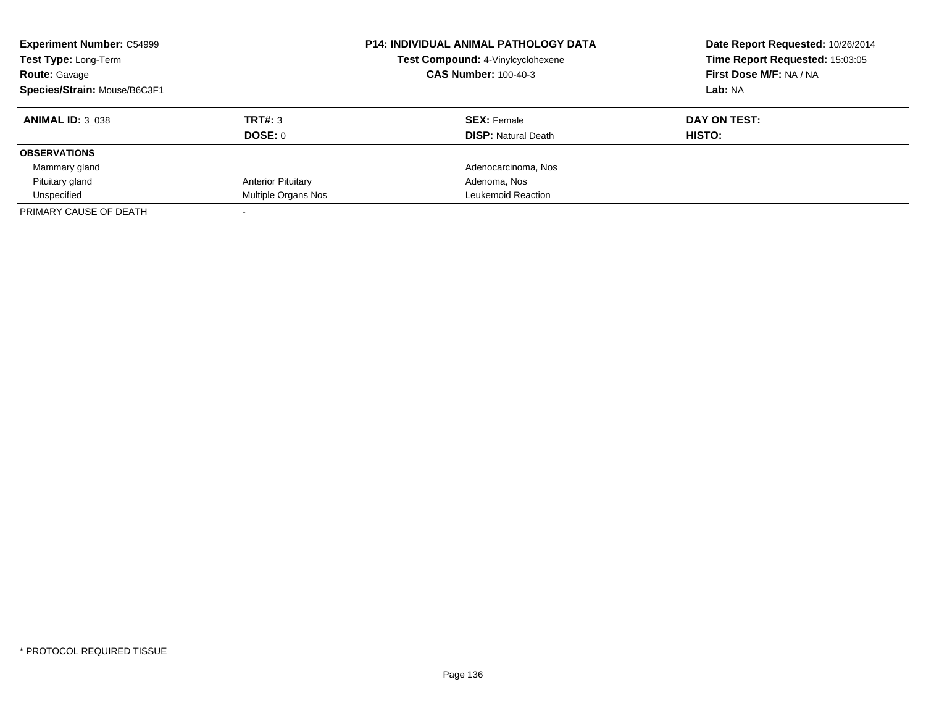| <b>Experiment Number: C54999</b><br>Test Type: Long-Term<br><b>Route: Gavage</b><br>Species/Strain: Mouse/B6C3F1 |                           | <b>P14: INDIVIDUAL ANIMAL PATHOLOGY DATA</b><br>Test Compound: 4-Vinylcyclohexene<br><b>CAS Number: 100-40-3</b> | Date Report Requested: 10/26/2014<br>Time Report Requested: 15:03:05<br>First Dose M/F: NA / NA<br>Lab: NA |
|------------------------------------------------------------------------------------------------------------------|---------------------------|------------------------------------------------------------------------------------------------------------------|------------------------------------------------------------------------------------------------------------|
| <b>ANIMAL ID: 3 038</b>                                                                                          | TRT#: 3                   | <b>SEX: Female</b>                                                                                               | DAY ON TEST:                                                                                               |
|                                                                                                                  | DOSE: 0                   | <b>DISP:</b> Natural Death                                                                                       | HISTO:                                                                                                     |
| <b>OBSERVATIONS</b>                                                                                              |                           |                                                                                                                  |                                                                                                            |
| Mammary gland                                                                                                    |                           | Adenocarcinoma, Nos                                                                                              |                                                                                                            |
| Pituitary gland                                                                                                  | <b>Anterior Pituitary</b> | Adenoma, Nos                                                                                                     |                                                                                                            |
| Unspecified                                                                                                      | Multiple Organs Nos       | Leukemoid Reaction                                                                                               |                                                                                                            |
| PRIMARY CAUSE OF DEATH                                                                                           |                           |                                                                                                                  |                                                                                                            |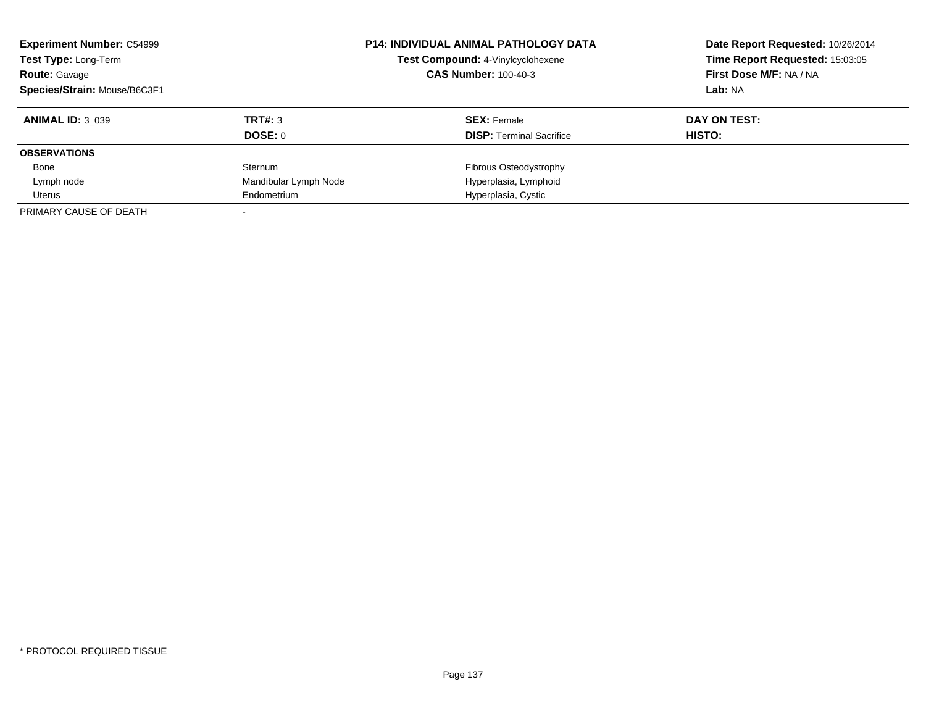| <b>Experiment Number: C54999</b><br>Test Type: Long-Term<br><b>Route: Gavage</b><br>Species/Strain: Mouse/B6C3F1 |                       | <b>P14: INDIVIDUAL ANIMAL PATHOLOGY DATA</b><br>Test Compound: 4-Vinylcyclohexene<br><b>CAS Number: 100-40-3</b> | Date Report Requested: 10/26/2014<br>Time Report Requested: 15:03:05<br>First Dose M/F: NA / NA<br>Lab: NA |
|------------------------------------------------------------------------------------------------------------------|-----------------------|------------------------------------------------------------------------------------------------------------------|------------------------------------------------------------------------------------------------------------|
| <b>ANIMAL ID: 3 039</b>                                                                                          | TRT#: 3<br>DOSE: 0    | <b>SEX:</b> Female                                                                                               | DAY ON TEST:<br>HISTO:                                                                                     |
| <b>OBSERVATIONS</b>                                                                                              |                       | <b>DISP:</b> Terminal Sacrifice                                                                                  |                                                                                                            |
| Bone                                                                                                             | Sternum               | Fibrous Osteodystrophy                                                                                           |                                                                                                            |
| Lymph node                                                                                                       | Mandibular Lymph Node | Hyperplasia, Lymphoid                                                                                            |                                                                                                            |
| Uterus                                                                                                           | Endometrium           | Hyperplasia, Cystic                                                                                              |                                                                                                            |
| PRIMARY CAUSE OF DEATH                                                                                           |                       |                                                                                                                  |                                                                                                            |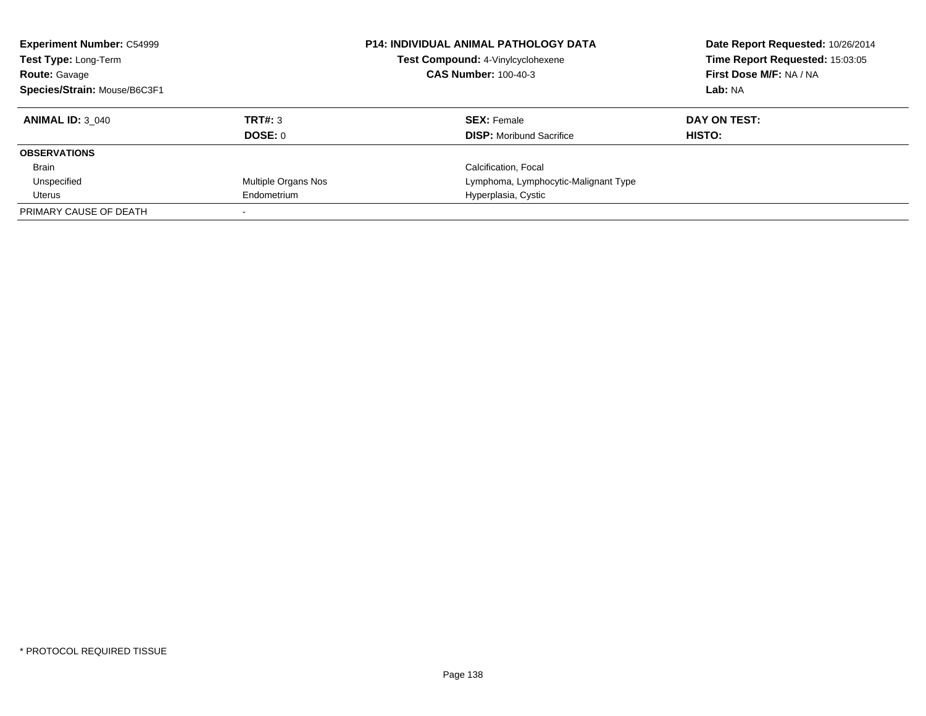| <b>Experiment Number: C54999</b><br>Test Type: Long-Term<br><b>Route: Gavage</b> |                     | <b>P14: INDIVIDUAL ANIMAL PATHOLOGY DATA</b><br>Test Compound: 4-Vinylcyclohexene<br><b>CAS Number: 100-40-3</b> | Date Report Requested: 10/26/2014<br>Time Report Requested: 15:03:05<br>First Dose M/F: NA / NA |
|----------------------------------------------------------------------------------|---------------------|------------------------------------------------------------------------------------------------------------------|-------------------------------------------------------------------------------------------------|
| Species/Strain: Mouse/B6C3F1                                                     |                     |                                                                                                                  | Lab: NA                                                                                         |
| <b>ANIMAL ID: 3 040</b>                                                          | TRT#: 3             | <b>SEX: Female</b>                                                                                               | DAY ON TEST:                                                                                    |
|                                                                                  | DOSE: 0             | <b>DISP:</b> Moribund Sacrifice                                                                                  | <b>HISTO:</b>                                                                                   |
| <b>OBSERVATIONS</b>                                                              |                     |                                                                                                                  |                                                                                                 |
| Brain                                                                            |                     | Calcification, Focal                                                                                             |                                                                                                 |
| Unspecified                                                                      | Multiple Organs Nos | Lymphoma, Lymphocytic-Malignant Type                                                                             |                                                                                                 |
| Uterus                                                                           | Endometrium         | Hyperplasia, Cystic                                                                                              |                                                                                                 |
| PRIMARY CAUSE OF DEATH                                                           |                     |                                                                                                                  |                                                                                                 |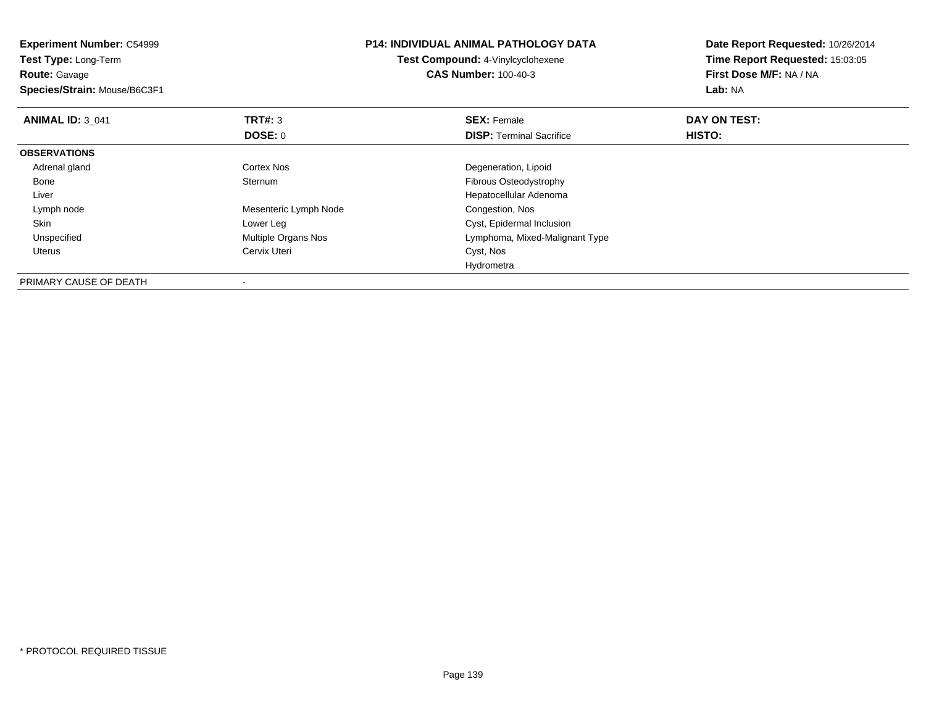| <b>Experiment Number: C54999</b><br>Test Type: Long-Term<br><b>Route: Gavage</b><br>Species/Strain: Mouse/B6C3F1 |                       | <b>P14: INDIVIDUAL ANIMAL PATHOLOGY DATA</b><br>Test Compound: 4-Vinylcyclohexene<br><b>CAS Number: 100-40-3</b> | Date Report Requested: 10/26/2014<br>Time Report Requested: 15:03:05<br>First Dose M/F: NA / NA<br><b>Lab: NA</b> |
|------------------------------------------------------------------------------------------------------------------|-----------------------|------------------------------------------------------------------------------------------------------------------|-------------------------------------------------------------------------------------------------------------------|
| <b>ANIMAL ID: 3 041</b>                                                                                          | <b>TRT#: 3</b>        | <b>SEX: Female</b>                                                                                               | DAY ON TEST:                                                                                                      |
|                                                                                                                  | DOSE: 0               | <b>DISP:</b> Terminal Sacrifice                                                                                  | HISTO:                                                                                                            |
| <b>OBSERVATIONS</b>                                                                                              |                       |                                                                                                                  |                                                                                                                   |
| Adrenal gland                                                                                                    | Cortex Nos            | Degeneration, Lipoid                                                                                             |                                                                                                                   |
| Bone                                                                                                             | Sternum               | Fibrous Osteodystrophy                                                                                           |                                                                                                                   |
| Liver                                                                                                            |                       | Hepatocellular Adenoma                                                                                           |                                                                                                                   |
| Lymph node                                                                                                       | Mesenteric Lymph Node | Congestion, Nos                                                                                                  |                                                                                                                   |
| Skin                                                                                                             | Lower Leg             | Cyst, Epidermal Inclusion                                                                                        |                                                                                                                   |
| Unspecified                                                                                                      | Multiple Organs Nos   | Lymphoma, Mixed-Malignant Type                                                                                   |                                                                                                                   |
| Uterus                                                                                                           | Cervix Uteri          | Cyst, Nos                                                                                                        |                                                                                                                   |
|                                                                                                                  |                       | Hydrometra                                                                                                       |                                                                                                                   |
| PRIMARY CAUSE OF DEATH                                                                                           |                       |                                                                                                                  |                                                                                                                   |

-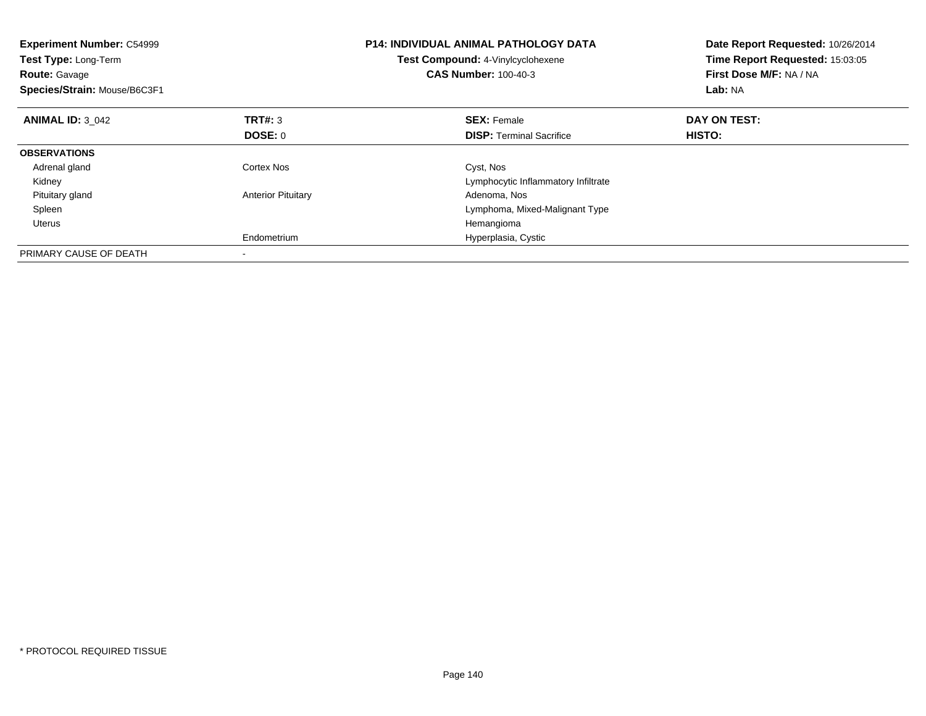| <b>Experiment Number: C54999</b><br><b>Test Type: Long-Term</b><br><b>Route: Gavage</b><br>Species/Strain: Mouse/B6C3F1 |                           | <b>P14: INDIVIDUAL ANIMAL PATHOLOGY DATA</b><br>Test Compound: 4-Vinylcyclohexene<br><b>CAS Number: 100-40-3</b> | Date Report Requested: 10/26/2014<br>Time Report Requested: 15:03:05<br>First Dose M/F: NA / NA<br>Lab: NA |
|-------------------------------------------------------------------------------------------------------------------------|---------------------------|------------------------------------------------------------------------------------------------------------------|------------------------------------------------------------------------------------------------------------|
| <b>ANIMAL ID: 3 042</b>                                                                                                 | <b>TRT#: 3</b>            | <b>SEX: Female</b>                                                                                               | DAY ON TEST:                                                                                               |
|                                                                                                                         | DOSE: 0                   | <b>DISP:</b> Terminal Sacrifice                                                                                  | HISTO:                                                                                                     |
| <b>OBSERVATIONS</b>                                                                                                     |                           |                                                                                                                  |                                                                                                            |
| Adrenal gland                                                                                                           | Cortex Nos                | Cyst, Nos                                                                                                        |                                                                                                            |
| Kidney                                                                                                                  |                           | Lymphocytic Inflammatory Infiltrate                                                                              |                                                                                                            |
| Pituitary gland                                                                                                         | <b>Anterior Pituitary</b> | Adenoma, Nos                                                                                                     |                                                                                                            |
| Spleen                                                                                                                  |                           | Lymphoma, Mixed-Malignant Type                                                                                   |                                                                                                            |
| Uterus                                                                                                                  |                           | Hemangioma                                                                                                       |                                                                                                            |
|                                                                                                                         | Endometrium               | Hyperplasia, Cystic                                                                                              |                                                                                                            |
| PRIMARY CAUSE OF DEATH                                                                                                  |                           |                                                                                                                  |                                                                                                            |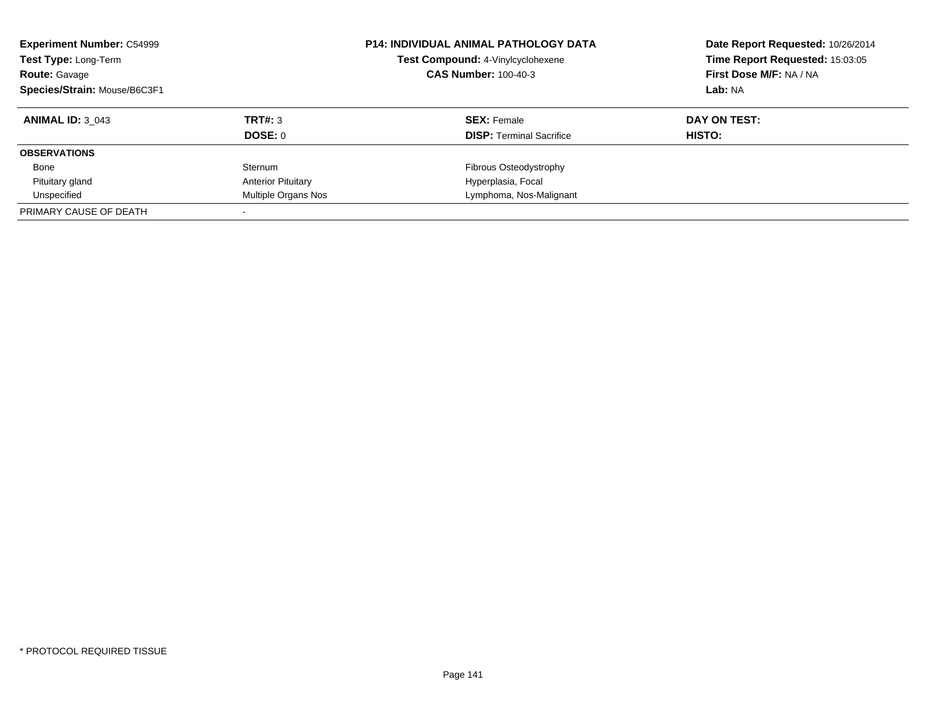| <b>Experiment Number: C54999</b><br>Test Type: Long-Term<br><b>Route: Gavage</b><br>Species/Strain: Mouse/B6C3F1 |                           | <b>P14: INDIVIDUAL ANIMAL PATHOLOGY DATA</b><br>Test Compound: 4-Vinylcyclohexene<br><b>CAS Number: 100-40-3</b> | Date Report Requested: 10/26/2014<br>Time Report Requested: 15:03:05<br>First Dose M/F: NA / NA<br>Lab: NA |
|------------------------------------------------------------------------------------------------------------------|---------------------------|------------------------------------------------------------------------------------------------------------------|------------------------------------------------------------------------------------------------------------|
| <b>ANIMAL ID: 3 043</b>                                                                                          | TRT#: 3                   | <b>SEX:</b> Female                                                                                               | DAY ON TEST:                                                                                               |
|                                                                                                                  | DOSE: 0                   | <b>DISP:</b> Terminal Sacrifice                                                                                  | HISTO:                                                                                                     |
| <b>OBSERVATIONS</b>                                                                                              |                           |                                                                                                                  |                                                                                                            |
| Bone                                                                                                             | Sternum                   | Fibrous Osteodystrophy                                                                                           |                                                                                                            |
| Pituitary gland                                                                                                  | <b>Anterior Pituitary</b> | Hyperplasia, Focal                                                                                               |                                                                                                            |
| Unspecified                                                                                                      | Multiple Organs Nos       | Lymphoma, Nos-Malignant                                                                                          |                                                                                                            |
| PRIMARY CAUSE OF DEATH                                                                                           |                           |                                                                                                                  |                                                                                                            |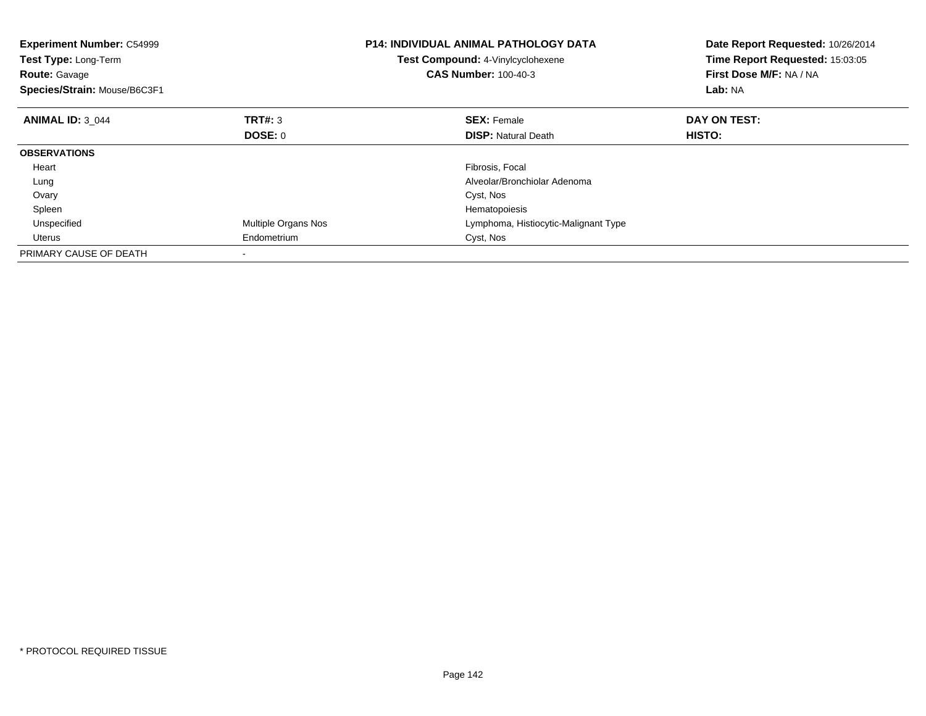| <b>Experiment Number: C54999</b><br>Test Type: Long-Term<br><b>Route: Gavage</b><br>Species/Strain: Mouse/B6C3F1 |                     | <b>P14: INDIVIDUAL ANIMAL PATHOLOGY DATA</b><br>Test Compound: 4-Vinylcyclohexene<br><b>CAS Number: 100-40-3</b> | Date Report Requested: 10/26/2014<br>Time Report Requested: 15:03:05<br>First Dose M/F: NA / NA<br>Lab: NA |
|------------------------------------------------------------------------------------------------------------------|---------------------|------------------------------------------------------------------------------------------------------------------|------------------------------------------------------------------------------------------------------------|
| <b>ANIMAL ID: 3 044</b>                                                                                          | TRT#: 3             | <b>SEX: Female</b>                                                                                               | DAY ON TEST:                                                                                               |
|                                                                                                                  | DOSE: 0             | <b>DISP:</b> Natural Death                                                                                       | HISTO:                                                                                                     |
| <b>OBSERVATIONS</b>                                                                                              |                     |                                                                                                                  |                                                                                                            |
| Heart                                                                                                            |                     | Fibrosis, Focal                                                                                                  |                                                                                                            |
| Lung                                                                                                             |                     | Alveolar/Bronchiolar Adenoma                                                                                     |                                                                                                            |
| Ovary                                                                                                            |                     | Cyst, Nos                                                                                                        |                                                                                                            |
| Spleen                                                                                                           |                     | Hematopoiesis                                                                                                    |                                                                                                            |
| Unspecified                                                                                                      | Multiple Organs Nos | Lymphoma, Histiocytic-Malignant Type                                                                             |                                                                                                            |
| Uterus                                                                                                           | Endometrium         | Cyst, Nos                                                                                                        |                                                                                                            |
| PRIMARY CAUSE OF DEATH                                                                                           |                     |                                                                                                                  |                                                                                                            |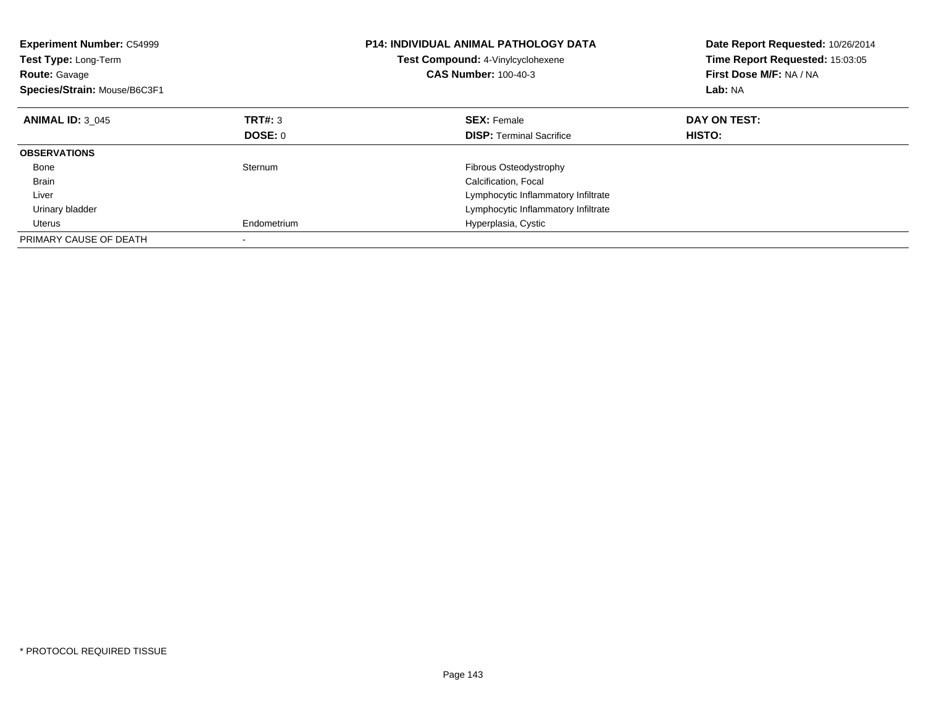| <b>Experiment Number: C54999</b><br><b>Test Type: Long-Term</b><br><b>Route: Gavage</b><br>Species/Strain: Mouse/B6C3F1 |             | <b>P14: INDIVIDUAL ANIMAL PATHOLOGY DATA</b><br><b>Test Compound: 4-Vinylcyclohexene</b><br><b>CAS Number: 100-40-3</b> | Date Report Requested: 10/26/2014<br>Time Report Requested: 15:03:05<br>First Dose M/F: NA / NA<br>Lab: NA |
|-------------------------------------------------------------------------------------------------------------------------|-------------|-------------------------------------------------------------------------------------------------------------------------|------------------------------------------------------------------------------------------------------------|
| <b>ANIMAL ID: 3 045</b>                                                                                                 | TRT#: 3     | <b>SEX: Female</b>                                                                                                      | DAY ON TEST:                                                                                               |
|                                                                                                                         | DOSE: 0     | <b>DISP:</b> Terminal Sacrifice                                                                                         | HISTO:                                                                                                     |
| <b>OBSERVATIONS</b>                                                                                                     |             |                                                                                                                         |                                                                                                            |
| Bone                                                                                                                    | Sternum     | Fibrous Osteodystrophy                                                                                                  |                                                                                                            |
| <b>Brain</b>                                                                                                            |             | Calcification, Focal                                                                                                    |                                                                                                            |
| Liver                                                                                                                   |             | Lymphocytic Inflammatory Infiltrate                                                                                     |                                                                                                            |
| Urinary bladder                                                                                                         |             | Lymphocytic Inflammatory Infiltrate                                                                                     |                                                                                                            |
| Uterus                                                                                                                  | Endometrium | Hyperplasia, Cystic                                                                                                     |                                                                                                            |
| PRIMARY CAUSE OF DEATH                                                                                                  |             |                                                                                                                         |                                                                                                            |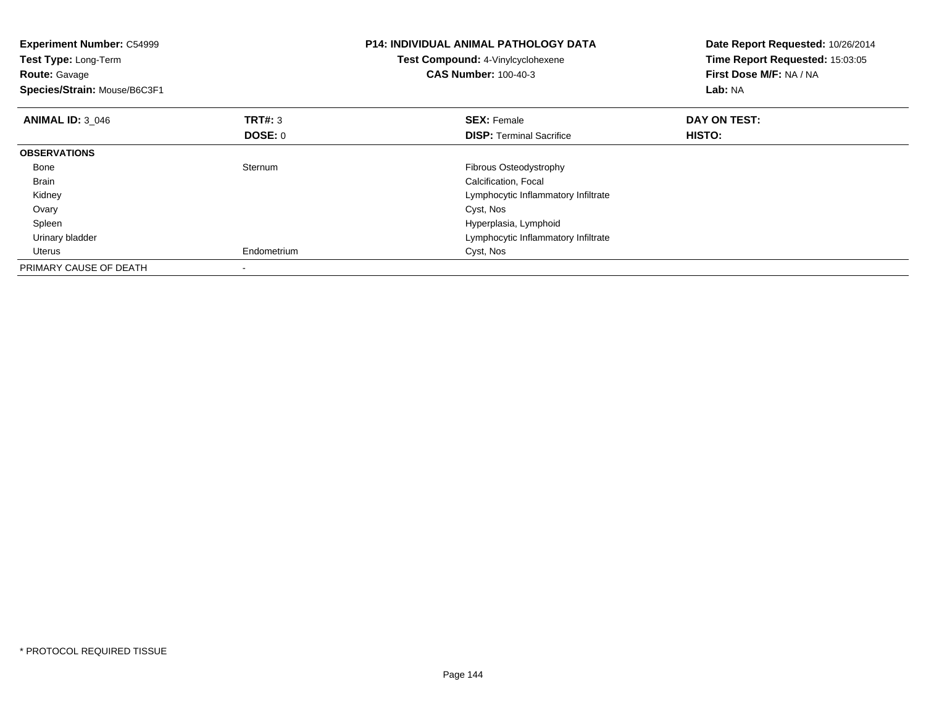| <b>Experiment Number: C54999</b><br><b>Test Type: Long-Term</b><br><b>Route: Gavage</b><br>Species/Strain: Mouse/B6C3F1 |                                  | <b>P14: INDIVIDUAL ANIMAL PATHOLOGY DATA</b><br>Test Compound: 4-Vinylcyclohexene<br><b>CAS Number: 100-40-3</b> | Date Report Requested: 10/26/2014<br>Time Report Requested: 15:03:05<br>First Dose M/F: NA / NA<br>Lab: NA |
|-------------------------------------------------------------------------------------------------------------------------|----------------------------------|------------------------------------------------------------------------------------------------------------------|------------------------------------------------------------------------------------------------------------|
| <b>ANIMAL ID: 3 046</b>                                                                                                 | <b>TRT#:</b> 3<br><b>DOSE: 0</b> | <b>SEX: Female</b><br><b>DISP:</b> Terminal Sacrifice                                                            | DAY ON TEST:<br>HISTO:                                                                                     |
| <b>OBSERVATIONS</b>                                                                                                     |                                  |                                                                                                                  |                                                                                                            |
| Bone                                                                                                                    | Sternum                          | Fibrous Osteodystrophy                                                                                           |                                                                                                            |
| <b>Brain</b>                                                                                                            |                                  | Calcification, Focal                                                                                             |                                                                                                            |
| Kidney                                                                                                                  |                                  | Lymphocytic Inflammatory Infiltrate                                                                              |                                                                                                            |
| Ovary                                                                                                                   |                                  | Cyst, Nos                                                                                                        |                                                                                                            |
| Spleen                                                                                                                  |                                  | Hyperplasia, Lymphoid                                                                                            |                                                                                                            |
| Urinary bladder                                                                                                         |                                  | Lymphocytic Inflammatory Infiltrate                                                                              |                                                                                                            |
| Uterus                                                                                                                  | Endometrium                      | Cyst, Nos                                                                                                        |                                                                                                            |
| PRIMARY CAUSE OF DEATH                                                                                                  |                                  |                                                                                                                  |                                                                                                            |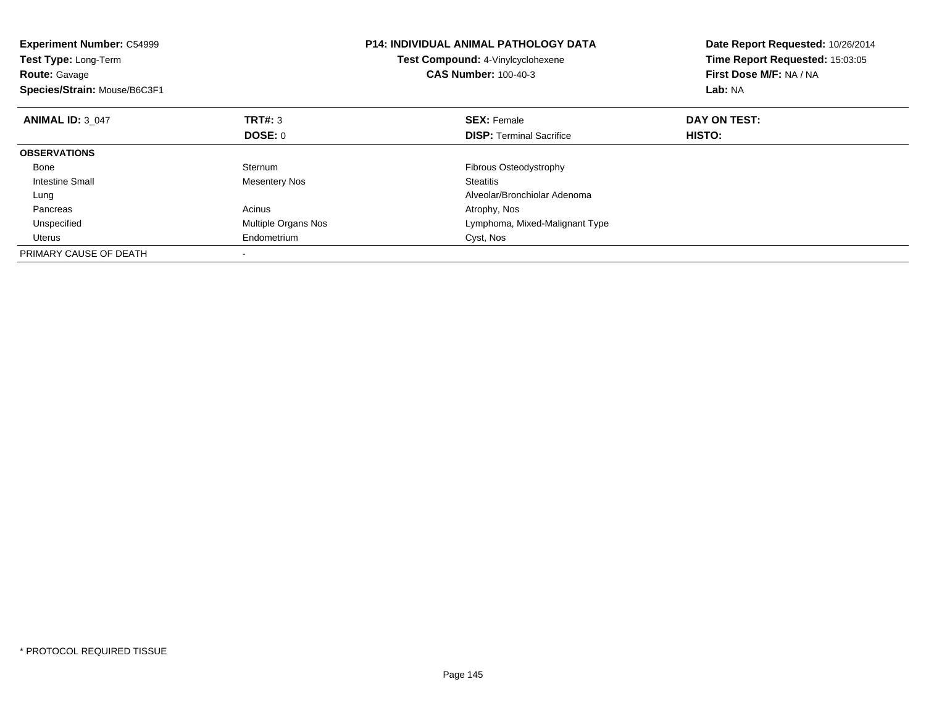| <b>Experiment Number: C54999</b><br>Test Type: Long-Term<br><b>Route: Gavage</b><br>Species/Strain: Mouse/B6C3F1 |                     | <b>P14: INDIVIDUAL ANIMAL PATHOLOGY DATA</b><br>Test Compound: 4-Vinylcyclohexene<br><b>CAS Number: 100-40-3</b> | Date Report Requested: 10/26/2014<br>Time Report Requested: 15:03:05<br>First Dose M/F: NA / NA<br>Lab: NA |
|------------------------------------------------------------------------------------------------------------------|---------------------|------------------------------------------------------------------------------------------------------------------|------------------------------------------------------------------------------------------------------------|
| <b>ANIMAL ID: 3 047</b>                                                                                          | TRT#: 3             | <b>SEX: Female</b>                                                                                               | DAY ON TEST:                                                                                               |
|                                                                                                                  | DOSE: 0             | <b>DISP:</b> Terminal Sacrifice                                                                                  | <b>HISTO:</b>                                                                                              |
| <b>OBSERVATIONS</b>                                                                                              |                     |                                                                                                                  |                                                                                                            |
| Bone                                                                                                             | Sternum             | Fibrous Osteodystrophy                                                                                           |                                                                                                            |
| Intestine Small                                                                                                  | Mesentery Nos       | <b>Steatitis</b>                                                                                                 |                                                                                                            |
| Lung                                                                                                             |                     | Alveolar/Bronchiolar Adenoma                                                                                     |                                                                                                            |
| Pancreas                                                                                                         | Acinus              | Atrophy, Nos                                                                                                     |                                                                                                            |
| Unspecified                                                                                                      | Multiple Organs Nos | Lymphoma, Mixed-Malignant Type                                                                                   |                                                                                                            |
| Uterus                                                                                                           | Endometrium         | Cyst, Nos                                                                                                        |                                                                                                            |
| PRIMARY CAUSE OF DEATH                                                                                           |                     |                                                                                                                  |                                                                                                            |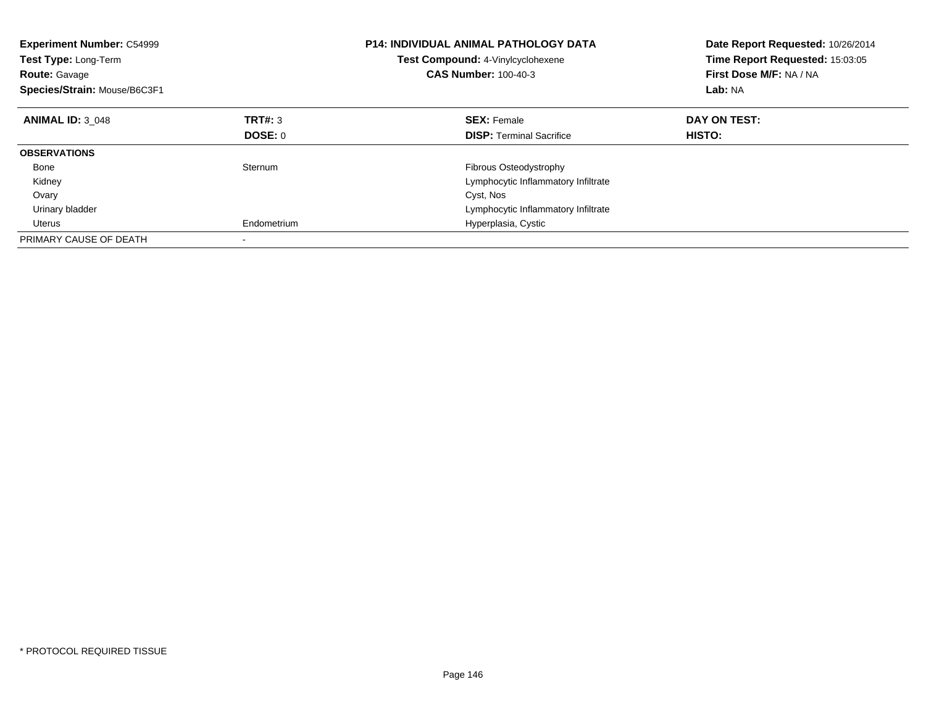| <b>Experiment Number: C54999</b><br><b>Test Type: Long-Term</b><br><b>Route: Gavage</b><br>Species/Strain: Mouse/B6C3F1 |             | <b>P14: INDIVIDUAL ANIMAL PATHOLOGY DATA</b><br><b>Test Compound: 4-Vinylcyclohexene</b><br><b>CAS Number: 100-40-3</b> | Date Report Requested: 10/26/2014<br>Time Report Requested: 15:03:05<br>First Dose M/F: NA / NA<br>Lab: NA |
|-------------------------------------------------------------------------------------------------------------------------|-------------|-------------------------------------------------------------------------------------------------------------------------|------------------------------------------------------------------------------------------------------------|
| <b>ANIMAL ID: 3 048</b>                                                                                                 | TRT#: 3     | <b>SEX: Female</b>                                                                                                      | DAY ON TEST:                                                                                               |
|                                                                                                                         | DOSE: 0     | <b>DISP:</b> Terminal Sacrifice                                                                                         | <b>HISTO:</b>                                                                                              |
| <b>OBSERVATIONS</b>                                                                                                     |             |                                                                                                                         |                                                                                                            |
| Bone                                                                                                                    | Sternum     | Fibrous Osteodystrophy                                                                                                  |                                                                                                            |
| Kidney                                                                                                                  |             | Lymphocytic Inflammatory Infiltrate                                                                                     |                                                                                                            |
| Ovary                                                                                                                   |             | Cyst, Nos                                                                                                               |                                                                                                            |
| Urinary bladder                                                                                                         |             | Lymphocytic Inflammatory Infiltrate                                                                                     |                                                                                                            |
| Uterus                                                                                                                  | Endometrium | Hyperplasia, Cystic                                                                                                     |                                                                                                            |
| PRIMARY CAUSE OF DEATH                                                                                                  |             |                                                                                                                         |                                                                                                            |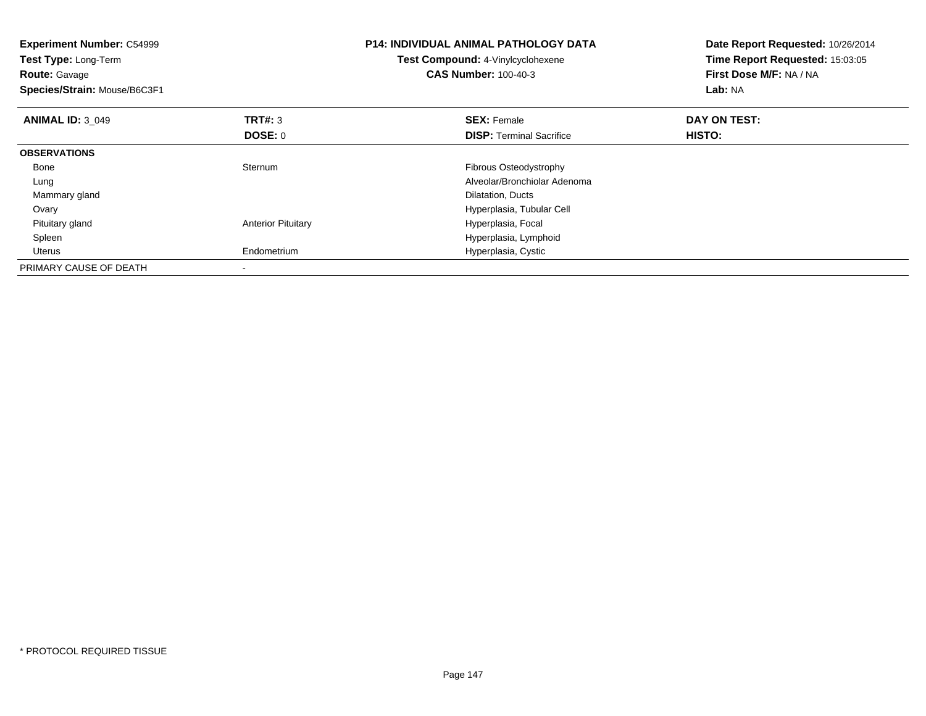| <b>Experiment Number: C54999</b><br><b>Test Type: Long-Term</b><br><b>Route: Gavage</b><br>Species/Strain: Mouse/B6C3F1 |                           | <b>P14: INDIVIDUAL ANIMAL PATHOLOGY DATA</b><br>Test Compound: 4-Vinylcyclohexene<br><b>CAS Number: 100-40-3</b> | Date Report Requested: 10/26/2014<br>Time Report Requested: 15:03:05<br>First Dose M/F: NA / NA<br>Lab: NA |
|-------------------------------------------------------------------------------------------------------------------------|---------------------------|------------------------------------------------------------------------------------------------------------------|------------------------------------------------------------------------------------------------------------|
| <b>ANIMAL ID: 3 049</b>                                                                                                 | <b>TRT#: 3</b><br>DOSE: 0 | <b>SEX: Female</b><br><b>DISP:</b> Terminal Sacrifice                                                            | DAY ON TEST:<br>HISTO:                                                                                     |
| <b>OBSERVATIONS</b>                                                                                                     |                           |                                                                                                                  |                                                                                                            |
| Bone                                                                                                                    | Sternum                   | Fibrous Osteodystrophy                                                                                           |                                                                                                            |
| Lung                                                                                                                    |                           | Alveolar/Bronchiolar Adenoma                                                                                     |                                                                                                            |
| Mammary gland                                                                                                           |                           | Dilatation, Ducts                                                                                                |                                                                                                            |
| Ovary                                                                                                                   |                           | Hyperplasia, Tubular Cell                                                                                        |                                                                                                            |
| Pituitary gland                                                                                                         | <b>Anterior Pituitary</b> | Hyperplasia, Focal                                                                                               |                                                                                                            |
| Spleen                                                                                                                  |                           | Hyperplasia, Lymphoid                                                                                            |                                                                                                            |
| Uterus                                                                                                                  | Endometrium               | Hyperplasia, Cystic                                                                                              |                                                                                                            |
| PRIMARY CAUSE OF DEATH                                                                                                  |                           |                                                                                                                  |                                                                                                            |